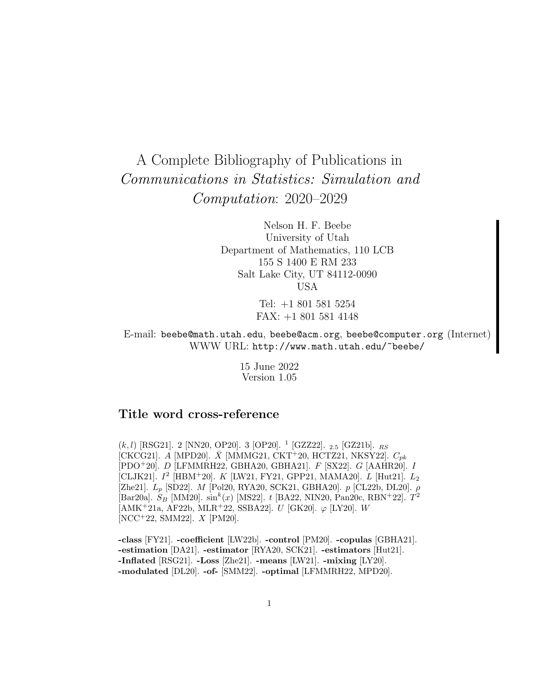# A Complete Bibliography of Publications in Communications in Statistics: Simulation and Computation: 2020–2029

Nelson H. F. Beebe University of Utah Department of Mathematics, 110 LCB 155 S 1400 E RM 233 Salt Lake City, UT 84112-0090 USA

> Tel: +1 801 581 5254 FAX: +1 801 581 4148

E-mail: beebe@math.utah.edu, beebe@acm.org, beebe@computer.org (Internet) WWW URL: http://www.math.utah.edu/~beebe/

> 15 June 2022 Version 1.05

# **Title word cross-reference**

 $(k, l)$  [RSG21]. 2 [NN20, OP20]. 3 [OP20]. <sup>1</sup> [GZZ22]. <sub>2.5</sub> [GZ21b].  $_{RS}$ [CKCG21]. A [MPD20].  $\bar{X}$  [MMMG21, CKT+20, HCTZ21, NKSY22].  $C_{pk}$ [PDO<sup>+</sup>20]. D [LFMMRH22, GBHA20, GBHA21]. F [SX22]. G [AAHR20]. I [CLJK21].  $I^2$  [HBM<sup>+</sup>20]. K [LW21, FY21, GPP21, MAMA20]. L [Hut21].  $L_2$ [Zhe21].  $L_p$  [SD22]. M [Pol20, RYA20, SCK21, GBHA20].  $p$  [CL22b, DL20].  $\rho$ [Bar20a].  $S_B$  [MM20].  $\sin^k(x)$  [MS22]. t [BA22, NIN20, Pan20c, RBN+22].  $T^2$  $[AMK^+21a, AF22b, MLR^+22, SSBA22]$ . U  $[GK20]$ .  $\varphi$   $[LY20]$ . W [NCC<sup>+</sup>22, SMM22]. X [PM20].

**-class** [FY21]. **-coefficient** [LW22b]. **-control** [PM20]. **-copulas** [GBHA21]. **-estimation** [DA21]. **-estimator** [RYA20, SCK21]. **-estimators** [Hut21]. **-Inflated** [RSG21]. **-Loss** [Zhe21]. **-means** [LW21]. **-mixing** [LY20]. **-modulated** [DL20]. **-of-** [SMM22]. **-optimal** [LFMMRH22, MPD20].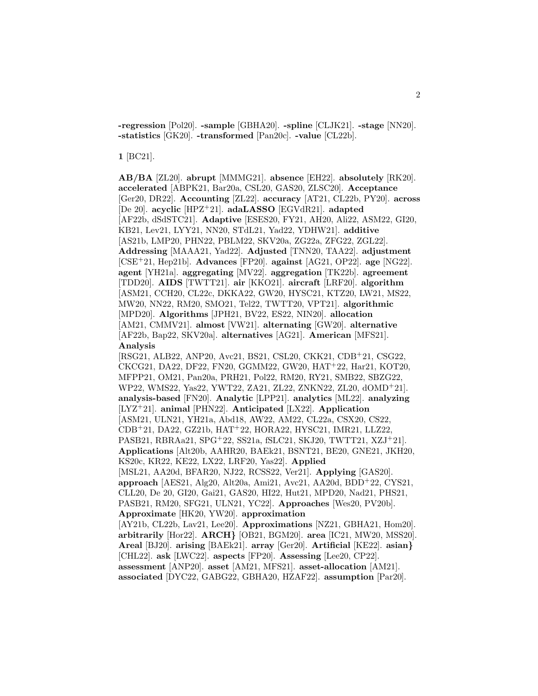**-regression** [Pol20]. **-sample** [GBHA20]. **-spline** [CLJK21]. **-stage** [NN20]. **-statistics** [GK20]. **-transformed** [Pan20c]. **-value** [CL22b].

**1** [BC21].

**AB/BA** [ZL20]. **abrupt** [MMMG21]. **absence** [EH22]. **absolutely** [RK20]. **accelerated** [ABPK21, Bar20a, CSL20, GAS20, ZLSC20]. **Acceptance** [Ger20, DR22]. **Accounting** [ZL22]. **accuracy** [AT21, CL22b, PY20]. **across** [De 20]. **acyclic** [HPZ<sup>+</sup>21]. **adaLASSO** [EGVdR21]. **adapted** [AF22b, dSdSTC21]. **Adaptive** [ESES20, FY21, AH20, Ali22, ASM22, GI20, KB21, Lev21, LYY21, NN20, STdL21, Yad22, YDHW21]. **additive** [AS21b, LMP20, PHN22, PBLM22, SKV20a, ZG22a, ZFG22, ZGL22]. **Addressing** [MAAA21, Yad22]. **Adjusted** [TNN20, TAA22]. **adjustment** [CSE<sup>+</sup>21, Hep21b]. **Advances** [FP20]. **against** [AG21, OP22]. **age** [NG22]. **agent** [YH21a]. **aggregating** [MV22]. **aggregation** [TK22b]. **agreement** [TDD20]. **AIDS** [TWTT21]. **air** [KKO21]. **aircraft** [LRF20]. **algorithm** [ASM21, CCH20, CL22c, DKKA22, GW20, HYSC21, KTZ20, LW21, MS22, MW20, NN22, RM20, SMO21, Tel22, TWTT20, VPT21]. **algorithmic** [MPD20]. **Algorithms** [JPH21, BV22, ES22, NIN20]. **allocation** [AM21, CMMV21]. **almost** [VW21]. **alternating** [GW20]. **alternative** [AF22b, Bap22, SKV20a]. **alternatives** [AG21]. **American** [MFS21]. **Analysis** [RSG21, ALB22, ANP20, Avc21, BS21, CSL20, CKK21, CDB<sup>+</sup>21, CSG22, CKCG21, DA22, DF22, FN20, GGMM22, GW20, HAT<sup>+</sup>22, Har21, KOT20, MFPP21, OM21, Pan20a, PRH21, Pol22, RM20, RY21, SMB22, SBZG22, WP22, WMS22, Yas22, YWT22, ZA21, ZL22, ZNKN22, ZL20, dOMD<sup>+</sup>21]. **analysis-based** [FN20]. **Analytic** [LPP21]. **analytics** [ML22]. **analyzing** [LYZ<sup>+</sup>21]. **animal** [PHN22]. **Anticipated** [LX22]. **Application** [ASM21, ULN21, YH21a, Abd18, AW22, AM22, CL22a, CSX20, CS22, CDB<sup>+</sup>21, DA22, GZ21b, HAT<sup>+</sup>22, HORA22, HYSC21, IMR21, LLZ22, PASB21, RBRAa21, SPG<sup>+</sup>22, SS21a, fSLC21, SKJ20, TWTT21, XZJ<sup>+</sup>21]. **Applications** [Alt20b, AAHR20, BAEk21, BSNT21, BE20, GNE21, JKH20, KS20c, KR22, KE22, LX22, LRF20, Yas22]. **Applied** [MSL21, AA20d, BFAR20, NJ22, RCSS22, Ver21]. **Applying** [GAS20]. **approach** [AES21, Alg20, Alt20a, Ami21, Avc21, AA20d, BDD<sup>+</sup>22, CYS21, CLL20, De 20, GI20, Gai21, GAS20, HI22, Hut21, MPD20, Nad21, PHS21, PASB21, RM20, SFG21, ULN21, YC22]. **Approaches** [Wes20, PV20b]. **Approximate** [HK20, YW20]. **approximation** [AY21b, CL22b, Lav21, Lee20]. **Approximations** [NZ21, GBHA21, Hom20]. **arbitrarily** [Hor22]. **ARCH***}* [OB21, BGM20]. **area** [IC21, MW20, MSS20]. **Areal** [BJ20]. **arising** [BAEk21]. **array** [Ger20]. **Artificial** [KE22]. **asian***}* [CHL22]. **ask** [LWC22]. **aspects** [FP20]. **Assessing** [Lee20, CP22]. **assessment** [ANP20]. **asset** [AM21, MFS21]. **asset-allocation** [AM21]. **associated** [DYC22, GABG22, GBHA20, HZAF22]. **assumption** [Par20].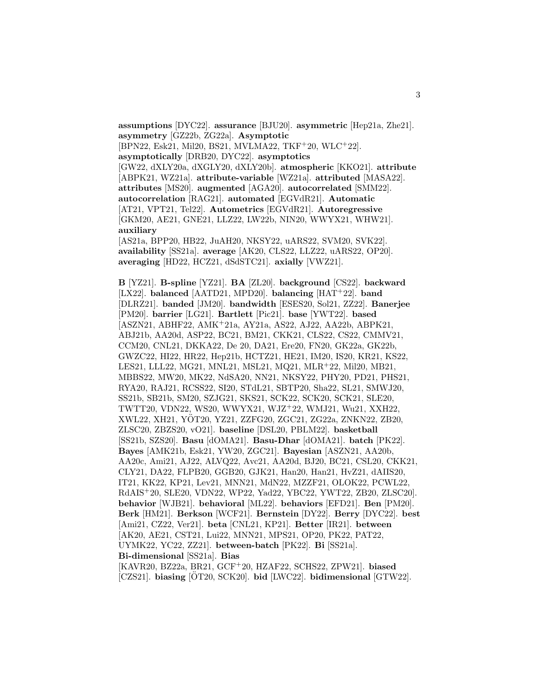**assumptions** [DYC22]. **assurance** [BJU20]. **asymmetric** [Hep21a, Zhe21]. **asymmetry** [GZ22b, ZG22a]. **Asymptotic** [BPN22, Esk21, Mil20, BS21, MVLMA22, TKF<sup>+</sup>20, WLC<sup>+</sup>22]. **asymptotically** [DRB20, DYC22]. **asymptotics** [GW22, dXLY20a, dXGLY20, dXLY20b]. **atmospheric** [KKO21]. **attribute** [ABPK21, WZ21a]. **attribute-variable** [WZ21a]. **attributed** [MASA22]. **attributes** [MS20]. **augmented** [AGA20]. **autocorrelated** [SMM22]. **autocorrelation** [RAG21]. **automated** [EGVdR21]. **Automatic** [AT21, VPT21, Tel22]. **Autometrics** [EGVdR21]. **Autoregressive** [GKM20, AE21, GNE21, LLZ22, LW22b, NIN20, WWYX21, WHW21]. **auxiliary**

[AS21a, BPP20, HB22, JuAH20, NKSY22, uARS22, SVM20, SVK22]. **availability** [SS21a]. **average** [AK20, CLS22, LLZ22, uARS22, OP20]. **averaging** [HD22, HCZ21, dSdSTC21]. **axially** [VWZ21].

**B** [YZ21]. **B-spline** [YZ21]. **BA** [ZL20]. **background** [CS22]. **backward** [LX22]. **balanced** [AATD21, MPD20]. **balancing** [HAT<sup>+</sup>22]. **band** [DLRZ21]. **banded** [JM20]. **bandwidth** [ESES20, Sol21, ZZ22]. **Banerjee** [PM20]. **barrier** [LG21]. **Bartlett** [Pic21]. **base** [YWT22]. **based** [ASZN21, ABHF22, AMK<sup>+</sup>21a, AY21a, AS22, AJ22, AA22b, ABPK21, ABJ21b, AA20d, ASP22, BC21, BM21, CKK21, CLS22, CS22, CMMV21, CCM20, CNL21, DKKA22, De 20, DA21, Ere20, FN20, GK22a, GK22b, GWZC22, HI22, HR22, Hep21b, HCTZ21, HE21, IM20, IS20, KR21, KS22, LES21, LLL22, MG21, MNL21, MSL21, MQ21, MLR<sup>+</sup>22, Mil20, MB21, MBBS22, MW20, MK22, NdSA20, NN21, NKSY22, PHY20, PD21, PHS21, RYA20, RAJ21, RCSS22, SI20, STdL21, SBTP20, Sha22, SL21, SMWJ20, SS21b, SB21b, SM20, SZJG21, SKS21, SCK22, SCK20, SCK21, SLE20, TWTT20, VDN22, WS20, WWYX21, WJZ<sup>+</sup>22, WMJ21, Wu21, XXH22, XWL22, XH21, YOT20, YZ21, ZZFG20, ZGC21, ZG22a, ZNKN22, ZB20, ¨ ZLSC20, ZBZS20, vO21]. **baseline** [DSL20, PBLM22]. **basketball** [SS21b, SZS20]. **Basu** [dOMA21]. **Basu-Dhar** [dOMA21]. **batch** [PK22]. **Bayes** [AMK21b, Esk21, YW20, ZGC21]. **Bayesian** [ASZN21, AA20b, AA20c, Ami21, AJ22, ALVQ22, Avc21, AA20d, BJ20, BC21, CSL20, CKK21, CLY21, DA22, FLPB20, GGB20, GJK21, Han20, Han21, HvZ21, dAIIS20, IT21, KK22, KP21, Lev21, MNN21, MdN22, MZZF21, OLOK22, PCWL22, RdAIS<sup>+</sup>20, SLE20, VDN22, WP22, Yad22, YBC22, YWT22, ZB20, ZLSC20]. **behavior** [WJB21]. **behavioral** [ML22]. **behaviors** [EFD21]. **Ben** [PM20]. **Berk** [HM21]. **Berkson** [WCF21]. **Bernstein** [DY22]. **Berry** [DYC22]. **best** [Ami21, CZ22, Ver21]. **beta** [CNL21, KP21]. **Better** [IR21]. **between** [AK20, AE21, CST21, Lui22, MNN21, MPS21, OP20, PK22, PAT22, UYMK22, YC22, ZZ21]. **between-batch** [PK22]. **Bi** [SS21a]. **Bi-dimensional** [SS21a]. **Bias** [KAVR20, BZ22a, BR21, GCF<sup>+</sup>20, HZAF22, SCHS22, ZPW21]. **biased**

[CZS21]. **biasing** [OT20, SCK20]. **bid** [LWC22]. **bidimensional** [GTW22].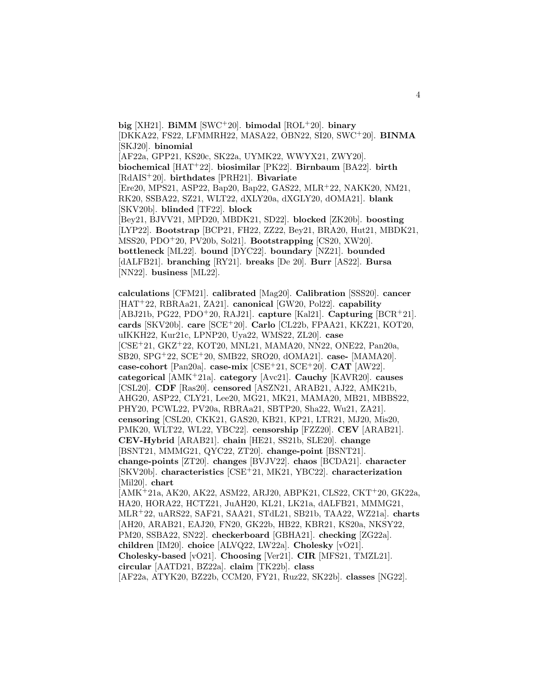**big** [XH21]. **BiMM** [SWC<sup>+</sup>20]. **bimodal** [ROL<sup>+</sup>20]. **binary** [DKKA22, FS22, LFMMRH22, MASA22, OBN22, SI20, SWC<sup>+</sup>20]. **BINMA** [SKJ20]. **binomial** [AF22a, GPP21, KS20c, SK22a, UYMK22, WWYX21, ZWY20]. **biochemical** [HAT<sup>+</sup>22]. **biosimilar** [PK22]. **Birnbaum** [BA22]. **birth** [RdAIS<sup>+</sup>20]. **birthdates** [PRH21]. **Bivariate** [Ere20, MPS21, ASP22, Bap20, Bap22, GAS22, MLR<sup>+</sup>22, NAKK20, NM21, RK20, SSBA22, SZ21, WLT22, dXLY20a, dXGLY20, dOMA21]. **blank** [SKV20b]. **blinded** [TF22]. **block** [Bey21, BJVV21, MPD20, MBDK21, SD22]. **blocked** [ZK20b]. **boosting** [LYP22]. **Bootstrap** [BCP21, FH22, ZZ22, Bey21, BRA20, Hut21, MBDK21, MSS20, PDO<sup>+</sup>20, PV20b, Sol21]. **Bootstrapping** [CS20, XW20]. **bottleneck** [ML22]. **bound** [DYC22]. **boundary** [NZ21]. **bounded** [dALFB21]. **branching** [RY21]. **breaks** [De 20]. **Burr** [AS22]. **Bursa** [NN22]. **business** [ML22].

**calculations** [CFM21]. **calibrated** [Mag20]. **Calibration** [SSS20]. **cancer** [HAT<sup>+</sup>22, RBRAa21, ZA21]. **canonical** [GW20, Pol22]. **capability** [ABJ21b, PG22, PDO<sup>+</sup>20, RAJ21]. **capture** [Kal21]. **Capturing** [BCR<sup>+</sup>21]. **cards** [SKV20b]. **care** [SCE<sup>+</sup>20]. **Carlo** [CL22b, FPAA21, KKZ21, KOT20, uIKKH22, Kur21c, LPNP20, Uya22, WMS22, ZL20]. **case** [CSE<sup>+</sup>21, GKZ<sup>+</sup>22, KOT20, MNL21, MAMA20, NN22, ONE22, Pan20a, SB20, SPG<sup>+</sup>22, SCE<sup>+</sup>20, SMB22, SRO20, dOMA21]. **case-** [MAMA20]. **case-cohort** [Pan20a]. **case-mix** [CSE<sup>+</sup>21, SCE<sup>+</sup>20]. **CAT** [AW22]. **categorical** [AMK<sup>+</sup>21a]. **category** [Avc21]. **Cauchy** [KAVR20]. **causes** [CSL20]. **CDF** [Ras20]. **censored** [ASZN21, ARAB21, AJ22, AMK21b, AHG20, ASP22, CLY21, Lee20, MG21, MK21, MAMA20, MB21, MBBS22, PHY20, PCWL22, PV20a, RBRAa21, SBTP20, Sha22, Wu21, ZA21]. **censoring** [CSL20, CKK21, GAS20, KB21, KP21, LTR21, MJ20, Mis20, PMK20, WLT22, WL22, YBC22]. **censorship** [FZZ20]. **CEV** [ARAB21]. **CEV-Hybrid** [ARAB21]. **chain** [HE21, SS21b, SLE20]. **change** [BSNT21, MMMG21, QYC22, ZT20]. **change-point** [BSNT21]. **change-points** [ZT20]. **changes** [BVJV22]. **chaos** [BCDA21]. **character** [SKV20b]. **characteristics** [CSE<sup>+</sup>21, MK21, YBC22]. **characterization** [Mil20]. **chart** [AMK<sup>+</sup>21a, AK20, AK22, ASM22, ARJ20, ABPK21, CLS22, CKT<sup>+</sup>20, GK22a, HA20, HORA22, HCTZ21, JuAH20, KL21, LK21a, dALFB21, MMMG21, MLR<sup>+</sup>22, uARS22, SAF21, SAA21, STdL21, SB21b, TAA22, WZ21a]. **charts** [AH20, ARAB21, EAJ20, FN20, GK22b, HB22, KBR21, KS20a, NKSY22, PM20, SSBA22, SN22]. **checkerboard** [GBHA21]. **checking** [ZG22a]. **children** [IM20]. **choice** [ALVQ22, LW22a]. **Cholesky** [vO21]. **Cholesky-based** [vO21]. **Choosing** [Ver21]. **CIR** [MFS21, TMZL21]. **circular** [AATD21, BZ22a]. **claim** [TK22b]. **class**

[AF22a, ATYK20, BZ22b, CCM20, FY21, Ruz22, SK22b]. **classes** [NG22].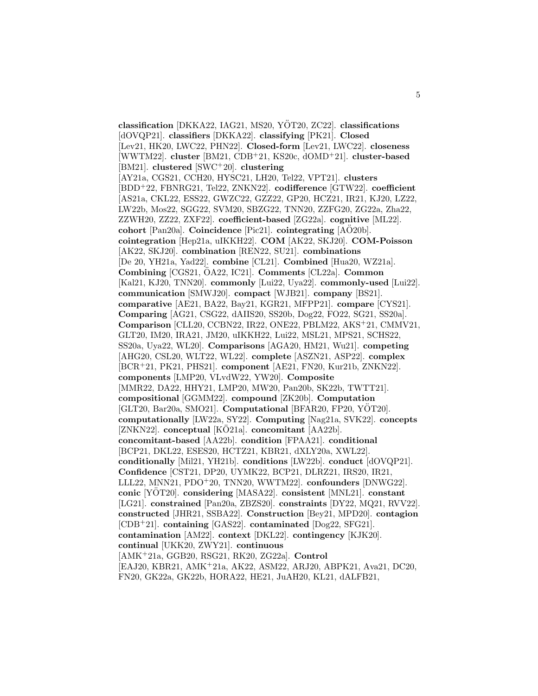**classification** [DKKA22, IAG21, MS20, YÖT20, ZC22]. **classifications** [dOVQP21]. **classifiers** [DKKA22]. **classifying** [PK21]. **Closed** [Lev21, HK20, LWC22, PHN22]. **Closed-form** [Lev21, LWC22]. **closeness** [WWTM22]. **cluster** [BM21, CDB<sup>+</sup>21, KS20c, dOMD<sup>+</sup>21]. **cluster-based** [BM21]. **clustered** [SWC<sup>+</sup>20]. **clustering** [AY21a, CGS21, CCH20, HYSC21, LH20, Tel22, VPT21]. **clusters** [BDD<sup>+</sup>22, FBNRG21, Tel22, ZNKN22]. **codifference** [GTW22]. **coefficient** [AS21a, CKL22, ESS22, GWZC22, GZZ22, GP20, HCZ21, IR21, KJ20, LZ22, LW22b, Mos22, SGG22, SVM20, SBZG22, TNN20, ZZFG20, ZG22a, Zha22, ZZWH20, ZZ22, ZXF22]. **coefficient-based** [ZG22a]. **cognitive** [ML22]. **cohort** [Pan20a]. **Coincidence** [Pic21]. **cointegrating** [AO20b]. **cointegration** [Hep21a, uIKKH22]. **COM** [AK22, SKJ20]. **COM-Poisson** [AK22, SKJ20]. **combination** [REN22, SU21]. **combinations** [De 20, YH21a, Yad22]. **combine** [CL21]. **Combined** [Hua20, WZ21a]. **Combining** [CGS21,  $\ddot{\text{O}}$ A22, IC21]. **Comments** [CL22a]. **Common** [Kal21, KJ20, TNN20]. **commonly** [Lui22, Uya22]. **commonly-used** [Lui22]. **communication** [SMWJ20]. **compact** [WJB21]. **company** [BS21]. **comparative** [AE21, BA22, Bay21, KGR21, MFPP21]. **compare** [CYS21]. **Comparing** [AG21, CSG22, dAIIS20, SS20b, Dog22, FO22, SG21, SS20a]. **Comparison** [CLL20, CCBN22, IR22, ONE22, PBLM22, AKS<sup>+</sup>21, CMMV21, GLT20, IM20, IRA21, JM20, uIKKH22, Lui22, MSL21, MPS21, SCHS22, SS20a, Uya22, WL20]. **Comparisons** [AGA20, HM21, Wu21]. **competing** [AHG20, CSL20, WLT22, WL22]. **complete** [ASZN21, ASP22]. **complex** [BCR<sup>+</sup>21, PK21, PHS21]. **component** [AE21, FN20, Kur21b, ZNKN22]. **components** [LMP20, VLvdW22, YW20]. **Composite** [MMR22, DA22, HHY21, LMP20, MW20, Pan20b, SK22b, TWTT21]. **compositional** [GGMM22]. **compound** [ZK20b]. **Computation** [GLT20, Bar20a, SMO21]. **Computational** [BFAR20, FP20, YÖT20]. **computationally** [LW22a, SY22]. **Computing** [Nag21a, SVK22]. **concepts** [ZNKN22]. **conceptual** [KÖ21a]. **concomitant** [AA22b]. **concomitant-based** [AA22b]. **condition** [FPAA21]. **conditional** [BCP21, DKL22, ESES20, HCTZ21, KBR21, dXLY20a, XWL22]. **conditionally** [Mil21, YH21b]. **conditions** [LW22b]. **conduct** [dOVQP21]. **Confidence** [CST21, DP20, UYMK22, BCP21, DLRZ21, IRS20, IR21, LLL22, MNN21, PDO<sup>+</sup>20, TNN20, WWTM22]. **confounders** [DNWG22]. **conic** [YOT20]. ¨ **considering** [MASA22]. **consistent** [MNL21]. **constant** [LG21]. **constrained** [Pan20a, ZBZS20]. **constraints** [DY22, MQ21, RVV22]. **constructed** [JHR21, SSBA22]. **Construction** [Bey21, MPD20]. **contagion** [CDB<sup>+</sup>21]. **containing** [GAS22]. **contaminated** [Dog22, SFG21]. **contamination** [AM22]. **context** [DKL22]. **contingency** [KJK20]. **continual** [UKK20, ZWY21]. **continuous** [AMK<sup>+</sup>21a, GGB20, RSG21, RK20, ZG22a]. **Control** [EAJ20, KBR21, AMK<sup>+</sup>21a, AK22, ASM22, ARJ20, ABPK21, Ava21, DC20, FN20, GK22a, GK22b, HORA22, HE21, JuAH20, KL21, dALFB21,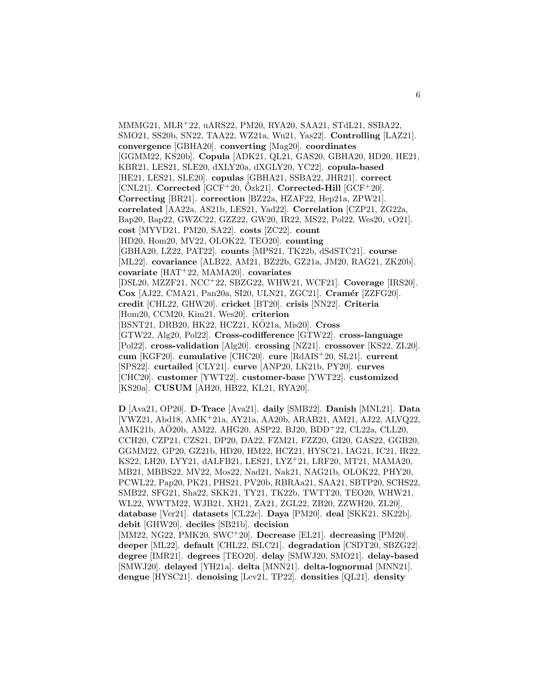MMMG21, MLR<sup>+</sup>22, uARS22, PM20, RYA20, SAA21, STdL21, SSBA22, SMO21, SS20b, SN22, TAA22, WZ21a, Wu21, Yas22]. **Controlling** [LAZ21]. **convergence** [GBHA20]. **converting** [Mag20]. **coordinates** [GGMM22, KS20b]. **Copula** [ADK21, QL21, GAS20, GBHA20, HD20, HE21, KBR21, LES21, SLE20, dXLY20a, dXGLY20, YC22]. **copula-based** [HE21, LES21, SLE20]. **copulas** [GBHA21, SSBA22, JHR21]. **correct**  $[CNL21]$ . Corrected  $[GCF+20, OZk21]$ . Corrected-Hill  $[GCF+20]$ . **Correcting** [BR21]. **correction** [BZ22a, HZAF22, Hep21a, ZPW21]. **correlated** [AA22a, AS21b, LES21, Yad22]. **Correlation** [CZP21, ZG22a, Bap20, Bap22, GWZC22, GZZ22, GW20, IR22, MS22, Pol22, Wes20, vO21]. **cost** [MYVD21, PM20, SA22]. **costs** [ZC22]. **count** [HD20, Hom20, MV22, OLOK22, TEO20]. **counting** [GBHA20, LZ22, PAT22]. **counts** [MPS21, TK22b, dSdSTC21]. **course** [ML22]. **covariance** [ALB22, AM21, BZ22b, GZ21a, JM20, RAG21, ZK20b]. **covariate** [HAT<sup>+</sup>22, MAMA20]. **covariates** [DSL20, MZZF21, NCC<sup>+</sup>22, SBZG22, WHW21, WCF21]. **Coverage** [IRS20]. **Cox** [AJ22, CMA21, Pan20a, SI20, ULN21, ZGC21]. **Cram´er** [ZZFG20]. **credit** [CHL22, GHW20]. **cricket** [BT20]. **crisis** [NN22]. **Criteria** [Hom20, CCM20, Kim21, Wes20]. **criterion** [BSNT21, DRB20, HK22, HCZ21, KO21a, Mis20]. ¨ **Cross** [GTW22, Alg20, Pol22]. **Cross-codifference** [GTW22]. **cross-language** [Pol22]. **cross-validation** [Alg20]. **crossing** [NZ21]. **crossover** [KS22, ZL20]. **cum** [KGF20]. **cumulative** [CHC20]. **cure** [RdAIS<sup>+</sup>20, SL21]. **current** [SPS22]. **curtailed** [CLY21]. **curve** [ANP20, LK21b, PY20]. **curves** [CHC20]. **customer** [YWT22]. **customer-base** [YWT22]. **customized** [KS20a]. **CUSUM** [AH20, HB22, KL21, RYA20].

**D** [Ava21, OP20]. **D-Trace** [Ava21]. **daily** [SMB22]. **Danish** [MNL21]. **Data** [VWZ21, Abd18, AMK<sup>+</sup>21a, AY21a, AA20b, ARAB21, AM21, AJ22, ALVQ22, AMK21b, AÖ20b, AM22, AHG20, ASP22, BJ20, BDD+22, CL22a, CLL20, CCH20, CZP21, CZS21, DP20, DA22, FZM21, FZZ20, GI20, GAS22, GGB20, GGMM22, GP20, GZ21b, HD20, HM22, HCZ21, HYSC21, IAG21, IC21, IR22, KS22, LH20, LYY21, dALFB21, LES21, LYZ<sup>+</sup>21, LRF20, MT21, MAMA20, MB21, MBBS22, MV22, Mos22, Nad21, Nak21, NAG21b, OLOK22, PHY20, PCWL22, Pap20, PK21, PHS21, PV20b, RBRAa21, SAA21, SBTP20, SCHS22, SMB22, SFG21, Sha22, SKK21, TY21, TK22b, TWTT20, TEO20, WHW21, WL22, WWTM22, WJB21, XH21, ZA21, ZGL22, ZB20, ZZWH20, ZL20]. **database** [Ver21]. **datasets** [CL22c]. **Daya** [PM20]. **deal** [SKK21, SK22b]. **debit** [GHW20]. **deciles** [SB21b]. **decision**

[MM22, NG22, PMK20, SWC<sup>+</sup>20]. **Decrease** [EL21]. **decreasing** [PM20]. **deeper** [ML22]. **default** [CHL22, fSLC21]. **degradation** [CSDT20, SBZG22]. **degree** [IMR21]. **degrees** [TEO20]. **delay** [SMWJ20, SMO21]. **delay-based** [SMWJ20]. **delayed** [YH21a]. **delta** [MNN21]. **delta-lognormal** [MNN21]. **dengue** [HYSC21]. **denoising** [Lev21, TP22]. **densities** [QL21]. **density**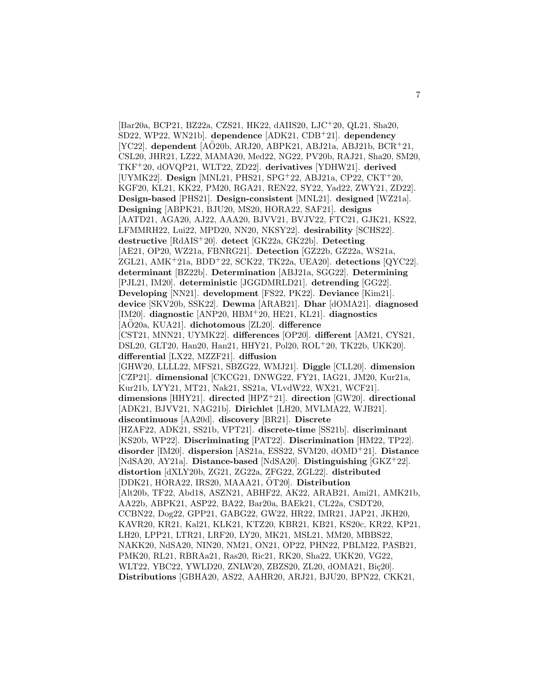[Bar20a, BCP21, BZ22a, CZS21, HK22, dAIIS20, LJC<sup>+</sup>20, QL21, Sha20, SD22, WP22, WN21b]. **dependence** [ADK21, CDB<sup>+</sup>21]. **dependency**  $[YC22]$ . **dependent**  $[A\ddot{O}20b, ARJ20, ABPK21, ABJ21a, ABJ21b, BCR+21,$ CSL20, JHR21, LZ22, MAMA20, Med22, NG22, PV20b, RAJ21, Sha20, SM20, TKF<sup>+</sup>20, dOVQP21, WLT22, ZD22]. **derivatives** [YDHW21]. **derived** [UYMK22]. **Design** [MNL21, PHS21, SPG<sup>+</sup>22, ABJ21a, CP22, CKT<sup>+</sup>20, KGF20, KL21, KK22, PM20, RGA21, REN22, SY22, Yad22, ZWY21, ZD22]. **Design-based** [PHS21]. **Design-consistent** [MNL21]. **designed** [WZ21a]. **Designing** [ABPK21, BJU20, MS20, HORA22, SAF21]. **designs** [AATD21, AGA20, AJ22, AAA20, BJVV21, BVJV22, FTC21, GJK21, KS22, LFMMRH22, Lui22, MPD20, NN20, NKSY22]. **desirability** [SCHS22]. **destructive** [RdAIS<sup>+</sup>20]. **detect** [GK22a, GK22b]. **Detecting** [AE21, OP20, WZ21a, FBNRG21]. **Detection** [GZ22b, GZ22a, WS21a, ZGL21, AMK<sup>+</sup>21a, BDD<sup>+</sup>22, SCK22, TK22a, UEA20]. **detections** [QYC22]. **determinant** [BZ22b]. **Determination** [ABJ21a, SGG22]. **Determining** [PJL21, IM20]. **deterministic** [JGGDMRLD21]. **detrending** [GG22]. **Developing** [NN21]. **development** [FS22, PK22]. **Deviance** [Kim21]. **device** [SKV20b, SSK22]. **Dewma** [ARAB21]. **Dhar** [dOMA21]. **diagnosed** [IM20]. **diagnostic** [ANP20, HBM<sup>+</sup>20, HE21, KL21]. **diagnostics** [AO20a, KUA21]. **dichotomous** [ZL20]. **difference** [CST21, MNN21, UYMK22]. **differences** [OP20]. **different** [AM21, CYS21, DSL20, GLT20, Han20, Han21, HHY21, Pol20, ROL<sup>+</sup>20, TK22b, UKK20]. **differential** [LX22, MZZF21]. **diffusion** [GHW20, LLLL22, MFS21, SBZG22, WMJ21]. **Diggle** [CLL20]. **dimension** [CZP21]. **dimensional** [CKCG21, DNWG22, FY21, IAG21, JM20, Kur21a, Kur21b, LYY21, MT21, Nak21, SS21a, VLvdW22, WX21, WCF21]. **dimensions** [HHY21]. **directed** [HPZ<sup>+</sup>21]. **direction** [GW20]. **directional** [ADK21, BJVV21, NAG21b]. **Dirichlet** [LH20, MVLMA22, WJB21]. **discontinuous** [AA20d]. **discovery** [BR21]. **Discrete** [HZAF22, ADK21, SS21b, VPT21]. **discrete-time** [SS21b]. **discriminant** [KS20b, WP22]. **Discriminating** [PAT22]. **Discrimination** [HM22, TP22]. **disorder** [IM20]. **dispersion** [AS21a, ESS22, SVM20, dOMD<sup>+</sup>21]. **Distance** [NdSA20, AY21a]. **Distance-based** [NdSA20]. **Distinguishing** [GKZ<sup>+</sup>22]. **distortion** [dXLY20b, ZG21, ZG22a, ZFG22, ZGL22]. **distributed** [DDK21, HORA22, IRS20, MAAA21, OT20]. **Distribution** [Alt20b, TF22, Abd18, ASZN21, ABHF22, AK22, ARAB21, Ami21, AMK21b, AA22b, ABPK21, ASP22, BA22, Bar20a, BAEk21, CL22a, CSDT20, CCBN22, Dog22, GPP21, GABG22, GW22, HR22, IMR21, JAP21, JKH20, KAVR20, KR21, Kal21, KLK21, KTZ20, KBR21, KB21, KS20c, KR22, KP21, LH20, LPP21, LTR21, LRF20, LY20, MK21, MSL21, MM20, MBBS22, NAKK20, NdSA20, NIN20, NM21, ON21, OP22, PHN22, PBLM22, PASB21, PMK20, RL21, RBRAa21, Ras20, Ric21, RK20, Sha22, UKK20, VG22, WLT22, YBC22, YWLD20, ZNLW20, ZBZS20, ZL20, dOMA21, Biç20]. **Distributions** [GBHA20, AS22, AAHR20, ARJ21, BJU20, BPN22, CKK21,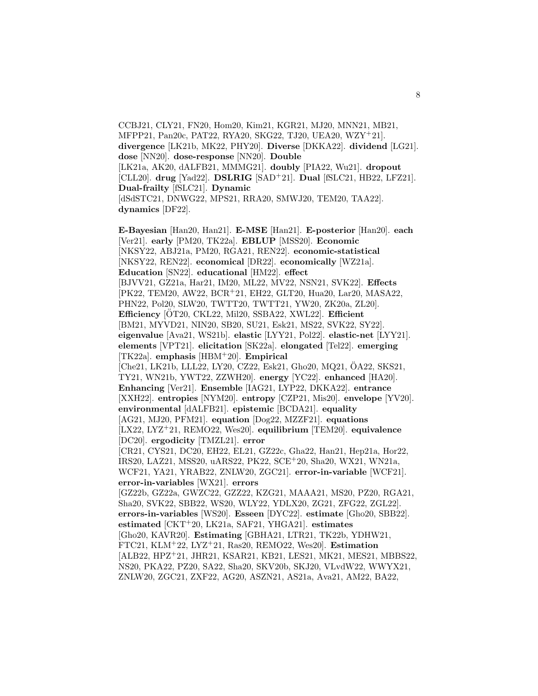CCBJ21, CLY21, FN20, Hom20, Kim21, KGR21, MJ20, MNN21, MB21, MFPP21, Pan20c, PAT22, RYA20, SKG22, TJ20, UEA20, WZY<sup>+</sup>21]. **divergence** [LK21b, MK22, PHY20]. **Diverse** [DKKA22]. **dividend** [LG21]. **dose** [NN20]. **dose-response** [NN20]. **Double** [LK21a, AK20, dALFB21, MMMG21]. **doubly** [PIA22, Wu21]. **dropout** [CLL20]. **drug** [Yad22]. **DSLRIG** [SAD<sup>+</sup>21]. **Dual** [fSLC21, HB22, LFZ21]. **Dual-frailty** [fSLC21]. **Dynamic** [dSdSTC21, DNWG22, MPS21, RRA20, SMWJ20, TEM20, TAA22]. **dynamics** [DF22].

**E-Bayesian** [Han20, Han21]. **E-MSE** [Han21]. **E-posterior** [Han20]. **each** [Ver21]. **early** [PM20, TK22a]. **EBLUP** [MSS20]. **Economic** [NKSY22, ABJ21a, PM20, RGA21, REN22]. **economic-statistical** [NKSY22, REN22]. **economical** [DR22]. **economically** [WZ21a]. **Education** [SN22]. **educational** [HM22]. **effect** [BJVV21, GZ21a, Har21, IM20, ML22, MV22, NSN21, SVK22]. **Effects** [PK22, TEM20, AW22, BCR<sup>+</sup>21, EH22, GLT20, Hua20, Lar20, MASA22, PHN22, Pol20, SLW20, TWTT20, TWTT21, YW20, ZK20a, ZL20]. **Efficiency** [ÖT20, CKL22, Mil20, SSBA22, XWL22]. **Efficient** [BM21, MYVD21, NIN20, SB20, SU21, Esk21, MS22, SVK22, SY22]. **eigenvalue** [Ava21, WS21b]. **elastic** [LYY21, Pol22]. **elastic-net** [LYY21]. **elements** [VPT21]. **elicitation** [SK22a]. **elongated** [Tel22]. **emerging** [TK22a]. **emphasis** [HBM<sup>+</sup>20]. **Empirical** [Che21, LK21b, LLL22, LY20, CZ22, Esk21, Gho20, MQ21, ÖA22, SKS21, TY21, WN21b, YWT22, ZZWH20]. **energy** [YC22]. **enhanced** [HA20]. **Enhancing** [Ver21]. **Ensemble** [IAG21, LYP22, DKKA22]. **entrance** [XXH22]. **entropies** [NYM20]. **entropy** [CZP21, Mis20]. **envelope** [YV20]. **environmental** [dALFB21]. **epistemic** [BCDA21]. **equality** [AG21, MJ20, PFM21]. **equation** [Dog22, MZZF21]. **equations** [LX22, LYZ<sup>+</sup>21, REMO22, Wes20]. **equilibrium** [TEM20]. **equivalence** [DC20]. **ergodicity** [TMZL21]. **error** [CR21, CYS21, DC20, EH22, EL21, GZ22c, Gha22, Han21, Hep21a, Hor22, IRS20, LAZ21, MSS20, uARS22, PK22, SCE<sup>+</sup>20, Sha20, WX21, WN21a, WCF21, YA21, YRAB22, ZNLW20, ZGC21]. **error-in-variable** [WCF21]. **error-in-variables** [WX21]. **errors** [GZ22b, GZ22a, GWZC22, GZZ22, KZG21, MAAA21, MS20, PZ20, RGA21, Sha20, SVK22, SBB22, WS20, WLY22, YDLX20, ZG21, ZFG22, ZGL22]. **errors-in-variables** [WS20]. **Esseen** [DYC22]. **estimate** [Gho20, SBB22]. **estimated** [CKT<sup>+</sup>20, LK21a, SAF21, YHGA21]. **estimates** [Gho20, KAVR20]. **Estimating** [GBHA21, LTR21, TK22b, YDHW21, FTC21, KLM<sup>+</sup>22, LYZ<sup>+</sup>21, Ras20, REMO22, Wes20]. **Estimation** [ALB22, HPZ<sup>+</sup>21, JHR21, KSAR21, KB21, LES21, MK21, MES21, MBBS22, NS20, PKA22, PZ20, SA22, Sha20, SKV20b, SKJ20, VLvdW22, WWYX21, ZNLW20, ZGC21, ZXF22, AG20, ASZN21, AS21a, Ava21, AM22, BA22,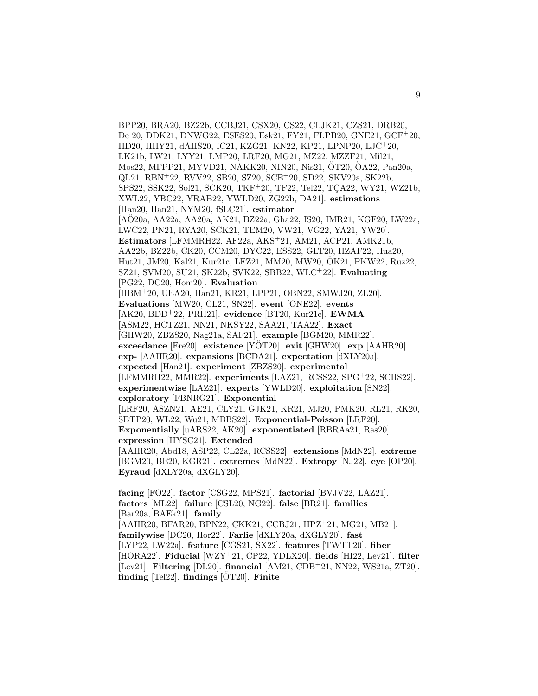BPP20, BRA20, BZ22b, CCBJ21, CSX20, CS22, CLJK21, CZS21, DRB20, De 20, DDK21, DNWG22, ESES20, Esk21, FY21, FLPB20, GNE21, GCF<sup>+</sup>20, HD20, HHY21, dAIIS20, IC21, KZG21, KN22, KP21, LPNP20, LJC<sup>+</sup>20, LK21b, LW21, LYY21, LMP20, LRF20, MG21, MZ22, MZZF21, Mil21, Mos22, MFPP21, MYVD21, NAKK20, NIN20, Nis21, ÔT20, ÔA22, Pan20a, QL21, RBN<sup>+</sup>22, RVV22, SB20, SZ20, SCE<sup>+</sup>20, SD22, SKV20a, SK22b, SPS22, SSK22, Sol21, SCK20, TKF+20, TF22, Tel22, TÇA22, WY21, WZ21b, XWL22, YBC22, YRAB22, YWLD20, ZG22b, DA21]. **estimations** [Han20, Han21, NYM20, fSLC21]. **estimator** [AO20a, AA22a, AA20a, AK21, BZ22a, Gha22, IS20, IMR21, KGF20, LW22a, ¨ LWC22, PN21, RYA20, SCK21, TEM20, VW21, VG22, YA21, YW20]. **Estimators** [LFMMRH22, AF22a, AKS<sup>+</sup>21, AM21, ACP21, AMK21b, AA22b, BZ22b, CK20, CCM20, DYC22, ESS22, GLT20, HZAF22, Hua20, Hut21, JM20, Kal21, Kur21c, LFZ21, MM20, MW20, OK21, PKW22, Ruz22, ¨ SZ21, SVM20, SU21, SK22b, SVK22, SBB22, WLC<sup>+</sup>22]. **Evaluating** [PG22, DC20, Hom20]. **Evaluation** [HBM<sup>+</sup>20, UEA20, Han21, KR21, LPP21, OBN22, SMWJ20, ZL20]. **Evaluations** [MW20, CL21, SN22]. **event** [ONE22]. **events** [AK20, BDD<sup>+</sup>22, PRH21]. **evidence** [BT20, Kur21c]. **EWMA** [ASM22, HCTZ21, NN21, NKSY22, SAA21, TAA22]. **Exact** [GHW20, ZBZS20, Nag21a, SAF21]. **example** [BGM20, MMR22]. **exceedance** [Ere20]. **existence** [YOT20]. **exit** [GHW20]. **exp** [AAHR20]. **exp-** [AAHR20]. **expansions** [BCDA21]. **expectation** [dXLY20a]. **expected** [Han21]. **experiment** [ZBZS20]. **experimental** [LFMMRH22, MMR22]. **experiments** [LAZ21, RCSS22, SPG<sup>+</sup>22, SCHS22]. **experimentwise** [LAZ21]. **experts** [YWLD20]. **exploitation** [SN22]. **exploratory** [FBNRG21]. **Exponential** [LRF20, ASZN21, AE21, CLY21, GJK21, KR21, MJ20, PMK20, RL21, RK20, SBTP20, WL22, Wu21, MBBS22]. **Exponential-Poisson** [LRF20]. **Exponentially** [uARS22, AK20]. **exponentiated** [RBRAa21, Ras20]. **expression** [HYSC21]. **Extended** [AAHR20, Abd18, ASP22, CL22a, RCSS22]. **extensions** [MdN22]. **extreme** [BGM20, BE20, KGR21]. **extremes** [MdN22]. **Extropy** [NJ22]. **eye** [OP20]. **Eyraud** [dXLY20a, dXGLY20].

**facing** [FO22]. **factor** [CSG22, MPS21]. **factorial** [BVJV22, LAZ21]. **factors** [ML22]. **failure** [CSL20, NG22]. **false** [BR21]. **families** [Bar20a, BAEk21]. **family** [AAHR20, BFAR20, BPN22, CKK21, CCBJ21, HPZ<sup>+</sup>21, MG21, MB21]. **familywise** [DC20, Hor22]. **Farlie** [dXLY20a, dXGLY20]. **fast** [LYP22, LW22a]. **feature** [CGS21, SX22]. **features** [TWTT20]. **fiber** [HORA22]. **Fiducial** [WZY<sup>+</sup>21, CP22, YDLX20]. **fields** [HI22, Lev21]. **filter** [Lev21]. **Filtering** [DL20]. **financial** [AM21, CDB<sup>+</sup>21, NN22, WS21a, ZT20]. **finding** [Tel22]. **findings**  $[ÖT20]$ . **Finite**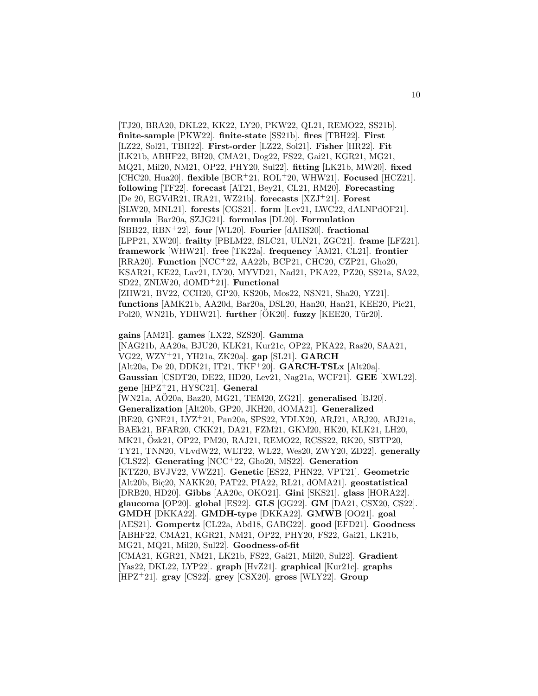[TJ20, BRA20, DKL22, KK22, LY20, PKW22, QL21, REMO22, SS21b]. **finite-sample** [PKW22]. **finite-state** [SS21b]. **fires** [TBH22]. **First** [LZ22, Sol21, TBH22]. **First-order** [LZ22, Sol21]. **Fisher** [HR22]. **Fit** [LK21b, ABHF22, BH20, CMA21, Dog22, FS22, Gai21, KGR21, MG21, MQ21, Mil20, NM21, OP22, PHY20, Sul22]. **fitting** [LK21b, MW20]. **fixed** [CHC20, Hua20]. **flexible** [BCR<sup>+</sup>21, ROL<sup>+</sup>20, WHW21]. **Focused** [HCZ21]. **following** [TF22]. **forecast** [AT21, Bey21, CL21, RM20]. **Forecasting** [De 20, EGVdR21, IRA21, WZ21b]. **forecasts** [XZJ<sup>+</sup>21]. **Forest** [SLW20, MNL21]. **forests** [CGS21]. **form** [Lev21, LWC22, dALNPdOF21]. **formula** [Bar20a, SZJG21]. **formulas** [DL20]. **Formulation** [SBB22, RBN<sup>+</sup>22]. **four** [WL20]. **Fourier** [dAIIS20]. **fractional** [LPP21, XW20]. **frailty** [PBLM22, fSLC21, ULN21, ZGC21]. **frame** [LFZ21]. **framework** [WHW21]. **free** [TK22a]. **frequency** [AM21, CL21]. **frontier** [RRA20]. **Function** [NCC<sup>+</sup>22, AA22b, BCP21, CHC20, CZP21, Gho20, KSAR21, KE22, Lav21, LY20, MYVD21, Nad21, PKA22, PZ20, SS21a, SA22, SD22, ZNLW20, dOMD<sup>+</sup>21]. **Functional** [ZHW21, BV22, CCH20, GP20, KS20b, Mos22, NSN21, Sha20, YZ21]. **functions** [AMK21b, AA20d, Bar20a, DSL20, Han20, Han21, KEE20, Pic21, Pol20, WN21b, YDHW21]. **further** [OK20]. **fuzzy** [KEE20, Tür20].

**gains** [AM21]. **games** [LX22, SZS20]. **Gamma** [NAG21b, AA20a, BJU20, KLK21, Kur21c, OP22, PKA22, Ras20, SAA21, VG22, WZY<sup>+</sup>21, YH21a, ZK20a]. **gap** [SL21]. **GARCH** [Alt20a, De 20, DDK21, IT21, TKF<sup>+</sup>20]. **GARCH-TSLx** [Alt20a]. **Gaussian** [CSDT20, DE22, HD20, Lev21, Nag21a, WCF21]. **GEE** [XWL22]. **gene** [HPZ<sup>+</sup>21, HYSC21]. **General** [WN21a, AO20a, Baz20, MG21, TEM20, ZG21]. **generalised** [BJ20]. **Generalization** [Alt20b, GP20, JKH20, dOMA21]. **Generalized** [BE20, GNE21, LYZ<sup>+</sup>21, Pan20a, SPS22, YDLX20, ARJ21, ARJ20, ABJ21a, BAEk21, BFAR20, CKK21, DA21, FZM21, GKM20, HK20, KLK21, LH20, MK21, Ozk21, OP22, PM20, RAJ21, REMO22, RCSS22, RK20, SBTP20, ¨ TY21, TNN20, VLvdW22, WLT22, WL22, Wes20, ZWY20, ZD22]. **generally** [CLS22]. **Generating** [NCC<sup>+</sup>22, Gho20, MS22]. **Generation** [KTZ20, BVJV22, VWZ21]. **Genetic** [ES22, PHN22, VPT21]. **Geometric** [Alt20b, Biç20, NAKK20, PAT22, PIA22, RL21, dOMA21]. geostatistical [DRB20, HD20]. **Gibbs** [AA20c, OKO21]. **Gini** [SKS21]. **glass** [HORA22]. **glaucoma** [OP20]. **global** [ES22]. **GLS** [GG22]. **GM** [DA21, CSX20, CS22]. **GMDH** [DKKA22]. **GMDH-type** [DKKA22]. **GMWB** [OO21]. **goal** [AES21]. **Gompertz** [CL22a, Abd18, GABG22]. **good** [EFD21]. **Goodness** [ABHF22, CMA21, KGR21, NM21, OP22, PHY20, FS22, Gai21, LK21b, MG21, MQ21, Mil20, Sul22]. **Goodness-of-fit** [CMA21, KGR21, NM21, LK21b, FS22, Gai21, Mil20, Sul22]. **Gradient** [Yas22, DKL22, LYP22]. **graph** [HvZ21]. **graphical** [Kur21c]. **graphs** [HPZ<sup>+</sup>21]. **gray** [CS22]. **grey** [CSX20]. **gross** [WLY22]. **Group**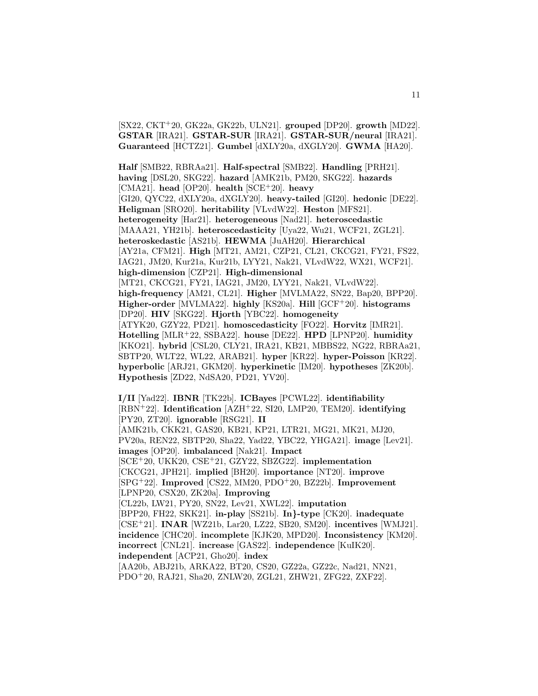[SX22, CKT<sup>+</sup>20, GK22a, GK22b, ULN21]. **grouped** [DP20]. **growth** [MD22]. **GSTAR** [IRA21]. **GSTAR-SUR** [IRA21]. **GSTAR-SUR/neural** [IRA21]. **Guaranteed** [HCTZ21]. **Gumbel** [dXLY20a, dXGLY20]. **GWMA** [HA20].

**Half** [SMB22, RBRAa21]. **Half-spectral** [SMB22]. **Handling** [PRH21]. **having** [DSL20, SKG22]. **hazard** [AMK21b, PM20, SKG22]. **hazards** [CMA21]. **head** [OP20]. **health** [SCE<sup>+</sup>20]. **heavy** [GI20, QYC22, dXLY20a, dXGLY20]. **heavy-tailed** [GI20]. **hedonic** [DE22]. **Heligman** [SRO20]. **heritability** [VLvdW22]. **Heston** [MFS21]. **heterogeneity** [Har21]. **heterogeneous** [Nad21]. **heteroscedastic** [MAAA21, YH21b]. **heteroscedasticity** [Uya22, Wu21, WCF21, ZGL21]. **heteroskedastic** [AS21b]. **HEWMA** [JuAH20]. **Hierarchical** [AY21a, CFM21]. **High** [MT21, AM21, CZP21, CL21, CKCG21, FY21, FS22, IAG21, JM20, Kur21a, Kur21b, LYY21, Nak21, VLvdW22, WX21, WCF21]. **high-dimension** [CZP21]. **High-dimensional** [MT21, CKCG21, FY21, IAG21, JM20, LYY21, Nak21, VLvdW22]. **high-frequency** [AM21, CL21]. **Higher** [MVLMA22, SN22, Bap20, BPP20]. **Higher-order** [MVLMA22]. **highly** [KS20a]. **Hill** [GCF<sup>+</sup>20]. **histograms** [DP20]. **HIV** [SKG22]. **Hjorth** [YBC22]. **homogeneity** [ATYK20, GZY22, PD21]. **homoscedasticity** [FO22]. **Horvitz** [IMR21]. **Hotelling** [MLR<sup>+</sup>22, SSBA22]. **house** [DE22]. **HPD** [LPNP20]. **humidity** [KKO21]. **hybrid** [CSL20, CLY21, IRA21, KB21, MBBS22, NG22, RBRAa21, SBTP20, WLT22, WL22, ARAB21]. **hyper** [KR22]. **hyper-Poisson** [KR22]. **hyperbolic** [ARJ21, GKM20]. **hyperkinetic** [IM20]. **hypotheses** [ZK20b]. **Hypothesis** [ZD22, NdSA20, PD21, YV20].

**I/II** [Yad22]. **IBNR** [TK22b]. **ICBayes** [PCWL22]. **identifiability** [RBN<sup>+</sup>22]. **Identification** [AZH<sup>+</sup>22, SI20, LMP20, TEM20]. **identifying** [PY20, ZT20]. **ignorable** [RSG21]. **II** [AMK21b, CKK21, GAS20, KB21, KP21, LTR21, MG21, MK21, MJ20, PV20a, REN22, SBTP20, Sha22, Yad22, YBC22, YHGA21]. **image** [Lev21]. **images** [OP20]. **imbalanced** [Nak21]. **Impact** [SCE<sup>+</sup>20, UKK20, CSE<sup>+</sup>21, GZY22, SBZG22]. **implementation** [CKCG21, JPH21]. **implied** [BH20]. **importance** [NT20]. **improve** [SPG<sup>+</sup>22]. **Improved** [CS22, MM20, PDO<sup>+</sup>20, BZ22b]. **Improvement** [LPNP20, CSX20, ZK20a]. **Improving** [CL22b, LW21, PY20, SN22, Lev21, XWL22]. **imputation** [BPP20, FH22, SKK21]. **in-play** [SS21b]. **In***}***-type** [CK20]. **inadequate** [CSE<sup>+</sup>21]. **INAR** [WZ21b, Lar20, LZ22, SB20, SM20]. **incentives** [WMJ21]. **incidence** [CHC20]. **incomplete** [KJK20, MPD20]. **Inconsistency** [KM20]. **incorrect** [CNL21]. **increase** [GAS22]. **independence** [KuIK20]. **independent** [ACP21, Gho20]. **index** [AA20b, ABJ21b, ARKA22, BT20, CS20, GZ22a, GZ22c, Nad21, NN21,

PDO<sup>+</sup>20, RAJ21, Sha20, ZNLW20, ZGL21, ZHW21, ZFG22, ZXF22].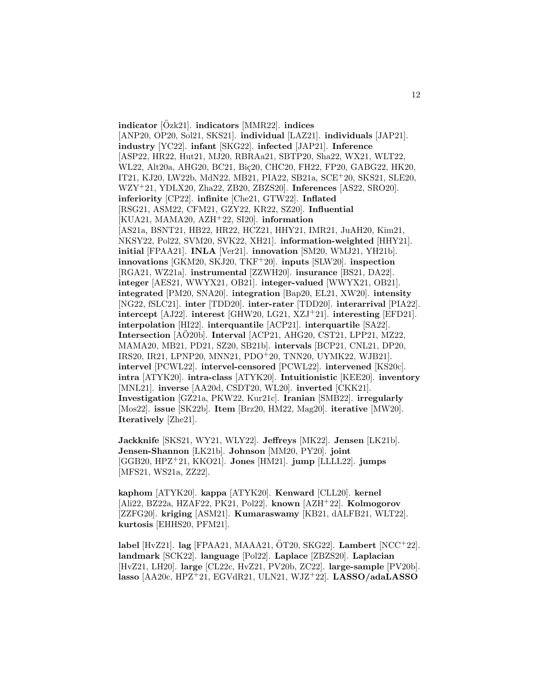**indicator** [Ozk21]. ¨ **indicators** [MMR22]. **indices** [ANP20, OP20, Sol21, SKS21]. **individual** [LAZ21]. **individuals** [JAP21]. **industry** [YC22]. **infant** [SKG22]. **infected** [JAP21]. **Inference** [ASP22, HR22, Hut21, MJ20, RBRAa21, SBTP20, Sha22, WX21, WLT22, WL22, Alt20a, AHG20, BC21, Biç20, CHC20, FH22, FP20, GABG22, HK20, IT21, KJ20, LW22b, MdN22, MB21, PIA22, SB21a, SCE<sup>+</sup>20, SKS21, SLE20, WZY<sup>+</sup>21, YDLX20, Zha22, ZB20, ZBZS20]. **Inferences** [AS22, SRO20]. **inferiority** [CP22]. **infinite** [Che21, GTW22]. **Inflated** [RSG21, ASM22, CFM21, GZY22, KR22, SZ20]. **Influential** [KUA21, MAMA20, AZH<sup>+</sup>22, SI20]. **information** [AS21a, BSNT21, HB22, HR22, HCZ21, HHY21, IMR21, JuAH20, Kim21, NKSY22, Pol22, SVM20, SVK22, XH21]. **information-weighted** [HHY21]. **initial** [FPAA21]. **INLA** [Ver21]. **innovation** [SM20, WMJ21, YH21b]. **innovations** [GKM20, SKJ20, TKF<sup>+</sup>20]. **inputs** [SLW20]. **inspection** [RGA21, WZ21a]. **instrumental** [ZZWH20]. **insurance** [BS21, DA22]. **integer** [AES21, WWYX21, OB21]. **integer-valued** [WWYX21, OB21]. **integrated** [PM20, SNA20]. **integration** [Bap20, EL21, XW20]. **intensity** [NG22, fSLC21]. **inter** [TDD20]. **inter-rater** [TDD20]. **interarrival** [PIA22]. **intercept** [AJ22]. **interest** [GHW20, LG21, XZJ<sup>+</sup>21]. **interesting** [EFD21]. **interpolation** [HI22]. **interquantile** [ACP21]. **interquartile** [SA22]. **Intersection** [AÖ20b]. **Interval** [ACP21, AHG20, CST21, LPP21, MZ22, MAMA20, MB21, PD21, SZ20, SB21b]. **intervals** [BCP21, CNL21, DP20, IRS20, IR21, LPNP20, MNN21, PDO<sup>+</sup>20, TNN20, UYMK22, WJB21]. **intervel** [PCWL22]. **intervel-censored** [PCWL22]. **intervened** [KS20c]. **intra** [ATYK20]. **intra-class** [ATYK20]. **Intuitionistic** [KEE20]. **inventory** [MNL21]. **inverse** [AA20d, CSDT20, WL20]. **inverted** [CKK21]. **Investigation** [GZ21a, PKW22, Kur21c]. **Iranian** [SMB22]. **irregularly** [Mos22]. **issue** [SK22b]. **Item** [Brz20, HM22, Mag20]. **iterative** [MW20]. **Iteratively** [Zhe21].

**Jackknife** [SKS21, WY21, WLY22]. **Jeffreys** [MK22]. **Jensen** [LK21b]. **Jensen-Shannon** [LK21b]. **Johnson** [MM20, PY20]. **joint** [GGB20, HPZ<sup>+</sup>21, KKO21]. **Jones** [HM21]. **jump** [LLLL22]. **jumps** [MFS21, WS21a, ZZ22].

**kaphom** [ATYK20]. **kappa** [ATYK20]. **Kenward** [CLL20]. **kernel** [Ali22, BZ22a, HZAF22, PK21, Pol22]. **known** [AZH<sup>+</sup>22]. **Kolmogorov** [ZZFG20]. **kriging** [ASM21]. **Kumaraswamy** [KB21, dALFB21, WLT22]. **kurtosis** [EHHS20, PFM21].

**label** [HvZ21]. **lag** [FPAA21, MAAA21,  $\overline{O}T20$ , SKG22]. **Lambert** [NCC<sup>+</sup>22]. **landmark** [SCK22]. **language** [Pol22]. **Laplace** [ZBZS20]. **Laplacian** [HvZ21, LH20]. **large** [CL22c, HvZ21, PV20b, ZC22]. **large-sample** [PV20b]. **lasso** [AA20c, HPZ<sup>+</sup>21, EGVdR21, ULN21, WJZ<sup>+</sup>22]. **LASSO/adaLASSO**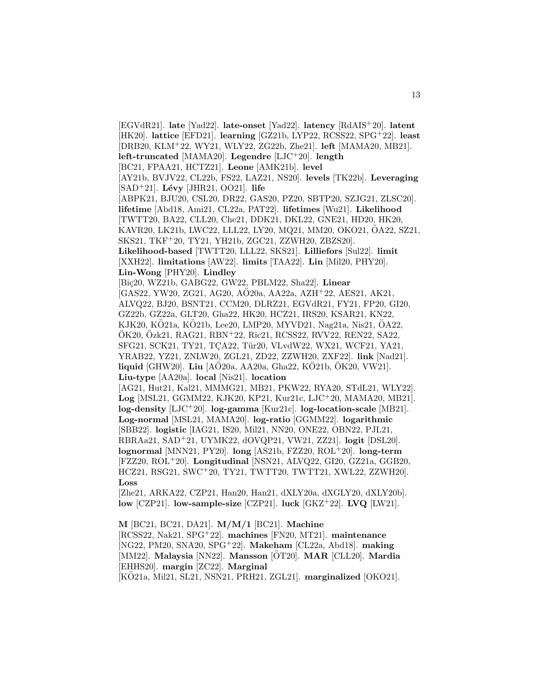[EGVdR21]. **late** [Yad22]. **late-onset** [Yad22]. **latency** [RdAIS<sup>+</sup>20]. **latent** [HK20]. **lattice** [EFD21]. **learning** [GZ21b, LYP22, RCSS22, SPG<sup>+</sup>22]. **least** [DRB20, KLM<sup>+</sup>22, WY21, WLY22, ZG22b, Zhe21]. **left** [MAMA20, MB21]. **left-truncated** [MAMA20]. **Legendre** [LJC<sup>+</sup>20]. **length** [BC21, FPAA21, HCTZ21]. **Leone** [AMK21b]. **level** [AY21b, BVJV22, CL22b, FS22, LAZ21, NS20]. **levels** [TK22b]. **Leveraging** [SAD<sup>+</sup>21]. **L´evy** [JHR21, OO21]. **life** [ABPK21, BJU20, CSL20, DR22, GAS20, PZ20, SBTP20, SZJG21, ZLSC20]. **lifetime** [Abd18, Ami21, CL22a, PAT22]. **lifetimes** [Wu21]. **Likelihood** [TWTT20, BA22, CLL20, Che21, DDK21, DKL22, GNE21, HD20, HK20, KAVR20, LK21b, LWC22, LLL22, LY20, MQ21, MM20, OKO21, OA22, SZ21, ¨ SKS21, TKF<sup>+</sup>20, TY21, YH21b, ZGC21, ZZWH20, ZBZS20]. **Likelihood-based** [TWTT20, LLL22, SKS21]. **Lilliefors** [Sul22]. **limit** [XXH22]. **limitations** [AW22]. **limits** [TAA22]. **Lin** [Mil20, PHY20]. **Lin-Wong** [PHY20]. **Lindley** [Bi¸c20, WZ21b, GABG22, GW22, PBLM22, Sha22]. **Linear** [GAS22, YW20, ZG21, AG20, AO20a, AA22a, AZH<sup>+</sup>22, AES21, AK21, ALVQ22, BJ20, BSNT21, CCM20, DLRZ21, EGVdR21, FY21, FP20, GI20, GZ22b, GZ22a, GLT20, Gha22, HK20, HCZ21, IRS20, KSAR21, KN22, KJK20, KÖ21a, KÖ21b, Lee20, LMP20, MYVD21, Nag21a, Nis21, ÖA22, ÖK20, Özk21, RAG21, RBN+22, Ric21, RCSS22, RVV22, REN22, SA22, SFG21, SCK21, TY21, TCA22, Tür20, VLvdW22, WX21, WCF21, YA21, YRAB22, YZ21, ZNLW20, ZGL21, ZD22, ZZWH20, ZXF22]. **link** [Nad21]. **liquid** [GHW20]. **Liu** [AO20a, AA20a, Gha22, KO21b, OK20, VW21]. **Liu-type** [AA20a]. **local** [Nis21]. **location** [AG21, Hut21, Kal21, MMMG21, MB21, PKW22, RYA20, STdL21, WLY22]. **Log** [MSL21, GGMM22, KJK20, KP21, Kur21c, LJC<sup>+</sup>20, MAMA20, MB21]. **log-density** [LJC<sup>+</sup>20]. **log-gamma** [Kur21c]. **log-location-scale** [MB21]. **Log-normal** [MSL21, MAMA20]. **log-ratio** [GGMM22]. **logarithmic** [SBB22]. **logistic** [IAG21, IS20, Mil21, NN20, ONE22, OBN22, PJL21, RBRAa21, SAD<sup>+</sup>21, UYMK22, dOVQP21, VW21, ZZ21]. **logit** [DSL20]. **lognormal** [MNN21, PY20]. **long** [AS21b, FZZ20, ROL<sup>+</sup>20]. **long-term** [FZZ20, ROL<sup>+</sup>20]. **Longitudinal** [NSN21, ALVQ22, GI20, GZ21a, GGB20, HCZ21, RSG21, SWC<sup>+</sup>20, TY21, TWTT20, TWTT21, XWL22, ZZWH20]. **Loss** [Zhe21, ARKA22, CZP21, Han20, Han21, dXLY20a, dXGLY20, dXLY20b]. **low** [CZP21]. **low-sample-size** [CZP21]. **luck** [GKZ<sup>+</sup>22]. **LVQ** [LW21].

**M** [BC21, BC21, DA21]. **M/M/1** [BC21]. **Machine** [RCSS22, Nak21, SPG<sup>+</sup>22]. **machines** [FN20, MT21]. **maintenance** [NG22, PM20, SNA20, SPG<sup>+</sup>22]. **Makeham** [CL22a, Abd18]. **making** [MM22]. **Malaysia** [NN22]. **Mansson** [OT20]. ¨ **MAR** [CLL20]. **Mardia** [EHHS20]. **margin** [ZC22]. **Marginal** [KO21a, Mil21, SL21, NSN21, PRH21, ZGL21]. **marginalized** [OKO21].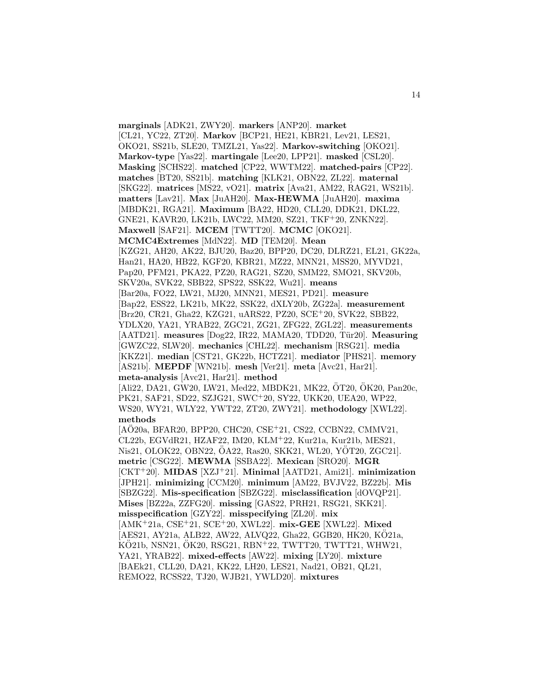**marginals** [ADK21, ZWY20]. **markers** [ANP20]. **market** [CL21, YC22, ZT20]. **Markov** [BCP21, HE21, KBR21, Lev21, LES21, OKO21, SS21b, SLE20, TMZL21, Yas22]. **Markov-switching** [OKO21]. **Markov-type** [Yas22]. **martingale** [Lee20, LPP21]. **masked** [CSL20]. **Masking** [SCHS22]. **matched** [CP22, WWTM22]. **matched-pairs** [CP22]. **matches** [BT20, SS21b]. **matching** [KLK21, OBN22, ZL22]. **maternal** [SKG22]. **matrices** [MS22, vO21]. **matrix** [Ava21, AM22, RAG21, WS21b]. **matters** [Lav21]. **Max** [JuAH20]. **Max-HEWMA** [JuAH20]. **maxima** [MBDK21, RGA21]. **Maximum** [BA22, HD20, CLL20, DDK21, DKL22, GNE21, KAVR20, LK21b, LWC22, MM20, SZ21, TKF<sup>+</sup>20, ZNKN22]. **Maxwell** [SAF21]. **MCEM** [TWTT20]. **MCMC** [OKO21]. **MCMC4Extremes** [MdN22]. **MD** [TEM20]. **Mean** [KZG21, AH20, AK22, BJU20, Baz20, BPP20, DC20, DLRZ21, EL21, GK22a, Han21, HA20, HB22, KGF20, KBR21, MZ22, MNN21, MSS20, MYVD21, Pap20, PFM21, PKA22, PZ20, RAG21, SZ20, SMM22, SMO21, SKV20b, SKV20a, SVK22, SBB22, SPS22, SSK22, Wu21]. **means** [Bar20a, FO22, LW21, MJ20, MNN21, MES21, PD21]. **measure** [Bap22, ESS22, LK21b, MK22, SSK22, dXLY20b, ZG22a]. **measurement** [Brz20, CR21, Gha22, KZG21, uARS22, PZ20, SCE<sup>+</sup>20, SVK22, SBB22, YDLX20, YA21, YRAB22, ZGC21, ZG21, ZFG22, ZGL22]. **measurements** [AATD21]. **measures** [Dog22, IR22, MAMA20, TDD20, Tür20]. **Measuring** [GWZC22, SLW20]. **mechanics** [CHL22]. **mechanism** [RSG21]. **media** [KKZ21]. **median** [CST21, GK22b, HCTZ21]. **mediator** [PHS21]. **memory** [AS21b]. **MEPDF** [WN21b]. **mesh** [Ver21]. **meta** [Avc21, Har21]. **meta-analysis** [Avc21, Har21]. **method**  $[Ali22, DA21, GW20, LW21, Med22, MBDK21, MK22, OT20, OK20, Pan20c, ...)$ PK21, SAF21, SD22, SZJG21, SWC<sup>+</sup>20, SY22, UKK20, UEA20, WP22, WS20, WY21, WLY22, YWT22, ZT20, ZWY21]. **methodology** [XWL22]. **methods** [AÖ20a, BFAR20, BPP20, CHC20, CSE<sup>+</sup>21, CS22, CCBN22, CMMV21, CL22b, EGVdR21, HZAF22, IM20, KLM<sup>+</sup>22, Kur21a, Kur21b, MES21, Nis21, OLOK22, OBN22, ÖA22, Ras20, SKK21, WL20, YÖT20, ZGC21]. **metric** [CSG22]. **MEWMA** [SSBA22]. **Mexican** [SRO20]. **MGR** [CKT<sup>+</sup>20]. **MIDAS** [XZJ<sup>+</sup>21]. **Minimal** [AATD21, Ami21]. **minimization** [JPH21]. **minimizing** [CCM20]. **minimum** [AM22, BVJV22, BZ22b]. **Mis** [SBZG22]. **Mis-specification** [SBZG22]. **misclassification** [dOVQP21]. **Mises** [BZ22a, ZZFG20]. **missing** [GAS22, PRH21, RSG21, SKK21]. **misspecification** [GZY22]. **misspecifying** [ZL20]. **mix** [AMK<sup>+</sup>21a, CSE<sup>+</sup>21, SCE<sup>+</sup>20, XWL22]. **mix-GEE** [XWL22]. **Mixed** [AES21, AY21a, ALB22, AW22, ALVQ22, Gha22, GGB20, HK20, KO21a, ¨  $KO21b$ , NSN21,  $OK20$ , RSG21, RBN<sup>+</sup>22, TWTT20, TWTT21, WHW21, YA21, YRAB22]. **mixed-effects** [AW22]. **mixing** [LY20]. **mixture** [BAEk21, CLL20, DA21, KK22, LH20, LES21, Nad21, OB21, QL21, REMO22, RCSS22, TJ20, WJB21, YWLD20]. **mixtures**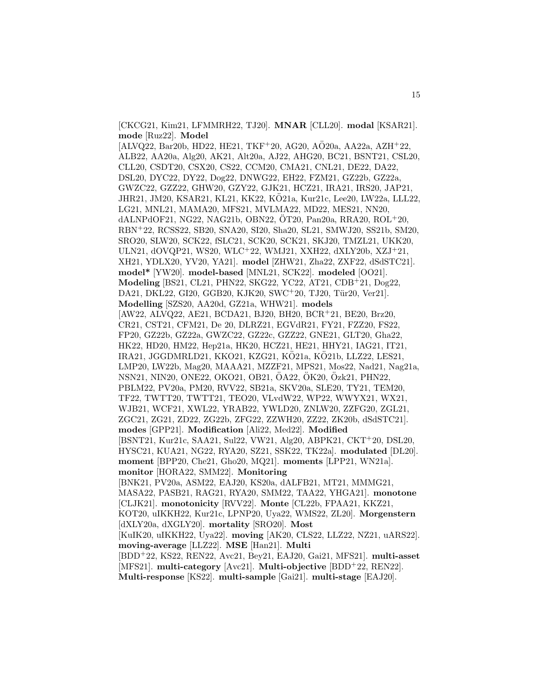[CKCG21, Kim21, LFMMRH22, TJ20]. **MNAR** [CLL20]. **modal** [KSAR21]. **mode** [Ruz22]. **Model**

 $[ALVQ22, Bar20b, HD22, HE21, TKF<sup>+</sup>20, AG20, AÖ20a, AA22a, AZH<sup>+</sup>22,$ ALB22, AA20a, Alg20, AK21, Alt20a, AJ22, AHG20, BC21, BSNT21, CSL20, CLL20, CSDT20, CSX20, CS22, CCM20, CMA21, CNL21, DE22, DA22, DSL20, DYC22, DY22, Dog22, DNWG22, EH22, FZM21, GZ22b, GZ22a, GWZC22, GZZ22, GHW20, GZY22, GJK21, HCZ21, IRA21, IRS20, JAP21, JHR21, JM20, KSAR21, KL21, KK22, KO21a, Kur21c, Lee20, LW22a, LLL22, ¨ LG21, MNL21, MAMA20, MFS21, MVLMA22, MD22, MES21, NN20, dALNPdOF21, NG22, NAG21b, OBN22, OT20, Pan20a, RRA20,  $ROL<sup>+</sup>20$ , RBN<sup>+</sup>22, RCSS22, SB20, SNA20, SI20, Sha20, SL21, SMWJ20, SS21b, SM20, SRO20, SLW20, SCK22, fSLC21, SCK20, SCK21, SKJ20, TMZL21, UKK20, ULN21, dOVQP21, WS20, WLC<sup>+</sup>22, WMJ21, XXH22, dXLY20b, XZJ<sup>+</sup>21, XH21, YDLX20, YV20, YA21]. **model** [ZHW21, Zha22, ZXF22, dSdSTC21]. **model\*** [YW20]. **model-based** [MNL21, SCK22]. **modeled** [OO21]. **Modeling** [BS21, CL21, PHN22, SKG22, YC22, AT21, CDB<sup>+</sup>21, Dog22, DA21, DKL22, GI20, GGB20, KJK20, SWC+20, TJ20, Tür20, Ver21]. **Modelling** [SZS20, AA20d, GZ21a, WHW21]. **models** [AW22, ALVQ22, AE21, BCDA21, BJ20, BH20, BCR<sup>+</sup>21, BE20, Brz20, CR21, CST21, CFM21, De 20, DLRZ21, EGVdR21, FY21, FZZ20, FS22, FP20, GZ22b, GZ22a, GWZC22, GZ22c, GZZ22, GNE21, GLT20, Gha22, HK22, HD20, HM22, Hep21a, HK20, HCZ21, HE21, HHY21, IAG21, IT21, IRA21, JGGDMRLD21, KKO21, KZG21, KO21a, KO21b, LLZ22, LES21, LMP20, LW22b, Mag20, MAAA21, MZZF21, MPS21, Mos22, Nad21, Nag21a, NSN21, NIN20, ONE22, OKO21, OB21, ÖA22, ÖK20, Özk21, PHN22, PBLM22, PV20a, PM20, RVV22, SB21a, SKV20a, SLE20, TY21, TEM20, TF22, TWTT20, TWTT21, TEO20, VLvdW22, WP22, WWYX21, WX21, WJB21, WCF21, XWL22, YRAB22, YWLD20, ZNLW20, ZZFG20, ZGL21, ZGC21, ZG21, ZD22, ZG22b, ZFG22, ZZWH20, ZZ22, ZK20b, dSdSTC21]. **modes** [GPP21]. **Modification** [Ali22, Med22]. **Modified** [BSNT21, Kur21c, SAA21, Sul22, VW21, Alg20, ABPK21, CKT<sup>+</sup>20, DSL20, HYSC21, KUA21, NG22, RYA20, SZ21, SSK22, TK22a]. **modulated** [DL20]. **moment** [BPP20, Che21, Gho20, MQ21]. **moments** [LPP21, WN21a]. **monitor** [HORA22, SMM22]. **Monitoring** [BNK21, PV20a, ASM22, EAJ20, KS20a, dALFB21, MT21, MMMG21, MASA22, PASB21, RAG21, RYA20, SMM22, TAA22, YHGA21]. **monotone** [CLJK21]. **monotonicity** [RVV22]. **Monte** [CL22b, FPAA21, KKZ21, KOT20, uIKKH22, Kur21c, LPNP20, Uya22, WMS22, ZL20]. **Morgenstern** [dXLY20a, dXGLY20]. **mortality** [SRO20]. **Most** [KuIK20, uIKKH22, Uya22]. **moving** [AK20, CLS22, LLZ22, NZ21, uARS22]. **moving-average** [LLZ22]. **MSE** [Han21]. **Multi** [BDD<sup>+</sup>22, KS22, REN22, Avc21, Bey21, EAJ20, Gai21, MFS21]. **multi-asset** [MFS21]. **multi-category** [Avc21]. **Multi-objective** [BDD<sup>+</sup>22, REN22]. **Multi-response** [KS22]. **multi-sample** [Gai21]. **multi-stage** [EAJ20].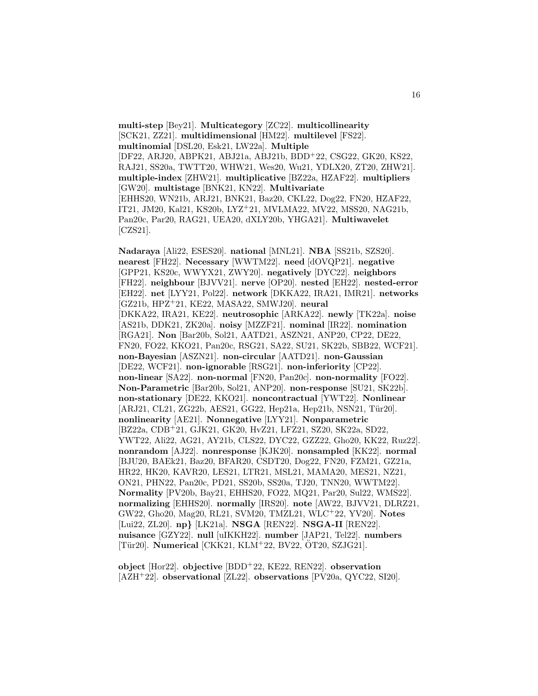**multi-step** [Bey21]. **Multicategory** [ZC22]. **multicollinearity** [SCK21, ZZ21]. **multidimensional** [HM22]. **multilevel** [FS22]. **multinomial** [DSL20, Esk21, LW22a]. **Multiple** [DF22, ARJ20, ABPK21, ABJ21a, ABJ21b, BDD<sup>+</sup>22, CSG22, GK20, KS22, RAJ21, SS20a, TWTT20, WHW21, Wes20, Wu21, YDLX20, ZT20, ZHW21]. **multiple-index** [ZHW21]. **multiplicative** [BZ22a, HZAF22]. **multipliers** [GW20]. **multistage** [BNK21, KN22]. **Multivariate** [EHHS20, WN21b, ARJ21, BNK21, Baz20, CKL22, Dog22, FN20, HZAF22, IT21, JM20, Kal21, KS20b, LYZ<sup>+</sup>21, MVLMA22, MV22, MSS20, NAG21b, Pan20c, Par20, RAG21, UEA20, dXLY20b, YHGA21]. **Multiwavelet** [CZS21].

**Nadaraya** [Ali22, ESES20]. **national** [MNL21]. **NBA** [SS21b, SZS20]. **nearest** [FH22]. **Necessary** [WWTM22]. **need** [dOVQP21]. **negative** [GPP21, KS20c, WWYX21, ZWY20]. **negatively** [DYC22]. **neighbors** [FH22]. **neighbour** [BJVV21]. **nerve** [OP20]. **nested** [EH22]. **nested-error** [EH22]. **net** [LYY21, Pol22]. **network** [DKKA22, IRA21, IMR21]. **networks** [GZ21b, HPZ<sup>+</sup>21, KE22, MASA22, SMWJ20]. **neural** [DKKA22, IRA21, KE22]. **neutrosophic** [ARKA22]. **newly** [TK22a]. **noise** [AS21b, DDK21, ZK20a]. **noisy** [MZZF21]. **nominal** [IR22]. **nomination** [RGA21]. **Non** [Bar20b, Sol21, AATD21, ASZN21, ANP20, CP22, DE22, FN20, FO22, KKO21, Pan20c, RSG21, SA22, SU21, SK22b, SBB22, WCF21]. **non-Bayesian** [ASZN21]. **non-circular** [AATD21]. **non-Gaussian** [DE22, WCF21]. **non-ignorable** [RSG21]. **non-inferiority** [CP22]. **non-linear** [SA22]. **non-normal** [FN20, Pan20c]. **non-normality** [FO22]. **Non-Parametric** [Bar20b, Sol21, ANP20]. **non-response** [SU21, SK22b]. **non-stationary** [DE22, KKO21]. **noncontractual** [YWT22]. **Nonlinear** [ARJ21, CL21, ZG22b, AES21, GG22, Hep21a, Hep21b, NSN21, Tür20]. **nonlinearity** [AE21]. **Nonnegative** [LYY21]. **Nonparametric** [BZ22a, CDB<sup>+</sup>21, GJK21, GK20, HvZ21, LFZ21, SZ20, SK22a, SD22, YWT22, Ali22, AG21, AY21b, CLS22, DYC22, GZZ22, Gho20, KK22, Ruz22]. **nonrandom** [AJ22]. **nonresponse** [KJK20]. **nonsampled** [KK22]. **normal** [BJU20, BAEk21, Baz20, BFAR20, CSDT20, Dog22, FN20, FZM21, GZ21a, HR22, HK20, KAVR20, LES21, LTR21, MSL21, MAMA20, MES21, NZ21, ON21, PHN22, Pan20c, PD21, SS20b, SS20a, TJ20, TNN20, WWTM22]. **Normality** [PV20b, Bay21, EHHS20, FO22, MQ21, Par20, Sul22, WMS22]. **normalizing** [EHHS20]. **normally** [IRS20]. **note** [AW22, BJVV21, DLRZ21, GW22, Gho20, Mag20, RL21, SVM20, TMZL21, WLC<sup>+</sup>22, YV20]. **Notes** [Lui22, ZL20]. **np***}* [LK21a]. **NSGA** [REN22]. **NSGA-II** [REN22]. **nuisance** [GZY22]. **null** [uIKKH22]. **number** [JAP21, Tel22]. **numbers** [Tür20]. **Numerical** [CKK21, KLM<sup>+</sup>22, BV22, ÖT20, SZJG21].

**object** [Hor22]. **objective** [BDD<sup>+</sup>22, KE22, REN22]. **observation** [AZH<sup>+</sup>22]. **observational** [ZL22]. **observations** [PV20a, QYC22, SI20].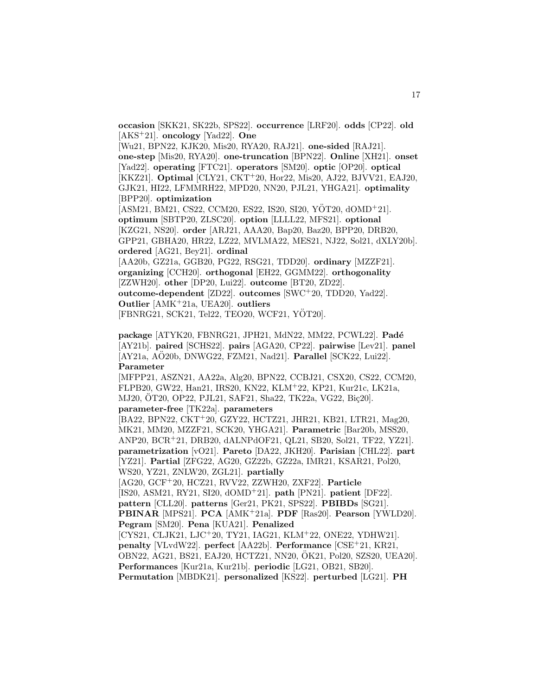**occasion** [SKK21, SK22b, SPS22]. **occurrence** [LRF20]. **odds** [CP22]. **old** [AKS<sup>+</sup>21]. **oncology** [Yad22]. **One**

[Wu21, BPN22, KJK20, Mis20, RYA20, RAJ21]. **one-sided** [RAJ21]. **one-step** [Mis20, RYA20]. **one-truncation** [BPN22]. **Online** [XH21]. **onset** [Yad22]. **operating** [FTC21]. **operators** [SM20]. **optic** [OP20]. **optical** [KKZ21]. **Optimal** [CLY21, CKT<sup>+</sup>20, Hor22, Mis20, AJ22, BJVV21, EAJ20, GJK21, HI22, LFMMRH22, MPD20, NN20, PJL21, YHGA21]. **optimality** [BPP20]. **optimization**

 $[ASM21, BM21, CS22, CCM20, ES22, IS20, SI20, YÖT20, dOMD<sup>+</sup>21].$ **optimum** [SBTP20, ZLSC20]. **option** [LLLL22, MFS21]. **optional** [KZG21, NS20]. **order** [ARJ21, AAA20, Bap20, Baz20, BPP20, DRB20, GPP21, GBHA20, HR22, LZ22, MVLMA22, MES21, NJ22, Sol21, dXLY20b]. **ordered** [AG21, Bey21]. **ordinal**

[AA20b, GZ21a, GGB20, PG22, RSG21, TDD20]. **ordinary** [MZZF21]. **organizing** [CCH20]. **orthogonal** [EH22, GGMM22]. **orthogonality** [ZZWH20]. **other** [DP20, Lui22]. **outcome** [BT20, ZD22]. **outcome-dependent** [ZD22]. **outcomes** [SWC<sup>+</sup>20, TDD20, Yad22]. **Outlier** [AMK<sup>+</sup>21a, UEA20]. **outliers**

[FBNRG21, SCK21, Tel22, TEO20, WCF21, YÖT20].

**package** [ATYK20, FBNRG21, JPH21, MdN22, MM22, PCWL22]. **Pad´e** [AY21b]. **paired** [SCHS22]. **pairs** [AGA20, CP22]. **pairwise** [Lev21]. **panel** [AY21a, AÖ20b, DNWG22, FZM21, Nad21]. **Parallel** [SCK22, Lui22]. **Parameter**

[MFPP21, ASZN21, AA22a, Alg20, BPN22, CCBJ21, CSX20, CS22, CCM20, FLPB20, GW22, Han21, IRS20, KN22, KLM<sup>+</sup>22, KP21, Kur21c, LK21a, MJ20, OT20, OP22, PJL21, SAF21, Sha22, TK22a, VG22, Biç20].

**parameter-free** [TK22a]. **parameters**

[BA22, BPN22, CKT<sup>+</sup>20, GZY22, HCTZ21, JHR21, KB21, LTR21, Mag20, MK21, MM20, MZZF21, SCK20, YHGA21]. **Parametric** [Bar20b, MSS20, ANP20, BCR<sup>+</sup>21, DRB20, dALNPdOF21, QL21, SB20, Sol21, TF22, YZ21]. **parametrization** [vO21]. **Pareto** [DA22, JKH20]. **Parisian** [CHL22]. **part** [YZ21]. **Partial** [ZFG22, AG20, GZ22b, GZ22a, IMR21, KSAR21, Pol20, WS20, YZ21, ZNLW20, ZGL21]. **partially**

[AG20, GCF<sup>+</sup>20, HCZ21, RVV22, ZZWH20, ZXF22]. **Particle** [IS20, ASM21, RY21, SI20, dOMD<sup>+</sup>21]. **path** [PN21]. **patient** [DF22]. **pattern** [CLL20]. **patterns** [Ger21, PK21, SPS22]. **PBIBDs** [SG21]. **PBINAR** [MPS21]. **PCA** [AMK<sup>+</sup>21a]. **PDF** [Ras20]. **Pearson** [YWLD20]. **Pegram** [SM20]. **Pena** [KUA21]. **Penalized** [CYS21, CLJK21, LJC<sup>+</sup>20, TY21, IAG21, KLM<sup>+</sup>22, ONE22, YDHW21]. **penalty** [VLvdW22]. **perfect** [AA22b]. **Performance** [CSE<sup>+</sup>21, KR21, OBN22, AG21, BS21, EAJ20, HCTZ21, NN20, OK21, Pol20, SZS20, UEA20]. ¨

**Performances** [Kur21a, Kur21b]. **periodic** [LG21, OB21, SB20].

**Permutation** [MBDK21]. **personalized** [KS22]. **perturbed** [LG21]. **PH**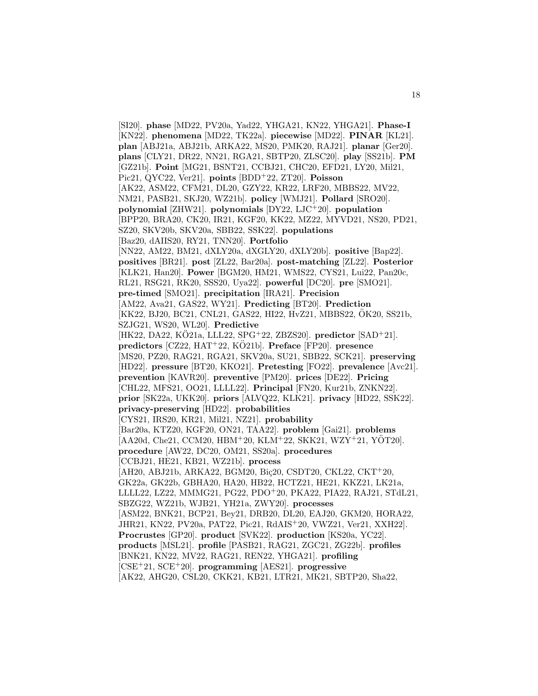[SI20]. **phase** [MD22, PV20a, Yad22, YHGA21, KN22, YHGA21]. **Phase-I** [KN22]. **phenomena** [MD22, TK22a]. **piecewise** [MD22]. **PINAR** [KL21]. **plan** [ABJ21a, ABJ21b, ARKA22, MS20, PMK20, RAJ21]. **planar** [Ger20]. **plans** [CLY21, DR22, NN21, RGA21, SBTP20, ZLSC20]. **play** [SS21b]. **PM** [GZ21b]. **Point** [MG21, BSNT21, CCBJ21, CHC20, EFD21, LY20, Mil21, Pic21, QYC22, Ver21]. **points** [BDD<sup>+</sup>22, ZT20]. **Poisson** [AK22, ASM22, CFM21, DL20, GZY22, KR22, LRF20, MBBS22, MV22, NM21, PASB21, SKJ20, WZ21b]. **policy** [WMJ21]. **Pollard** [SRO20]. **polynomial** [ZHW21]. **polynomials** [DY22, LJC<sup>+</sup>20]. **population** [BPP20, BRA20, CK20, IR21, KGF20, KK22, MZ22, MYVD21, NS20, PD21, SZ20, SKV20b, SKV20a, SBB22, SSK22]. **populations** [Baz20, dAIIS20, RY21, TNN20]. **Portfolio** [NN22, AM22, BM21, dXLY20a, dXGLY20, dXLY20b]. **positive** [Bap22]. **positives** [BR21]. **post** [ZL22, Bar20a]. **post-matching** [ZL22]. **Posterior** [KLK21, Han20]. **Power** [BGM20, HM21, WMS22, CYS21, Lui22, Pan20c, RL21, RSG21, RK20, SSS20, Uya22]. **powerful** [DC20]. **pre** [SMO21]. **pre-timed** [SMO21]. **precipitation** [IRA21]. **Precision** [AM22, Ava21, GAS22, WY21]. **Predicting** [BT20]. **Prediction** [KK22, BJ20, BC21, CNL21, GAS22, HI22, HvZ21, MBBS22, OK20, SS21b, ¨ SZJG21, WS20, WL20]. **Predictive** [HK22, DA22, KÖ21a, LLL22, SPG<sup>+</sup>22, ZBZS20]. **predictor** [SAD<sup>+</sup>21]. **predictors** [CZ22, HAT<sup>+</sup>22, KO21b]. ¨ **Preface** [FP20]. **presence** [MS20, PZ20, RAG21, RGA21, SKV20a, SU21, SBB22, SCK21]. **preserving** [HD22]. **pressure** [BT20, KKO21]. **Pretesting** [FO22]. **prevalence** [Avc21]. **prevention** [KAVR20]. **preventive** [PM20]. **prices** [DE22]. **Pricing** [CHL22, MFS21, OO21, LLLL22]. **Principal** [FN20, Kur21b, ZNKN22]. **prior** [SK22a, UKK20]. **priors** [ALVQ22, KLK21]. **privacy** [HD22, SSK22]. **privacy-preserving** [HD22]. **probabilities** [CYS21, IRS20, KR21, Mil21, NZ21]. **probability** [Bar20a, KTZ20, KGF20, ON21, TAA22]. **problem** [Gai21]. **problems** [AA20d, Che21, CCM20, HBM+20, KLM+22, SKK21, WZY+21, YOT20]. **procedure** [AW22, DC20, OM21, SS20a]. **procedures** [CCBJ21, HE21, KB21, WZ21b]. **process** [AH20, ABJ21b, ARKA22, BGM20, Biç20, CSDT20, CKL22, CKT+20, GK22a, GK22b, GBHA20, HA20, HB22, HCTZ21, HE21, KKZ21, LK21a, LLLL22, LZ22, MMMG21, PG22, PDO<sup>+</sup>20, PKA22, PIA22, RAJ21, STdL21, SBZG22, WZ21b, WJB21, YH21a, ZWY20]. **processes** [ASM22, BNK21, BCP21, Bey21, DRB20, DL20, EAJ20, GKM20, HORA22, JHR21, KN22, PV20a, PAT22, Pic21, RdAIS<sup>+</sup>20, VWZ21, Ver21, XXH22]. **Procrustes** [GP20]. **product** [SVK22]. **production** [KS20a, YC22]. **products** [MSL21]. **profile** [PASB21, RAG21, ZGC21, ZG22b]. **profiles** [BNK21, KN22, MV22, RAG21, REN22, YHGA21]. **profiling** [CSE<sup>+</sup>21, SCE<sup>+</sup>20]. **programming** [AES21]. **progressive** [AK22, AHG20, CSL20, CKK21, KB21, LTR21, MK21, SBTP20, Sha22,

18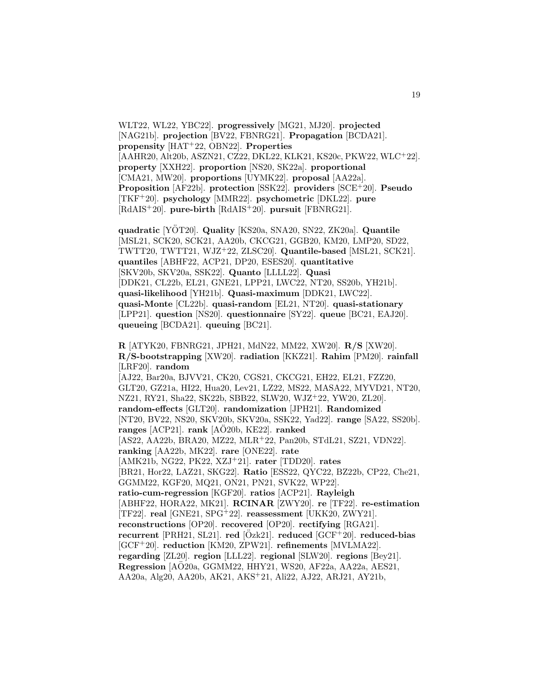WLT22, WL22, YBC22]. **progressively** [MG21, MJ20]. **projected** [NAG21b]. **projection** [BV22, FBNRG21]. **Propagation** [BCDA21]. **propensity** [HAT<sup>+</sup>22, OBN22]. **Properties** [AAHR20, Alt20b, ASZN21, CZ22, DKL22, KLK21, KS20c, PKW22, WLC<sup>+</sup>22]. **property** [XXH22]. **proportion** [NS20, SK22a]. **proportional** [CMA21, MW20]. **proportions** [UYMK22]. **proposal** [AA22a]. **Proposition** [AF22b]. **protection** [SSK22]. **providers** [SCE<sup>+</sup>20]. **Pseudo** [TKF<sup>+</sup>20]. **psychology** [MMR22]. **psychometric** [DKL22]. **pure** [RdAIS<sup>+</sup>20]. **pure-birth** [RdAIS<sup>+</sup>20]. **pursuit** [FBNRG21].

**quadratic** [YOT20]. ¨ **Quality** [KS20a, SNA20, SN22, ZK20a]. **Quantile** [MSL21, SCK20, SCK21, AA20b, CKCG21, GGB20, KM20, LMP20, SD22, TWTT20, TWTT21, WJZ<sup>+</sup>22, ZLSC20]. **Quantile-based** [MSL21, SCK21]. **quantiles** [ABHF22, ACP21, DP20, ESES20]. **quantitative** [SKV20b, SKV20a, SSK22]. **Quanto** [LLLL22]. **Quasi** [DDK21, CL22b, EL21, GNE21, LPP21, LWC22, NT20, SS20b, YH21b]. **quasi-likelihood** [YH21b]. **Quasi-maximum** [DDK21, LWC22]. **quasi-Monte** [CL22b]. **quasi-random** [EL21, NT20]. **quasi-stationary** [LPP21]. **question** [NS20]. **questionnaire** [SY22]. **queue** [BC21, EAJ20]. **queueing** [BCDA21]. **queuing** [BC21].

**R** [ATYK20, FBNRG21, JPH21, MdN22, MM22, XW20]. **R/S** [XW20]. **R/S-bootstrapping** [XW20]. **radiation** [KKZ21]. **Rahim** [PM20]. **rainfall** [LRF20]. **random** [AJ22, Bar20a, BJVV21, CK20, CGS21, CKCG21, EH22, EL21, FZZ20, GLT20, GZ21a, HI22, Hua20, Lev21, LZ22, MS22, MASA22, MYVD21, NT20, NZ21, RY21, Sha22, SK22b, SBB22, SLW20, WJZ<sup>+</sup>22, YW20, ZL20]. **random-effects** [GLT20]. **randomization** [JPH21]. **Randomized** [NT20, BV22, NS20, SKV20b, SKV20a, SSK22, Yad22]. **range** [SA22, SS20b]. ranges [ACP21]. rank [AÖ20b, KE22]. ranked [AS22, AA22b, BRA20, MZ22, MLR<sup>+</sup>22, Pan20b, STdL21, SZ21, VDN22]. **ranking** [AA22b, MK22]. **rare** [ONE22]. **rate** [AMK21b, NG22, PK22, XZJ<sup>+</sup>21]. **rater** [TDD20]. **rates** [BR21, Hor22, LAZ21, SKG22]. **Ratio** [ESS22, QYC22, BZ22b, CP22, Che21, GGMM22, KGF20, MQ21, ON21, PN21, SVK22, WP22]. **ratio-cum-regression** [KGF20]. **ratios** [ACP21]. **Rayleigh** [ABHF22, HORA22, MK21]. **RCINAR** [ZWY20]. **re** [TF22]. **re-estimation** [TF22]. **real** [GNE21, SPG<sup>+</sup>22]. **reassessment** [UKK20, ZWY21]. **reconstructions** [OP20]. **recovered** [OP20]. **rectifying** [RGA21]. **recurrent** [PRH21, SL21]. **red**  $[Özk21]$ . **reduced**  $[GCF+20]$ . **reduced-bias** [GCF<sup>+</sup>20]. **reduction** [KM20, ZPW21]. **refinements** [MVLMA22]. **regarding** [ZL20]. **region** [LLL22]. **regional** [SLW20]. **regions** [Bey21]. **Regression** [AO20a, GGMM22, HHY21, WS20, AF22a, AA22a, AES21, AA20a, Alg20, AA20b, AK21, AKS<sup>+</sup>21, Ali22, AJ22, ARJ21, AY21b,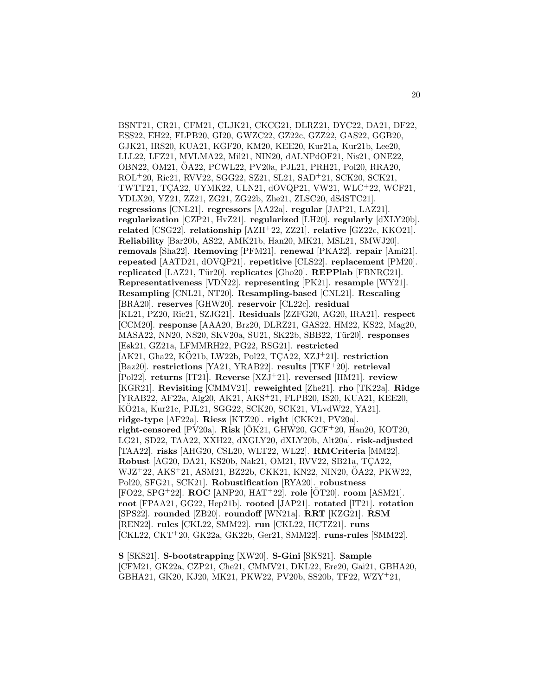BSNT21, CR21, CFM21, CLJK21, CKCG21, DLRZ21, DYC22, DA21, DF22, ESS22, EH22, FLPB20, GI20, GWZC22, GZ22c, GZZ22, GAS22, GGB20, GJK21, IRS20, KUA21, KGF20, KM20, KEE20, Kur21a, Kur21b, Lee20, LLL22, LFZ21, MVLMA22, Mil21, NIN20, dALNPdOF21, Nis21, ONE22, OBN22, OM21, OA22, PCWL22, PV20a, PJL21, PRH21, Pol20, RRA20, ¨ ROL<sup>+</sup>20, Ric21, RVV22, SGG22, SZ21, SL21, SAD<sup>+</sup>21, SCK20, SCK21, TWTT21, TÇA22, UYMK22, ULN21, dOVQP21, VW21, WLC+22, WCF21, YDLX20, YZ21, ZZ21, ZG21, ZG22b, Zhe21, ZLSC20, dSdSTC21]. **regressions** [CNL21]. **regressors** [AA22a]. **regular** [JAP21, LAZ21]. **regularization** [CZP21, HvZ21]. **regularized** [LH20]. **regularly** [dXLY20b]. **related** [CSG22]. **relationship** [AZH<sup>+</sup>22, ZZ21]. **relative** [GZ22c, KKO21]. **Reliability** [Bar20b, AS22, AMK21b, Han20, MK21, MSL21, SMWJ20]. **removals** [Sha22]. **Removing** [PFM21]. **renewal** [PKA22]. **repair** [Ami21]. **repeated** [AATD21, dOVQP21]. **repetitive** [CLS22]. **replacement** [PM20]. **replicated** [LAZ21, Tür20]. **replicates** [Gho20]. **REPPlab** [FBNRG21]. **Representativeness** [VDN22]. **representing** [PK21]. **resample** [WY21]. **Resampling** [CNL21, NT20]. **Resampling-based** [CNL21]. **Rescaling** [BRA20]. **reserves** [GHW20]. **reservoir** [CL22c]. **residual** [KL21, PZ20, Ric21, SZJG21]. **Residuals** [ZZFG20, AG20, IRA21]. **respect** [CCM20]. **response** [AAA20, Brz20, DLRZ21, GAS22, HM22, KS22, Mag20, MASA22, NN20, NS20, SKV20a, SU21, SK22b, SBB22, T¨ur20]. **responses** [Esk21, GZ21a, LFMMRH22, PG22, RSG21]. **restricted**  $[AK21, Gha22, KO21b, LW22b, Po122, TCA22, XZJ<sup>+</sup>21]$ . **restriction** [Baz20]. **restrictions** [YA21, YRAB22]. **results** [TKF<sup>+</sup>20]. **retrieval** [Pol22]. **returns** [IT21]. **Reverse** [XZJ<sup>+</sup>21]. **reversed** [HM21]. **review** [KGR21]. **Revisiting** [CMMV21]. **reweighted** [Zhe21]. **rho** [TK22a]. **Ridge** [YRAB22, AF22a, Alg20, AK21, AKS<sup>+</sup>21, FLPB20, IS20, KUA21, KEE20, KÖ21a, Kur21c, PJL21, SGG22, SCK20, SCK21, VLvdW22, YA21]. **ridge-type** [AF22a]. **Riesz** [KTZ20]. **right** [CKK21, PV20a]. **right-censored** [PV20a]. **Risk** [ÖK21, GHW20, GCF+20, Han20, KOT20, LG21, SD22, TAA22, XXH22, dXGLY20, dXLY20b, Alt20a]. **risk-adjusted** [TAA22]. **risks** [AHG20, CSL20, WLT22, WL22]. **RMCriteria** [MM22]. **Robust** [AG20, DA21, KS20b, Nak21, OM21, RVV22, SB21a, TCA22, WJZ<sup>+</sup>22, AKS<sup>+</sup>21, ASM21, BZ22b, CKK21, KN22, NIN20, OA22, PKW22, ¨ Pol20, SFG21, SCK21]. **Robustification** [RYA20]. **robustness** [FO22, SPG+22]. **ROC** [ANP20, HAT+22]. **role** [ÖT20]. **room** [ASM21]. **root** [FPAA21, GG22, Hep21b]. **rooted** [JAP21]. **rotated** [IT21]. **rotation** [SPS22]. **rounded** [ZB20]. **roundoff** [WN21a]. **RRT** [KZG21]. **RSM** [REN22]. **rules** [CKL22, SMM22]. **run** [CKL22, HCTZ21]. **runs** [CKL22, CKT<sup>+</sup>20, GK22a, GK22b, Ger21, SMM22]. **runs-rules** [SMM22].

**S** [SKS21]. **S-bootstrapping** [XW20]. **S-Gini** [SKS21]. **Sample** [CFM21, GK22a, CZP21, Che21, CMMV21, DKL22, Ere20, Gai21, GBHA20, GBHA21, GK20, KJ20, MK21, PKW22, PV20b, SS20b, TF22, WZY<sup>+</sup>21,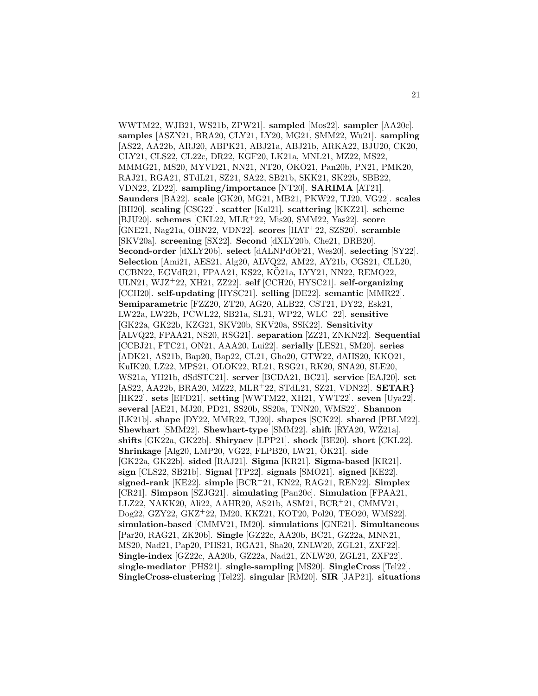WWTM22, WJB21, WS21b, ZPW21]. **sampled** [Mos22]. **sampler** [AA20c]. **samples** [ASZN21, BRA20, CLY21, LY20, MG21, SMM22, Wu21]. **sampling** [AS22, AA22b, ARJ20, ABPK21, ABJ21a, ABJ21b, ARKA22, BJU20, CK20, CLY21, CLS22, CL22c, DR22, KGF20, LK21a, MNL21, MZ22, MS22, MMMG21, MS20, MYVD21, NN21, NT20, OKO21, Pan20b, PN21, PMK20, RAJ21, RGA21, STdL21, SZ21, SA22, SB21b, SKK21, SK22b, SBB22, VDN22, ZD22]. **sampling/importance** [NT20]. **SARIMA** [AT21]. **Saunders** [BA22]. **scale** [GK20, MG21, MB21, PKW22, TJ20, VG22]. **scales** [BH20]. **scaling** [CSG22]. **scatter** [Kal21]. **scattering** [KKZ21]. **scheme** [BJU20]. **schemes** [CKL22, MLR<sup>+</sup>22, Mis20, SMM22, Yas22]. **score** [GNE21, Nag21a, OBN22, VDN22]. **scores** [HAT<sup>+</sup>22, SZS20]. **scramble** [SKV20a]. **screening** [SX22]. **Second** [dXLY20b, Che21, DRB20]. **Second-order** [dXLY20b]. **select** [dALNPdOF21, Wes20]. **selecting** [SY22]. **Selection** [Ami21, AES21, Alg20, ALVQ22, AM22, AY21b, CGS21, CLL20, CCBN22, EGVdR21, FPAA21, KS22, KÖ21a, LYY21, NN22, REMO22, ULN21, WJZ<sup>+</sup>22, XH21, ZZ22]. **self** [CCH20, HYSC21]. **self-organizing** [CCH20]. **self-updating** [HYSC21]. **selling** [DE22]. **semantic** [MMR22]. **Semiparametric** [FZZ20, ZT20, AG20, ALB22, CST21, DY22, Esk21, LW22a, LW22b, PCWL22, SB21a, SL21, WP22, WLC<sup>+</sup>22]. **sensitive** [GK22a, GK22b, KZG21, SKV20b, SKV20a, SSK22]. **Sensitivity** [ALVQ22, FPAA21, NS20, RSG21]. **separation** [ZZ21, ZNKN22]. **Sequential** [CCBJ21, FTC21, ON21, AAA20, Lui22]. **serially** [LES21, SM20]. **series** [ADK21, AS21b, Bap20, Bap22, CL21, Gho20, GTW22, dAIIS20, KKO21, KuIK20, LZ22, MPS21, OLOK22, RL21, RSG21, RK20, SNA20, SLE20, WS21a, YH21b, dSdSTC21]. **server** [BCDA21, BC21]. **service** [EAJ20]. **set** [AS22, AA22b, BRA20, MZ22, MLR<sup>+</sup>22, STdL21, SZ21, VDN22]. **SETAR***}* [HK22]. **sets** [EFD21]. **setting** [WWTM22, XH21, YWT22]. **seven** [Uya22]. **several** [AE21, MJ20, PD21, SS20b, SS20a, TNN20, WMS22]. **Shannon** [LK21b]. **shape** [DY22, MMR22, TJ20]. **shapes** [SCK22]. **shared** [PBLM22]. **Shewhart** [SMM22]. **Shewhart-type** [SMM22]. **shift** [RYA20, WZ21a]. **shifts** [GK22a, GK22b]. **Shiryaev** [LPP21]. **shock** [BE20]. **short** [CKL22]. **Shrinkage** [Alg20, LMP20, VG22, FLPB20, LW21,  $\ddot{O}$ K21]. **side** [GK22a, GK22b]. **sided** [RAJ21]. **Sigma** [KR21]. **Sigma-based** [KR21]. **sign** [CLS22, SB21b]. **Signal** [TP22]. **signals** [SMO21]. **signed** [KE22]. **signed-rank** [KE22]. **simple** [BCR<sup>+</sup>21, KN22, RAG21, REN22]. **Simplex** [CR21]. **Simpson** [SZJG21]. **simulating** [Pan20c]. **Simulation** [FPAA21, LLZ22, NAKK20, Ali22, AAHR20, AS21b, ASM21, BCR<sup>+</sup>21, CMMV21, Dog22, GZY22, GKZ<sup>+</sup>22, IM20, KKZ21, KOT20, Pol20, TEO20, WMS22]. **simulation-based** [CMMV21, IM20]. **simulations** [GNE21]. **Simultaneous** [Par20, RAG21, ZK20b]. **Single** [GZ22c, AA20b, BC21, GZ22a, MNN21, MS20, Nad21, Pap20, PHS21, RGA21, Sha20, ZNLW20, ZGL21, ZXF22]. **Single-index** [GZ22c, AA20b, GZ22a, Nad21, ZNLW20, ZGL21, ZXF22]. **single-mediator** [PHS21]. **single-sampling** [MS20]. **SingleCross** [Tel22]. **SingleCross-clustering** [Tel22]. **singular** [RM20]. **SIR** [JAP21]. **situations**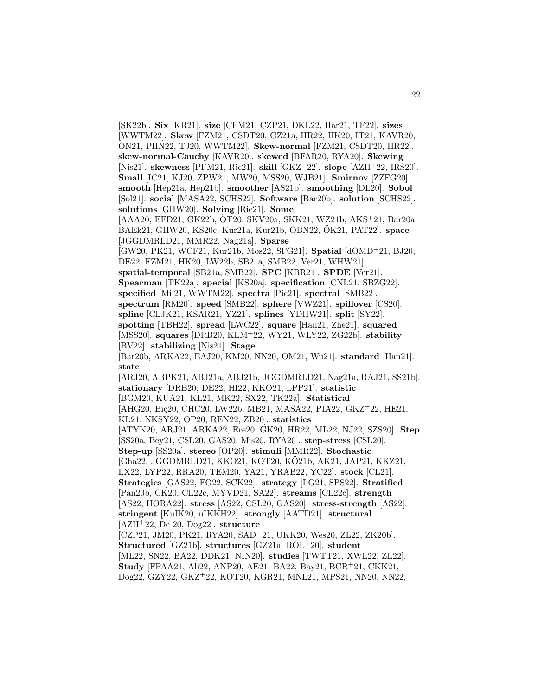[SK22b]. **Six** [KR21]. **size** [CFM21, CZP21, DKL22, Har21, TF22]. **sizes** [WWTM22]. **Skew** [FZM21, CSDT20, GZ21a, HR22, HK20, IT21, KAVR20, ON21, PHN22, TJ20, WWTM22]. **Skew-normal** [FZM21, CSDT20, HR22]. **skew-normal-Cauchy** [KAVR20]. **skewed** [BFAR20, RYA20]. **Skewing** [Nis21]. **skewness** [PFM21, Ric21]. **skill** [GKZ<sup>+</sup>22]. **slope** [AZH<sup>+</sup>22, IRS20]. **Small** [IC21, KJ20, ZPW21, MW20, MSS20, WJB21]. **Smirnov** [ZZFG20]. **smooth** [Hep21a, Hep21b]. **smoother** [AS21b]. **smoothing** [DL20]. **Sobol** [Sol21]. **social** [MASA22, SCHS22]. **Software** [Bar20b]. **solution** [SCHS22]. **solutions** [GHW20]. **Solving** [Ric21]. **Some**  $[AAA20, EFD21, GK22b, OT20, SKV20a, SKK21, WZ21b, AKS<sup>+</sup>21, Bar20a,$ BAEk21, GHW20, KS20c, Kur21a, Kur21b, OBN22, OK21, PAT22]. ¨ **space** [JGGDMRLD21, MMR22, Nag21a]. **Sparse** [GW20, PK21, WCF21, Kur21b, Mos22, SFG21]. **Spatial** [dOMD<sup>+</sup>21, BJ20, DE22, FZM21, HK20, LW22b, SB21a, SMB22, Ver21, WHW21]. **spatial-temporal** [SB21a, SMB22]. **SPC** [KBR21]. **SPDE** [Ver21]. **Spearman** [TK22a]. **special** [KS20a]. **specification** [CNL21, SBZG22]. **specified** [Mil21, WWTM22]. **spectra** [Pic21]. **spectral** [SMB22]. **spectrum** [RM20]. **speed** [SMB22]. **sphere** [VWZ21]. **spillover** [CS20]. **spline** [CLJK21, KSAR21, YZ21]. **splines** [YDHW21]. **split** [SY22]. **spotting** [TBH22]. **spread** [LWC22]. **square** [Han21, Zhe21]. **squared** [MSS20]. **squares** [DRB20, KLM<sup>+</sup>22, WY21, WLY22, ZG22b]. **stability** [BV22]. **stabilizing** [Nis21]. **Stage** [Bar20b, ARKA22, EAJ20, KM20, NN20, OM21, Wu21]. **standard** [Han21]. **state** [ARJ20, ABPK21, ABJ21a, ABJ21b, JGGDMRLD21, Nag21a, RAJ21, SS21b]. **stationary** [DRB20, DE22, HI22, KKO21, LPP21]. **statistic** [BGM20, KUA21, KL21, MK22, SX22, TK22a]. **Statistical** [AHG20, Biç20, CHC20, LW22b, MB21, MASA22, PIA22, GKZ+22, HE21, KL21, NKSY22, OP20, REN22, ZB20]. **statistics** [ATYK20, ARJ21, ARKA22, Ere20, GK20, HR22, ML22, NJ22, SZS20]. **Step** [SS20a, Bey21, CSL20, GAS20, Mis20, RYA20]. **step-stress** [CSL20]. **Step-up** [SS20a]. **stereo** [OP20]. **stimuli** [MMR22]. **Stochastic** [Gha22, JGGDMRLD21, KKO21, KOT20, KO21b, AK21, JAP21, KKZ21, ¨ LX22, LYP22, RRA20, TEM20, YA21, YRAB22, YC22]. **stock** [CL21]. **Strategies** [GAS22, FO22, SCK22]. **strategy** [LG21, SPS22]. **Stratified** [Pan20b, CK20, CL22c, MYVD21, SA22]. **streams** [CL22c]. **strength** [AS22, HORA22]. **stress** [AS22, CSL20, GAS20]. **stress-strength** [AS22]. **stringent** [KuIK20, uIKKH22]. **strongly** [AATD21]. **structural** [AZH<sup>+</sup>22, De 20, Dog22]. **structure** [CZP21, JM20, PK21, RYA20, SAD<sup>+</sup>21, UKK20, Wes20, ZL22, ZK20b]. **Structured** [GZ21b]. **structures** [GZ21a, ROL<sup>+</sup>20]. **student** [ML22, SN22, BA22, DDK21, NIN20]. **studies** [TWTT21, XWL22, ZL22]. **Study** [FPAA21, Ali22, ANP20, AE21, BA22, Bay21, BCR<sup>+</sup>21, CKK21, Dog22, GZY22, GKZ<sup>+</sup>22, KOT20, KGR21, MNL21, MPS21, NN20, NN22,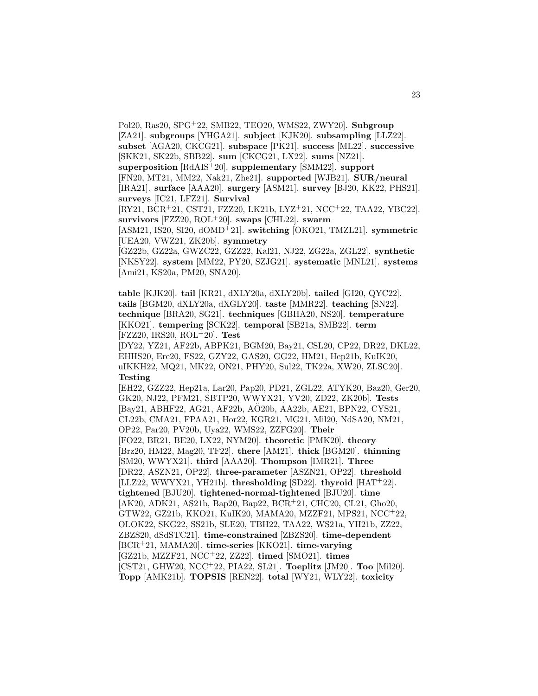Pol20, Ras20, SPG<sup>+</sup>22, SMB22, TEO20, WMS22, ZWY20]. **Subgroup** [ZA21]. **subgroups** [YHGA21]. **subject** [KJK20]. **subsampling** [LLZ22]. **subset** [AGA20, CKCG21]. **subspace** [PK21]. **success** [ML22]. **successive** [SKK21, SK22b, SBB22]. **sum** [CKCG21, LX22]. **sums** [NZ21]. **superposition** [RdAIS<sup>+</sup>20]. **supplementary** [SMM22]. **support** [FN20, MT21, MM22, Nak21, Zhe21]. **supported** [WJB21]. **SUR/neural** [IRA21]. **surface** [AAA20]. **surgery** [ASM21]. **survey** [BJ20, KK22, PHS21]. **surveys** [IC21, LFZ21]. **Survival** [RY21, BCR<sup>+</sup>21, CST21, FZZ20, LK21b, LYZ<sup>+</sup>21, NCC<sup>+</sup>22, TAA22, YBC22]. **survivors** [FZZ20, ROL<sup>+</sup>20]. **swaps** [CHL22]. **swarm** [ASM21, IS20, SI20, dOMD<sup>+</sup>21]. **switching** [OKO21, TMZL21]. **symmetric** [UEA20, VWZ21, ZK20b]. **symmetry** [GZ22b, GZ22a, GWZC22, GZZ22, Kal21, NJ22, ZG22a, ZGL22]. **synthetic** [NKSY22]. **system** [MM22, PY20, SZJG21]. **systematic** [MNL21]. **systems** [Ami21, KS20a, PM20, SNA20].

**table** [KJK20]. **tail** [KR21, dXLY20a, dXLY20b]. **tailed** [GI20, QYC22]. **tails** [BGM20, dXLY20a, dXGLY20]. **taste** [MMR22]. **teaching** [SN22]. **technique** [BRA20, SG21]. **techniques** [GBHA20, NS20]. **temperature** [KKO21]. **tempering** [SCK22]. **temporal** [SB21a, SMB22]. **term** [FZZ20, IRS20, ROL<sup>+</sup>20]. **Test**

[DY22, YZ21, AF22b, ABPK21, BGM20, Bay21, CSL20, CP22, DR22, DKL22, EHHS20, Ere20, FS22, GZY22, GAS20, GG22, HM21, Hep21b, KuIK20, uIKKH22, MQ21, MK22, ON21, PHY20, Sul22, TK22a, XW20, ZLSC20]. **Testing**

[EH22, GZZ22, Hep21a, Lar20, Pap20, PD21, ZGL22, ATYK20, Baz20, Ger20, GK20, NJ22, PFM21, SBTP20, WWYX21, YV20, ZD22, ZK20b]. **Tests** [Bay21, ABHF22, AG21, AF22b, AO20b, AA22b, AE21, BPN22, CYS21, ¨ CL22b, CMA21, FPAA21, Hor22, KGR21, MG21, Mil20, NdSA20, NM21, OP22, Par20, PV20b, Uya22, WMS22, ZZFG20]. **Their** [FO22, BR21, BE20, LX22, NYM20]. **theoretic** [PMK20]. **theory** [Brz20, HM22, Mag20, TF22]. **there** [AM21]. **thick** [BGM20]. **thinning** [SM20, WWYX21]. **third** [AAA20]. **Thompson** [IMR21]. **Three** [DR22, ASZN21, OP22]. **three-parameter** [ASZN21, OP22]. **threshold** [LLZ22, WWYX21, YH21b]. **thresholding** [SD22]. **thyroid** [HAT<sup>+</sup>22]. **tightened** [BJU20]. **tightened-normal-tightened** [BJU20]. **time** [AK20, ADK21, AS21b, Bap20, Bap22, BCR<sup>+</sup>21, CHC20, CL21, Gho20, GTW22, GZ21b, KKO21, KuIK20, MAMA20, MZZF21, MPS21, NCC<sup>+</sup>22, OLOK22, SKG22, SS21b, SLE20, TBH22, TAA22, WS21a, YH21b, ZZ22, ZBZS20, dSdSTC21]. **time-constrained** [ZBZS20]. **time-dependent** [BCR<sup>+</sup>21, MAMA20]. **time-series** [KKO21]. **time-varying** [GZ21b, MZZF21, NCC<sup>+</sup>22, ZZ22]. **timed** [SMO21]. **times** [CST21, GHW20, NCC<sup>+</sup>22, PIA22, SL21]. **Toeplitz** [JM20]. **Too** [Mil20]. **Topp** [AMK21b]. **TOPSIS** [REN22]. **total** [WY21, WLY22]. **toxicity**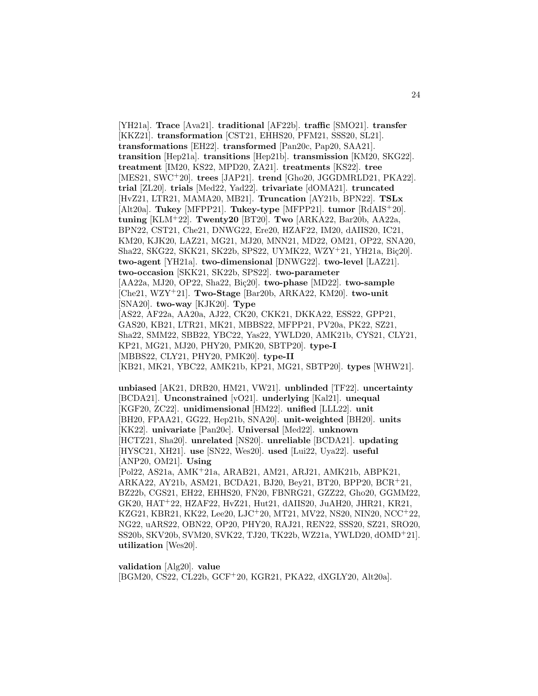[YH21a]. **Trace** [Ava21]. **traditional** [AF22b]. **traffic** [SMO21]. **transfer** [KKZ21]. **transformation** [CST21, EHHS20, PFM21, SSS20, SL21]. **transformations** [EH22]. **transformed** [Pan20c, Pap20, SAA21]. **transition** [Hep21a]. **transitions** [Hep21b]. **transmission** [KM20, SKG22]. **treatment** [IM20, KS22, MPD20, ZA21]. **treatments** [KS22]. **tree** [MES21, SWC<sup>+</sup>20]. **trees** [JAP21]. **trend** [Gho20, JGGDMRLD21, PKA22]. **trial** [ZL20]. **trials** [Med22, Yad22]. **trivariate** [dOMA21]. **truncated** [HvZ21, LTR21, MAMA20, MB21]. **Truncation** [AY21b, BPN22]. **TSLx** [Alt20a]. **Tukey** [MFPP21]. **Tukey-type** [MFPP21]. **tumor** [RdAIS<sup>+</sup>20]. **tuning** [KLM<sup>+</sup>22]. **Twenty20** [BT20]. **Two** [ARKA22, Bar20b, AA22a, BPN22, CST21, Che21, DNWG22, Ere20, HZAF22, IM20, dAIIS20, IC21, KM20, KJK20, LAZ21, MG21, MJ20, MNN21, MD22, OM21, OP22, SNA20, Sha22, SKG22, SKK21, SK22b, SPS22, UYMK22, WZY+21, YH21a, Biç20]. **two-agent** [YH21a]. **two-dimensional** [DNWG22]. **two-level** [LAZ21]. **two-occasion** [SKK21, SK22b, SPS22]. **two-parameter** [AA22a, MJ20, OP22, Sha22, Biç20]. **two-phase** [MD22]. **two-sample** [Che21, WZY<sup>+</sup>21]. **Two-Stage** [Bar20b, ARKA22, KM20]. **two-unit** [SNA20]. **two-way** [KJK20]. **Type** [AS22, AF22a, AA20a, AJ22, CK20, CKK21, DKKA22, ESS22, GPP21, GAS20, KB21, LTR21, MK21, MBBS22, MFPP21, PV20a, PK22, SZ21, Sha22, SMM22, SBB22, YBC22, Yas22, YWLD20, AMK21b, CYS21, CLY21, KP21, MG21, MJ20, PHY20, PMK20, SBTP20]. **type-I** [MBBS22, CLY21, PHY20, PMK20]. **type-II** [KB21, MK21, YBC22, AMK21b, KP21, MG21, SBTP20]. **types** [WHW21].

**unbiased** [AK21, DRB20, HM21, VW21]. **unblinded** [TF22]. **uncertainty** [BCDA21]. **Unconstrained** [vO21]. **underlying** [Kal21]. **unequal** [KGF20, ZC22]. **unidimensional** [HM22]. **unified** [LLL22]. **unit** [BH20, FPAA21, GG22, Hep21b, SNA20]. **unit-weighted** [BH20]. **units** [KK22]. **univariate** [Pan20c]. **Universal** [Med22]. **unknown** [HCTZ21, Sha20]. **unrelated** [NS20]. **unreliable** [BCDA21]. **updating** [HYSC21, XH21]. **use** [SN22, Wes20]. **used** [Lui22, Uya22]. **useful** [ANP20, OM21]. **Using** [Pol22, AS21a, AMK<sup>+</sup>21a, ARAB21, AM21, ARJ21, AMK21b, ABPK21, ARKA22, AY21b, ASM21, BCDA21, BJ20, Bey21, BT20, BPP20, BCR<sup>+</sup>21, BZ22b, CGS21, EH22, EHHS20, FN20, FBNRG21, GZZ22, Gho20, GGMM22, GK20, HAT<sup>+</sup>22, HZAF22, HvZ21, Hut21, dAIIS20, JuAH20, JHR21, KR21, KZG21, KBR21, KK22, Lee20, LJC<sup>+</sup>20, MT21, MV22, NS20, NIN20, NCC<sup>+</sup>22, NG22, uARS22, OBN22, OP20, PHY20, RAJ21, REN22, SSS20, SZ21, SRO20, SS20b, SKV20b, SVM20, SVK22, TJ20, TK22b, WZ21a, YWLD20, dOMD<sup>+</sup>21].

**utilization** [Wes20].

**validation** [Alg20]. **value** [BGM20, CS22, CL22b, GCF<sup>+</sup>20, KGR21, PKA22, dXGLY20, Alt20a].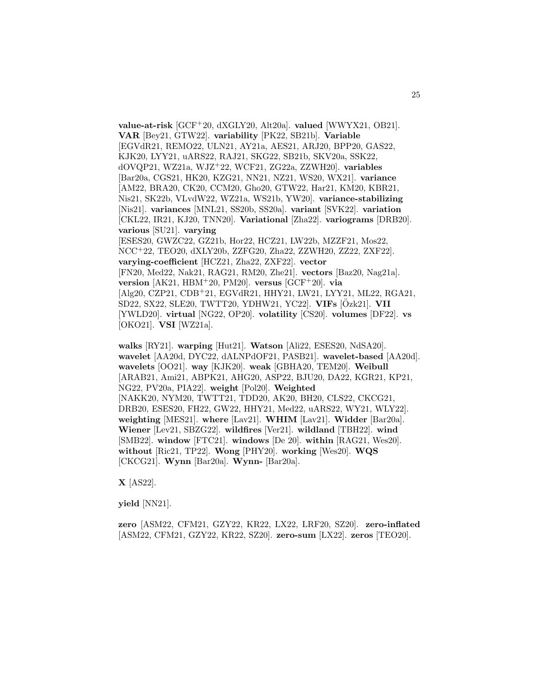**value-at-risk** [GCF<sup>+</sup>20, dXGLY20, Alt20a]. **valued** [WWYX21, OB21]. **VAR** [Bey21, GTW22]. **variability** [PK22, SB21b]. **Variable** [EGVdR21, REMO22, ULN21, AY21a, AES21, ARJ20, BPP20, GAS22, KJK20, LYY21, uARS22, RAJ21, SKG22, SB21b, SKV20a, SSK22, dOVQP21, WZ21a, WJZ<sup>+</sup>22, WCF21, ZG22a, ZZWH20]. **variables** [Bar20a, CGS21, HK20, KZG21, NN21, NZ21, WS20, WX21]. **variance** [AM22, BRA20, CK20, CCM20, Gho20, GTW22, Har21, KM20, KBR21, Nis21, SK22b, VLvdW22, WZ21a, WS21b, YW20]. **variance-stabilizing** [Nis21]. **variances** [MNL21, SS20b, SS20a]. **variant** [SVK22]. **variation** [CKL22, IR21, KJ20, TNN20]. **Variational** [Zha22]. **variograms** [DRB20]. **various** [SU21]. **varying** [ESES20, GWZC22, GZ21b, Hor22, HCZ21, LW22b, MZZF21, Mos22, NCC<sup>+</sup>22, TEO20, dXLY20b, ZZFG20, Zha22, ZZWH20, ZZ22, ZXF22]. **varying-coefficient** [HCZ21, Zha22, ZXF22]. **vector** [FN20, Med22, Nak21, RAG21, RM20, Zhe21]. **vectors** [Baz20, Nag21a]. **version** [AK21, HBM<sup>+</sup>20, PM20]. **versus** [GCF<sup>+</sup>20]. **via** [Alg20, CZP21, CDB<sup>+</sup>21, EGVdR21, HHY21, LW21, LYY21, ML22, RGA21, SD22, SX22, SLE20, TWTT20, YDHW21, YC22]. **VIFs** [Ozk21]. ¨ **VII** [YWLD20]. **virtual** [NG22, OP20]. **volatility** [CS20]. **volumes** [DF22]. **vs** [OKO21]. **VSI** [WZ21a].

**walks** [RY21]. **warping** [Hut21]. **Watson** [Ali22, ESES20, NdSA20]. **wavelet** [AA20d, DYC22, dALNPdOF21, PASB21]. **wavelet-based** [AA20d]. **wavelets** [OO21]. **way** [KJK20]. **weak** [GBHA20, TEM20]. **Weibull** [ARAB21, Ami21, ABPK21, AHG20, ASP22, BJU20, DA22, KGR21, KP21, NG22, PV20a, PIA22]. **weight** [Pol20]. **Weighted** [NAKK20, NYM20, TWTT21, TDD20, AK20, BH20, CLS22, CKCG21, DRB20, ESES20, FH22, GW22, HHY21, Med22, uARS22, WY21, WLY22]. **weighting** [MES21]. **where** [Lav21]. **WHIM** [Lav21]. **Widder** [Bar20a]. **Wiener** [Lev21, SBZG22]. **wildfires** [Ver21]. **wildland** [TBH22]. **wind** [SMB22]. **window** [FTC21]. **windows** [De 20]. **within** [RAG21, Wes20]. **without** [Ric21, TP22]. **Wong** [PHY20]. **working** [Wes20]. **WQS** [CKCG21]. **Wynn** [Bar20a]. **Wynn-** [Bar20a].

**X** [AS22].

**yield** [NN21].

**zero** [ASM22, CFM21, GZY22, KR22, LX22, LRF20, SZ20]. **zero-inflated** [ASM22, CFM21, GZY22, KR22, SZ20]. **zero-sum** [LX22]. **zeros** [TEO20].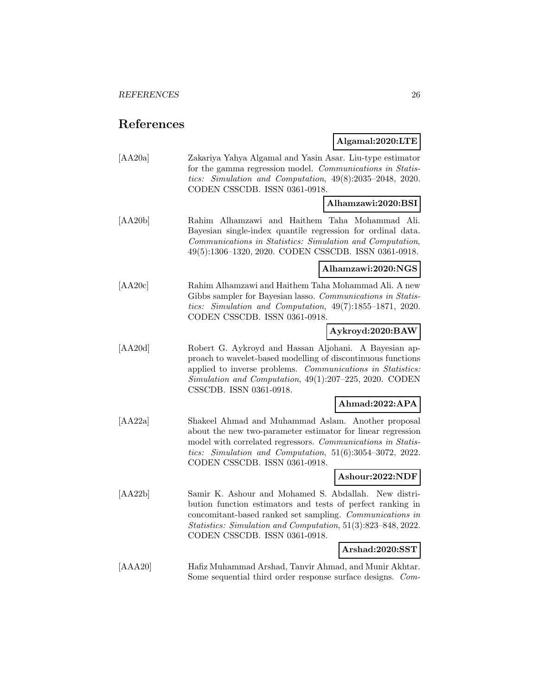# **References**

**Algamal:2020:LTE**

| [AA20a] | Zakariya Yahya Algamal and Yasin Asar. Liu-type estimator<br>for the gamma regression model. Communications in Statis-<br>tics: Simulation and Computation, 49(8):2035-2048, 2020.<br>CODEN CSSCDB. ISSN 0361-0918.                                                              |
|---------|----------------------------------------------------------------------------------------------------------------------------------------------------------------------------------------------------------------------------------------------------------------------------------|
|         | Alhamzawi:2020:BSI                                                                                                                                                                                                                                                               |
| [AA20b] | Rahim Alhamzawi and Haithem Taha Mohammad Ali.<br>Bayesian single-index quantile regression for ordinal data.<br>Communications in Statistics: Simulation and Computation,<br>49(5):1306-1320, 2020. CODEN CSSCDB. ISSN 0361-0918.                                               |
|         | Alhamzawi:2020:NGS                                                                                                                                                                                                                                                               |
| [AA20c] | Rahim Alhamzawi and Haithem Taha Mohammad Ali. A new<br>Gibbs sampler for Bayesian lasso. Communications in Statis-<br>tics: Simulation and Computation, 49(7):1855-1871, 2020.<br>CODEN CSSCDB. ISSN 0361-0918.                                                                 |
|         | Aykroyd:2020:BAW                                                                                                                                                                                                                                                                 |
| [AA20d] | Robert G. Aykroyd and Hassan Aljohani. A Bayesian ap-<br>proach to wavelet-based modelling of discontinuous functions<br>applied to inverse problems. Communications in Statistics:<br>Simulation and Computation, 49(1):207-225, 2020. CODEN<br>CSSCDB. ISSN 0361-0918.         |
|         | Ahmad:2022:APA                                                                                                                                                                                                                                                                   |
| [AA22a] | Shakeel Ahmad and Muhammad Aslam. Another proposal<br>about the new two-parameter estimator for linear regression<br>model with correlated regressors. Communications in Statis-<br>tics: Simulation and Computation, $51(6):3054-3072$ , 2022.<br>CODEN CSSCDB. ISSN 0361-0918. |
|         | Ashour:2022:NDF                                                                                                                                                                                                                                                                  |
| [AA22b] | Samir K. Ashour and Mohamed S. Abdallah. New distri-<br>bution function estimators and tests of perfect ranking in<br>concomitant-based ranked set sampling. Communications in<br>Statistics: Simulation and Computation, 51(3):823-848, 2022.<br>CODEN CSSCDB. ISSN 0361-0918.  |
|         | Arshad:2020:SST                                                                                                                                                                                                                                                                  |
| [AAA20] | Hafiz Muhammad Arshad, Tanvir Ahmad, and Munir Akhtar.<br>Some sequential third order response surface designs. Com-                                                                                                                                                             |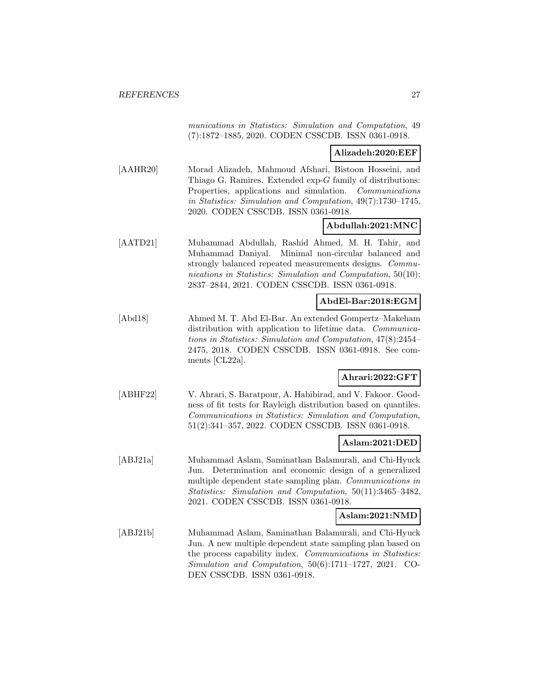munications in Statistics: Simulation and Computation, 49 (7):1872–1885, 2020. CODEN CSSCDB. ISSN 0361-0918.

#### **Alizadeh:2020:EEF**

[AAHR20] Morad Alizadeh, Mahmoud Afshari, Bistoon Hosseini, and Thiago G. Ramires. Extended exp-G family of distributions: Properties, applications and simulation. Communications in Statistics: Simulation and Computation, 49(7):1730–1745, 2020. CODEN CSSCDB. ISSN 0361-0918.

## **Abdullah:2021:MNC**

[AATD21] Muhammad Abdullah, Rashid Ahmed, M. H. Tahir, and Muhammad Daniyal. Minimal non-circular balanced and strongly balanced repeated measurements designs. Communications in Statistics: Simulation and Computation, 50(10): 2837–2844, 2021. CODEN CSSCDB. ISSN 0361-0918.

#### **AbdEl-Bar:2018:EGM**

[Abd18] Ahmed M. T. Abd El-Bar. An extended Gompertz–Makeham distribution with application to lifetime data. Communications in Statistics: Simulation and Computation, 47(8):2454– 2475, 2018. CODEN CSSCDB. ISSN 0361-0918. See comments [CL22a].

# **Ahrari:2022:GFT**

[ABHF22] V. Ahrari, S. Baratpour, A. Habibirad, and V. Fakoor. Goodness of fit tests for Rayleigh distribution based on quantiles. Communications in Statistics: Simulation and Computation, 51(2):341–357, 2022. CODEN CSSCDB. ISSN 0361-0918.

#### **Aslam:2021:DED**

[ABJ21a] Muhammad Aslam, Saminathan Balamurali, and Chi-Hyuck Jun. Determination and economic design of a generalized multiple dependent state sampling plan. Communications in Statistics: Simulation and Computation, 50(11):3465–3482, 2021. CODEN CSSCDB. ISSN 0361-0918.

#### **Aslam:2021:NMD**

[ABJ21b] Muhammad Aslam, Saminathan Balamurali, and Chi-Hyuck Jun. A new multiple dependent state sampling plan based on the process capability index. Communications in Statistics: Simulation and Computation, 50(6):1711–1727, 2021. CO-DEN CSSCDB. ISSN 0361-0918.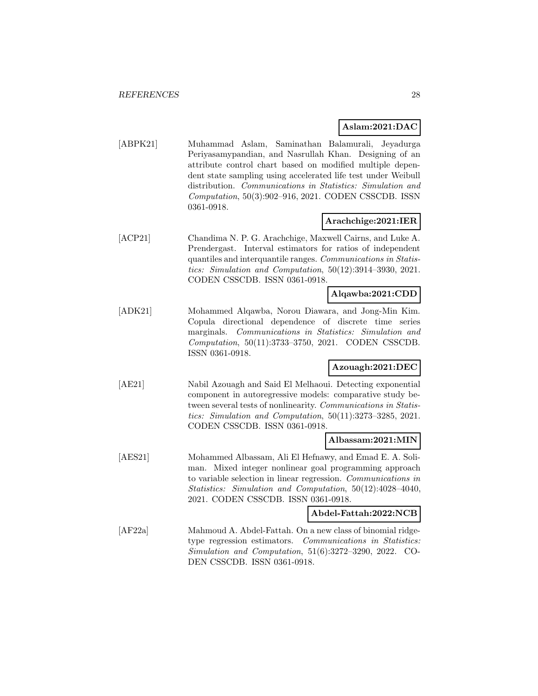## **Aslam:2021:DAC**

[ABPK21] Muhammad Aslam, Saminathan Balamurali, Jeyadurga Periyasamypandian, and Nasrullah Khan. Designing of an attribute control chart based on modified multiple dependent state sampling using accelerated life test under Weibull distribution. Communications in Statistics: Simulation and Computation, 50(3):902–916, 2021. CODEN CSSCDB. ISSN 0361-0918.

## **Arachchige:2021:IER**

[ACP21] Chandima N. P. G. Arachchige, Maxwell Cairns, and Luke A. Prendergast. Interval estimators for ratios of independent quantiles and interquantile ranges. Communications in Statistics: Simulation and Computation, 50(12):3914–3930, 2021. CODEN CSSCDB. ISSN 0361-0918.

### **Alqawba:2021:CDD**

[ADK21] Mohammed Alqawba, Norou Diawara, and Jong-Min Kim. Copula directional dependence of discrete time series marginals. Communications in Statistics: Simulation and Computation, 50(11):3733–3750, 2021. CODEN CSSCDB. ISSN 0361-0918.

## **Azouagh:2021:DEC**

[AE21] Nabil Azouagh and Said El Melhaoui. Detecting exponential component in autoregressive models: comparative study between several tests of nonlinearity. Communications in Statistics: Simulation and Computation, 50(11):3273–3285, 2021. CODEN CSSCDB. ISSN 0361-0918.

#### **Albassam:2021:MIN**

[AES21] Mohammed Albassam, Ali El Hefnawy, and Emad E. A. Soliman. Mixed integer nonlinear goal programming approach to variable selection in linear regression. Communications in Statistics: Simulation and Computation, 50(12):4028–4040, 2021. CODEN CSSCDB. ISSN 0361-0918.

#### **Abdel-Fattah:2022:NCB**

[AF22a] Mahmoud A. Abdel-Fattah. On a new class of binomial ridgetype regression estimators. Communications in Statistics: Simulation and Computation, 51(6):3272–3290, 2022. CO-DEN CSSCDB. ISSN 0361-0918.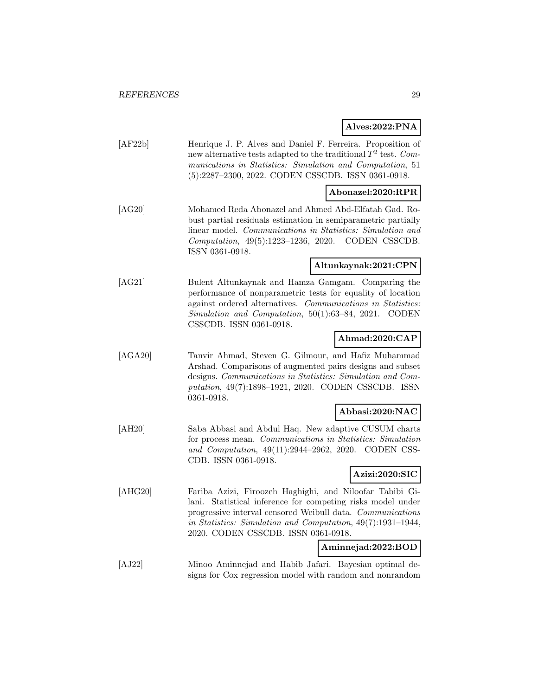# **Alves:2022:PNA**

| [AF22b]                      | Henrique J. P. Alves and Daniel F. Ferreira. Proposition of<br>new alternative tests adapted to the traditional $T^2$ test. Com-<br>munications in Statistics: Simulation and Computation, 51<br>(5):2287-2300, 2022. CODEN CSSCDB. ISSN 0361-0918. |
|------------------------------|-----------------------------------------------------------------------------------------------------------------------------------------------------------------------------------------------------------------------------------------------------|
|                              | Abonazel:2020:RPR                                                                                                                                                                                                                                   |
| $\left[ \text{AG20} \right]$ | Mohamed Reda Abonazel and Ahmed Abd-Elfatah Gad Ro-                                                                                                                                                                                                 |

[AG20] Mohamed Reda Abonazel and Ahmed Abd-Elfatah Gad. Robust partial residuals estimation in semiparametric partially linear model. Communications in Statistics: Simulation and Computation, 49(5):1223–1236, 2020. CODEN CSSCDB. ISSN 0361-0918.

# **Altunkaynak:2021:CPN**

[AG21] Bulent Altunkaynak and Hamza Gamgam. Comparing the performance of nonparametric tests for equality of location against ordered alternatives. Communications in Statistics: Simulation and Computation, 50(1):63–84, 2021. CODEN CSSCDB. ISSN 0361-0918.

# **Ahmad:2020:CAP**

[AGA20] Tanvir Ahmad, Steven G. Gilmour, and Hafiz Muhammad Arshad. Comparisons of augmented pairs designs and subset designs. Communications in Statistics: Simulation and Computation, 49(7):1898–1921, 2020. CODEN CSSCDB. ISSN 0361-0918.

# **Abbasi:2020:NAC**

[AH20] Saba Abbasi and Abdul Haq. New adaptive CUSUM charts for process mean. Communications in Statistics: Simulation and Computation, 49(11):2944–2962, 2020. CODEN CSS-CDB. ISSN 0361-0918.

# **Azizi:2020:SIC**

[AHG20] Fariba Azizi, Firoozeh Haghighi, and Niloofar Tabibi Gilani. Statistical inference for competing risks model under progressive interval censored Weibull data. Communications in Statistics: Simulation and Computation, 49(7):1931–1944, 2020. CODEN CSSCDB. ISSN 0361-0918.

#### **Aminnejad:2022:BOD**

[AJ22] Minoo Aminnejad and Habib Jafari. Bayesian optimal designs for Cox regression model with random and nonrandom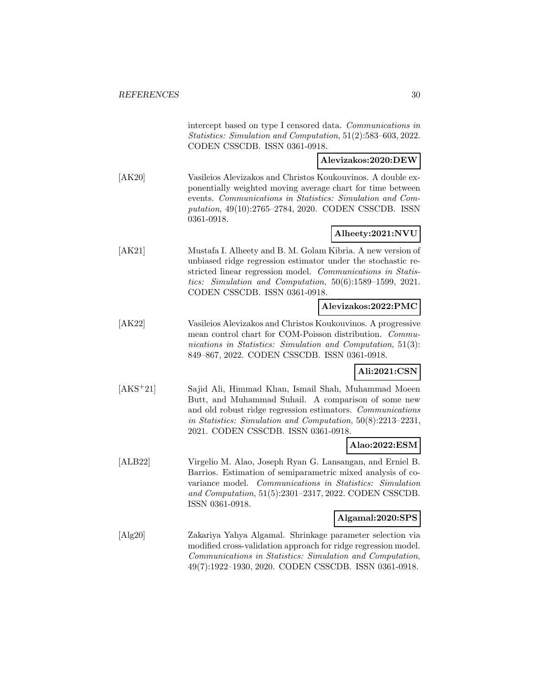intercept based on type I censored data. Communications in Statistics: Simulation and Computation, 51(2):583–603, 2022. CODEN CSSCDB. ISSN 0361-0918.

**Alevizakos:2020:DEW**

[AK20] Vasileios Alevizakos and Christos Koukouvinos. A double exponentially weighted moving average chart for time between events. Communications in Statistics: Simulation and Computation, 49(10):2765–2784, 2020. CODEN CSSCDB. ISSN 0361-0918.

# **Alheety:2021:NVU**

[AK21] Mustafa I. Alheety and B. M. Golam Kibria. A new version of unbiased ridge regression estimator under the stochastic restricted linear regression model. Communications in Statistics: Simulation and Computation, 50(6):1589–1599, 2021. CODEN CSSCDB. ISSN 0361-0918.

## **Alevizakos:2022:PMC**

[AK22] Vasileios Alevizakos and Christos Koukouvinos. A progressive mean control chart for COM-Poisson distribution. Communications in Statistics: Simulation and Computation, 51(3): 849–867, 2022. CODEN CSSCDB. ISSN 0361-0918.

## **Ali:2021:CSN**

[AKS<sup>+</sup>21] Sajid Ali, Himmad Khan, Ismail Shah, Muhammad Moeen Butt, and Muhammad Suhail. A comparison of some new and old robust ridge regression estimators. Communications in Statistics: Simulation and Computation, 50(8):2213–2231, 2021. CODEN CSSCDB. ISSN 0361-0918.

### **Alao:2022:ESM**

[ALB22] Virgelio M. Alao, Joseph Ryan G. Lansangan, and Erniel B. Barrios. Estimation of semiparametric mixed analysis of covariance model. Communications in Statistics: Simulation and Computation, 51(5):2301–2317, 2022. CODEN CSSCDB. ISSN 0361-0918.

#### **Algamal:2020:SPS**

[Alg20] Zakariya Yahya Algamal. Shrinkage parameter selection via modified cross-validation approach for ridge regression model. Communications in Statistics: Simulation and Computation, 49(7):1922–1930, 2020. CODEN CSSCDB. ISSN 0361-0918.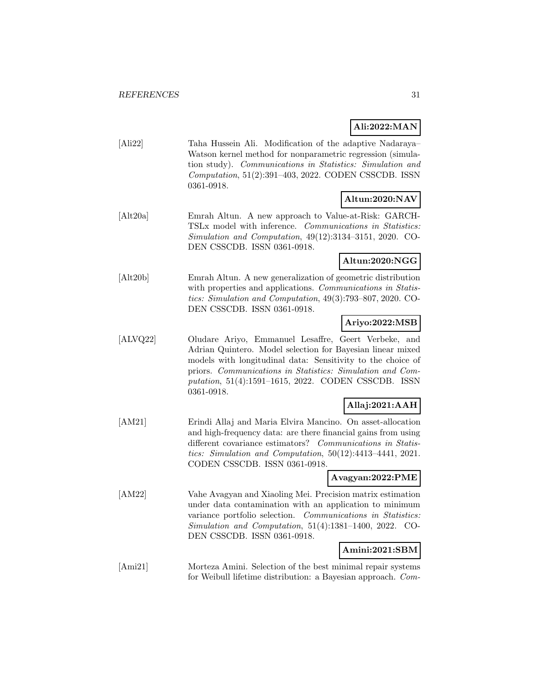# **Ali:2022:MAN**

[Ali22] Taha Hussein Ali. Modification of the adaptive Nadaraya– Watson kernel method for nonparametric regression (simulation study). Communications in Statistics: Simulation and Computation, 51(2):391–403, 2022. CODEN CSSCDB. ISSN 0361-0918.

# **Altun:2020:NAV**

[Alt20a] Emrah Altun. A new approach to Value-at-Risk: GARCH-TSLx model with inference. Communications in Statistics: Simulation and Computation, 49(12):3134–3151, 2020. CO-DEN CSSCDB. ISSN 0361-0918.

# **Altun:2020:NGG**

[Alt20b] Emrah Altun. A new generalization of geometric distribution with properties and applications. Communications in Statistics: Simulation and Computation, 49(3):793–807, 2020. CO-DEN CSSCDB. ISSN 0361-0918.

# **Ariyo:2022:MSB**

[ALVQ22] Oludare Ariyo, Emmanuel Lesaffre, Geert Verbeke, and Adrian Quintero. Model selection for Bayesian linear mixed models with longitudinal data: Sensitivity to the choice of priors. Communications in Statistics: Simulation and Computation, 51(4):1591–1615, 2022. CODEN CSSCDB. ISSN 0361-0918.

# **Allaj:2021:AAH**

[AM21] Erindi Allaj and Maria Elvira Mancino. On asset-allocation and high-frequency data: are there financial gains from using different covariance estimators? Communications in Statistics: Simulation and Computation, 50(12):4413–4441, 2021. CODEN CSSCDB. ISSN 0361-0918.

### **Avagyan:2022:PME**

[AM22] Vahe Avagyan and Xiaoling Mei. Precision matrix estimation under data contamination with an application to minimum variance portfolio selection. Communications in Statistics: Simulation and Computation, 51(4):1381–1400, 2022. CO-DEN CSSCDB. ISSN 0361-0918.

## **Amini:2021:SBM**

[Ami21] Morteza Amini. Selection of the best minimal repair systems for Weibull lifetime distribution: a Bayesian approach. Com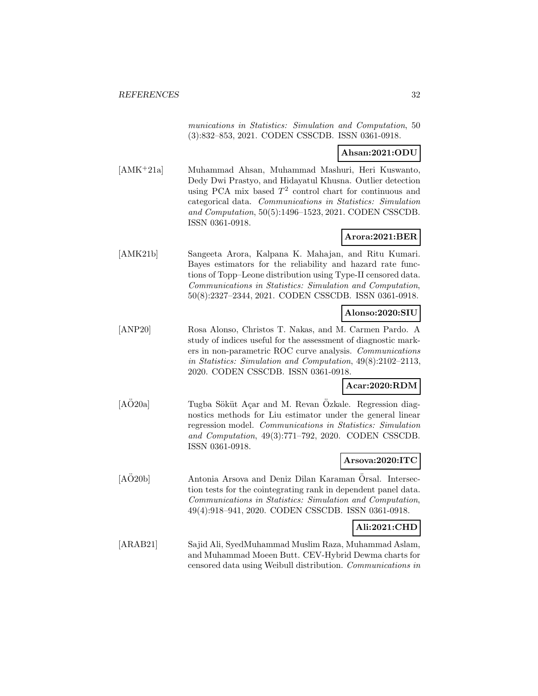munications in Statistics: Simulation and Computation, 50 (3):832–853, 2021. CODEN CSSCDB. ISSN 0361-0918.

### **Ahsan:2021:ODU**

[AMK<sup>+</sup>21a] Muhammad Ahsan, Muhammad Mashuri, Heri Kuswanto, Dedy Dwi Prastyo, and Hidayatul Khusna. Outlier detection using PCA mix based  $T^2$  control chart for continuous and categorical data. Communications in Statistics: Simulation and Computation, 50(5):1496–1523, 2021. CODEN CSSCDB. ISSN 0361-0918.

## **Arora:2021:BER**

[AMK21b] Sangeeta Arora, Kalpana K. Mahajan, and Ritu Kumari. Bayes estimators for the reliability and hazard rate functions of Topp–Leone distribution using Type-II censored data. Communications in Statistics: Simulation and Computation, 50(8):2327–2344, 2021. CODEN CSSCDB. ISSN 0361-0918.

## **Alonso:2020:SIU**

[ANP20] Rosa Alonso, Christos T. Nakas, and M. Carmen Pardo. A study of indices useful for the assessment of diagnostic markers in non-parametric ROC curve analysis. Communications in Statistics: Simulation and Computation, 49(8):2102–2113, 2020. CODEN CSSCDB. ISSN 0361-0918.

## **Acar:2020:RDM**

[AÖ20a] Tugba Söküt Açar and M. Revan Özkale. Regression diagnostics methods for Liu estimator under the general linear regression model. Communications in Statistics: Simulation and Computation, 49(3):771–792, 2020. CODEN CSSCDB. ISSN 0361-0918.

#### **Arsova:2020:ITC**

[AO20b] Antonia Arsova and Deniz Dilan Karaman Örsal. Intersection tests for the cointegrating rank in dependent panel data. Communications in Statistics: Simulation and Computation, 49(4):918–941, 2020. CODEN CSSCDB. ISSN 0361-0918.

# **Ali:2021:CHD**

[ARAB21] Sajid Ali, SyedMuhammad Muslim Raza, Muhammad Aslam, and Muhammad Moeen Butt. CEV-Hybrid Dewma charts for censored data using Weibull distribution. Communications in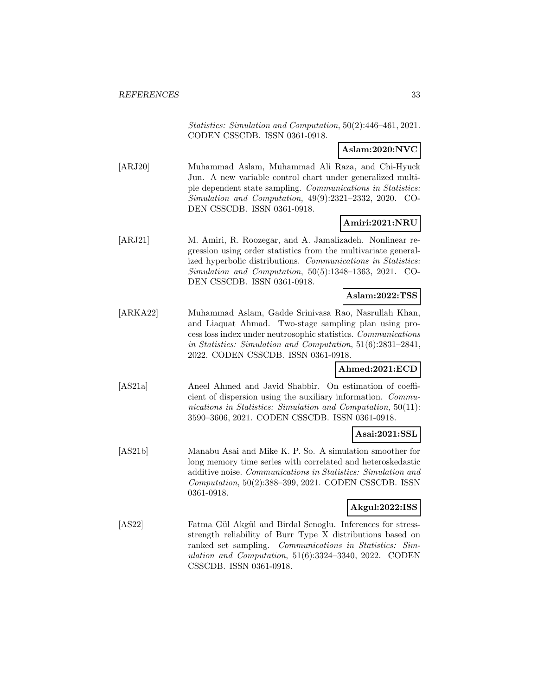Statistics: Simulation and Computation, 50(2):446–461, 2021. CODEN CSSCDB. ISSN 0361-0918.

**Aslam:2020:NVC**

[ARJ20] Muhammad Aslam, Muhammad Ali Raza, and Chi-Hyuck Jun. A new variable control chart under generalized multiple dependent state sampling. Communications in Statistics: Simulation and Computation, 49(9):2321–2332, 2020. CO-DEN CSSCDB. ISSN 0361-0918.

## **Amiri:2021:NRU**

[ARJ21] M. Amiri, R. Roozegar, and A. Jamalizadeh. Nonlinear regression using order statistics from the multivariate generalized hyperbolic distributions. Communications in Statistics: Simulation and Computation, 50(5):1348–1363, 2021. CO-DEN CSSCDB. ISSN 0361-0918.

#### **Aslam:2022:TSS**

[ARKA22] Muhammad Aslam, Gadde Srinivasa Rao, Nasrullah Khan, and Liaquat Ahmad. Two-stage sampling plan using process loss index under neutrosophic statistics. Communications in Statistics: Simulation and Computation, 51(6):2831–2841, 2022. CODEN CSSCDB. ISSN 0361-0918.

# **Ahmed:2021:ECD**

[AS21a] Aneel Ahmed and Javid Shabbir. On estimation of coefficient of dispersion using the auxiliary information. Communications in Statistics: Simulation and Computation, 50(11): 3590–3606, 2021. CODEN CSSCDB. ISSN 0361-0918.

# **Asai:2021:SSL**

[AS21b] Manabu Asai and Mike K. P. So. A simulation smoother for long memory time series with correlated and heteroskedastic additive noise. Communications in Statistics: Simulation and Computation, 50(2):388–399, 2021. CODEN CSSCDB. ISSN 0361-0918.

#### **Akgul:2022:ISS**

[AS22] Fatma Gül Akgül and Birdal Senoglu. Inferences for stressstrength reliability of Burr Type X distributions based on ranked set sampling. Communications in Statistics: Simulation and Computation, 51(6):3324–3340, 2022. CODEN CSSCDB. ISSN 0361-0918.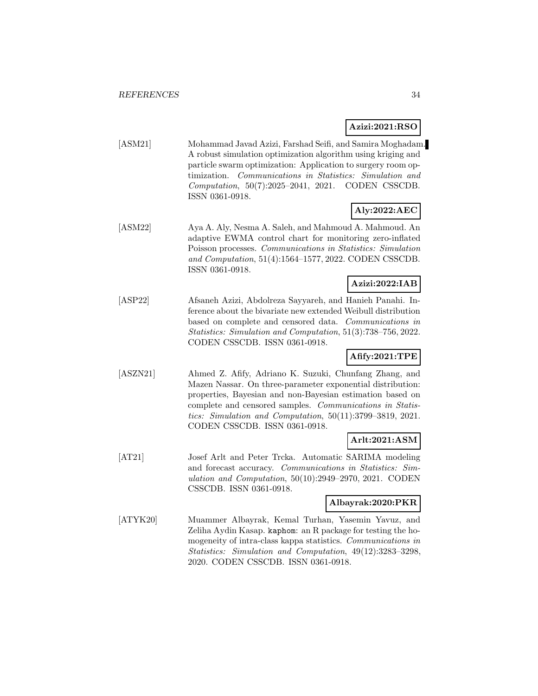# **Azizi:2021:RSO**

[ASM21] Mohammad Javad Azizi, Farshad Seifi, and Samira Moghadam. A robust simulation optimization algorithm using kriging and particle swarm optimization: Application to surgery room optimization. Communications in Statistics: Simulation and Computation, 50(7):2025–2041, 2021. CODEN CSSCDB. ISSN 0361-0918.

# **Aly:2022:AEC**

[ASM22] Aya A. Aly, Nesma A. Saleh, and Mahmoud A. Mahmoud. An adaptive EWMA control chart for monitoring zero-inflated Poisson processes. Communications in Statistics: Simulation and Computation, 51(4):1564–1577, 2022. CODEN CSSCDB. ISSN 0361-0918.

## **Azizi:2022:IAB**

[ASP22] Afsaneh Azizi, Abdolreza Sayyareh, and Hanieh Panahi. Inference about the bivariate new extended Weibull distribution based on complete and censored data. Communications in Statistics: Simulation and Computation, 51(3):738–756, 2022. CODEN CSSCDB. ISSN 0361-0918.

## **Afify:2021:TPE**

[ASZN21] Ahmed Z. Afify, Adriano K. Suzuki, Chunfang Zhang, and Mazen Nassar. On three-parameter exponential distribution: properties, Bayesian and non-Bayesian estimation based on complete and censored samples. Communications in Statistics: Simulation and Computation, 50(11):3799–3819, 2021. CODEN CSSCDB. ISSN 0361-0918.

## **Arlt:2021:ASM**

[AT21] Josef Arlt and Peter Trcka. Automatic SARIMA modeling and forecast accuracy. Communications in Statistics: Simulation and Computation, 50(10):2949–2970, 2021. CODEN CSSCDB. ISSN 0361-0918.

#### **Albayrak:2020:PKR**

[ATYK20] Muammer Albayrak, Kemal Turhan, Yasemin Yavuz, and Zeliha Aydin Kasap. kaphom: an R package for testing the homogeneity of intra-class kappa statistics. Communications in Statistics: Simulation and Computation, 49(12):3283–3298, 2020. CODEN CSSCDB. ISSN 0361-0918.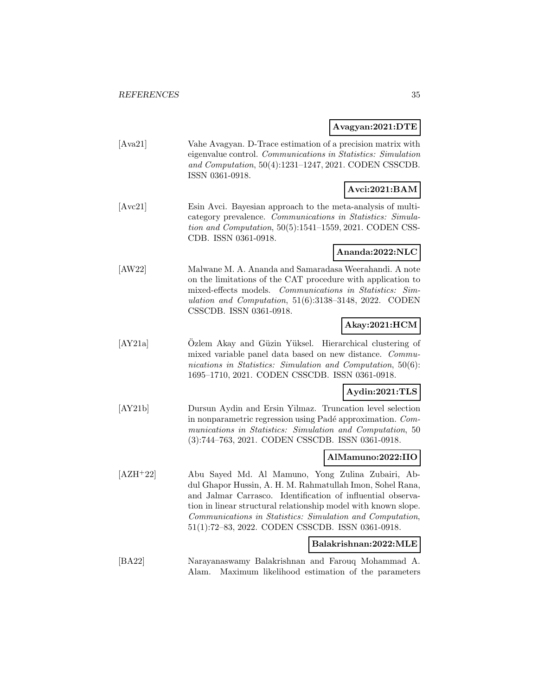#### **Avagyan:2021:DTE**

[Ava21] Vahe Avagyan. D-Trace estimation of a precision matrix with eigenvalue control. Communications in Statistics: Simulation and Computation, 50(4):1231–1247, 2021. CODEN CSSCDB. ISSN 0361-0918.

# **Avci:2021:BAM**

[Avc21] Esin Avci. Bayesian approach to the meta-analysis of multicategory prevalence. Communications in Statistics: Simulation and Computation, 50(5):1541–1559, 2021. CODEN CSS-CDB. ISSN 0361-0918.

## **Ananda:2022:NLC**

[AW22] Malwane M. A. Ananda and Samaradasa Weerahandi. A note on the limitations of the CAT procedure with application to mixed-effects models. Communications in Statistics: Simulation and Computation, 51(6):3138–3148, 2022. CODEN CSSCDB. ISSN 0361-0918.

# **Akay:2021:HCM**

[AY21a] Ozlem Akay and Güzin Yüksel. Hierarchical clustering of mixed variable panel data based on new distance. Communications in Statistics: Simulation and Computation, 50(6): 1695–1710, 2021. CODEN CSSCDB. ISSN 0361-0918.

# **Aydin:2021:TLS**

[AY21b] Dursun Aydin and Ersin Yilmaz. Truncation level selection in nonparametric regression using Padé approximation.  $Com$ munications in Statistics: Simulation and Computation, 50 (3):744–763, 2021. CODEN CSSCDB. ISSN 0361-0918.

## **AlMamuno:2022:IIO**

[AZH<sup>+</sup>22] Abu Sayed Md. Al Mamuno, Yong Zulina Zubairi, Abdul Ghapor Hussin, A. H. M. Rahmatullah Imon, Sohel Rana, and Jalmar Carrasco. Identification of influential observation in linear structural relationship model with known slope. Communications in Statistics: Simulation and Computation, 51(1):72–83, 2022. CODEN CSSCDB. ISSN 0361-0918.

### **Balakrishnan:2022:MLE**

[BA22] Narayanaswamy Balakrishnan and Farouq Mohammad A. Alam. Maximum likelihood estimation of the parameters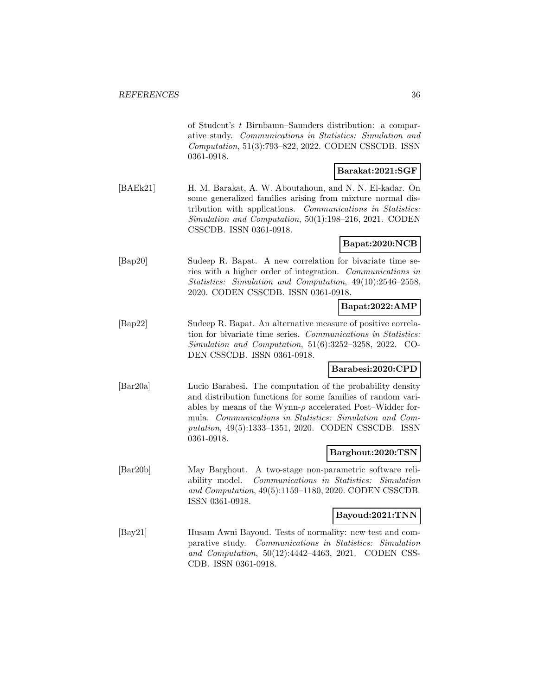of Student's t Birnbaum–Saunders distribution: a comparative study. Communications in Statistics: Simulation and Computation, 51(3):793–822, 2022. CODEN CSSCDB. ISSN 0361-0918.

## **Barakat:2021:SGF**

[BAEk21] H. M. Barakat, A. W. Aboutahoun, and N. N. El-kadar. On some generalized families arising from mixture normal distribution with applications. Communications in Statistics: Simulation and Computation, 50(1):198–216, 2021. CODEN CSSCDB. ISSN 0361-0918.

#### **Bapat:2020:NCB**

[Bap20] Sudeep R. Bapat. A new correlation for bivariate time series with a higher order of integration. Communications in Statistics: Simulation and Computation, 49(10):2546–2558, 2020. CODEN CSSCDB. ISSN 0361-0918.

#### **Bapat:2022:AMP**

[Bap22] Sudeep R. Bapat. An alternative measure of positive correlation for bivariate time series. Communications in Statistics: Simulation and Computation, 51(6):3252–3258, 2022. CO-DEN CSSCDB. ISSN 0361-0918.

#### **Barabesi:2020:CPD**

[Bar20a] Lucio Barabesi. The computation of the probability density and distribution functions for some families of random variables by means of the Wynn- $\rho$  accelerated Post–Widder formula. Communications in Statistics: Simulation and Computation, 49(5):1333–1351, 2020. CODEN CSSCDB. ISSN 0361-0918.

## **Barghout:2020:TSN**

[Bar20b] May Barghout. A two-stage non-parametric software reliability model. Communications in Statistics: Simulation and Computation, 49(5):1159–1180, 2020. CODEN CSSCDB. ISSN 0361-0918.

#### **Bayoud:2021:TNN**

[Bay21] Husam Awni Bayoud. Tests of normality: new test and comparative study. Communications in Statistics: Simulation and Computation, 50(12):4442–4463, 2021. CODEN CSS-CDB. ISSN 0361-0918.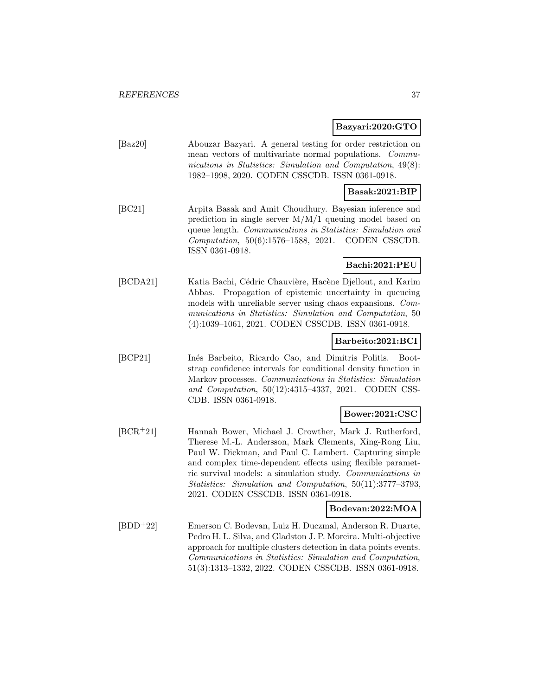#### **Bazyari:2020:GTO**

| $\left[\text{Baz20}\right]$ | Abouzar Bazyari. A general testing for order restriction on |
|-----------------------------|-------------------------------------------------------------|
|                             | mean vectors of multivariate normal populations. Commu-     |
|                             | nications in Statistics: Simulation and Computation, 49(8): |
|                             | 1982–1998, 2020. CODEN CSSCDB. ISSN 0361-0918.              |

#### **Basak:2021:BIP**

[BC21] Arpita Basak and Amit Choudhury. Bayesian inference and prediction in single server M/M/1 queuing model based on queue length. Communications in Statistics: Simulation and Computation, 50(6):1576–1588, 2021. CODEN CSSCDB. ISSN 0361-0918.

# **Bachi:2021:PEU**

[BCDA21] Katia Bachi, Cédric Chauvière, Hacène Djellout, and Karim Abbas. Propagation of epistemic uncertainty in queueing models with unreliable server using chaos expansions. Communications in Statistics: Simulation and Computation, 50 (4):1039–1061, 2021. CODEN CSSCDB. ISSN 0361-0918.

#### **Barbeito:2021:BCI**

[BCP21] Inés Barbeito, Ricardo Cao, and Dimitris Politis. Bootstrap confidence intervals for conditional density function in Markov processes. Communications in Statistics: Simulation and Computation, 50(12):4315–4337, 2021. CODEN CSS-CDB. ISSN 0361-0918.

## **Bower:2021:CSC**

[BCR<sup>+</sup>21] Hannah Bower, Michael J. Crowther, Mark J. Rutherford, Therese M.-L. Andersson, Mark Clements, Xing-Rong Liu, Paul W. Dickman, and Paul C. Lambert. Capturing simple and complex time-dependent effects using flexible parametric survival models: a simulation study. Communications in Statistics: Simulation and Computation, 50(11):3777–3793, 2021. CODEN CSSCDB. ISSN 0361-0918.

### **Bodevan:2022:MOA**

[BDD<sup>+</sup>22] Emerson C. Bodevan, Luiz H. Duczmal, Anderson R. Duarte, Pedro H. L. Silva, and Gladston J. P. Moreira. Multi-objective approach for multiple clusters detection in data points events. Communications in Statistics: Simulation and Computation, 51(3):1313–1332, 2022. CODEN CSSCDB. ISSN 0361-0918.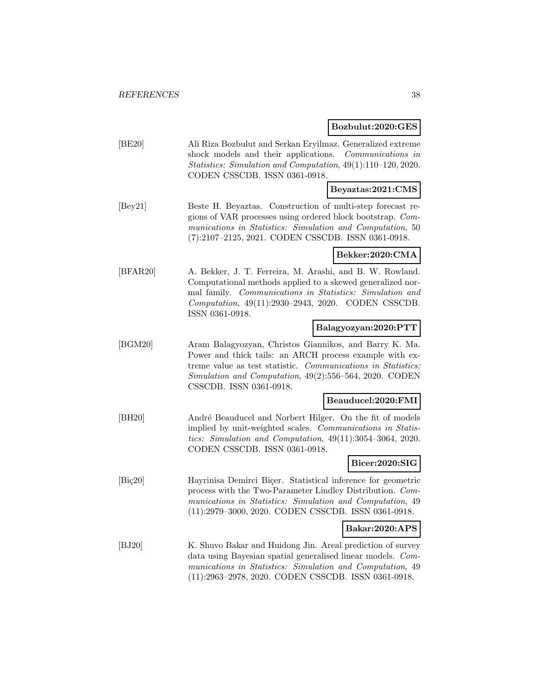# **Bozbulut:2020:GES**

|                                | Dozdulut:4040:GES                                                                                                                                                                                                                                                      |
|--------------------------------|------------------------------------------------------------------------------------------------------------------------------------------------------------------------------------------------------------------------------------------------------------------------|
| [BE20]                         | Ali Riza Bozbulut and Serkan Eryilmaz. Generalized extreme<br>shock models and their applications.<br>Communications in<br>Statistics: Simulation and Computation, 49(1):110-120, 2020.<br>CODEN CSSCDB. ISSN 0361-0918.                                               |
|                                | Beyaztas:2021:CMS                                                                                                                                                                                                                                                      |
| [By21]                         | Beste H. Beyaztas. Construction of multi-step forecast re-<br>gions of VAR processes using ordered block bootstrap. Com-<br>munications in Statistics: Simulation and Computation, 50<br>$(7):2107-2125, 2021.$ CODEN CSSCDB. ISSN 0361-0918.                          |
|                                | Bekker:2020:CMA                                                                                                                                                                                                                                                        |
| [BFAR20]                       | A. Bekker, J. T. Ferreira, M. Arashi, and B. W. Rowland.<br>Computational methods applied to a skewed generalized nor-<br>mal family. Communications in Statistics: Simulation and<br>Computation, 49(11):2930-2943, 2020. CODEN CSSCDB.<br>ISSN 0361-0918.            |
|                                | Balagyozyan:2020:PTT                                                                                                                                                                                                                                                   |
| [BGM20]                        | Aram Balagyozyan, Christos Giannikos, and Barry K. Ma.<br>Power and thick tails: an ARCH process example with ex-<br>treme value as test statistic. Communications in Statistics:<br>Simulation and Computation, 49(2):556-564, 2020. CODEN<br>CSSCDB. ISSN 0361-0918. |
|                                | Beauducel:2020:FMI                                                                                                                                                                                                                                                     |
| [BH20]                         | André Beauducel and Norbert Hilger. On the fit of models<br>implied by unit-weighted scales. Communications in Statis-<br>tics: Simulation and Computation, $49(11):3054-3064$ , 2020.<br>CODEN CSSCDB. ISSN 0361-0918.                                                |
|                                | Bicer:2020:SIG                                                                                                                                                                                                                                                         |
| $[\text{Bi}$ <sub>20</sub> $]$ | Hayrinisa Demirci Biçer. Statistical inference for geometric<br>process with the Two-Parameter Lindley Distribution. Com-<br>munications in Statistics: Simulation and Computation, 49<br>(11):2979-3000, 2020. CODEN CSSCDB. ISSN 0361-0918.                          |
|                                | Bakar:2020:APS                                                                                                                                                                                                                                                         |
| $[BJ20]$                       | K. Shuvo Bakar and Huidong Jin. Areal prediction of survey<br>data using Bayesian spatial generalised linear models. Com-<br>munications in Statistics: Simulation and Computation, 49<br>(11):2963-2978, 2020. CODEN CSSCDB. ISSN 0361-0918.                          |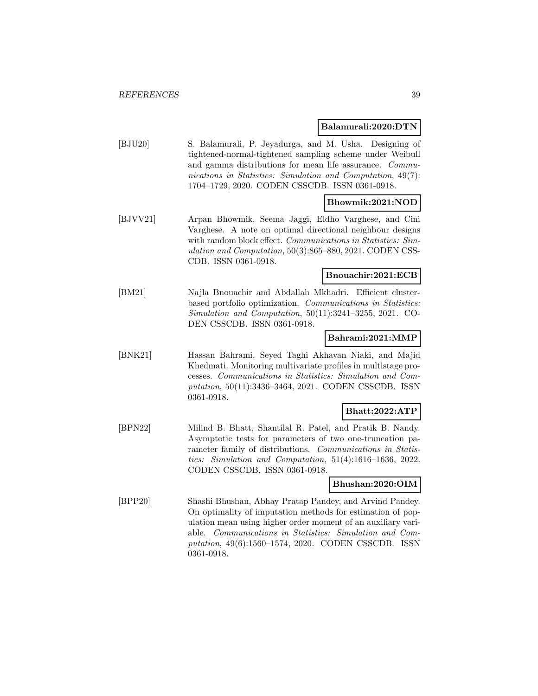#### **Balamurali:2020:DTN**

| [BJU20] | S. Balamurali, P. Jeyadurga, and M. Usha. Designing of      |
|---------|-------------------------------------------------------------|
|         | tightened-normal-tightened sampling scheme under Weibull    |
|         | and gamma distributions for mean life assurance. Commu-     |
|         | nications in Statistics: Simulation and Computation, 49(7): |
|         | 1704-1729, 2020. CODEN CSSCDB. ISSN 0361-0918.              |
|         |                                                             |

# **Bhowmik:2021:NOD**

[BJVV21] Arpan Bhowmik, Seema Jaggi, Eldho Varghese, and Cini Varghese. A note on optimal directional neighbour designs with random block effect. Communications in Statistics: Simulation and Computation, 50(3):865–880, 2021. CODEN CSS-CDB. ISSN 0361-0918.

## **Bnouachir:2021:ECB**

[BM21] Najla Bnouachir and Abdallah Mkhadri. Efficient clusterbased portfolio optimization. Communications in Statistics: Simulation and Computation, 50(11):3241–3255, 2021. CO-DEN CSSCDB. ISSN 0361-0918.

### **Bahrami:2021:MMP**

[BNK21] Hassan Bahrami, Seyed Taghi Akhavan Niaki, and Majid Khedmati. Monitoring multivariate profiles in multistage processes. Communications in Statistics: Simulation and Computation, 50(11):3436–3464, 2021. CODEN CSSCDB. ISSN 0361-0918.

# **Bhatt:2022:ATP**

[BPN22] Milind B. Bhatt, Shantilal R. Patel, and Pratik B. Nandy. Asymptotic tests for parameters of two one-truncation parameter family of distributions. Communications in Statistics: Simulation and Computation, 51(4):1616–1636, 2022. CODEN CSSCDB. ISSN 0361-0918.

#### **Bhushan:2020:OIM**

[BPP20] Shashi Bhushan, Abhay Pratap Pandey, and Arvind Pandey. On optimality of imputation methods for estimation of population mean using higher order moment of an auxiliary variable. Communications in Statistics: Simulation and Computation, 49(6):1560–1574, 2020. CODEN CSSCDB. ISSN 0361-0918.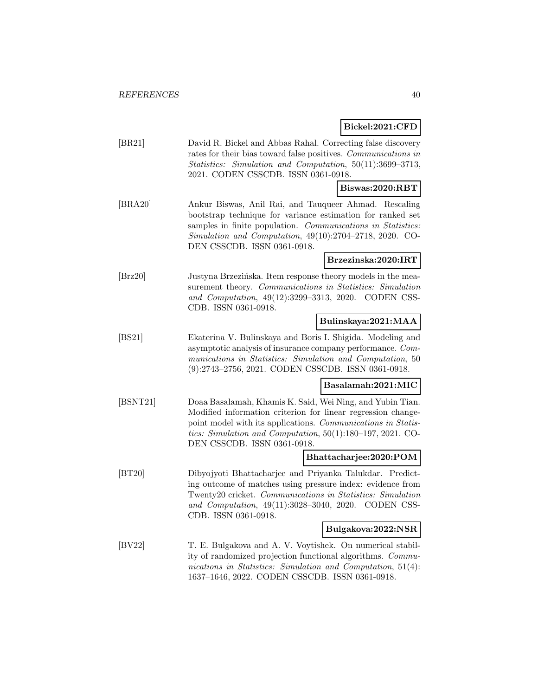# **Bickel:2021:CFD**

| [BR21]                      | David R. Bickel and Abbas Rahal. Correcting false discovery<br>rates for their bias toward false positives. Communications in<br>Statistics: Simulation and Computation, 50(11):3699-3713,<br>2021. CODEN CSSCDB. ISSN 0361-0918.                                                         |
|-----------------------------|-------------------------------------------------------------------------------------------------------------------------------------------------------------------------------------------------------------------------------------------------------------------------------------------|
|                             | Biswas:2020:RBT                                                                                                                                                                                                                                                                           |
| [ <b>BRA20</b> ]            | Ankur Biswas, Anil Rai, and Tauqueer Ahmad. Rescaling<br>bootstrap technique for variance estimation for ranked set<br>samples in finite population. Communications in Statistics:<br>Simulation and Computation, $49(10):2704-2718$ , $2020$ . CO-<br>DEN CSSCDB. ISSN 0361-0918.        |
|                             | Brzezinska:2020:IRT                                                                                                                                                                                                                                                                       |
| $\left[\text{Brz}20\right]$ | Justyna Brzezińska. Item response theory models in the mea-<br>surement theory. Communications in Statistics: Simulation<br>and Computation, 49(12):3299-3313, 2020. CODEN CSS-<br>CDB. ISSN 0361-0918.                                                                                   |
|                             | Bulinskaya:2021:MAA                                                                                                                                                                                                                                                                       |
| [BS21]                      | Ekaterina V. Bulinskaya and Boris I. Shigida. Modeling and<br>asymptotic analysis of insurance company performance. Com-<br>munications in Statistics: Simulation and Computation, 50<br>(9):2743-2756, 2021. CODEN CSSCDB. ISSN 0361-0918.                                               |
|                             | Basalamah:2021:MIC                                                                                                                                                                                                                                                                        |
| [BSNT21]                    | Doaa Basalamah, Khamis K. Said, Wei Ning, and Yubin Tian.<br>Modified information criterion for linear regression change-<br>point model with its applications. Communications in Statis-<br>tics: Simulation and Computation, $50(1):180-197$ , 2021. CO-<br>DEN CSSCDB. ISSN 0361-0918. |
|                             | Bhattacharjee:2020:POM                                                                                                                                                                                                                                                                    |
| [BT20]                      | Dibyojyoti Bhattacharjee and Priyanka Talukdar. Predict-<br>ing outcome of matches using pressure index: evidence from<br>Twenty20 cricket. Communications in Statistics: Simulation<br>and Computation, 49(11):3028-3040, 2020. CODEN CSS-<br>CDB. ISSN 0361-0918.                       |
|                             | Bulgakova:2022:NSR                                                                                                                                                                                                                                                                        |
| [BV22]                      | T. E. Bulgakova and A. V. Voytishek. On numerical stabil-<br>ity of randomized projection functional algorithms. Commu-<br>nications in Statistics: Simulation and Computation, 51(4):<br>1637-1646, 2022. CODEN CSSCDB. ISSN 0361-0918.                                                  |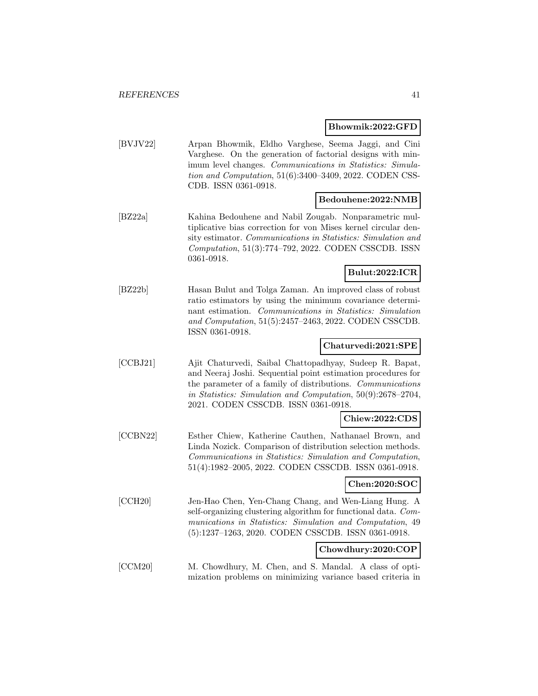#### **Bhowmik:2022:GFD**

[BVJV22] Arpan Bhowmik, Eldho Varghese, Seema Jaggi, and Cini Varghese. On the generation of factorial designs with minimum level changes. Communications in Statistics: Simulation and Computation, 51(6):3400–3409, 2022. CODEN CSS-CDB. ISSN 0361-0918.

#### **Bedouhene:2022:NMB**

[BZ22a] Kahina Bedouhene and Nabil Zougab. Nonparametric multiplicative bias correction for von Mises kernel circular density estimator. Communications in Statistics: Simulation and Computation, 51(3):774–792, 2022. CODEN CSSCDB. ISSN 0361-0918.

#### **Bulut:2022:ICR**

[BZ22b] Hasan Bulut and Tolga Zaman. An improved class of robust ratio estimators by using the minimum covariance determinant estimation. Communications in Statistics: Simulation and Computation, 51(5):2457–2463, 2022. CODEN CSSCDB. ISSN 0361-0918.

#### **Chaturvedi:2021:SPE**

[CCBJ21] Ajit Chaturvedi, Saibal Chattopadhyay, Sudeep R. Bapat, and Neeraj Joshi. Sequential point estimation procedures for the parameter of a family of distributions. Communications in Statistics: Simulation and Computation, 50(9):2678–2704, 2021. CODEN CSSCDB. ISSN 0361-0918.

#### **Chiew:2022:CDS**

[CCBN22] Esther Chiew, Katherine Cauthen, Nathanael Brown, and Linda Nozick. Comparison of distribution selection methods. Communications in Statistics: Simulation and Computation, 51(4):1982–2005, 2022. CODEN CSSCDB. ISSN 0361-0918.

#### **Chen:2020:SOC**

[CCH20] Jen-Hao Chen, Yen-Chang Chang, and Wen-Liang Hung. A self-organizing clustering algorithm for functional data. Communications in Statistics: Simulation and Computation, 49 (5):1237–1263, 2020. CODEN CSSCDB. ISSN 0361-0918.

#### **Chowdhury:2020:COP**

[CCM20] M. Chowdhury, M. Chen, and S. Mandal. A class of optimization problems on minimizing variance based criteria in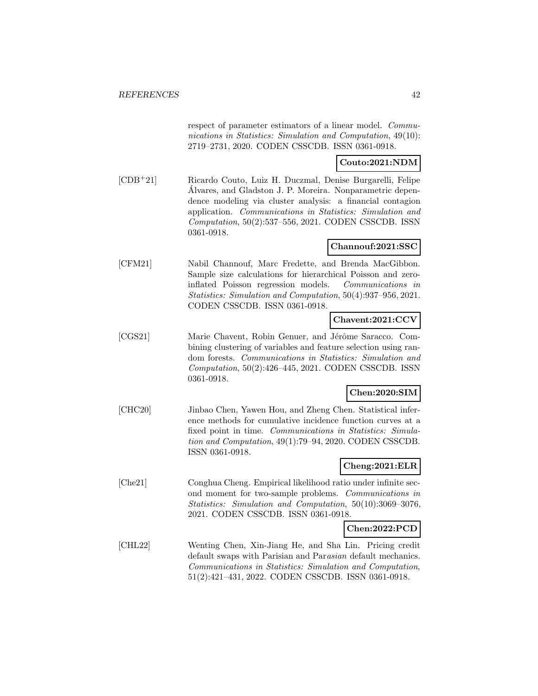respect of parameter estimators of a linear model. Communications in Statistics: Simulation and Computation, 49(10): 2719–2731, 2020. CODEN CSSCDB. ISSN 0361-0918.

#### **Couto:2021:NDM**

[CDB<sup>+</sup>21] Ricardo Couto, Luiz H. Duczmal, Denise Burgarelli, Felipe Alvares, and Gladston J. P. Moreira. Nonparametric depen- ´ dence modeling via cluster analysis: a financial contagion application. Communications in Statistics: Simulation and Computation, 50(2):537–556, 2021. CODEN CSSCDB. ISSN 0361-0918.

#### **Channouf:2021:SSC**

[CFM21] Nabil Channouf, Marc Fredette, and Brenda MacGibbon. Sample size calculations for hierarchical Poisson and zeroinflated Poisson regression models. Communications in Statistics: Simulation and Computation, 50(4):937–956, 2021. CODEN CSSCDB. ISSN 0361-0918.

# **Chavent:2021:CCV**

[CGS21] Marie Chavent, Robin Genuer, and Jérôme Saracco. Combining clustering of variables and feature selection using random forests. Communications in Statistics: Simulation and Computation, 50(2):426–445, 2021. CODEN CSSCDB. ISSN 0361-0918.

## **Chen:2020:SIM**

[CHC20] Jinbao Chen, Yawen Hou, and Zheng Chen. Statistical inference methods for cumulative incidence function curves at a fixed point in time. Communications in Statistics: Simulation and Computation, 49(1):79–94, 2020. CODEN CSSCDB. ISSN 0361-0918.

#### **Cheng:2021:ELR**

[Che21] Conghua Cheng. Empirical likelihood ratio under infinite second moment for two-sample problems. Communications in Statistics: Simulation and Computation, 50(10):3069–3076, 2021. CODEN CSSCDB. ISSN 0361-0918.

#### **Chen:2022:PCD**

[CHL22] Wenting Chen, Xin-Jiang He, and Sha Lin. Pricing credit default swaps with Parisian and Parasian default mechanics. Communications in Statistics: Simulation and Computation, 51(2):421–431, 2022. CODEN CSSCDB. ISSN 0361-0918.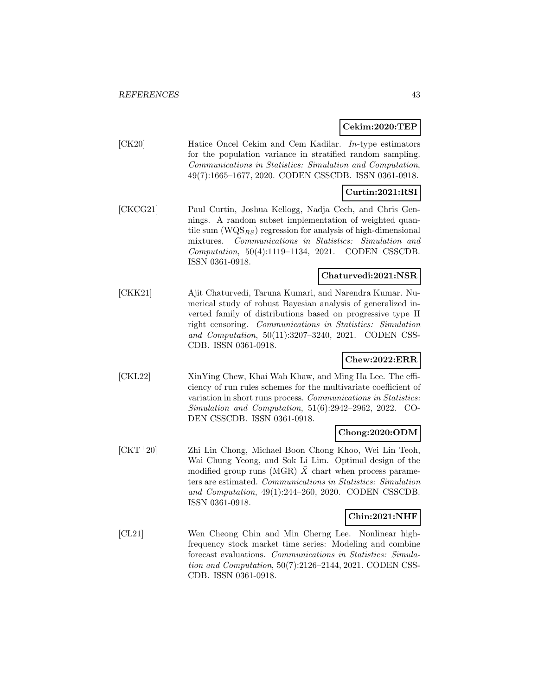#### **Cekim:2020:TEP**

[CK20] Hatice Oncel Cekim and Cem Kadilar. In-type estimators for the population variance in stratified random sampling. Communications in Statistics: Simulation and Computation, 49(7):1665–1677, 2020. CODEN CSSCDB. ISSN 0361-0918.

### **Curtin:2021:RSI**

[CKCG21] Paul Curtin, Joshua Kellogg, Nadja Cech, and Chris Gennings. A random subset implementation of weighted quantile sum  $(WQS_{RS})$  regression for analysis of high-dimensional mixtures. Communications in Statistics: Simulation and Computation, 50(4):1119–1134, 2021. CODEN CSSCDB. ISSN 0361-0918.

## **Chaturvedi:2021:NSR**

[CKK21] Ajit Chaturvedi, Taruna Kumari, and Narendra Kumar. Numerical study of robust Bayesian analysis of generalized inverted family of distributions based on progressive type II right censoring. Communications in Statistics: Simulation and Computation, 50(11):3207–3240, 2021. CODEN CSS-CDB. ISSN 0361-0918.

#### **Chew:2022:ERR**

[CKL22] XinYing Chew, Khai Wah Khaw, and Ming Ha Lee. The efficiency of run rules schemes for the multivariate coefficient of variation in short runs process. Communications in Statistics: Simulation and Computation, 51(6):2942–2962, 2022. CO-DEN CSSCDB. ISSN 0361-0918.

#### **Chong:2020:ODM**

[CKT<sup>+</sup>20] Zhi Lin Chong, Michael Boon Chong Khoo, Wei Lin Teoh, Wai Chung Yeong, and Sok Li Lim. Optimal design of the modified group runs (MGR)  $\bar{X}$  chart when process parameters are estimated. Communications in Statistics: Simulation and Computation, 49(1):244–260, 2020. CODEN CSSCDB. ISSN 0361-0918.

#### **Chin:2021:NHF**

[CL21] Wen Cheong Chin and Min Cherng Lee. Nonlinear highfrequency stock market time series: Modeling and combine forecast evaluations. Communications in Statistics: Simulation and Computation, 50(7):2126–2144, 2021. CODEN CSS-CDB. ISSN 0361-0918.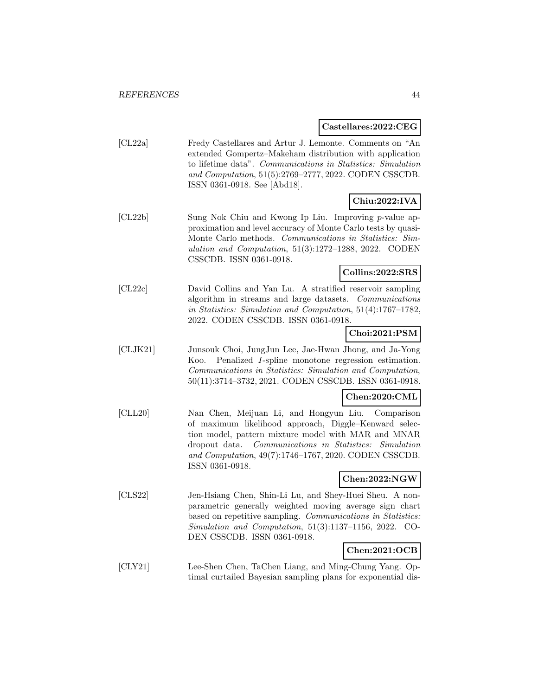#### **Castellares:2022:CEG**

[CL22a] Fredy Castellares and Artur J. Lemonte. Comments on "An extended Gompertz–Makeham distribution with application to lifetime data". Communications in Statistics: Simulation and Computation, 51(5):2769–2777, 2022. CODEN CSSCDB. ISSN 0361-0918. See [Abd18].

# **Chiu:2022:IVA**

[CL22b] Sung Nok Chiu and Kwong Ip Liu. Improving p-value approximation and level accuracy of Monte Carlo tests by quasi-Monte Carlo methods. Communications in Statistics: Simulation and Computation, 51(3):1272–1288, 2022. CODEN CSSCDB. ISSN 0361-0918.

#### **Collins:2022:SRS**

[CL22c] David Collins and Yan Lu. A stratified reservoir sampling algorithm in streams and large datasets. Communications in Statistics: Simulation and Computation, 51(4):1767–1782, 2022. CODEN CSSCDB. ISSN 0361-0918.

## **Choi:2021:PSM**

[CLJK21] Junsouk Choi, JungJun Lee, Jae-Hwan Jhong, and Ja-Yong Koo. Penalized I-spline monotone regression estimation. Communications in Statistics: Simulation and Computation, 50(11):3714–3732, 2021. CODEN CSSCDB. ISSN 0361-0918.

#### **Chen:2020:CML**

[CLL20] Nan Chen, Meijuan Li, and Hongyun Liu. Comparison of maximum likelihood approach, Diggle–Kenward selection model, pattern mixture model with MAR and MNAR dropout data. Communications in Statistics: Simulation and Computation, 49(7):1746–1767, 2020. CODEN CSSCDB. ISSN 0361-0918.

## **Chen:2022:NGW**

[CLS22] Jen-Hsiang Chen, Shin-Li Lu, and Shey-Huei Sheu. A nonparametric generally weighted moving average sign chart based on repetitive sampling. Communications in Statistics: Simulation and Computation, 51(3):1137–1156, 2022. CO-DEN CSSCDB. ISSN 0361-0918.

# **Chen:2021:OCB**

[CLY21] Lee-Shen Chen, TaChen Liang, and Ming-Chung Yang. Optimal curtailed Bayesian sampling plans for exponential dis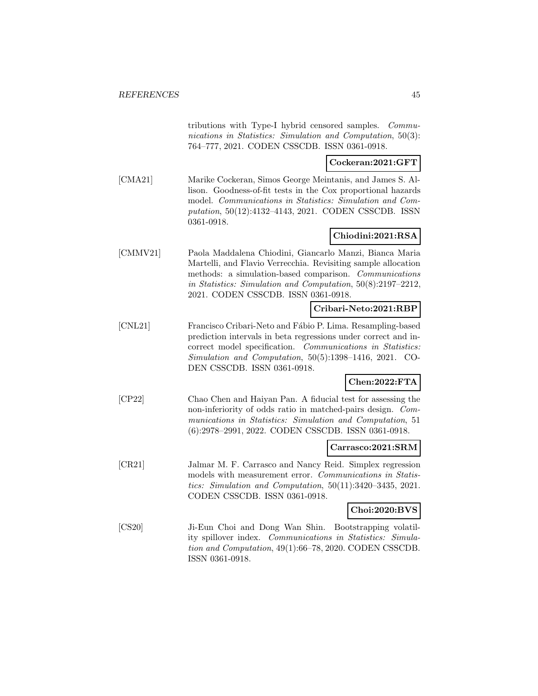tributions with Type-I hybrid censored samples. Communications in Statistics: Simulation and Computation, 50(3): 764–777, 2021. CODEN CSSCDB. ISSN 0361-0918.

#### **Cockeran:2021:GFT**

[CMA21] Marike Cockeran, Simos George Meintanis, and James S. Allison. Goodness-of-fit tests in the Cox proportional hazards model. Communications in Statistics: Simulation and Computation, 50(12):4132–4143, 2021. CODEN CSSCDB. ISSN 0361-0918.

# **Chiodini:2021:RSA**

[CMMV21] Paola Maddalena Chiodini, Giancarlo Manzi, Bianca Maria Martelli, and Flavio Verrecchia. Revisiting sample allocation methods: a simulation-based comparison. Communications in Statistics: Simulation and Computation, 50(8):2197–2212, 2021. CODEN CSSCDB. ISSN 0361-0918.

## **Cribari-Neto:2021:RBP**

[CNL21] Francisco Cribari-Neto and Fábio P. Lima. Resampling-based prediction intervals in beta regressions under correct and incorrect model specification. Communications in Statistics: Simulation and Computation, 50(5):1398–1416, 2021. CO-DEN CSSCDB. ISSN 0361-0918.

#### **Chen:2022:FTA**

[CP22] Chao Chen and Haiyan Pan. A fiducial test for assessing the non-inferiority of odds ratio in matched-pairs design. Communications in Statistics: Simulation and Computation, 51 (6):2978–2991, 2022. CODEN CSSCDB. ISSN 0361-0918.

#### **Carrasco:2021:SRM**

[CR21] Jalmar M. F. Carrasco and Nancy Reid. Simplex regression models with measurement error. Communications in Statistics: Simulation and Computation, 50(11):3420–3435, 2021. CODEN CSSCDB. ISSN 0361-0918.

#### **Choi:2020:BVS**

[CS20] Ji-Eun Choi and Dong Wan Shin. Bootstrapping volatility spillover index. Communications in Statistics: Simulation and Computation, 49(1):66–78, 2020. CODEN CSSCDB. ISSN 0361-0918.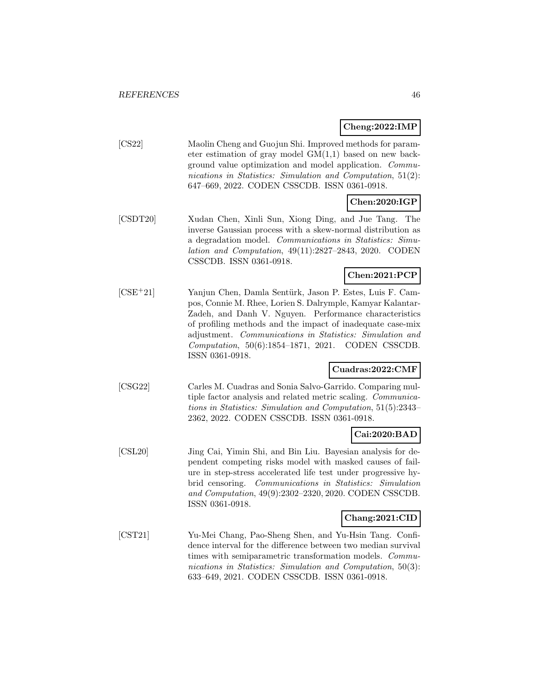**Cheng:2022:IMP**

[CS22] Maolin Cheng and Guojun Shi. Improved methods for parameter estimation of gray model GM(1,1) based on new background value optimization and model application. Communications in Statistics: Simulation and Computation, 51(2): 647–669, 2022. CODEN CSSCDB. ISSN 0361-0918.

# **Chen:2020:IGP**

[CSDT20] Xudan Chen, Xinli Sun, Xiong Ding, and Jue Tang. The inverse Gaussian process with a skew-normal distribution as a degradation model. Communications in Statistics: Simulation and Computation, 49(11):2827–2843, 2020. CODEN CSSCDB. ISSN 0361-0918.

# **Chen:2021:PCP**

[CSE<sup>+</sup>21] Yanjun Chen, Damla Sentürk, Jason P. Estes, Luis F. Campos, Connie M. Rhee, Lorien S. Dalrymple, Kamyar Kalantar-Zadeh, and Danh V. Nguyen. Performance characteristics of profiling methods and the impact of inadequate case-mix adjustment. Communications in Statistics: Simulation and Computation, 50(6):1854–1871, 2021. CODEN CSSCDB. ISSN 0361-0918.

## **Cuadras:2022:CMF**

[CSG22] Carles M. Cuadras and Sonia Salvo-Garrido. Comparing multiple factor analysis and related metric scaling. Communications in Statistics: Simulation and Computation, 51(5):2343– 2362, 2022. CODEN CSSCDB. ISSN 0361-0918.

# **Cai:2020:BAD**

[CSL20] Jing Cai, Yimin Shi, and Bin Liu. Bayesian analysis for dependent competing risks model with masked causes of failure in step-stress accelerated life test under progressive hybrid censoring. Communications in Statistics: Simulation and Computation, 49(9):2302–2320, 2020. CODEN CSSCDB. ISSN 0361-0918.

#### **Chang:2021:CID**

[CST21] Yu-Mei Chang, Pao-Sheng Shen, and Yu-Hsin Tang. Confidence interval for the difference between two median survival times with semiparametric transformation models. Communications in Statistics: Simulation and Computation, 50(3): 633–649, 2021. CODEN CSSCDB. ISSN 0361-0918.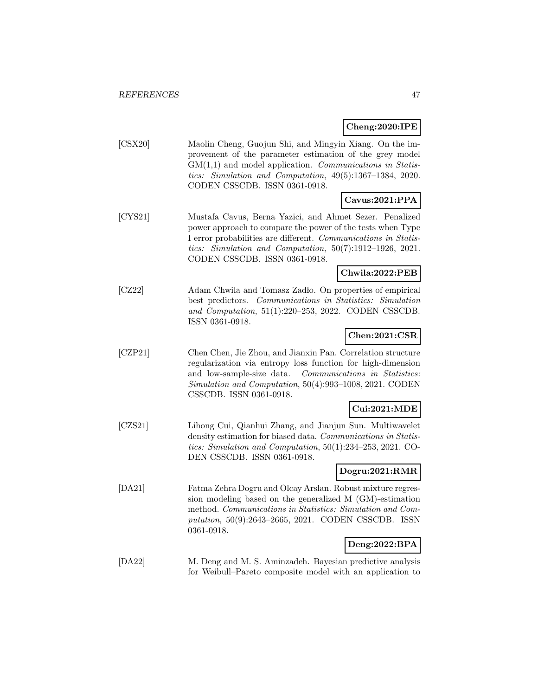## **Cheng:2020:IPE**

[CSX20] Maolin Cheng, Guojun Shi, and Mingyin Xiang. On the improvement of the parameter estimation of the grey model  $GM(1,1)$  and model application. Communications in Statistics: Simulation and Computation, 49(5):1367–1384, 2020. CODEN CSSCDB. ISSN 0361-0918.

# **Cavus:2021:PPA**

[CYS21] Mustafa Cavus, Berna Yazici, and Ahmet Sezer. Penalized power approach to compare the power of the tests when Type I error probabilities are different. Communications in Statistics: Simulation and Computation, 50(7):1912–1926, 2021. CODEN CSSCDB. ISSN 0361-0918.

#### **Chwila:2022:PEB**

[CZ22] Adam Chwila and Tomasz Zadło. On properties of empirical best predictors. Communications in Statistics: Simulation and Computation, 51(1):220–253, 2022. CODEN CSSCDB. ISSN 0361-0918.

## **Chen:2021:CSR**

[CZP21] Chen Chen, Jie Zhou, and Jianxin Pan. Correlation structure regularization via entropy loss function for high-dimension and low-sample-size data. Communications in Statistics: Simulation and Computation, 50(4):993–1008, 2021. CODEN CSSCDB. ISSN 0361-0918.

## **Cui:2021:MDE**

[CZS21] Lihong Cui, Qianhui Zhang, and Jianjun Sun. Multiwavelet density estimation for biased data. Communications in Statistics: Simulation and Computation, 50(1):234–253, 2021. CO-DEN CSSCDB. ISSN 0361-0918.

## **Dogru:2021:RMR**

[DA21] Fatma Zehra Dogru and Olcay Arslan. Robust mixture regression modeling based on the generalized M (GM)-estimation method. Communications in Statistics: Simulation and Computation, 50(9):2643–2665, 2021. CODEN CSSCDB. ISSN 0361-0918.

# **Deng:2022:BPA**

[DA22] M. Deng and M. S. Aminzadeh. Bayesian predictive analysis for Weibull–Pareto composite model with an application to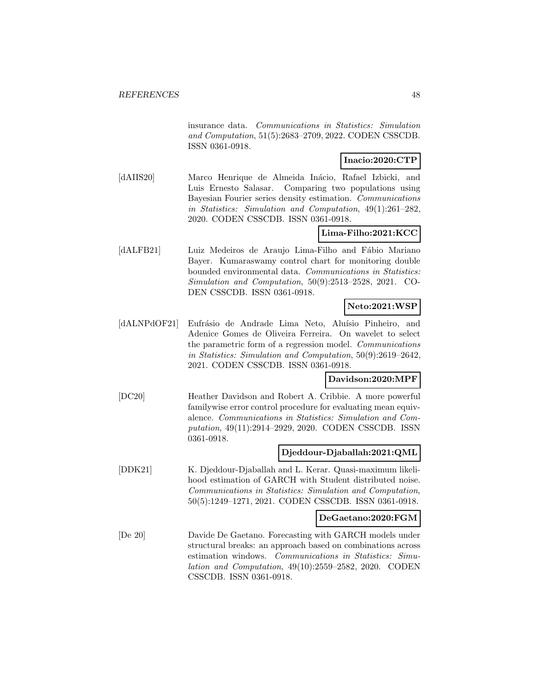insurance data. Communications in Statistics: Simulation and Computation, 51(5):2683–2709, 2022. CODEN CSSCDB. ISSN 0361-0918.

# **Inacio:2020:CTP**

[dAIIS20] Marco Henrique de Almeida Inácio, Rafael Izbicki, and Luis Ernesto Salasar. Comparing two populations using Bayesian Fourier series density estimation. Communications in Statistics: Simulation and Computation, 49(1):261–282, 2020. CODEN CSSCDB. ISSN 0361-0918.

# **Lima-Filho:2021:KCC**

[dALFB21] Luiz Medeiros de Araujo Lima-Filho and Fábio Mariano Bayer. Kumaraswamy control chart for monitoring double bounded environmental data. Communications in Statistics: Simulation and Computation, 50(9):2513–2528, 2021. CO-DEN CSSCDB. ISSN 0361-0918.

# **Neto:2021:WSP**

[dALNPdOF21] Eufrásio de Andrade Lima Neto, Aluísio Pinheiro, and Adenice Gomes de Oliveira Ferreira. On wavelet to select the parametric form of a regression model. Communications in Statistics: Simulation and Computation, 50(9):2619–2642, 2021. CODEN CSSCDB. ISSN 0361-0918.

## **Davidson:2020:MPF**

[DC20] Heather Davidson and Robert A. Cribbie. A more powerful familywise error control procedure for evaluating mean equivalence. Communications in Statistics: Simulation and Computation, 49(11):2914–2929, 2020. CODEN CSSCDB. ISSN 0361-0918.

### **Djeddour-Djaballah:2021:QML**

[DDK21] K. Djeddour-Djaballah and L. Kerar. Quasi-maximum likelihood estimation of GARCH with Student distributed noise. Communications in Statistics: Simulation and Computation, 50(5):1249–1271, 2021. CODEN CSSCDB. ISSN 0361-0918.

#### **DeGaetano:2020:FGM**

[De 20] Davide De Gaetano. Forecasting with GARCH models under structural breaks: an approach based on combinations across estimation windows. Communications in Statistics: Simulation and Computation, 49(10):2559–2582, 2020. CODEN CSSCDB. ISSN 0361-0918.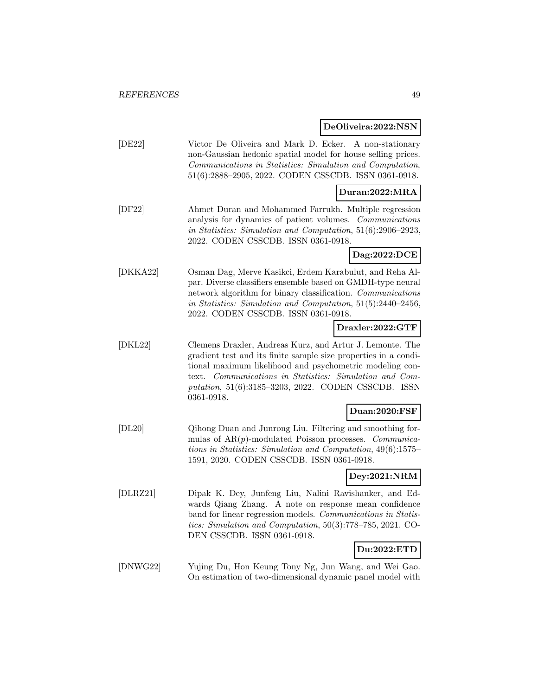# **DeOliveira:2022:NSN**

| [DE22] | Victor De Oliveira and Mark D. Ecker. A non-stationary       |
|--------|--------------------------------------------------------------|
|        | non-Gaussian hedonic spatial model for house selling prices. |
|        | Communications in Statistics: Simulation and Computation,    |
|        | $51(6):2888-2905$ , 2022. CODEN CSSCDB. ISSN 0361-0918.      |
|        |                                                              |

# **Duran:2022:MRA**

[DF22] Ahmet Duran and Mohammed Farrukh. Multiple regression analysis for dynamics of patient volumes. Communications in Statistics: Simulation and Computation, 51(6):2906–2923, 2022. CODEN CSSCDB. ISSN 0361-0918.

**Dag:2022:DCE**

[DKKA22] Osman Dag, Merve Kasikci, Erdem Karabulut, and Reha Alpar. Diverse classifiers ensemble based on GMDH-type neural network algorithm for binary classification. Communications in Statistics: Simulation and Computation, 51(5):2440–2456, 2022. CODEN CSSCDB. ISSN 0361-0918.

### **Draxler:2022:GTF**

[DKL22] Clemens Draxler, Andreas Kurz, and Artur J. Lemonte. The gradient test and its finite sample size properties in a conditional maximum likelihood and psychometric modeling context. Communications in Statistics: Simulation and Computation, 51(6):3185–3203, 2022. CODEN CSSCDB. ISSN 0361-0918.

# **Duan:2020:FSF**

[DL20] Qihong Duan and Junrong Liu. Filtering and smoothing formulas of  $AR(p)$ -modulated Poisson processes. *Communica*tions in Statistics: Simulation and Computation, 49(6):1575– 1591, 2020. CODEN CSSCDB. ISSN 0361-0918.

# **Dey:2021:NRM**

[DLRZ21] Dipak K. Dey, Junfeng Liu, Nalini Ravishanker, and Edwards Qiang Zhang. A note on response mean confidence band for linear regression models. Communications in Statistics: Simulation and Computation, 50(3):778–785, 2021. CO-DEN CSSCDB. ISSN 0361-0918.

# **Du:2022:ETD**

[DNWG22] Yujing Du, Hon Keung Tony Ng, Jun Wang, and Wei Gao. On estimation of two-dimensional dynamic panel model with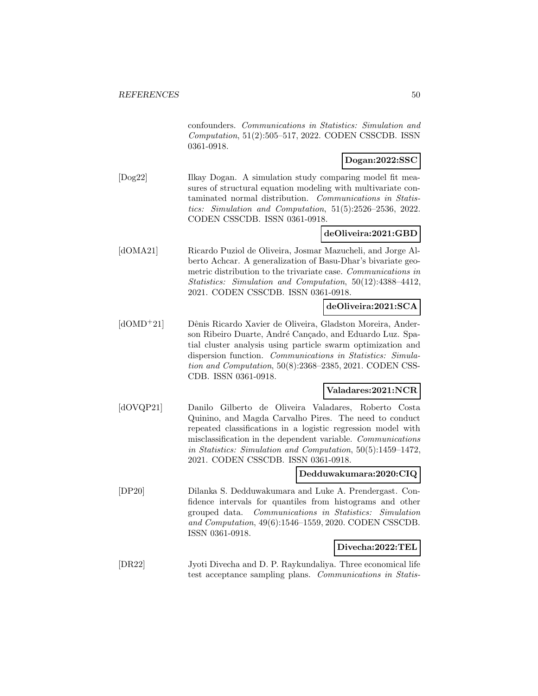confounders. Communications in Statistics: Simulation and Computation, 51(2):505–517, 2022. CODEN CSSCDB. ISSN 0361-0918.

# **Dogan:2022:SSC**

[Dog22] Ilkay Dogan. A simulation study comparing model fit measures of structural equation modeling with multivariate contaminated normal distribution. Communications in Statistics: Simulation and Computation, 51(5):2526–2536, 2022. CODEN CSSCDB. ISSN 0361-0918.

# **deOliveira:2021:GBD**

[dOMA21] Ricardo Puziol de Oliveira, Josmar Mazucheli, and Jorge Alberto Achcar. A generalization of Basu-Dhar's bivariate geometric distribution to the trivariate case. Communications in Statistics: Simulation and Computation, 50(12):4388–4412, 2021. CODEN CSSCDB. ISSN 0361-0918.

## **deOliveira:2021:SCA**

[dOMD<sup>+</sup>21] Dênis Ricardo Xavier de Oliveira, Gladston Moreira, Anderson Ribeiro Duarte, André Cançado, and Eduardo Luz. Spatial cluster analysis using particle swarm optimization and dispersion function. Communications in Statistics: Simulation and Computation, 50(8):2368–2385, 2021. CODEN CSS-CDB. ISSN 0361-0918.

# **Valadares:2021:NCR**

[dOVQP21] Danilo Gilberto de Oliveira Valadares, Roberto Costa Quinino, and Magda Carvalho Pires. The need to conduct repeated classifications in a logistic regression model with misclassification in the dependent variable. Communications in Statistics: Simulation and Computation, 50(5):1459–1472, 2021. CODEN CSSCDB. ISSN 0361-0918.

#### **Dedduwakumara:2020:CIQ**

[DP20] Dilanka S. Dedduwakumara and Luke A. Prendergast. Confidence intervals for quantiles from histograms and other grouped data. Communications in Statistics: Simulation and Computation, 49(6):1546–1559, 2020. CODEN CSSCDB. ISSN 0361-0918.

#### **Divecha:2022:TEL**

[DR22] Jyoti Divecha and D. P. Raykundaliya. Three economical life test acceptance sampling plans. Communications in Statis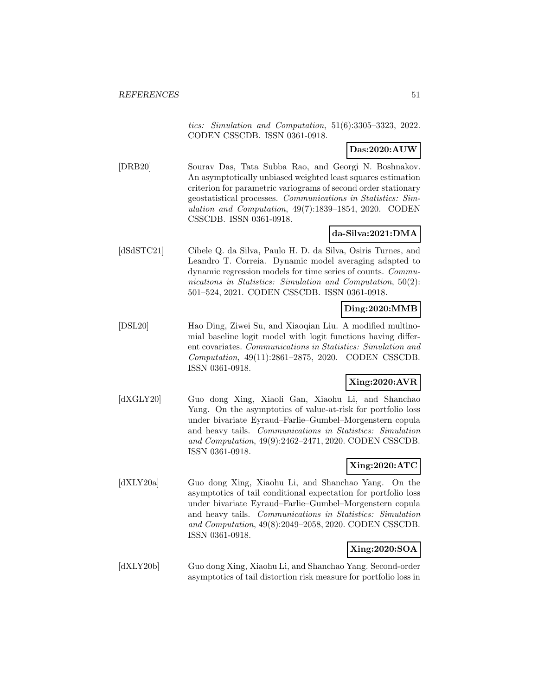tics: Simulation and Computation, 51(6):3305–3323, 2022. CODEN CSSCDB. ISSN 0361-0918.

**Das:2020:AUW**

[DRB20] Sourav Das, Tata Subba Rao, and Georgi N. Boshnakov. An asymptotically unbiased weighted least squares estimation criterion for parametric variograms of second order stationary geostatistical processes. Communications in Statistics: Simulation and Computation, 49(7):1839–1854, 2020. CODEN CSSCDB. ISSN 0361-0918.

# **da-Silva:2021:DMA**

[dSdSTC21] Cibele Q. da Silva, Paulo H. D. da Silva, Osiris Turnes, and Leandro T. Correia. Dynamic model averaging adapted to dynamic regression models for time series of counts. Communications in Statistics: Simulation and Computation, 50(2): 501–524, 2021. CODEN CSSCDB. ISSN 0361-0918.

# **Ding:2020:MMB**

[DSL20] Hao Ding, Ziwei Su, and Xiaoqian Liu. A modified multinomial baseline logit model with logit functions having different covariates. Communications in Statistics: Simulation and Computation, 49(11):2861–2875, 2020. CODEN CSSCDB. ISSN 0361-0918.

#### **Xing:2020:AVR**

[dXGLY20] Guo dong Xing, Xiaoli Gan, Xiaohu Li, and Shanchao Yang. On the asymptotics of value-at-risk for portfolio loss under bivariate Eyraud–Farlie–Gumbel–Morgenstern copula and heavy tails. Communications in Statistics: Simulation and Computation, 49(9):2462–2471, 2020. CODEN CSSCDB. ISSN 0361-0918.

# **Xing:2020:ATC**

[dXLY20a] Guo dong Xing, Xiaohu Li, and Shanchao Yang. On the asymptotics of tail conditional expectation for portfolio loss under bivariate Eyraud–Farlie–Gumbel–Morgenstern copula and heavy tails. Communications in Statistics: Simulation and Computation, 49(8):2049–2058, 2020. CODEN CSSCDB. ISSN 0361-0918.

# **Xing:2020:SOA**

[dXLY20b] Guo dong Xing, Xiaohu Li, and Shanchao Yang. Second-order asymptotics of tail distortion risk measure for portfolio loss in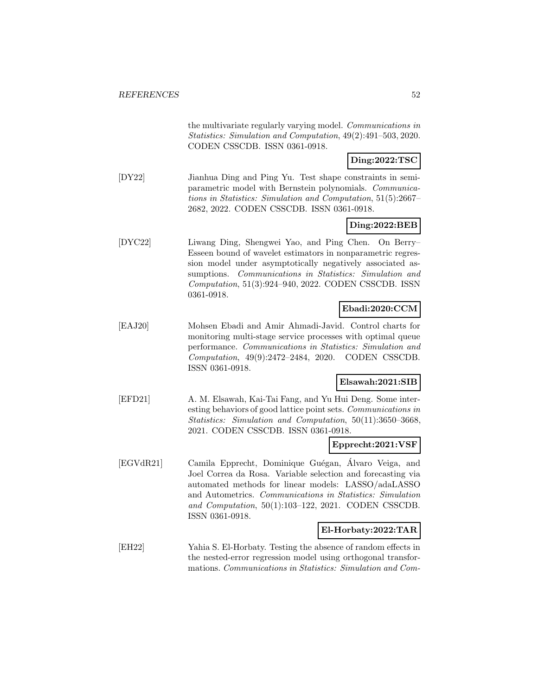the multivariate regularly varying model. Communications in Statistics: Simulation and Computation, 49(2):491–503, 2020. CODEN CSSCDB. ISSN 0361-0918.

**Ding:2022:TSC**

[DY22] Jianhua Ding and Ping Yu. Test shape constraints in semiparametric model with Bernstein polynomials. Communications in Statistics: Simulation and Computation, 51(5):2667– 2682, 2022. CODEN CSSCDB. ISSN 0361-0918.

#### **Ding:2022:BEB**

[DYC22] Liwang Ding, Shengwei Yao, and Ping Chen. On Berry– Esseen bound of wavelet estimators in nonparametric regression model under asymptotically negatively associated assumptions. Communications in Statistics: Simulation and Computation, 51(3):924–940, 2022. CODEN CSSCDB. ISSN 0361-0918.

# **Ebadi:2020:CCM**

[EAJ20] Mohsen Ebadi and Amir Ahmadi-Javid. Control charts for monitoring multi-stage service processes with optimal queue performance. Communications in Statistics: Simulation and Computation, 49(9):2472–2484, 2020. CODEN CSSCDB. ISSN 0361-0918.

#### **Elsawah:2021:SIB**

[EFD21] A. M. Elsawah, Kai-Tai Fang, and Yu Hui Deng. Some interesting behaviors of good lattice point sets. Communications in Statistics: Simulation and Computation, 50(11):3650–3668, 2021. CODEN CSSCDB. ISSN 0361-0918.

#### **Epprecht:2021:VSF**

[EGVdR21] Camila Epprecht, Dominique Guégan, Álvaro Veiga, and Joel Correa da Rosa. Variable selection and forecasting via automated methods for linear models: LASSO/adaLASSO and Autometrics. Communications in Statistics: Simulation and Computation, 50(1):103–122, 2021. CODEN CSSCDB. ISSN 0361-0918.

#### **El-Horbaty:2022:TAR**

[EH22] Yahia S. El-Horbaty. Testing the absence of random effects in the nested-error regression model using orthogonal transformations. Communications in Statistics: Simulation and Com-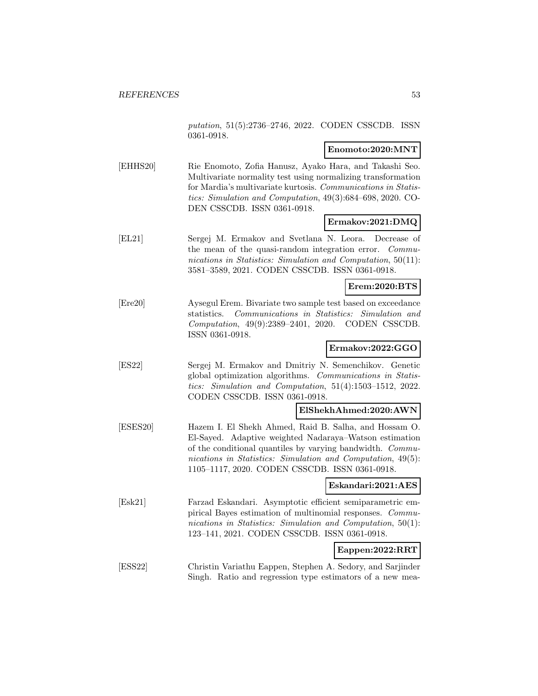putation, 51(5):2736–2746, 2022. CODEN CSSCDB. ISSN 0361-0918.

# **Enomoto:2020:MNT**

[EHHS20] Rie Enomoto, Zofia Hanusz, Ayako Hara, and Takashi Seo. Multivariate normality test using normalizing transformation for Mardia's multivariate kurtosis. Communications in Statistics: Simulation and Computation, 49(3):684–698, 2020. CO-DEN CSSCDB. ISSN 0361-0918.

## **Ermakov:2021:DMQ**

[EL21] Sergej M. Ermakov and Svetlana N. Leora. Decrease of the mean of the quasi-random integration error. Communications in Statistics: Simulation and Computation, 50(11): 3581–3589, 2021. CODEN CSSCDB. ISSN 0361-0918.

#### **Erem:2020:BTS**

[Ere20] Aysegul Erem. Bivariate two sample test based on exceedance statistics. Communications in Statistics: Simulation and Computation, 49(9):2389–2401, 2020. CODEN CSSCDB. ISSN 0361-0918.

# **Ermakov:2022:GGO**

[ES22] Sergej M. Ermakov and Dmitriy N. Semenchikov. Genetic global optimization algorithms. Communications in Statistics: Simulation and Computation, 51(4):1503–1512, 2022. CODEN CSSCDB. ISSN 0361-0918.

#### **ElShekhAhmed:2020:AWN**

[ESES20] Hazem I. El Shekh Ahmed, Raid B. Salha, and Hossam O. El-Sayed. Adaptive weighted Nadaraya–Watson estimation of the conditional quantiles by varying bandwidth. Communications in Statistics: Simulation and Computation, 49(5): 1105–1117, 2020. CODEN CSSCDB. ISSN 0361-0918.

#### **Eskandari:2021:AES**

[Esk21] Farzad Eskandari. Asymptotic efficient semiparametric empirical Bayes estimation of multinomial responses. Communications in Statistics: Simulation and Computation, 50(1): 123–141, 2021. CODEN CSSCDB. ISSN 0361-0918.

#### **Eappen:2022:RRT**

[ESS22] Christin Variathu Eappen, Stephen A. Sedory, and Sarjinder Singh. Ratio and regression type estimators of a new mea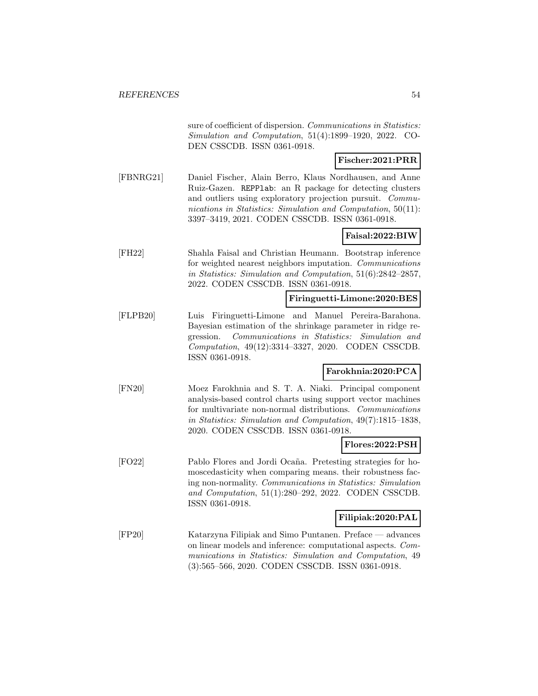sure of coefficient of dispersion. Communications in Statistics: Simulation and Computation, 51(4):1899–1920, 2022. CO-DEN CSSCDB. ISSN 0361-0918.

# **Fischer:2021:PRR**

[FBNRG21] Daniel Fischer, Alain Berro, Klaus Nordhausen, and Anne Ruiz-Gazen. REPPlab: an R package for detecting clusters and outliers using exploratory projection pursuit. Communications in Statistics: Simulation and Computation, 50(11): 3397–3419, 2021. CODEN CSSCDB. ISSN 0361-0918.

# **Faisal:2022:BIW**

[FH22] Shahla Faisal and Christian Heumann. Bootstrap inference for weighted nearest neighbors imputation. Communications in Statistics: Simulation and Computation, 51(6):2842–2857, 2022. CODEN CSSCDB. ISSN 0361-0918.

#### **Firinguetti-Limone:2020:BES**

[FLPB20] Luis Firinguetti-Limone and Manuel Pereira-Barahona. Bayesian estimation of the shrinkage parameter in ridge regression. Communications in Statistics: Simulation and Computation, 49(12):3314–3327, 2020. CODEN CSSCDB. ISSN 0361-0918.

## **Farokhnia:2020:PCA**

[FN20] Moez Farokhnia and S. T. A. Niaki. Principal component analysis-based control charts using support vector machines for multivariate non-normal distributions. Communications in Statistics: Simulation and Computation, 49(7):1815–1838, 2020. CODEN CSSCDB. ISSN 0361-0918.

#### **Flores:2022:PSH**

[FO22] Pablo Flores and Jordi Ocaña. Pretesting strategies for homoscedasticity when comparing means. their robustness facing non-normality. Communications in Statistics: Simulation and Computation, 51(1):280–292, 2022. CODEN CSSCDB. ISSN 0361-0918.

#### **Filipiak:2020:PAL**

[FP20] Katarzyna Filipiak and Simo Puntanen. Preface — advances on linear models and inference: computational aspects. Communications in Statistics: Simulation and Computation, 49 (3):565–566, 2020. CODEN CSSCDB. ISSN 0361-0918.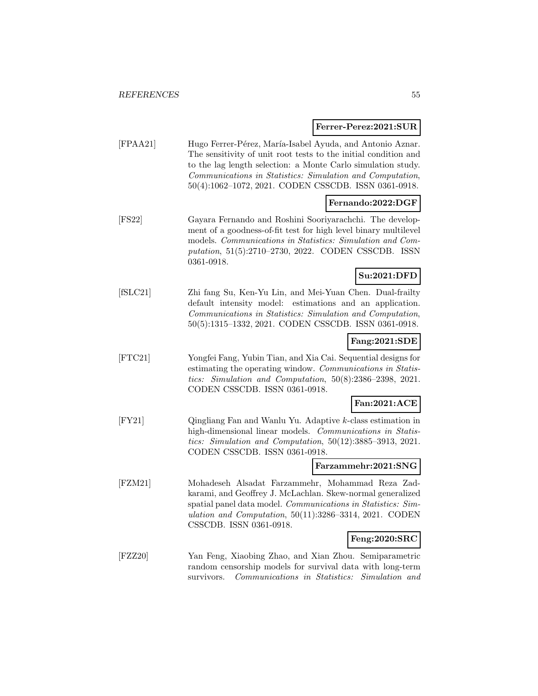#### **Ferrer-Perez:2021:SUR**

| [FPAA21] | Hugo Ferrer-Pérez, María-Isabel Ayuda, and Antonio Aznar.       |
|----------|-----------------------------------------------------------------|
|          | The sensitivity of unit root tests to the initial condition and |
|          | to the lag length selection: a Monte Carlo simulation study.    |
|          | Communications in Statistics: Simulation and Computation,       |
|          | $50(4):1062-1072, 2021.$ CODEN CSSCDB. ISSN 0361-0918.          |
|          |                                                                 |

# **Fernando:2022:DGF**

[FS22] Gayara Fernando and Roshini Sooriyarachchi. The development of a goodness-of-fit test for high level binary multilevel models. Communications in Statistics: Simulation and Computation, 51(5):2710–2730, 2022. CODEN CSSCDB. ISSN 0361-0918.

# **Su:2021:DFD**

[fSLC21] Zhi fang Su, Ken-Yu Lin, and Mei-Yuan Chen. Dual-frailty default intensity model: estimations and an application. Communications in Statistics: Simulation and Computation, 50(5):1315–1332, 2021. CODEN CSSCDB. ISSN 0361-0918.

## **Fang:2021:SDE**

[FTC21] Yongfei Fang, Yubin Tian, and Xia Cai. Sequential designs for estimating the operating window. Communications in Statistics: Simulation and Computation, 50(8):2386–2398, 2021. CODEN CSSCDB. ISSN 0361-0918.

## **Fan:2021:ACE**

[FY21] Qingliang Fan and Wanlu Yu. Adaptive k-class estimation in high-dimensional linear models. Communications in Statistics: Simulation and Computation, 50(12):3885–3913, 2021. CODEN CSSCDB. ISSN 0361-0918.

## **Farzammehr:2021:SNG**

[FZM21] Mohadeseh Alsadat Farzammehr, Mohammad Reza Zadkarami, and Geoffrey J. McLachlan. Skew-normal generalized spatial panel data model. Communications in Statistics: Simulation and Computation, 50(11):3286–3314, 2021. CODEN CSSCDB. ISSN 0361-0918.

#### **Feng:2020:SRC**

[FZZ20] Yan Feng, Xiaobing Zhao, and Xian Zhou. Semiparametric random censorship models for survival data with long-term survivors. Communications in Statistics: Simulation and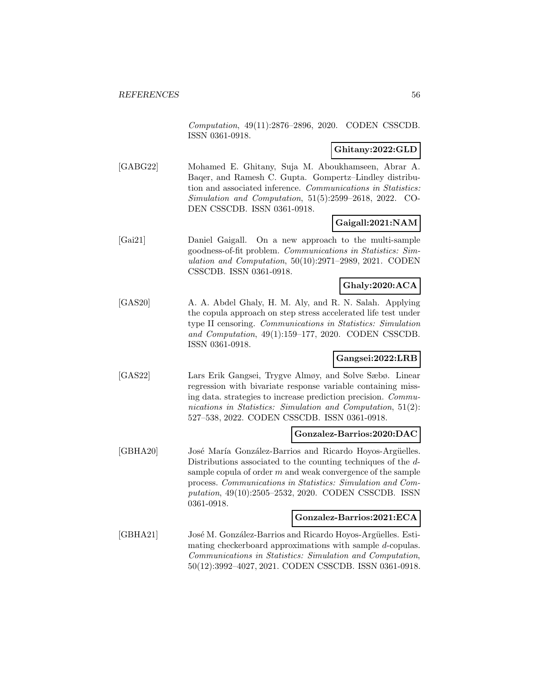Computation, 49(11):2876–2896, 2020. CODEN CSSCDB. ISSN 0361-0918.

# **Ghitany:2022:GLD**

[GABG22] Mohamed E. Ghitany, Suja M. Aboukhamseen, Abrar A. Baqer, and Ramesh C. Gupta. Gompertz–Lindley distribution and associated inference. Communications in Statistics: Simulation and Computation, 51(5):2599–2618, 2022. CO-DEN CSSCDB. ISSN 0361-0918.

## **Gaigall:2021:NAM**

[Gai21] Daniel Gaigall. On a new approach to the multi-sample goodness-of-fit problem. Communications in Statistics: Simulation and Computation, 50(10):2971–2989, 2021. CODEN CSSCDB. ISSN 0361-0918.

# **Ghaly:2020:ACA**

[GAS20] A. A. Abdel Ghaly, H. M. Aly, and R. N. Salah. Applying the copula approach on step stress accelerated life test under type II censoring. Communications in Statistics: Simulation and Computation, 49(1):159–177, 2020. CODEN CSSCDB. ISSN 0361-0918.

## **Gangsei:2022:LRB**

[GAS22] Lars Erik Gangsei, Trygve Almøy, and Solve Sæbø. Linear regression with bivariate response variable containing missing data. strategies to increase prediction precision. Communications in Statistics: Simulation and Computation, 51(2): 527–538, 2022. CODEN CSSCDB. ISSN 0361-0918.

# **Gonzalez-Barrios:2020:DAC**

[GBHA20] José María González-Barrios and Ricardo Hoyos-Argüelles. Distributions associated to the counting techniques of the dsample copula of order  $m$  and weak convergence of the sample process. Communications in Statistics: Simulation and Computation, 49(10):2505–2532, 2020. CODEN CSSCDB. ISSN 0361-0918.

#### **Gonzalez-Barrios:2021:ECA**

[GBHA21] José M. González-Barrios and Ricardo Hoyos-Argüelles. Estimating checkerboard approximations with sample d-copulas. Communications in Statistics: Simulation and Computation, 50(12):3992–4027, 2021. CODEN CSSCDB. ISSN 0361-0918.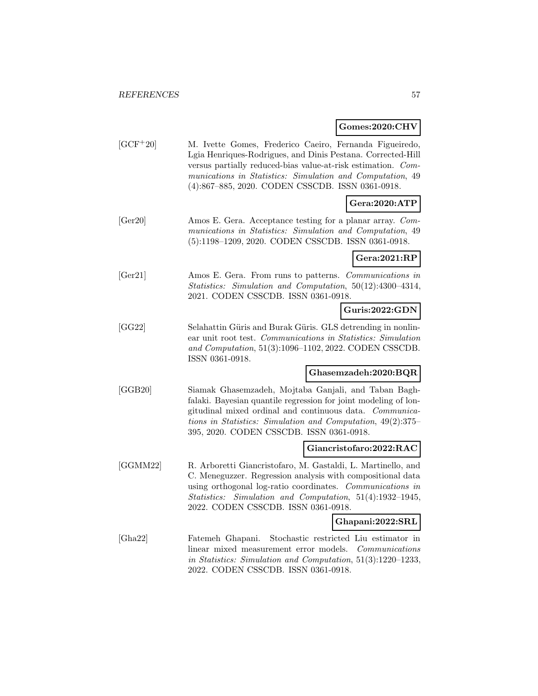# **Gomes:2020:CHV**

|            | $G$ UIIIES. $2020$ . UIT V                                                                                                                                                                                                                                                                              |
|------------|---------------------------------------------------------------------------------------------------------------------------------------------------------------------------------------------------------------------------------------------------------------------------------------------------------|
| $[GCF+20]$ | M. Ivette Gomes, Frederico Caeiro, Fernanda Figueiredo,<br>Lgia Henriques-Rodrigues, and Dinis Pestana. Corrected-Hill<br>versus partially reduced-bias value-at-risk estimation. Com-<br>munications in Statistics: Simulation and Computation, 49<br>(4):867-885, 2020. CODEN CSSCDB. ISSN 0361-0918. |
|            | Gera:2020:ATP                                                                                                                                                                                                                                                                                           |
| [Ger20]    | Amos E. Gera. Acceptance testing for a planar array. Com-<br>munications in Statistics: Simulation and Computation, 49<br>(5):1198-1209, 2020. CODEN CSSCDB. ISSN 0361-0918.                                                                                                                            |
|            | Gera:2021:RP                                                                                                                                                                                                                                                                                            |
| [Ger21]    | Amos E. Gera. From runs to patterns. Communications in<br>Statistics: Simulation and Computation, 50(12):4300-4314,<br>2021. CODEN CSSCDB. ISSN 0361-0918.                                                                                                                                              |
|            | Guris:2022:GDN                                                                                                                                                                                                                                                                                          |
| [GG22]     | Selahattin Güris and Burak Güris. GLS detrending in nonlin-<br>ear unit root test. Communications in Statistics: Simulation<br>and Computation, 51(3):1096-1102, 2022. CODEN CSSCDB.<br>ISSN 0361-0918.                                                                                                 |
|            | Ghasemzadeh:2020:BQR                                                                                                                                                                                                                                                                                    |
| [GGB20]    | Siamak Ghasemzadeh, Mojtaba Ganjali, and Taban Bagh-<br>falaki. Bayesian quantile regression for joint modeling of lon-<br>gitudinal mixed ordinal and continuous data. Communica-<br>tions in Statistics: Simulation and Computation, 49(2):375–<br>395, 2020. CODEN CSSCDB. ISSN 0361-0918.           |
|            | Giancristofaro:2022:RAC                                                                                                                                                                                                                                                                                 |
| [GGMM22]   | R. Arboretti Giancristofaro, M. Gastaldi, L. Martinello, and<br>C. Meneguzzer. Regression analysis with compositional data<br>using orthogonal log-ratio coordinates. Communications in<br>Statistics: Simulation and Computation, 51(4):1932-1945,                                                     |

**Ghapani:2022:SRL**

[Gha22] Fatemeh Ghapani. Stochastic restricted Liu estimator in linear mixed measurement error models. Communications in Statistics: Simulation and Computation, 51(3):1220–1233, 2022. CODEN CSSCDB. ISSN 0361-0918.

2022. CODEN CSSCDB. ISSN 0361-0918.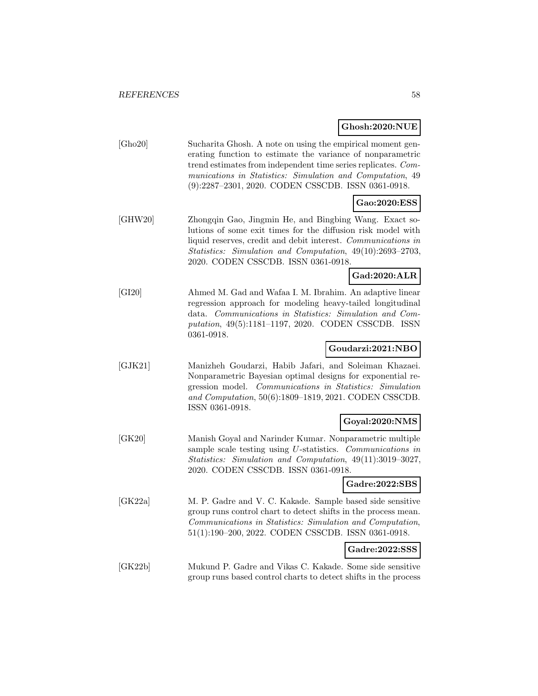# **Ghosh:2020:NUE**

|         | Gnosn:2020:INUE                                                                                                                                                                                                                                                                                              |
|---------|--------------------------------------------------------------------------------------------------------------------------------------------------------------------------------------------------------------------------------------------------------------------------------------------------------------|
| [Gho20] | Sucharita Ghosh. A note on using the empirical moment gen-<br>erating function to estimate the variance of nonparametric<br>trend estimates from independent time series replicates. Com-<br>munications in Statistics: Simulation and Computation, 49<br>(9):2287-2301, 2020. CODEN CSSCDB. ISSN 0361-0918. |
|         | Gao:2020:ESS                                                                                                                                                                                                                                                                                                 |
| [GHW20] | Zhongqin Gao, Jingmin He, and Bingbing Wang. Exact so-<br>lutions of some exit times for the diffusion risk model with<br>liquid reserves, credit and debit interest. Communications in<br>Statistics: Simulation and Computation, 49(10):2693-2703,<br>2020. CODEN CSSCDB. ISSN 0361-0918.                  |
|         | Gad:2020:ALR                                                                                                                                                                                                                                                                                                 |
| [GI20]  | Ahmed M. Gad and Wafaa I. M. Ibrahim. An adaptive linear<br>regression approach for modeling heavy-tailed longitudinal<br>data. Communications in Statistics: Simulation and Com-<br>putation, 49(5):1181-1197, 2020. CODEN CSSCDB. ISSN<br>0361-0918.                                                       |
|         | Goudarzi:2021:NBO                                                                                                                                                                                                                                                                                            |
| [GJK21] | Manizheh Goudarzi, Habib Jafari, and Soleiman Khazaei.<br>Nonparametric Bayesian optimal designs for exponential re-<br>Communications in Statistics: Simulation<br>gression model.<br>and Computation, 50(6):1809-1819, 2021. CODEN CSSCDB.<br>ISSN 0361-0918.                                              |
|         | Goyal:2020:NMS                                                                                                                                                                                                                                                                                               |
| [GK20]  | Manish Goyal and Narinder Kumar. Nonparametric multiple<br>sample scale testing using U-statistics. Communications in<br>Statistics: Simulation and Computation, 49(11):3019-3027,<br>2020. CODEN CSSCDB. ISSN 0361-0918.                                                                                    |
|         | Gadre:2022:SBS                                                                                                                                                                                                                                                                                               |
| [GK22a] | M. P. Gadre and V. C. Kakade. Sample based side sensitive<br>group runs control chart to detect shifts in the process mean.<br>Communications in Statistics: Simulation and Computation,<br>51(1):190-200, 2022. CODEN CSSCDB. ISSN 0361-0918.                                                               |
|         | Gadre:2022:SSS                                                                                                                                                                                                                                                                                               |
|         |                                                                                                                                                                                                                                                                                                              |

[GK22b] Mukund P. Gadre and Vikas C. Kakade. Some side sensitive group runs based control charts to detect shifts in the process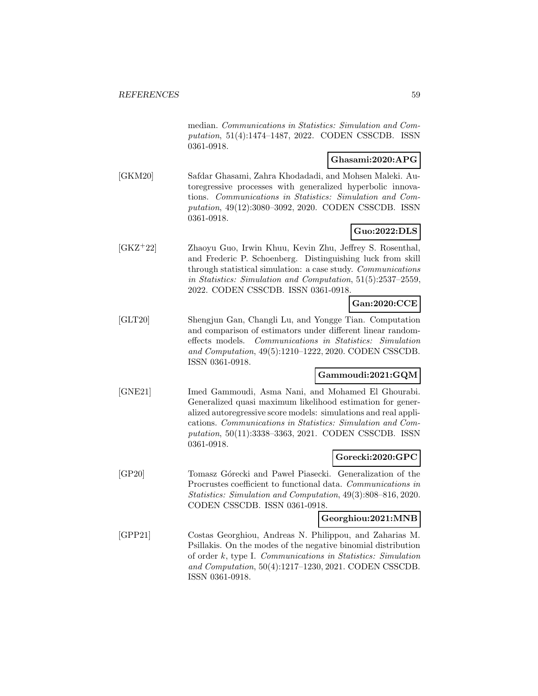median. Communications in Statistics: Simulation and Computation, 51(4):1474–1487, 2022. CODEN CSSCDB. ISSN 0361-0918.

# **Ghasami:2020:APG**

[GKM20] Safdar Ghasami, Zahra Khodadadi, and Mohsen Maleki. Autoregressive processes with generalized hyperbolic innovations. Communications in Statistics: Simulation and Computation, 49(12):3080–3092, 2020. CODEN CSSCDB. ISSN 0361-0918.

# **Guo:2022:DLS**

[GKZ<sup>+</sup>22] Zhaoyu Guo, Irwin Khuu, Kevin Zhu, Jeffrey S. Rosenthal, and Frederic P. Schoenberg. Distinguishing luck from skill through statistical simulation: a case study. Communications in Statistics: Simulation and Computation, 51(5):2537–2559, 2022. CODEN CSSCDB. ISSN 0361-0918.

# **Gan:2020:CCE**

[GLT20] Shengjun Gan, Changli Lu, and Yongge Tian. Computation and comparison of estimators under different linear randomeffects models. Communications in Statistics: Simulation and Computation, 49(5):1210–1222, 2020. CODEN CSSCDB. ISSN 0361-0918.

#### **Gammoudi:2021:GQM**

[GNE21] Imed Gammoudi, Asma Nani, and Mohamed El Ghourabi. Generalized quasi maximum likelihood estimation for generalized autoregressive score models: simulations and real applications. Communications in Statistics: Simulation and Computation, 50(11):3338–3363, 2021. CODEN CSSCDB. ISSN 0361-0918.

#### **Gorecki:2020:GPC**

[GP20] Tomasz Górecki and Paweł Piasecki. Generalization of the Procrustes coefficient to functional data. Communications in Statistics: Simulation and Computation, 49(3):808–816, 2020. CODEN CSSCDB. ISSN 0361-0918.

#### **Georghiou:2021:MNB**

[GPP21] Costas Georghiou, Andreas N. Philippou, and Zaharias M. Psillakis. On the modes of the negative binomial distribution of order k, type I. Communications in Statistics: Simulation and Computation, 50(4):1217–1230, 2021. CODEN CSSCDB. ISSN 0361-0918.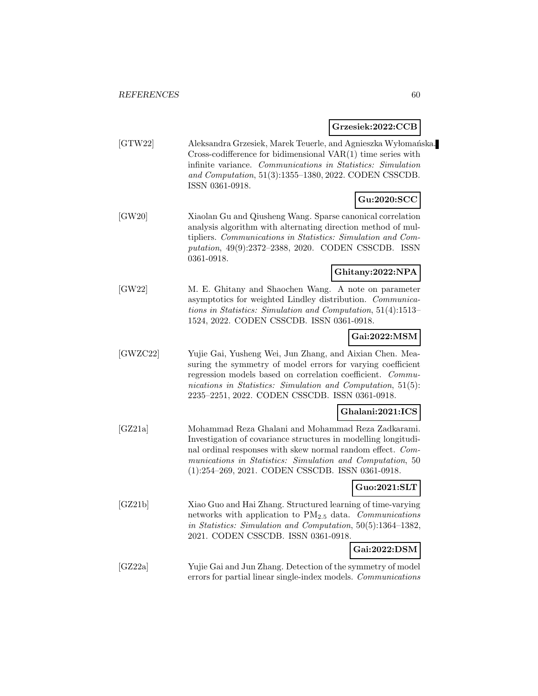**Grzesiek:2022:CCB**

[GTW22] Aleksandra Grzesiek, Marek Teuerle, and Agnieszka Wyłomańska. Cross-codifference for bidimensional VAR(1) time series with infinite variance. Communications in Statistics: Simulation and Computation, 51(3):1355–1380, 2022. CODEN CSSCDB. ISSN 0361-0918.

# **Gu:2020:SCC**

[GW20] Xiaolan Gu and Qiusheng Wang. Sparse canonical correlation analysis algorithm with alternating direction method of multipliers. Communications in Statistics: Simulation and Computation, 49(9):2372–2388, 2020. CODEN CSSCDB. ISSN 0361-0918.

#### **Ghitany:2022:NPA**

[GW22] M. E. Ghitany and Shaochen Wang. A note on parameter asymptotics for weighted Lindley distribution. Communications in Statistics: Simulation and Computation, 51(4):1513– 1524, 2022. CODEN CSSCDB. ISSN 0361-0918.

#### **Gai:2022:MSM**

[GWZC22] Yujie Gai, Yusheng Wei, Jun Zhang, and Aixian Chen. Measuring the symmetry of model errors for varying coefficient regression models based on correlation coefficient. Communications in Statistics: Simulation and Computation, 51(5): 2235–2251, 2022. CODEN CSSCDB. ISSN 0361-0918.

#### **Ghalani:2021:ICS**

[GZ21a] Mohammad Reza Ghalani and Mohammad Reza Zadkarami. Investigation of covariance structures in modelling longitudinal ordinal responses with skew normal random effect. Communications in Statistics: Simulation and Computation, 50 (1):254–269, 2021. CODEN CSSCDB. ISSN 0361-0918.

## **Guo:2021:SLT**

- [GZ21b] Xiao Guo and Hai Zhang. Structured learning of time-varying networks with application to  $PM_{2.5}$  data. Communications in Statistics: Simulation and Computation, 50(5):1364–1382, 2021. CODEN CSSCDB. ISSN 0361-0918. **Gai:2022:DSM**
- [GZ22a] Yujie Gai and Jun Zhang. Detection of the symmetry of model errors for partial linear single-index models. Communications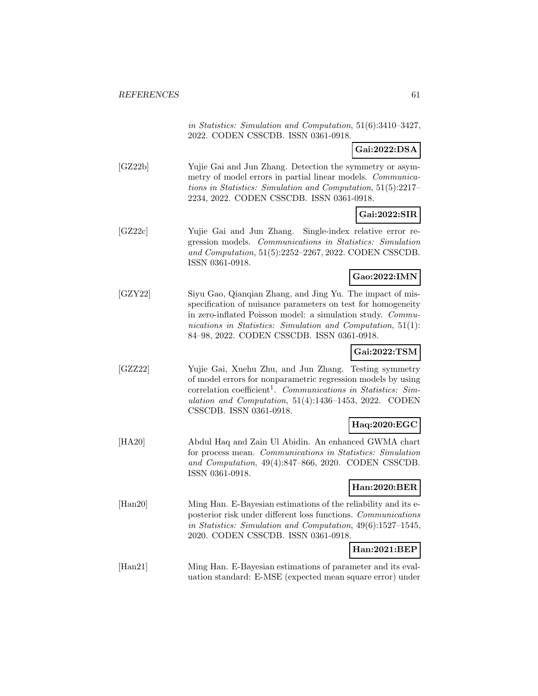in Statistics: Simulation and Computation, 51(6):3410–3427, 2022. CODEN CSSCDB. ISSN 0361-0918.

**Gai:2022:DSA**

[GZ22b] Yujie Gai and Jun Zhang. Detection the symmetry or asymmetry of model errors in partial linear models. Communications in Statistics: Simulation and Computation, 51(5):2217– 2234, 2022. CODEN CSSCDB. ISSN 0361-0918.

# **Gai:2022:SIR**

[GZ22c] Yujie Gai and Jun Zhang. Single-index relative error regression models. Communications in Statistics: Simulation and Computation, 51(5):2252–2267, 2022. CODEN CSSCDB. ISSN 0361-0918.

## **Gao:2022:IMN**

[GZY22] Siyu Gao, Qianqian Zhang, and Jing Yu. The impact of misspecification of nuisance parameters on test for homogeneity in zero-inflated Poisson model: a simulation study. Communications in Statistics: Simulation and Computation, 51(1): 84–98, 2022. CODEN CSSCDB. ISSN 0361-0918.

# **Gai:2022:TSM**

[GZZ22] Yujie Gai, Xuehu Zhu, and Jun Zhang. Testing symmetry of model errors for nonparametric regression models by using correlation coefficient<sup>1</sup>. Communications in Statistics: Simulation and Computation, 51(4):1436–1453, 2022. CODEN CSSCDB. ISSN 0361-0918.

# **Haq:2020:EGC**

[HA20] Abdul Haq and Zain Ul Abidin. An enhanced GWMA chart for process mean. Communications in Statistics: Simulation and Computation, 49(4):847–866, 2020. CODEN CSSCDB. ISSN 0361-0918.

# **Han:2020:BER**

[Han20] Ming Han. E-Bayesian estimations of the reliability and its eposterior risk under different loss functions. Communications in Statistics: Simulation and Computation, 49(6):1527–1545, 2020. CODEN CSSCDB. ISSN 0361-0918.

# **Han:2021:BEP**

[Han21] Ming Han. E-Bayesian estimations of parameter and its evaluation standard: E-MSE (expected mean square error) under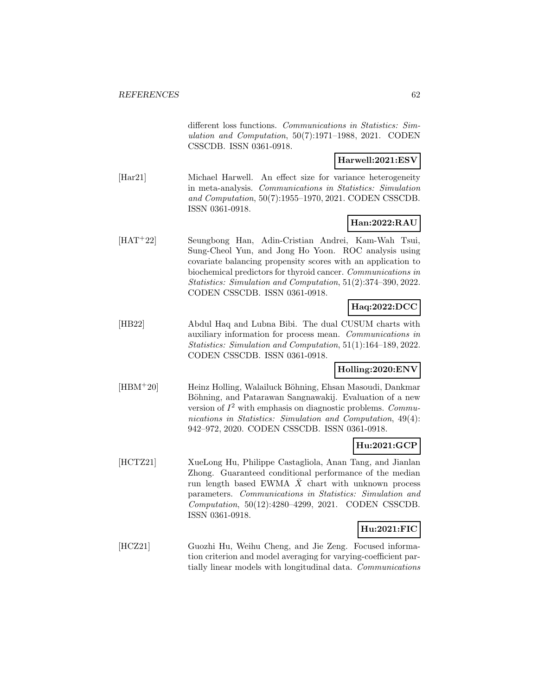different loss functions. Communications in Statistics: Simulation and Computation, 50(7):1971–1988, 2021. CODEN CSSCDB. ISSN 0361-0918.

# **Harwell:2021:ESV**

[Har21] Michael Harwell. An effect size for variance heterogeneity in meta-analysis. Communications in Statistics: Simulation and Computation, 50(7):1955–1970, 2021. CODEN CSSCDB. ISSN 0361-0918.

## **Han:2022:RAU**

[HAT<sup>+</sup>22] Seungbong Han, Adin-Cristian Andrei, Kam-Wah Tsui, Sung-Cheol Yun, and Jong Ho Yoon. ROC analysis using covariate balancing propensity scores with an application to biochemical predictors for thyroid cancer. Communications in Statistics: Simulation and Computation, 51(2):374–390, 2022. CODEN CSSCDB. ISSN 0361-0918.

# **Haq:2022:DCC**

[HB22] Abdul Haq and Lubna Bibi. The dual CUSUM charts with auxiliary information for process mean. Communications in Statistics: Simulation and Computation, 51(1):164–189, 2022. CODEN CSSCDB. ISSN 0361-0918.

## **Holling:2020:ENV**

[HBM<sup>+</sup>20] Heinz Holling, Walailuck Böhning, Ehsan Masoudi, Dankmar Böhning, and Patarawan Sangnawakij. Evaluation of a new version of  $I^2$  with emphasis on diagnostic problems. Communications in Statistics: Simulation and Computation, 49(4): 942–972, 2020. CODEN CSSCDB. ISSN 0361-0918.

## **Hu:2021:GCP**

[HCTZ21] XueLong Hu, Philippe Castagliola, Anan Tang, and Jianlan Zhong. Guaranteed conditional performance of the median run length based EWMA  $\bar{X}$  chart with unknown process parameters. Communications in Statistics: Simulation and Computation, 50(12):4280–4299, 2021. CODEN CSSCDB. ISSN 0361-0918.

# **Hu:2021:FIC**

[HCZ21] Guozhi Hu, Weihu Cheng, and Jie Zeng. Focused information criterion and model averaging for varying-coefficient partially linear models with longitudinal data. Communications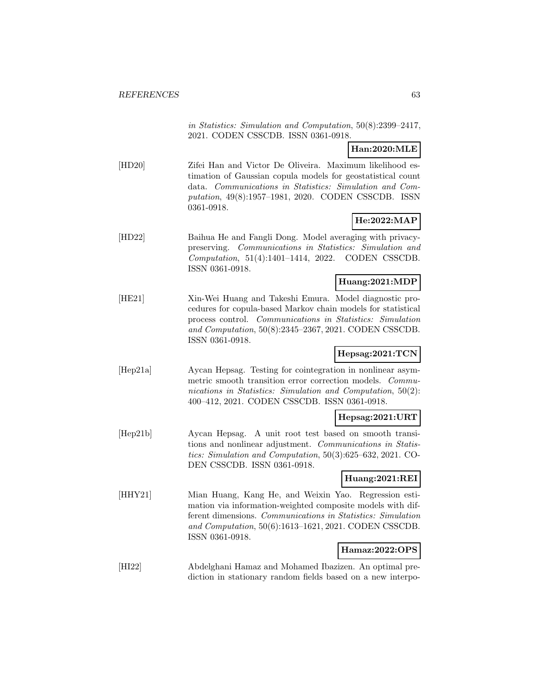in Statistics: Simulation and Computation, 50(8):2399–2417, 2021. CODEN CSSCDB. ISSN 0361-0918.

**Han:2020:MLE**

[HD20] Zifei Han and Victor De Oliveira. Maximum likelihood estimation of Gaussian copula models for geostatistical count data. Communications in Statistics: Simulation and Computation, 49(8):1957–1981, 2020. CODEN CSSCDB. ISSN 0361-0918.

# **He:2022:MAP**

[HD22] Baihua He and Fangli Dong. Model averaging with privacypreserving. Communications in Statistics: Simulation and Computation, 51(4):1401–1414, 2022. CODEN CSSCDB. ISSN 0361-0918.

#### **Huang:2021:MDP**

[HE21] Xin-Wei Huang and Takeshi Emura. Model diagnostic procedures for copula-based Markov chain models for statistical process control. Communications in Statistics: Simulation and Computation, 50(8):2345–2367, 2021. CODEN CSSCDB. ISSN 0361-0918.

# **Hepsag:2021:TCN**

[Hep21a] Aycan Hepsag. Testing for cointegration in nonlinear asymmetric smooth transition error correction models. Communications in Statistics: Simulation and Computation, 50(2): 400–412, 2021. CODEN CSSCDB. ISSN 0361-0918.

#### **Hepsag:2021:URT**

[Hep21b] Aycan Hepsag. A unit root test based on smooth transitions and nonlinear adjustment. Communications in Statistics: Simulation and Computation, 50(3):625–632, 2021. CO-DEN CSSCDB. ISSN 0361-0918.

## **Huang:2021:REI**

[HHY21] Mian Huang, Kang He, and Weixin Yao. Regression estimation via information-weighted composite models with different dimensions. Communications in Statistics: Simulation and Computation, 50(6):1613–1621, 2021. CODEN CSSCDB. ISSN 0361-0918.

# **Hamaz:2022:OPS**

[HI22] Abdelghani Hamaz and Mohamed Ibazizen. An optimal prediction in stationary random fields based on a new interpo-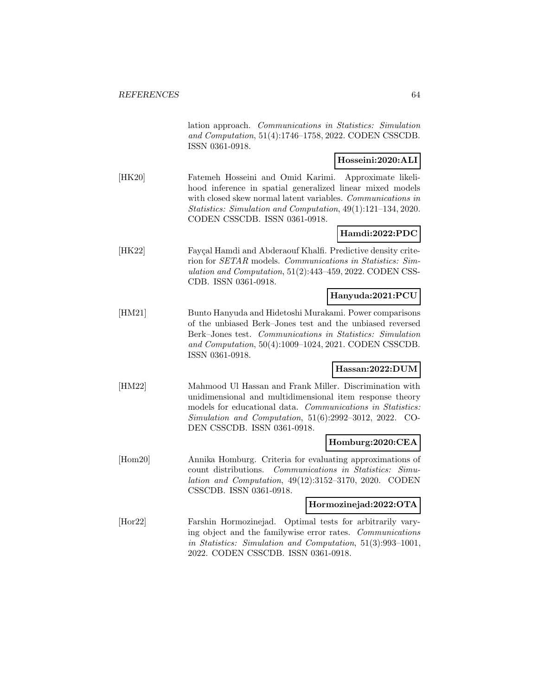lation approach. Communications in Statistics: Simulation and Computation, 51(4):1746–1758, 2022. CODEN CSSCDB. ISSN 0361-0918.

## **Hosseini:2020:ALI**

[HK20] Fatemeh Hosseini and Omid Karimi. Approximate likelihood inference in spatial generalized linear mixed models with closed skew normal latent variables. Communications in Statistics: Simulation and Computation, 49(1):121–134, 2020. CODEN CSSCDB. ISSN 0361-0918.

# **Hamdi:2022:PDC**

[HK22] Fayçal Hamdi and Abderaouf Khalfi. Predictive density criterion for SETAR models. Communications in Statistics: Simulation and Computation, 51(2):443–459, 2022. CODEN CSS-CDB. ISSN 0361-0918.

#### **Hanyuda:2021:PCU**

[HM21] Bunto Hanyuda and Hidetoshi Murakami. Power comparisons of the unbiased Berk–Jones test and the unbiased reversed Berk–Jones test. Communications in Statistics: Simulation and Computation, 50(4):1009–1024, 2021. CODEN CSSCDB. ISSN 0361-0918.

#### **Hassan:2022:DUM**

[HM22] Mahmood Ul Hassan and Frank Miller. Discrimination with unidimensional and multidimensional item response theory models for educational data. Communications in Statistics: Simulation and Computation, 51(6):2992–3012, 2022. CO-DEN CSSCDB. ISSN 0361-0918.

#### **Homburg:2020:CEA**

[Hom20] Annika Homburg. Criteria for evaluating approximations of count distributions. Communications in Statistics: Simulation and Computation, 49(12):3152–3170, 2020. CODEN CSSCDB. ISSN 0361-0918.

#### **Hormozinejad:2022:OTA**

[Hor22] Farshin Hormozinejad. Optimal tests for arbitrarily varying object and the familywise error rates. Communications in Statistics: Simulation and Computation, 51(3):993–1001, 2022. CODEN CSSCDB. ISSN 0361-0918.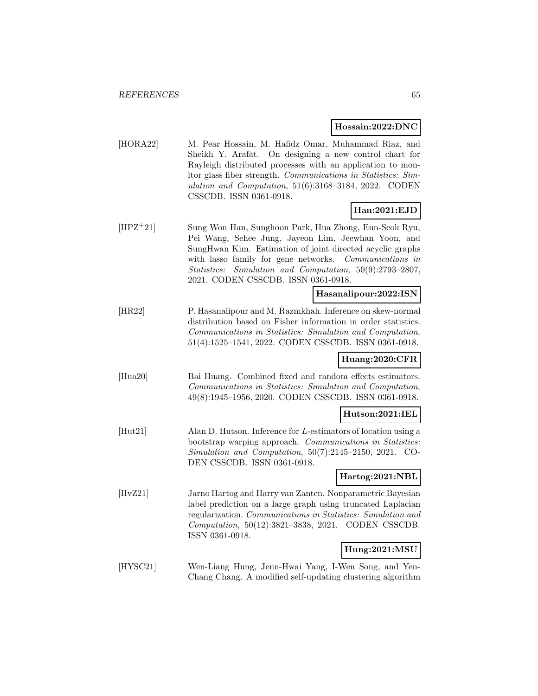#### **Hossain:2022:DNC**

[HORA22] M. Pear Hossain, M. Hafidz Omar, Muhammad Riaz, and Sheikh Y. Arafat. On designing a new control chart for Rayleigh distributed processes with an application to monitor glass fiber strength. Communications in Statistics: Simulation and Computation, 51(6):3168–3184, 2022. CODEN CSSCDB. ISSN 0361-0918.

## **Han:2021:EJD**

[HPZ<sup>+</sup>21] Sung Won Han, Sunghoon Park, Hua Zhong, Eun-Seok Ryu, Pei Wang, Sehee Jung, Jayeon Lim, Jeewhan Yoon, and SungHwan Kim. Estimation of joint directed acyclic graphs with lasso family for gene networks. Communications in Statistics: Simulation and Computation, 50(9):2793–2807, 2021. CODEN CSSCDB. ISSN 0361-0918.

#### **Hasanalipour:2022:ISN**

[HR22] P. Hasanalipour and M. Razmkhah. Inference on skew-normal distribution based on Fisher information in order statistics. Communications in Statistics: Simulation and Computation, 51(4):1525–1541, 2022. CODEN CSSCDB. ISSN 0361-0918.

#### **Huang:2020:CFR**

[Hua20] Bai Huang. Combined fixed and random effects estimators. Communications in Statistics: Simulation and Computation, 49(8):1945–1956, 2020. CODEN CSSCDB. ISSN 0361-0918.

## **Hutson:2021:IEL**

[Hut21] Alan D. Hutson. Inference for L-estimators of location using a bootstrap warping approach. Communications in Statistics: Simulation and Computation, 50(7):2145–2150, 2021. CO-DEN CSSCDB. ISSN 0361-0918.

#### **Hartog:2021:NBL**

[HvZ21] Jarno Hartog and Harry van Zanten. Nonparametric Bayesian label prediction on a large graph using truncated Laplacian regularization. Communications in Statistics: Simulation and Computation, 50(12):3821–3838, 2021. CODEN CSSCDB. ISSN 0361-0918.

## **Hung:2021:MSU**

[HYSC21] Wen-Liang Hung, Jenn-Hwai Yang, I-Wen Song, and Yen-Chang Chang. A modified self-updating clustering algorithm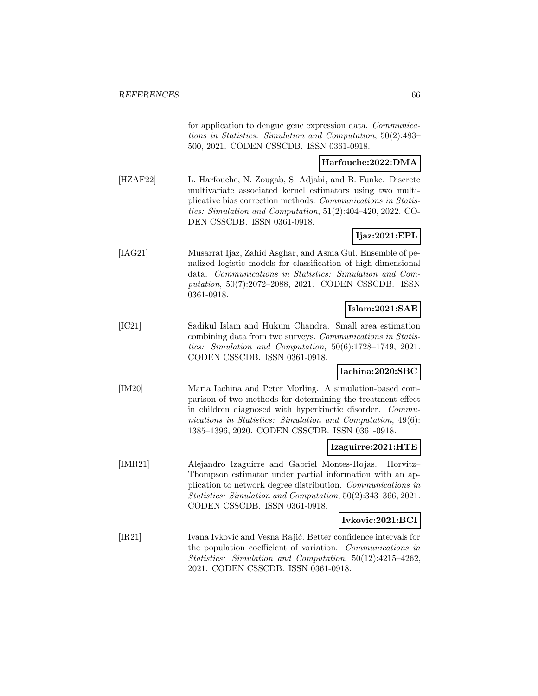for application to dengue gene expression data. Communications in Statistics: Simulation and Computation, 50(2):483– 500, 2021. CODEN CSSCDB. ISSN 0361-0918.

## **Harfouche:2022:DMA**

[HZAF22] L. Harfouche, N. Zougab, S. Adjabi, and B. Funke. Discrete multivariate associated kernel estimators using two multiplicative bias correction methods. Communications in Statistics: Simulation and Computation, 51(2):404–420, 2022. CO-DEN CSSCDB. ISSN 0361-0918.

# **Ijaz:2021:EPL**

[IAG21] Musarrat Ijaz, Zahid Asghar, and Asma Gul. Ensemble of penalized logistic models for classification of high-dimensional data. Communications in Statistics: Simulation and Computation, 50(7):2072–2088, 2021. CODEN CSSCDB. ISSN 0361-0918.

# **Islam:2021:SAE**

[IC21] Sadikul Islam and Hukum Chandra. Small area estimation combining data from two surveys. Communications in Statistics: Simulation and Computation, 50(6):1728–1749, 2021. CODEN CSSCDB. ISSN 0361-0918.

## **Iachina:2020:SBC**

[IM20] Maria Iachina and Peter Morling. A simulation-based comparison of two methods for determining the treatment effect in children diagnosed with hyperkinetic disorder. Communications in Statistics: Simulation and Computation, 49(6): 1385–1396, 2020. CODEN CSSCDB. ISSN 0361-0918.

#### **Izaguirre:2021:HTE**

[IMR21] Alejandro Izaguirre and Gabriel Montes-Rojas. Horvitz– Thompson estimator under partial information with an application to network degree distribution. Communications in Statistics: Simulation and Computation, 50(2):343–366, 2021. CODEN CSSCDB. ISSN 0361-0918.

#### **Ivkovic:2021:BCI**

[IR21] Ivana Ivković and Vesna Rajić. Better confidence intervals for the population coefficient of variation. Communications in Statistics: Simulation and Computation, 50(12):4215–4262, 2021. CODEN CSSCDB. ISSN 0361-0918.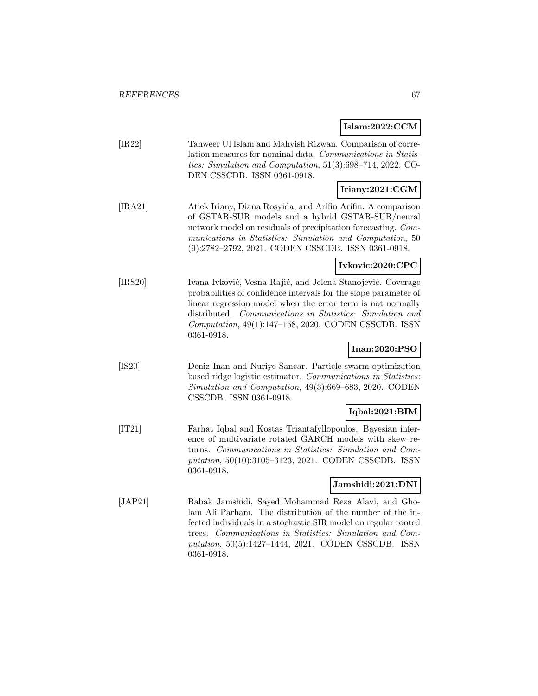# **Islam:2022:CCM**

| [IR22]  | Tanweer Ul Islam and Mahvish Rizwan. Comparison of corre-<br>lation measures for nominal data. Communications in Statis-<br>tics: Simulation and Computation, 51(3):698-714, 2022. CO-<br>DEN CSSCDB. ISSN 0361-0918.                                                                                                             |
|---------|-----------------------------------------------------------------------------------------------------------------------------------------------------------------------------------------------------------------------------------------------------------------------------------------------------------------------------------|
|         | Iriany:2021:CGM                                                                                                                                                                                                                                                                                                                   |
| [IRA21] | Atiek Iriany, Diana Rosyida, and Arifin Arifin. A comparison<br>of GSTAR-SUR models and a hybrid GSTAR-SUR/neural<br>network model on residuals of precipitation forecasting. Com-<br>munications in Statistics: Simulation and Computation, 50<br>(9):2782-2792, 2021. CODEN CSSCDB. ISSN 0361-0918.                             |
|         | Ivkovic:2020:CPC                                                                                                                                                                                                                                                                                                                  |
| [IRS20] | Ivana Ivković, Vesna Rajić, and Jelena Stanojević. Coverage<br>probabilities of confidence intervals for the slope parameter of<br>linear regression model when the error term is not normally<br>distributed. Communications in Statistics: Simulation and<br>Computation, 49(1):147-158, 2020. CODEN CSSCDB. ISSN<br>0361-0918. |
|         | Inan:2020:PSO                                                                                                                                                                                                                                                                                                                     |
| [IS20]  | Deniz Inan and Nuriye Sancar. Particle swarm optimization<br>based ridge logistic estimator. Communications in Statistics:<br>Simulation and Computation, 49(3):669-683, 2020. CODEN<br>CSSCDB. ISSN 0361-0918.                                                                                                                   |
|         | Iqbal:2021:BIM                                                                                                                                                                                                                                                                                                                    |
| [T21]   | Farhat Iqbal and Kostas Triantafyllopoulos. Bayesian infer-<br>ence of multivariate rotated GARCH models with skew re-<br>turns. Communications in Statistics: Simulation and Com-<br>putation, 50(10):3105-3123, 2021. CODEN CSSCDB. ISSN<br>0361-0918.                                                                          |
|         | Jamshidi:2021:DNI                                                                                                                                                                                                                                                                                                                 |
| [JAP21] | Babak Jamshidi, Sayed Mohammad Reza Alavi, and Gho-<br>lam Ali Parham. The distribution of the number of the in-<br>fected individuals in a stochastic SIR model on regular rooted<br>trees. Communications in Statistics: Simulation and Com-<br>putation, 50(5):1427-1444, 2021. CODEN CSSCDB. ISSN<br>0361-0918.               |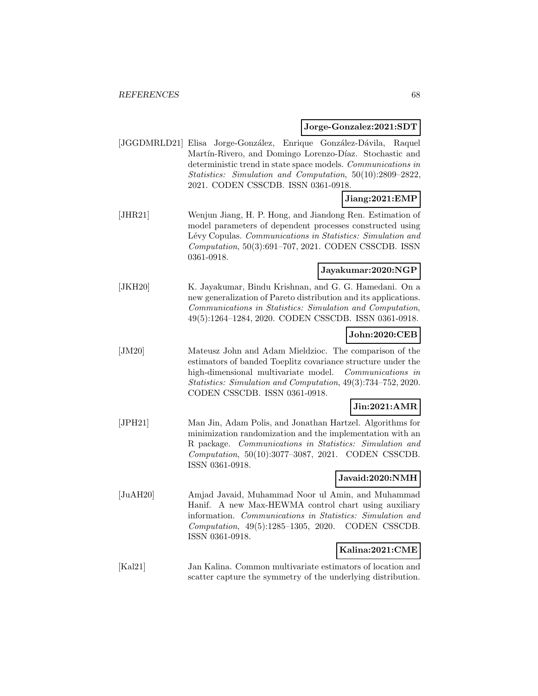#### **Jorge-Gonzalez:2021:SDT**

[JGGDMRLD21] Elisa Jorge-González, Enrique González-Dávila, Raquel Martín-Rivero, and Domingo Lorenzo-Díaz. Stochastic and deterministic trend in state space models. Communications in Statistics: Simulation and Computation, 50(10):2809–2822, 2021. CODEN CSSCDB. ISSN 0361-0918.

# **Jiang:2021:EMP**

[JHR21] Wenjun Jiang, H. P. Hong, and Jiandong Ren. Estimation of model parameters of dependent processes constructed using Lévy Copulas. Communications in Statistics: Simulation and Computation, 50(3):691–707, 2021. CODEN CSSCDB. ISSN 0361-0918.

## **Jayakumar:2020:NGP**

[JKH20] K. Jayakumar, Bindu Krishnan, and G. G. Hamedani. On a new generalization of Pareto distribution and its applications. Communications in Statistics: Simulation and Computation, 49(5):1264–1284, 2020. CODEN CSSCDB. ISSN 0361-0918.

#### **John:2020:CEB**

[JM20] Mateusz John and Adam Mieldzioc. The comparison of the estimators of banded Toeplitz covariance structure under the high-dimensional multivariate model. Communications in Statistics: Simulation and Computation, 49(3):734–752, 2020. CODEN CSSCDB. ISSN 0361-0918.

## **Jin:2021:AMR**

[JPH21] Man Jin, Adam Polis, and Jonathan Hartzel. Algorithms for minimization randomization and the implementation with an R package. Communications in Statistics: Simulation and Computation, 50(10):3077–3087, 2021. CODEN CSSCDB. ISSN 0361-0918.

## **Javaid:2020:NMH**

[JuAH20] Amjad Javaid, Muhammad Noor ul Amin, and Muhammad Hanif. A new Max-HEWMA control chart using auxiliary information. Communications in Statistics: Simulation and Computation, 49(5):1285–1305, 2020. CODEN CSSCDB. ISSN 0361-0918.

#### **Kalina:2021:CME**

[Kal21] Jan Kalina. Common multivariate estimators of location and scatter capture the symmetry of the underlying distribution.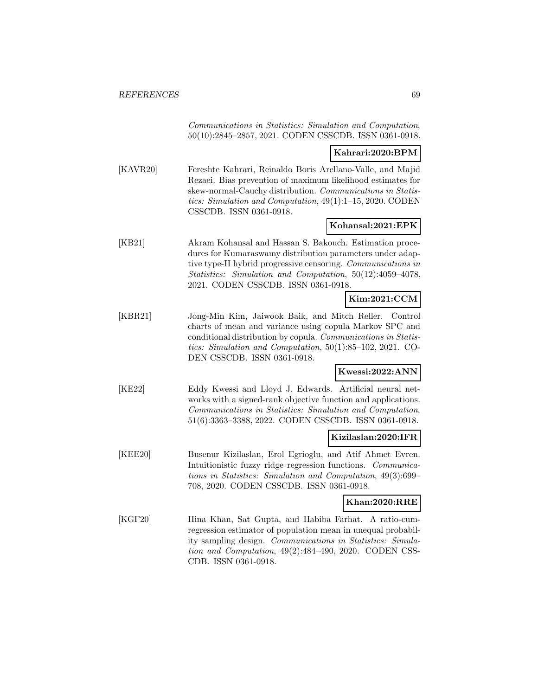Communications in Statistics: Simulation and Computation, 50(10):2845–2857, 2021. CODEN CSSCDB. ISSN 0361-0918.

# **Kahrari:2020:BPM**

[KAVR20] Fereshte Kahrari, Reinaldo Boris Arellano-Valle, and Majid Rezaei. Bias prevention of maximum likelihood estimates for skew-normal-Cauchy distribution. Communications in Statistics: Simulation and Computation, 49(1):1–15, 2020. CODEN CSSCDB. ISSN 0361-0918.

#### **Kohansal:2021:EPK**

[KB21] Akram Kohansal and Hassan S. Bakouch. Estimation procedures for Kumaraswamy distribution parameters under adaptive type-II hybrid progressive censoring. Communications in Statistics: Simulation and Computation, 50(12):4059–4078, 2021. CODEN CSSCDB. ISSN 0361-0918.

# **Kim:2021:CCM**

[KBR21] Jong-Min Kim, Jaiwook Baik, and Mitch Reller. Control charts of mean and variance using copula Markov SPC and conditional distribution by copula. Communications in Statistics: Simulation and Computation, 50(1):85–102, 2021. CO-DEN CSSCDB. ISSN 0361-0918.

## **Kwessi:2022:ANN**

[KE22] Eddy Kwessi and Lloyd J. Edwards. Artificial neural networks with a signed-rank objective function and applications. Communications in Statistics: Simulation and Computation, 51(6):3363–3388, 2022. CODEN CSSCDB. ISSN 0361-0918.

## **Kizilaslan:2020:IFR**

[KEE20] Busenur Kizilaslan, Erol Egrioglu, and Atif Ahmet Evren. Intuitionistic fuzzy ridge regression functions. Communications in Statistics: Simulation and Computation, 49(3):699– 708, 2020. CODEN CSSCDB. ISSN 0361-0918.

#### **Khan:2020:RRE**

[KGF20] Hina Khan, Sat Gupta, and Habiba Farhat. A ratio-cumregression estimator of population mean in unequal probability sampling design. Communications in Statistics: Simulation and Computation, 49(2):484–490, 2020. CODEN CSS-CDB. ISSN 0361-0918.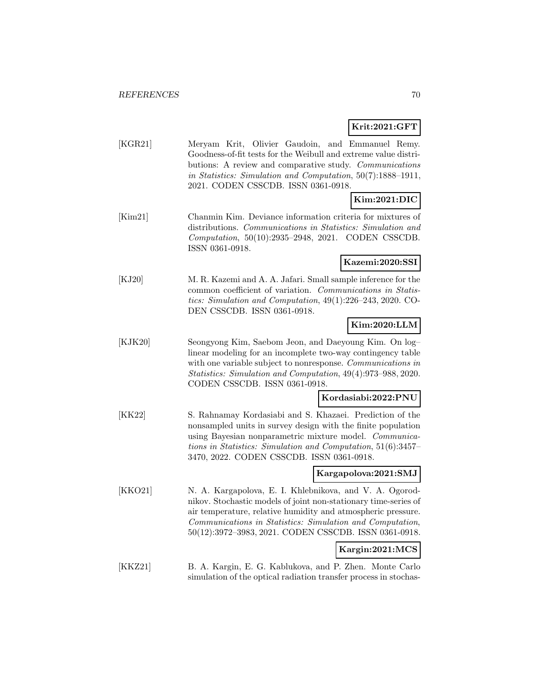**Krit:2021:GFT**

|         | Krit:2021:GFT                                                                                                                                                                                                                                                                                                    |
|---------|------------------------------------------------------------------------------------------------------------------------------------------------------------------------------------------------------------------------------------------------------------------------------------------------------------------|
| [KGR21] | Meryam Krit, Olivier Gaudoin, and Emmanuel Remy.<br>Goodness-of-fit tests for the Weibull and extreme value distri-<br>butions: A review and comparative study. Communications<br>in Statistics: Simulation and Computation, 50(7):1888-1911,<br>2021. CODEN CSSCDB. ISSN 0361-0918.                             |
|         | Kim:2021:DIC                                                                                                                                                                                                                                                                                                     |
| [Kim21] | Chanmin Kim. Deviance information criteria for mixtures of<br>distributions. Communications in Statistics: Simulation and<br>Computation, 50(10):2935-2948, 2021. CODEN CSSCDB.<br>ISSN 0361-0918.                                                                                                               |
|         | Kazemi:2020:SSI                                                                                                                                                                                                                                                                                                  |
| [KJ20]  | M. R. Kazemi and A. A. Jafari. Small sample inference for the<br>common coefficient of variation. Communications in Statis-<br>tics: Simulation and Computation, 49(1):226-243, 2020. CO-<br>DEN CSSCDB. ISSN 0361-0918.                                                                                         |
|         | Kim:2020:LLM                                                                                                                                                                                                                                                                                                     |
| [KJK20] | Seongyong Kim, Saebom Jeon, and Daeyoung Kim. On log-<br>linear modeling for an incomplete two-way contingency table<br>with one variable subject to nonresponse. Communications in<br>Statistics: Simulation and Computation, 49(4):973-988, 2020.<br>CODEN CSSCDB. ISSN 0361-0918.                             |
|         | Kordasiabi:2022:PNU                                                                                                                                                                                                                                                                                              |
| [KK22]  | S. Rahnamay Kordasiabi and S. Khazaei. Prediction of the<br>nonsampled units in survey design with the finite population<br>using Bayesian nonparametric mixture model. Communica-<br>tions in Statistics: Simulation and Computation, 51(6):3457–<br>3470, 2022. CODEN CSSCDB. ISSN 0361-0918.                  |
|         | Kargapolova:2021:SMJ                                                                                                                                                                                                                                                                                             |
| [KKO21] | N. A. Kargapolova, E. I. Khlebnikova, and V. A. Ogorod-<br>nikov. Stochastic models of joint non-stationary time-series of<br>air temperature, relative humidity and atmospheric pressure.<br>Communications in Statistics: Simulation and Computation,<br>50(12):3972-3983, 2021. CODEN CSSCDB. ISSN 0361-0918. |
|         | Kargin:2021:MCS                                                                                                                                                                                                                                                                                                  |
| [KKZ21] | B. A. Kargin, E. G. Kablukova, and P. Zhen. Monte Carlo                                                                                                                                                                                                                                                          |

simulation of the optical radiation transfer process in stochas-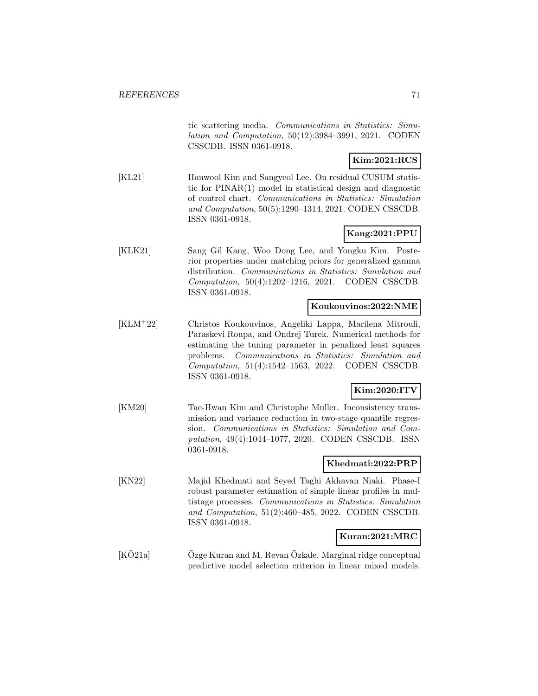tic scattering media. Communications in Statistics: Simulation and Computation, 50(12):3984–3991, 2021. CODEN CSSCDB. ISSN 0361-0918.

# **Kim:2021:RCS**

[KL21] Hanwool Kim and Sangyeol Lee. On residual CUSUM statistic for PINAR(1) model in statistical design and diagnostic of control chart. Communications in Statistics: Simulation and Computation, 50(5):1290–1314, 2021. CODEN CSSCDB. ISSN 0361-0918.

# **Kang:2021:PPU**

[KLK21] Sang Gil Kang, Woo Dong Lee, and Yongku Kim. Posterior properties under matching priors for generalized gamma distribution. Communications in Statistics: Simulation and Computation, 50(4):1202–1216, 2021. CODEN CSSCDB. ISSN 0361-0918.

## **Koukouvinos:2022:NME**

[KLM<sup>+</sup>22] Christos Koukouvinos, Angeliki Lappa, Marilena Mitrouli, Paraskevi Roupa, and Ondrej Turek. Numerical methods for estimating the tuning parameter in penalized least squares problems. Communications in Statistics: Simulation and Computation, 51(4):1542–1563, 2022. CODEN CSSCDB. ISSN 0361-0918.

# **Kim:2020:ITV**

[KM20] Tae-Hwan Kim and Christophe Muller. Inconsistency transmission and variance reduction in two-stage quantile regression. Communications in Statistics: Simulation and Computation, 49(4):1044–1077, 2020. CODEN CSSCDB. ISSN 0361-0918.

#### **Khedmati:2022:PRP**

[KN22] Majid Khedmati and Seyed Taghi Akhavan Niaki. Phase-I robust parameter estimation of simple linear profiles in multistage processes. Communications in Statistics: Simulation and Computation, 51(2):460–485, 2022. CODEN CSSCDB. ISSN 0361-0918.

## **Kuran:2021:MRC**

 $[K\ddot{O}21a]$   $\qquad \ddot{O}z$ ge Kuran and M. Revan  $\ddot{O}z$ kale. Marginal ridge conceptual predictive model selection criterion in linear mixed models.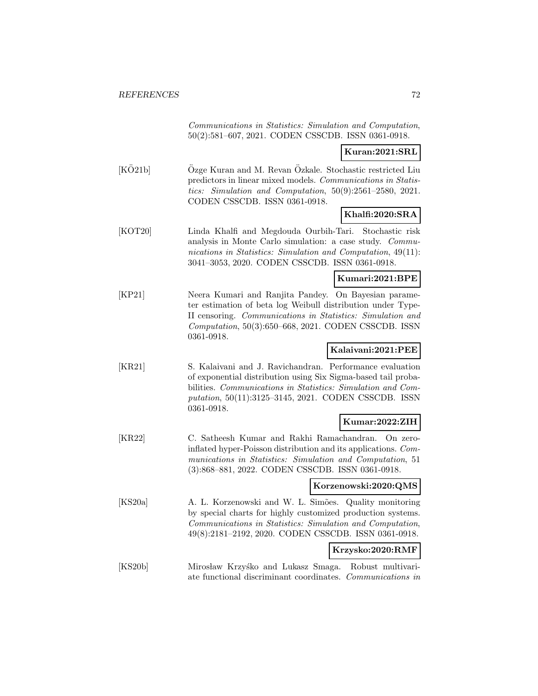Communications in Statistics: Simulation and Computation, 50(2):581–607, 2021. CODEN CSSCDB. ISSN 0361-0918.

## **Kuran:2021:SRL**

 $[KO21b]$   $Ozge Kuran$  and M. Revan  $Ozka$ le. Stochastic restricted Liu predictors in linear mixed models. Communications in Statistics: Simulation and Computation, 50(9):2561–2580, 2021. CODEN CSSCDB. ISSN 0361-0918.

## **Khalfi:2020:SRA**

[KOT20] Linda Khalfi and Megdouda Ourbih-Tari. Stochastic risk analysis in Monte Carlo simulation: a case study. Communications in Statistics: Simulation and Computation, 49(11): 3041–3053, 2020. CODEN CSSCDB. ISSN 0361-0918.

#### **Kumari:2021:BPE**

[KP21] Neera Kumari and Ranjita Pandey. On Bayesian parameter estimation of beta log Weibull distribution under Type-II censoring. Communications in Statistics: Simulation and Computation, 50(3):650–668, 2021. CODEN CSSCDB. ISSN 0361-0918.

## **Kalaivani:2021:PEE**

[KR21] S. Kalaivani and J. Ravichandran. Performance evaluation of exponential distribution using Six Sigma-based tail probabilities. Communications in Statistics: Simulation and Computation, 50(11):3125–3145, 2021. CODEN CSSCDB. ISSN 0361-0918.

# **Kumar:2022:ZIH**

[KR22] C. Satheesh Kumar and Rakhi Ramachandran. On zeroinflated hyper-Poisson distribution and its applications. Communications in Statistics: Simulation and Computation, 51 (3):868–881, 2022. CODEN CSSCDB. ISSN 0361-0918.

#### **Korzenowski:2020:QMS**

[KS20a] A. L. Korzenowski and W. L. Simões. Quality monitoring by special charts for highly customized production systems. Communications in Statistics: Simulation and Computation, 49(8):2181–2192, 2020. CODEN CSSCDB. ISSN 0361-0918.

# **Krzysko:2020:RMF**

[KS20b] Mirosław Krzyśko and Lukasz Smaga. Robust multivariate functional discriminant coordinates. Communications in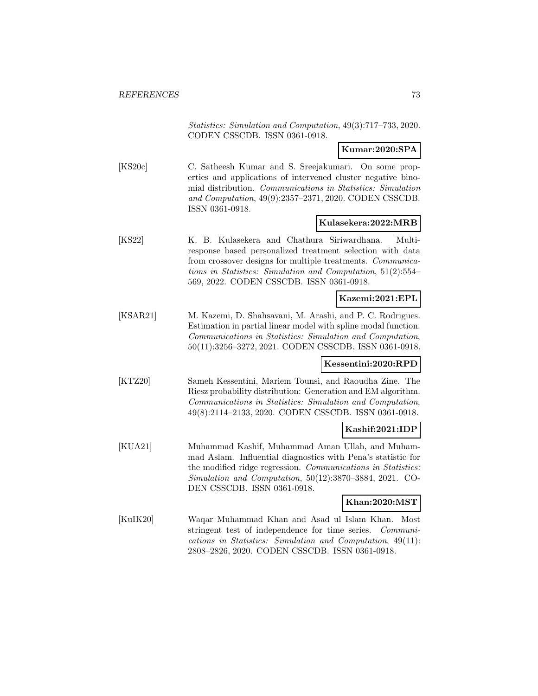Statistics: Simulation and Computation, 49(3):717–733, 2020. CODEN CSSCDB. ISSN 0361-0918.

**Kumar:2020:SPA**

[KS20c] C. Satheesh Kumar and S. Sreejakumari. On some properties and applications of intervened cluster negative binomial distribution. Communications in Statistics: Simulation and Computation, 49(9):2357–2371, 2020. CODEN CSSCDB. ISSN 0361-0918.

#### **Kulasekera:2022:MRB**

[KS22] K. B. Kulasekera and Chathura Siriwardhana. Multiresponse based personalized treatment selection with data from crossover designs for multiple treatments. Communications in Statistics: Simulation and Computation, 51(2):554– 569, 2022. CODEN CSSCDB. ISSN 0361-0918.

## **Kazemi:2021:EPL**

[KSAR21] M. Kazemi, D. Shahsavani, M. Arashi, and P. C. Rodrigues. Estimation in partial linear model with spline modal function. Communications in Statistics: Simulation and Computation, 50(11):3256–3272, 2021. CODEN CSSCDB. ISSN 0361-0918.

## **Kessentini:2020:RPD**

[KTZ20] Sameh Kessentini, Mariem Tounsi, and Raoudha Zine. The Riesz probability distribution: Generation and EM algorithm. Communications in Statistics: Simulation and Computation, 49(8):2114–2133, 2020. CODEN CSSCDB. ISSN 0361-0918.

## **Kashif:2021:IDP**

[KUA21] Muhammad Kashif, Muhammad Aman Ullah, and Muhammad Aslam. Influential diagnostics with Pena's statistic for the modified ridge regression. Communications in Statistics: Simulation and Computation, 50(12):3870–3884, 2021. CO-DEN CSSCDB. ISSN 0361-0918.

#### **Khan:2020:MST**

[KuIK20] Waqar Muhammad Khan and Asad ul Islam Khan. Most stringent test of independence for time series. Communications in Statistics: Simulation and Computation, 49(11): 2808–2826, 2020. CODEN CSSCDB. ISSN 0361-0918.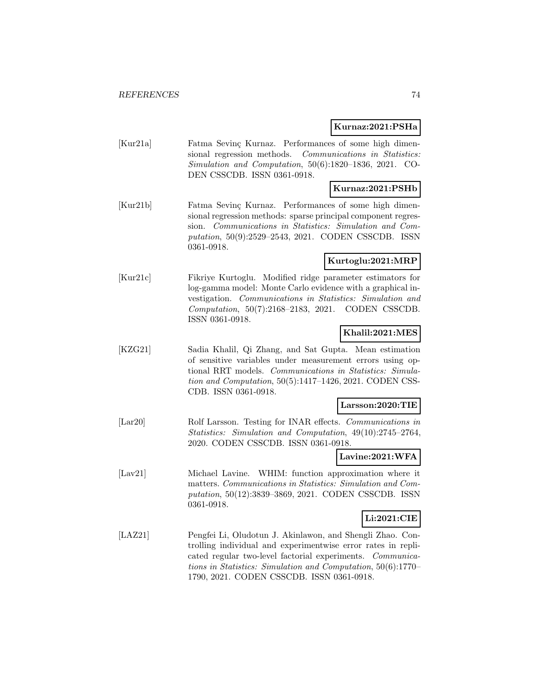#### **Kurnaz:2021:PSHa**

| [Kur21a] | Fatma Sevinc Kurnaz. Performances of some high dimen-    |
|----------|----------------------------------------------------------|
|          | sional regression methods. Communications in Statistics: |
|          | $Simulation$ and Computation, 50(6):1820-1836, 2021. CO- |
|          | DEN CSSCDB. ISSN 0361-0918.                              |
|          |                                                          |

# **Kurnaz:2021:PSHb**

[Kur21b] Fatma Sevinç Kurnaz. Performances of some high dimensional regression methods: sparse principal component regression. Communications in Statistics: Simulation and Computation, 50(9):2529–2543, 2021. CODEN CSSCDB. ISSN 0361-0918.

## **Kurtoglu:2021:MRP**

[Kur21c] Fikriye Kurtoglu. Modified ridge parameter estimators for log-gamma model: Monte Carlo evidence with a graphical investigation. Communications in Statistics: Simulation and Computation, 50(7):2168–2183, 2021. CODEN CSSCDB. ISSN 0361-0918.

#### **Khalil:2021:MES**

[KZG21] Sadia Khalil, Qi Zhang, and Sat Gupta. Mean estimation of sensitive variables under measurement errors using optional RRT models. Communications in Statistics: Simulation and Computation, 50(5):1417–1426, 2021. CODEN CSS-CDB. ISSN 0361-0918.

#### **Larsson:2020:TIE**

[Lar20] Rolf Larsson. Testing for INAR effects. Communications in Statistics: Simulation and Computation, 49(10):2745–2764, 2020. CODEN CSSCDB. ISSN 0361-0918.

## **Lavine:2021:WFA**

[Lav21] Michael Lavine. WHIM: function approximation where it matters. Communications in Statistics: Simulation and Computation, 50(12):3839–3869, 2021. CODEN CSSCDB. ISSN 0361-0918.

#### **Li:2021:CIE**

[LAZ21] Pengfei Li, Oludotun J. Akinlawon, and Shengli Zhao. Controlling individual and experimentwise error rates in replicated regular two-level factorial experiments. Communications in Statistics: Simulation and Computation, 50(6):1770– 1790, 2021. CODEN CSSCDB. ISSN 0361-0918.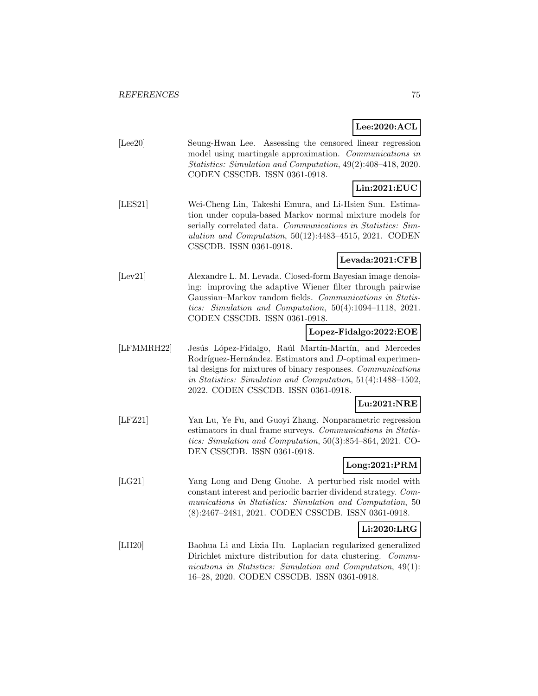٦ **Lee:2020:ACL**

|            |                                                                                                                                                                                                                                                                                         | Lee:2020:ACL    |
|------------|-----------------------------------------------------------------------------------------------------------------------------------------------------------------------------------------------------------------------------------------------------------------------------------------|-----------------|
| [Lee20]    | Seung-Hwan Lee. Assessing the censored linear regression<br>model using martingale approximation. Communications in<br>Statistics: Simulation and Computation, 49(2):408-418, 2020.<br>CODEN CSSCDB. ISSN 0361-0918.                                                                    |                 |
|            |                                                                                                                                                                                                                                                                                         | Lin:2021:EUC    |
| [LES21]    | Wei-Cheng Lin, Takeshi Emura, and Li-Hsien Sun. Estima-<br>tion under copula-based Markov normal mixture models for<br>serially correlated data. Communications in Statistics: Sim-<br>ulation and Computation, $50(12):4483-4515$ , 2021. CODEN<br>CSSCDB. ISSN 0361-0918.             |                 |
|            |                                                                                                                                                                                                                                                                                         | Levada:2021:CFB |
| [Lev21]    | Alexandre L. M. Levada. Closed-form Bayesian image denois-<br>ing: improving the adaptive Wiener filter through pairwise<br>Gaussian–Markov random fields. Communications in Statis-<br>tics: Simulation and Computation, $50(4):1094-1118$ , $2021$ .<br>CODEN CSSCDB. ISSN 0361-0918. |                 |
|            | Lopez-Fidalgo:2022:EOE                                                                                                                                                                                                                                                                  |                 |
| [LFMMRH22] | Jesús López-Fidalgo, Raúl Martín-Martín, and Mercedes<br>Rodríguez-Hernández. Estimators and D-optimal experimen-<br>tal designs for mixtures of binary responses. Communications<br>in Statistics: Simulation and Computation, 51(4):1488-1502,<br>2022. CODEN CSSCDB. ISSN 0361-0918. |                 |
|            |                                                                                                                                                                                                                                                                                         | Lu:2021:NRE     |
| [LFZ21]    | Yan Lu, Ye Fu, and Guoyi Zhang. Nonparametric regression<br>estimators in dual frame surveys. Communications in Statis-<br>tics: Simulation and Computation, 50(3):854-864, 2021. CO-<br>DEN CSSCDB. ISSN 0361-0918.                                                                    |                 |
|            |                                                                                                                                                                                                                                                                                         | Long:2021:PRM   |
| [LG21]     | Yang Long and Deng Guohe. A perturbed risk model with<br>constant interest and periodic barrier dividend strategy. Com-<br>munications in Statistics: Simulation and Computation, 50<br>(8):2467-2481, 2021. CODEN CSSCDB. ISSN 0361-0918.                                              |                 |
|            |                                                                                                                                                                                                                                                                                         | Li:2020:LRG     |

[LH20] Baohua Li and Lixia Hu. Laplacian regularized generalized Dirichlet mixture distribution for data clustering. Communications in Statistics: Simulation and Computation, 49(1): 16–28, 2020. CODEN CSSCDB. ISSN 0361-0918.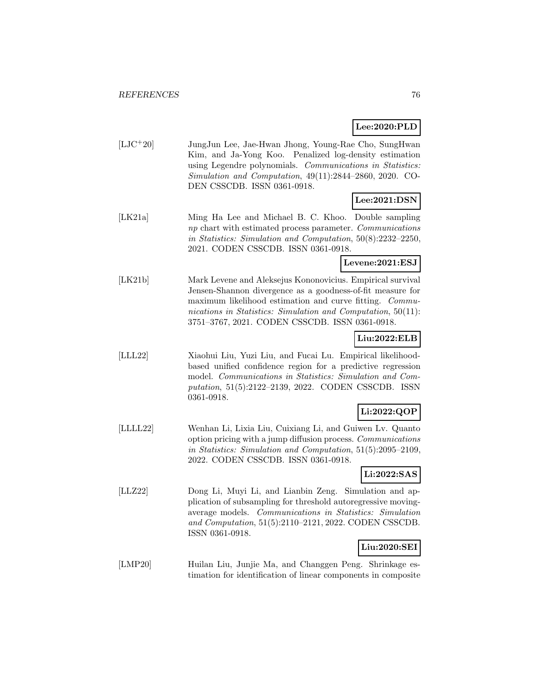# **Lee:2020:PLD**

| $[LJC+20]$ | JungJun Lee, Jae-Hwan Jhong, Young-Rae Cho, SungHwan          |
|------------|---------------------------------------------------------------|
|            | Kim, and Ja-Yong Koo. Penalized log-density estimation        |
|            | using Legendre polynomials. Communications in Statistics:     |
|            | Simulation and Computation, $49(11):2844-2860$ , $2020$ . CO- |
|            | DEN CSSCDB. ISSN 0361-0918.                                   |
|            |                                                               |

# **Lee:2021:DSN**

[LK21a] Ming Ha Lee and Michael B. C. Khoo. Double sampling np chart with estimated process parameter. Communications in Statistics: Simulation and Computation, 50(8):2232–2250, 2021. CODEN CSSCDB. ISSN 0361-0918.

**Levene:2021:ESJ**

[LK21b] Mark Levene and Aleksejus Kononovicius. Empirical survival Jensen-Shannon divergence as a goodness-of-fit measure for maximum likelihood estimation and curve fitting. Communications in Statistics: Simulation and Computation, 50(11): 3751–3767, 2021. CODEN CSSCDB. ISSN 0361-0918.

# **Liu:2022:ELB**

[LLL22] Xiaohui Liu, Yuzi Liu, and Fucai Lu. Empirical likelihoodbased unified confidence region for a predictive regression model. Communications in Statistics: Simulation and Computation, 51(5):2122–2139, 2022. CODEN CSSCDB. ISSN 0361-0918.

# **Li:2022:QOP**

[LLLL22] Wenhan Li, Lixia Liu, Cuixiang Li, and Guiwen Lv. Quanto option pricing with a jump diffusion process. Communications in Statistics: Simulation and Computation, 51(5):2095–2109, 2022. CODEN CSSCDB. ISSN 0361-0918.

# **Li:2022:SAS**

[LLZ22] Dong Li, Muyi Li, and Lianbin Zeng. Simulation and application of subsampling for threshold autoregressive movingaverage models. Communications in Statistics: Simulation and Computation, 51(5):2110–2121, 2022. CODEN CSSCDB. ISSN 0361-0918.

#### **Liu:2020:SEI**

[LMP20] Huilan Liu, Junjie Ma, and Changgen Peng. Shrinkage estimation for identification of linear components in composite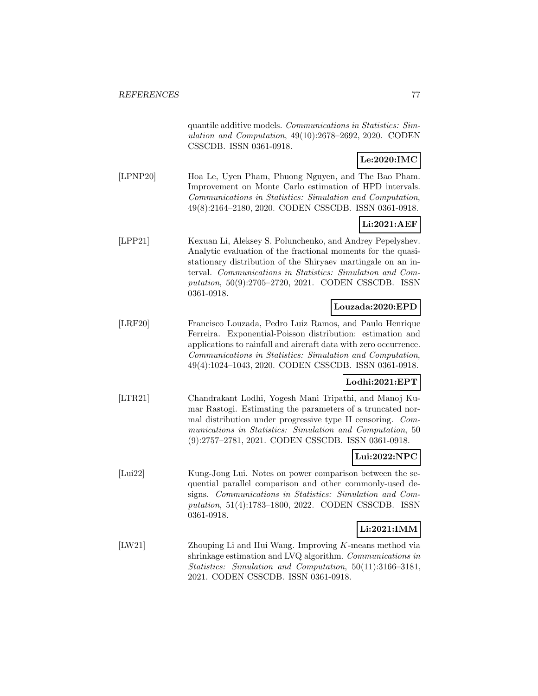quantile additive models. Communications in Statistics: Simulation and Computation, 49(10):2678–2692, 2020. CODEN CSSCDB. ISSN 0361-0918.

# **Le:2020:IMC**

[LPNP20] Hoa Le, Uyen Pham, Phuong Nguyen, and The Bao Pham. Improvement on Monte Carlo estimation of HPD intervals. Communications in Statistics: Simulation and Computation, 49(8):2164–2180, 2020. CODEN CSSCDB. ISSN 0361-0918.

# **Li:2021:AEF**

[LPP21] Kexuan Li, Aleksey S. Polunchenko, and Andrey Pepelyshev. Analytic evaluation of the fractional moments for the quasistationary distribution of the Shiryaev martingale on an interval. Communications in Statistics: Simulation and Computation, 50(9):2705–2720, 2021. CODEN CSSCDB. ISSN 0361-0918.

# **Louzada:2020:EPD**

[LRF20] Francisco Louzada, Pedro Luiz Ramos, and Paulo Henrique Ferreira. Exponential-Poisson distribution: estimation and applications to rainfall and aircraft data with zero occurrence. Communications in Statistics: Simulation and Computation, 49(4):1024–1043, 2020. CODEN CSSCDB. ISSN 0361-0918.

## **Lodhi:2021:EPT**

[LTR21] Chandrakant Lodhi, Yogesh Mani Tripathi, and Manoj Kumar Rastogi. Estimating the parameters of a truncated normal distribution under progressive type II censoring. Communications in Statistics: Simulation and Computation, 50 (9):2757–2781, 2021. CODEN CSSCDB. ISSN 0361-0918.

# **Lui:2022:NPC**

[Lui22] Kung-Jong Lui. Notes on power comparison between the sequential parallel comparison and other commonly-used designs. Communications in Statistics: Simulation and Computation, 51(4):1783–1800, 2022. CODEN CSSCDB. ISSN 0361-0918.

# **Li:2021:IMM**

[LW21] Zhouping Li and Hui Wang. Improving K-means method via shrinkage estimation and LVQ algorithm. Communications in Statistics: Simulation and Computation, 50(11):3166–3181, 2021. CODEN CSSCDB. ISSN 0361-0918.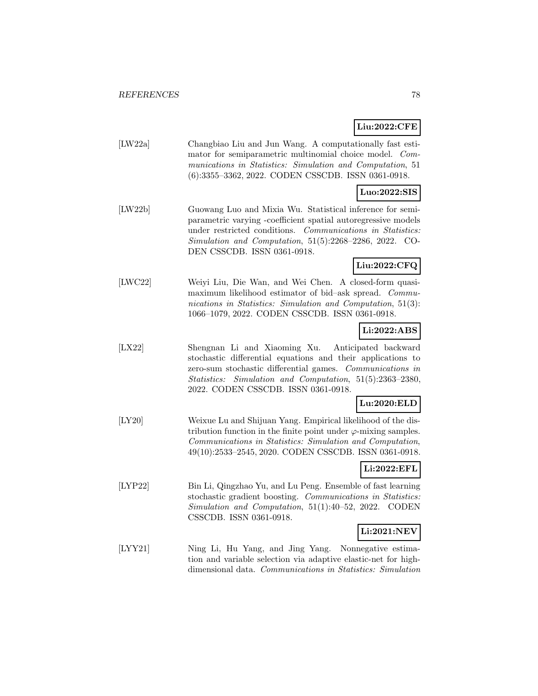# **Liu:2022:CFE**

| [LW22a] | Changbiao Liu and Jun Wang. A computationally fast esti-  |
|---------|-----------------------------------------------------------|
|         | mator for semiparametric multinomial choice model. Com-   |
|         | munications in Statistics: Simulation and Computation, 51 |
|         | (6):3355-3362, 2022. CODEN CSSCDB. ISSN 0361-0918.        |

#### **Luo:2022:SIS**

[LW22b] Guowang Luo and Mixia Wu. Statistical inference for semiparametric varying -coefficient spatial autoregressive models under restricted conditions. Communications in Statistics: Simulation and Computation, 51(5):2268–2286, 2022. CO-DEN CSSCDB. ISSN 0361-0918.

# **Liu:2022:CFQ**

[LWC22] Weiyi Liu, Die Wan, and Wei Chen. A closed-form quasimaximum likelihood estimator of bid–ask spread. Communications in Statistics: Simulation and Computation, 51(3): 1066–1079, 2022. CODEN CSSCDB. ISSN 0361-0918.

# **Li:2022:ABS**

[LX22] Shengnan Li and Xiaoming Xu. Anticipated backward stochastic differential equations and their applications to zero-sum stochastic differential games. Communications in Statistics: Simulation and Computation, 51(5):2363–2380, 2022. CODEN CSSCDB. ISSN 0361-0918.

#### **Lu:2020:ELD**

[LY20] Weixue Lu and Shijuan Yang. Empirical likelihood of the distribution function in the finite point under  $\varphi$ -mixing samples. Communications in Statistics: Simulation and Computation, 49(10):2533–2545, 2020. CODEN CSSCDB. ISSN 0361-0918.

# **Li:2022:EFL**

[LYP22] Bin Li, Qingzhao Yu, and Lu Peng. Ensemble of fast learning stochastic gradient boosting. Communications in Statistics: Simulation and Computation, 51(1):40–52, 2022. CODEN CSSCDB. ISSN 0361-0918.

# **Li:2021:NEV**

[LYY21] Ning Li, Hu Yang, and Jing Yang. Nonnegative estimation and variable selection via adaptive elastic-net for highdimensional data. Communications in Statistics: Simulation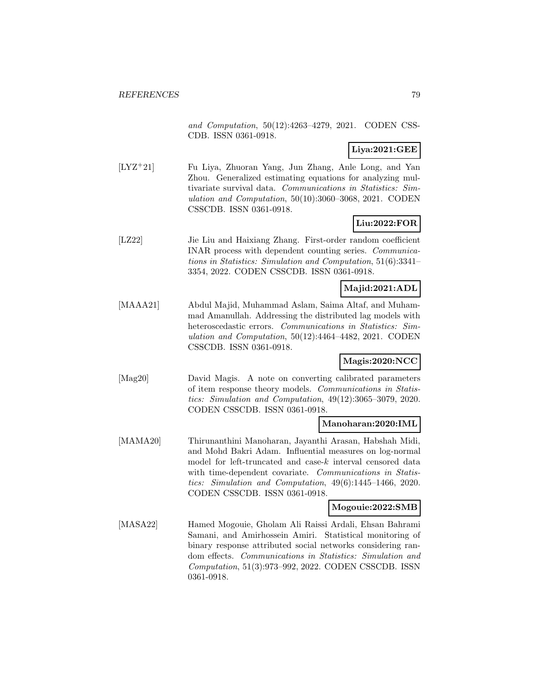and Computation, 50(12):4263–4279, 2021. CODEN CSS-CDB. ISSN 0361-0918.

# **Liya:2021:GEE**

[LYZ<sup>+</sup>21] Fu Liya, Zhuoran Yang, Jun Zhang, Anle Long, and Yan Zhou. Generalized estimating equations for analyzing multivariate survival data. Communications in Statistics: Simulation and Computation, 50(10):3060–3068, 2021. CODEN CSSCDB. ISSN 0361-0918.

# **Liu:2022:FOR**

[LZ22] Jie Liu and Haixiang Zhang. First-order random coefficient INAR process with dependent counting series. Communications in Statistics: Simulation and Computation, 51(6):3341– 3354, 2022. CODEN CSSCDB. ISSN 0361-0918.

# **Majid:2021:ADL**

[MAAA21] Abdul Majid, Muhammad Aslam, Saima Altaf, and Muhammad Amanullah. Addressing the distributed lag models with heteroscedastic errors. Communications in Statistics: Simulation and Computation, 50(12):4464–4482, 2021. CODEN CSSCDB. ISSN 0361-0918.

# **Magis:2020:NCC**

[Mag20] David Magis. A note on converting calibrated parameters of item response theory models. Communications in Statistics: Simulation and Computation, 49(12):3065–3079, 2020. CODEN CSSCDB. ISSN 0361-0918.

## **Manoharan:2020:IML**

[MAMA20] Thirunanthini Manoharan, Jayanthi Arasan, Habshah Midi, and Mohd Bakri Adam. Influential measures on log-normal model for left-truncated and case-k interval censored data with time-dependent covariate. Communications in Statistics: Simulation and Computation, 49(6):1445–1466, 2020. CODEN CSSCDB. ISSN 0361-0918.

## **Mogouie:2022:SMB**

[MASA22] Hamed Mogouie, Gholam Ali Raissi Ardali, Ehsan Bahrami Samani, and Amirhossein Amiri. Statistical monitoring of binary response attributed social networks considering random effects. Communications in Statistics: Simulation and Computation, 51(3):973–992, 2022. CODEN CSSCDB. ISSN 0361-0918.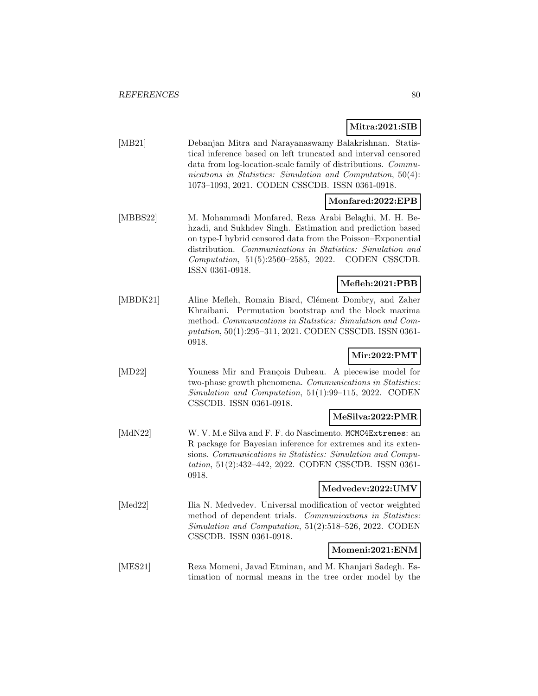**Mitra:2021:SIB**

| [MB21] | Debanjan Mitra and Narayanaswamy Balakrishnan. Statis-         |
|--------|----------------------------------------------------------------|
|        | tical inference based on left truncated and interval censored  |
|        | data from log-location-scale family of distributions. Commu-   |
|        | nications in Statistics: Simulation and Computation, $50(4)$ : |
|        | 1073-1093, 2021. CODEN CSSCDB. ISSN 0361-0918.                 |
|        |                                                                |

## **Monfared:2022:EPB**

[MBBS22] M. Mohammadi Monfared, Reza Arabi Belaghi, M. H. Behzadi, and Sukhdev Singh. Estimation and prediction based on type-I hybrid censored data from the Poisson–Exponential distribution. Communications in Statistics: Simulation and Computation, 51(5):2560–2585, 2022. CODEN CSSCDB. ISSN 0361-0918.

#### **Mefleh:2021:PBB**

[MBDK21] Aline Mefleh, Romain Biard, Clément Dombry, and Zaher Khraibani. Permutation bootstrap and the block maxima method. Communications in Statistics: Simulation and Computation, 50(1):295–311, 2021. CODEN CSSCDB. ISSN 0361- 0918.

## **Mir:2022:PMT**

[MD22] Youness Mir and François Dubeau. A piecewise model for two-phase growth phenomena. Communications in Statistics: Simulation and Computation, 51(1):99–115, 2022. CODEN CSSCDB. ISSN 0361-0918.

#### **MeSilva:2022:PMR**

[MdN22] W. V. M.e Silva and F. F. do Nascimento. MCMC4Extremes: an R package for Bayesian inference for extremes and its extensions. Communications in Statistics: Simulation and Computation, 51(2):432–442, 2022. CODEN CSSCDB. ISSN 0361- 0918.

#### **Medvedev:2022:UMV**

[Med22] Ilia N. Medvedev. Universal modification of vector weighted method of dependent trials. Communications in Statistics: Simulation and Computation, 51(2):518–526, 2022. CODEN CSSCDB. ISSN 0361-0918.

## **Momeni:2021:ENM**

[MES21] Reza Momeni, Javad Etminan, and M. Khanjari Sadegh. Estimation of normal means in the tree order model by the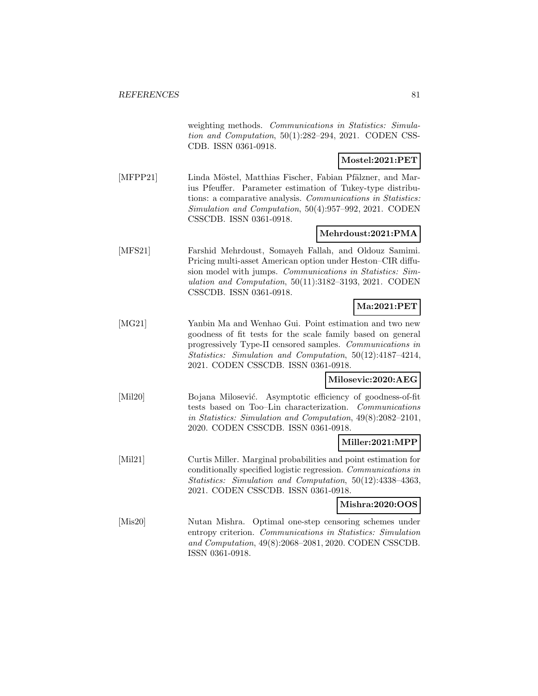weighting methods. Communications in Statistics: Simulation and Computation, 50(1):282–294, 2021. CODEN CSS-CDB. ISSN 0361-0918.

# **Mostel:2021:PET**

[MFPP21] Linda Möstel, Matthias Fischer, Fabian Pfälzner, and Marius Pfeuffer. Parameter estimation of Tukey-type distributions: a comparative analysis. Communications in Statistics: Simulation and Computation, 50(4):957–992, 2021. CODEN CSSCDB. ISSN 0361-0918.

# **Mehrdoust:2021:PMA**

[MFS21] Farshid Mehrdoust, Somayeh Fallah, and Oldouz Samimi. Pricing multi-asset American option under Heston–CIR diffusion model with jumps. Communications in Statistics: Simulation and Computation, 50(11):3182–3193, 2021. CODEN CSSCDB. ISSN 0361-0918.

# **Ma:2021:PET**

[MG21] Yanbin Ma and Wenhao Gui. Point estimation and two new goodness of fit tests for the scale family based on general progressively Type-II censored samples. Communications in Statistics: Simulation and Computation, 50(12):4187–4214, 2021. CODEN CSSCDB. ISSN 0361-0918.

#### **Milosevic:2020:AEG**

[Mil20] Bojana Milosević. Asymptotic efficiency of goodness-of-fit tests based on Too–Lin characterization. Communications in Statistics: Simulation and Computation, 49(8):2082–2101, 2020. CODEN CSSCDB. ISSN 0361-0918.

#### **Miller:2021:MPP**

[Mil21] Curtis Miller. Marginal probabilities and point estimation for conditionally specified logistic regression. Communications in Statistics: Simulation and Computation, 50(12):4338–4363, 2021. CODEN CSSCDB. ISSN 0361-0918.

#### **Mishra:2020:OOS**

[Mis20] Nutan Mishra. Optimal one-step censoring schemes under entropy criterion. Communications in Statistics: Simulation and Computation, 49(8):2068–2081, 2020. CODEN CSSCDB. ISSN 0361-0918.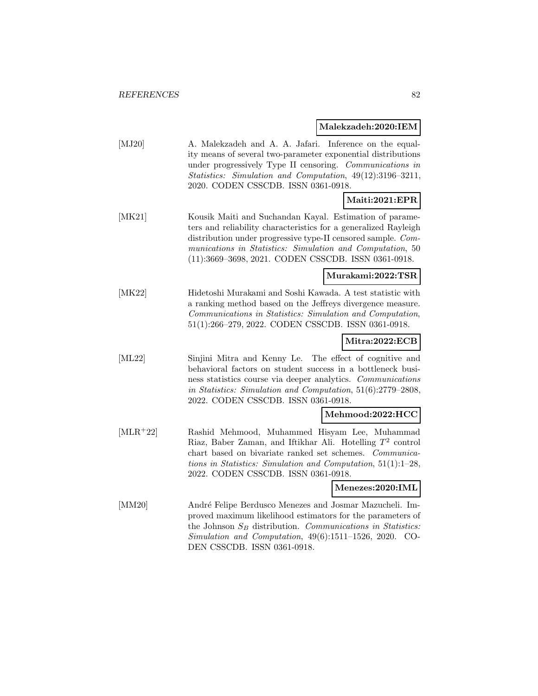# **Malekzadeh:2020:IEM**

| [MJ20]     | A. Malekzadeh and A. A. Jafari. Inference on the equal-<br>ity means of several two-parameter exponential distributions<br>under progressively Type II censoring. Communications in<br>Statistics: Simulation and Computation, 49(12):3196-3211,<br>2020. CODEN CSSCDB. ISSN 0361-0918.                        |
|------------|----------------------------------------------------------------------------------------------------------------------------------------------------------------------------------------------------------------------------------------------------------------------------------------------------------------|
|            | Maiti:2021:EPR                                                                                                                                                                                                                                                                                                 |
| [MK21]     | Kousik Maiti and Suchandan Kayal. Estimation of parame-<br>ters and reliability characteristics for a generalized Rayleigh<br>distribution under progressive type-II censored sample. Com-<br>munications in Statistics: Simulation and Computation, 50<br>(11):3669-3698, 2021. CODEN CSSCDB. ISSN 0361-0918. |
|            | Murakami:2022:TSR                                                                                                                                                                                                                                                                                              |
| [MK22]     | Hidetoshi Murakami and Soshi Kawada. A test statistic with<br>a ranking method based on the Jeffreys divergence measure.<br>Communications in Statistics: Simulation and Computation,<br>51(1):266-279, 2022. CODEN CSSCDB. ISSN 0361-0918.                                                                    |
|            | Mitra:2022:ECB                                                                                                                                                                                                                                                                                                 |
| [ML22]     | Sinjini Mitra and Kenny Le. The effect of cognitive and<br>behavioral factors on student success in a bottleneck busi-<br>ness statistics course via deeper analytics. Communications<br>in Statistics: Simulation and Computation, 51(6):2779-2808,<br>2022. CODEN CSSCDB. ISSN 0361-0918.                    |
|            | Mehmood:2022:HCC                                                                                                                                                                                                                                                                                               |
| $[MLR+22]$ | Rashid Mehmood, Muhammed Hisyam Lee, Muhammad<br>Riaz, Baber Zaman, and Iftikhar Ali. Hotelling $T^2$ control<br>chart based on bivariate ranked set schemes. Communica-<br>tions in Statistics: Simulation and Computation, $51(1):1-28$ ,<br>2022. CODEN CSSCDB. ISSN 0361-0918.                             |
|            | Menezes:2020:IML                                                                                                                                                                                                                                                                                               |
| [MM20]     | André Felipe Berdusco Menezes and Josmar Mazucheli. Im-<br>proved maximum likelihood estimators for the parameters of<br>the Johnson $S_B$ distribution. Communications in Statistics:<br>Simulation and Computation, $49(6):1511-1526$ , $2020$ . CO-<br>DEN CSSCDB. ISSN 0361-0918.                          |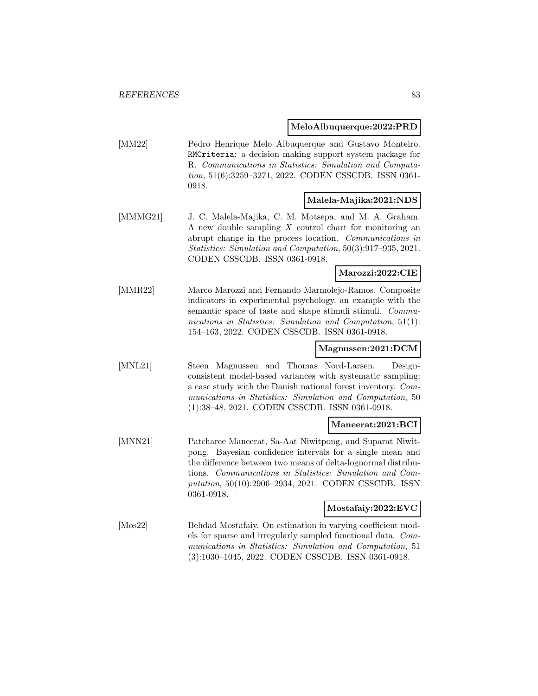#### **MeloAlbuquerque:2022:PRD**

[MM22] Pedro Henrique Melo Albuquerque and Gustavo Monteiro. RMCriteria: a decision making support system package for R. Communications in Statistics: Simulation and Computation, 51(6):3259–3271, 2022. CODEN CSSCDB. ISSN 0361- 0918.

#### **Malela-Majika:2021:NDS**

[MMMG21] J. C. Malela-Majika, C. M. Motsepa, and M. A. Graham. A new double sampling  $\bar{X}$  control chart for monitoring an abrupt change in the process location. Communications in Statistics: Simulation and Computation, 50(3):917–935, 2021. CODEN CSSCDB. ISSN 0361-0918.

#### **Marozzi:2022:CIE**

[MMR22] Marco Marozzi and Fernando Marmolejo-Ramos. Composite indicators in experimental psychology. an example with the semantic space of taste and shape stimuli stimuli. Communications in Statistics: Simulation and Computation, 51(1): 154–163, 2022. CODEN CSSCDB. ISSN 0361-0918.

# **Magnussen:2021:DCM**

[MNL21] Steen Magnussen and Thomas Nord-Larsen. Designconsistent model-based variances with systematic sampling: a case study with the Danish national forest inventory. Communications in Statistics: Simulation and Computation, 50 (1):38–48, 2021. CODEN CSSCDB. ISSN 0361-0918.

#### **Maneerat:2021:BCI**

[MNN21] Patcharee Maneerat, Sa-Aat Niwitpong, and Suparat Niwitpong. Bayesian confidence intervals for a single mean and the difference between two means of delta-lognormal distributions. Communications in Statistics: Simulation and Computation, 50(10):2906–2934, 2021. CODEN CSSCDB. ISSN 0361-0918.

# **Mostafaiy:2022:EVC**

[Mos22] Behdad Mostafaiy. On estimation in varying coefficient models for sparse and irregularly sampled functional data. Communications in Statistics: Simulation and Computation, 51 (3):1030–1045, 2022. CODEN CSSCDB. ISSN 0361-0918.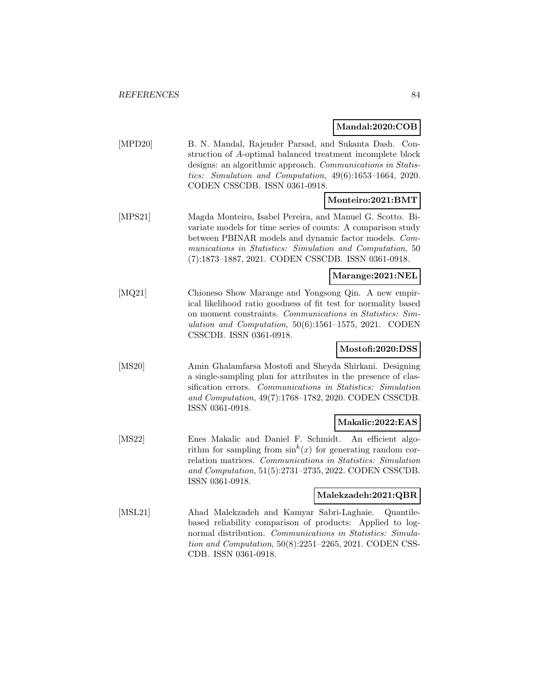# **Mandal:2020:COB**

| [MPD20] | B. N. Mandal, Rajender Parsad, and Sukanta Dash. Con-<br>struction of A-optimal balanced treatment incomplete block<br>designs: an algorithmic approach. Communications in Statis-<br>tics: Simulation and Computation, 49(6):1653-1664, 2020.<br>CODEN CSSCDB. ISSN 0361-0918.                       |
|---------|-------------------------------------------------------------------------------------------------------------------------------------------------------------------------------------------------------------------------------------------------------------------------------------------------------|
|         | Monteiro:2021:BMT                                                                                                                                                                                                                                                                                     |
| [MPS21] | Magda Monteiro, Isabel Pereira, and Manuel G. Scotto. Bi-<br>variate models for time series of counts: A comparison study<br>between PBINAR models and dynamic factor models. Com-<br>munications in Statistics: Simulation and Computation, 50<br>(7):1873-1887, 2021. CODEN CSSCDB. ISSN 0361-0918. |
|         | Marange:2021:NEL                                                                                                                                                                                                                                                                                      |
| [MQ21]  | Chioneso Show Marange and Yongsong Qin. A new empir-<br>ical likelihood ratio goodness of fit test for normality based<br>on moment constraints. Communications in Statistics: Sim-<br>ulation and Computation, $50(6):1561-1575$ , 2021. CODEN<br>CSSCDB. ISSN 0361-0918.                            |
|         | Mostofi:2020:DSS                                                                                                                                                                                                                                                                                      |
| [MS20]  | Amin Ghalamfarsa Mostofi and Sheyda Shirkani. Designing<br>a single-sampling plan for attributes in the presence of clas-<br>sification errors. Communications in Statistics: Simulation<br>and Computation, 49(7):1768-1782, 2020. CODEN CSSCDB.<br>ISSN 0361-0918.                                  |
|         | Makalic:2022:EAS                                                                                                                                                                                                                                                                                      |
| [MS22]  | Enes Makalic and Daniel F. Schmidt. An efficient algo-<br>rithm for sampling from $\sin^k(x)$ for generating random cor-<br>relation matrices. Communications in Statistics: Simulation<br>and Computation, 51(5):2731-2735, 2022. CODEN CSSCDB.<br>ISSN 0361-0918.                                   |
|         | Malekzadeh:2021:QBR                                                                                                                                                                                                                                                                                   |
| [MSL21] | Ahad Malekzadeh and Kamyar Sabri-Laghaie.<br>Quantile-<br>based reliability comparison of products: Applied to log-<br>normal distribution. Communications in Statistics: Simula-<br><i>tion and Computation</i> , $50(8):2251-2265$ , $2021$ . CODEN CSS-<br>CDB. ISSN 0361-0918.                    |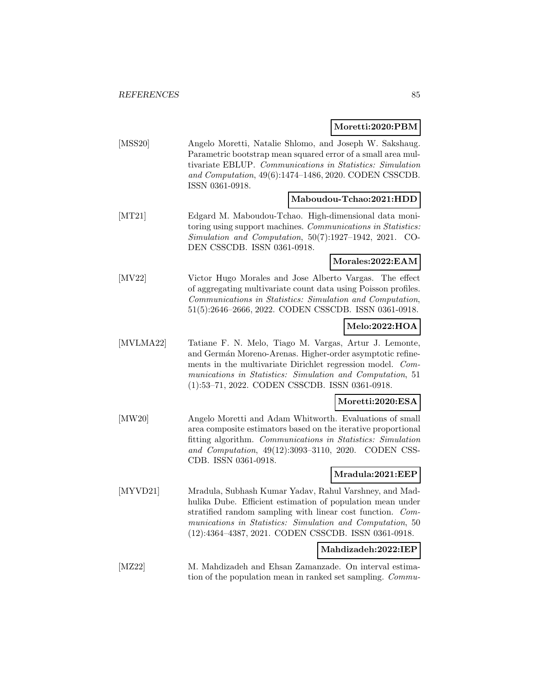#### **Moretti:2020:PBM**

[MSS20] Angelo Moretti, Natalie Shlomo, and Joseph W. Sakshaug. Parametric bootstrap mean squared error of a small area multivariate EBLUP. Communications in Statistics: Simulation and Computation, 49(6):1474–1486, 2020. CODEN CSSCDB. ISSN 0361-0918.

#### **Maboudou-Tchao:2021:HDD**

[MT21] Edgard M. Maboudou-Tchao. High-dimensional data monitoring using support machines. Communications in Statistics: Simulation and Computation, 50(7):1927–1942, 2021. CO-DEN CSSCDB. ISSN 0361-0918.

## **Morales:2022:EAM**

[MV22] Victor Hugo Morales and Jose Alberto Vargas. The effect of aggregating multivariate count data using Poisson profiles. Communications in Statistics: Simulation and Computation, 51(5):2646–2666, 2022. CODEN CSSCDB. ISSN 0361-0918.

## **Melo:2022:HOA**

[MVLMA22] Tatiane F. N. Melo, Tiago M. Vargas, Artur J. Lemonte, and Germán Moreno-Arenas. Higher-order asymptotic refinements in the multivariate Dirichlet regression model. Communications in Statistics: Simulation and Computation, 51 (1):53–71, 2022. CODEN CSSCDB. ISSN 0361-0918.

#### **Moretti:2020:ESA**

[MW20] Angelo Moretti and Adam Whitworth. Evaluations of small area composite estimators based on the iterative proportional fitting algorithm. Communications in Statistics: Simulation and Computation, 49(12):3093–3110, 2020. CODEN CSS-CDB. ISSN 0361-0918.

## **Mradula:2021:EEP**

[MYVD21] Mradula, Subhash Kumar Yadav, Rahul Varshney, and Madhulika Dube. Efficient estimation of population mean under stratified random sampling with linear cost function. Communications in Statistics: Simulation and Computation, 50 (12):4364–4387, 2021. CODEN CSSCDB. ISSN 0361-0918.

#### **Mahdizadeh:2022:IEP**

[MZ22] M. Mahdizadeh and Ehsan Zamanzade. On interval estimation of the population mean in ranked set sampling. Commu-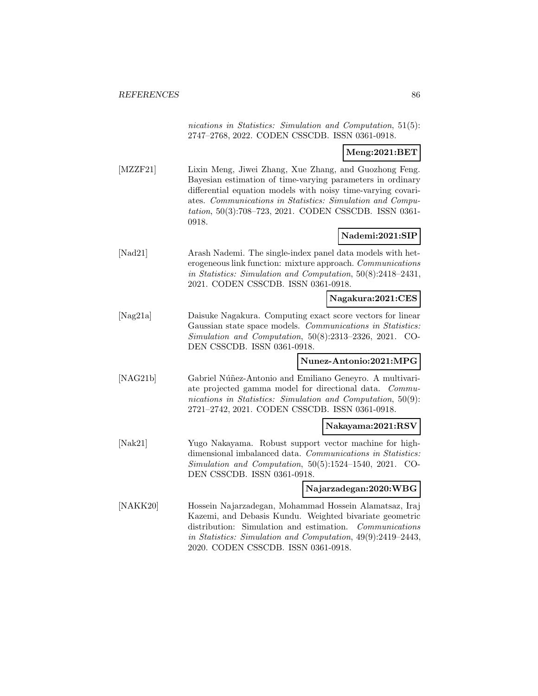nications in Statistics: Simulation and Computation, 51(5): 2747–2768, 2022. CODEN CSSCDB. ISSN 0361-0918.

# **Meng:2021:BET**

[MZZF21] Lixin Meng, Jiwei Zhang, Xue Zhang, and Guozhong Feng. Bayesian estimation of time-varying parameters in ordinary differential equation models with noisy time-varying covariates. Communications in Statistics: Simulation and Computation, 50(3):708–723, 2021. CODEN CSSCDB. ISSN 0361- 0918.

# **Nademi:2021:SIP**

[Nad21] Arash Nademi. The single-index panel data models with heterogeneous link function: mixture approach. Communications in Statistics: Simulation and Computation, 50(8):2418–2431, 2021. CODEN CSSCDB. ISSN 0361-0918.

#### **Nagakura:2021:CES**

[Nag21a] Daisuke Nagakura. Computing exact score vectors for linear Gaussian state space models. Communications in Statistics: Simulation and Computation, 50(8):2313–2326, 2021. CO-DEN CSSCDB. ISSN 0361-0918.

#### **Nunez-Antonio:2021:MPG**

[NAG21b] Gabriel Núñez-Antonio and Emiliano Geneyro. A multivariate projected gamma model for directional data. Communications in Statistics: Simulation and Computation, 50(9): 2721–2742, 2021. CODEN CSSCDB. ISSN 0361-0918.

#### **Nakayama:2021:RSV**

[Nak21] Yugo Nakayama. Robust support vector machine for highdimensional imbalanced data. Communications in Statistics: Simulation and Computation, 50(5):1524–1540, 2021. CO-DEN CSSCDB. ISSN 0361-0918.

#### **Najarzadegan:2020:WBG**

[NAKK20] Hossein Najarzadegan, Mohammad Hossein Alamatsaz, Iraj Kazemi, and Debasis Kundu. Weighted bivariate geometric distribution: Simulation and estimation. Communications in Statistics: Simulation and Computation, 49(9):2419–2443, 2020. CODEN CSSCDB. ISSN 0361-0918.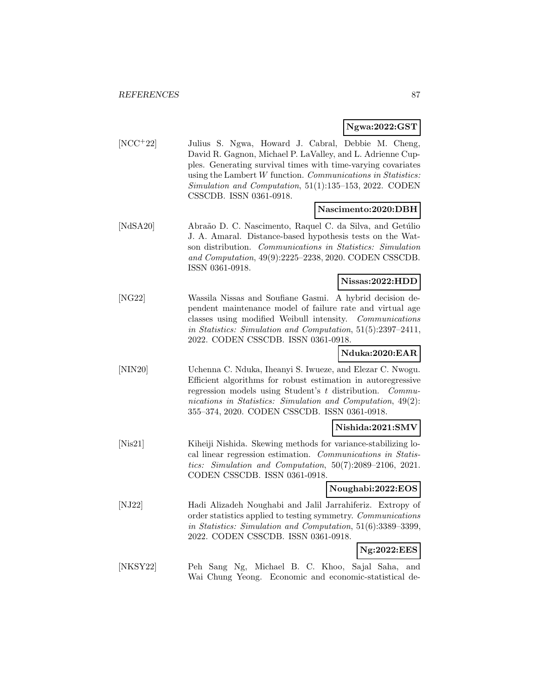#### **Ngwa:2022:GST**

[NCC<sup>+</sup>22] Julius S. Ngwa, Howard J. Cabral, Debbie M. Cheng, David R. Gagnon, Michael P. LaValley, and L. Adrienne Cupples. Generating survival times with time-varying covariates using the Lambert W function. Communications in Statistics: Simulation and Computation, 51(1):135–153, 2022. CODEN CSSCDB. ISSN 0361-0918.

#### **Nascimento:2020:DBH**

[NdSA20] Abraão D. C. Nascimento, Raquel C. da Silva, and Getúlio J. A. Amaral. Distance-based hypothesis tests on the Watson distribution. Communications in Statistics: Simulation and Computation, 49(9):2225–2238, 2020. CODEN CSSCDB. ISSN 0361-0918.

#### **Nissas:2022:HDD**

[NG22] Wassila Nissas and Soufiane Gasmi. A hybrid decision dependent maintenance model of failure rate and virtual age classes using modified Weibull intensity. Communications in Statistics: Simulation and Computation, 51(5):2397–2411, 2022. CODEN CSSCDB. ISSN 0361-0918.

#### **Nduka:2020:EAR**

[NIN20] Uchenna C. Nduka, Iheanyi S. Iwueze, and Elezar C. Nwogu. Efficient algorithms for robust estimation in autoregressive regression models using Student's t distribution. Communications in Statistics: Simulation and Computation, 49(2): 355–374, 2020. CODEN CSSCDB. ISSN 0361-0918.

#### **Nishida:2021:SMV**

[Nis21] Kiheiji Nishida. Skewing methods for variance-stabilizing local linear regression estimation. Communications in Statistics: Simulation and Computation, 50(7):2089–2106, 2021. CODEN CSSCDB. ISSN 0361-0918.

#### **Noughabi:2022:EOS**

[NJ22] Hadi Alizadeh Noughabi and Jalil Jarrahiferiz. Extropy of order statistics applied to testing symmetry. Communications in Statistics: Simulation and Computation, 51(6):3389–3399, 2022. CODEN CSSCDB. ISSN 0361-0918.

# **Ng:2022:EES**

[NKSY22] Peh Sang Ng, Michael B. C. Khoo, Sajal Saha, and Wai Chung Yeong. Economic and economic-statistical de-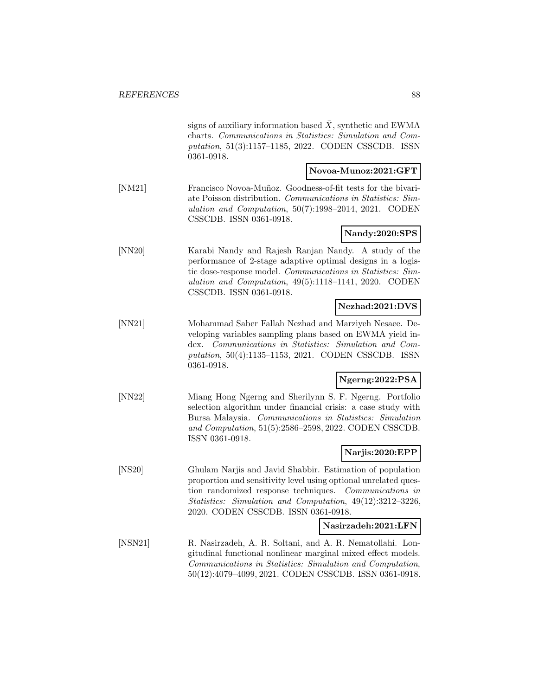|         | signs of auxiliary information based $\overline{X}$ , synthetic and EWMA<br>charts. Communications in Statistics: Simulation and Com-<br>putation, 51(3):1157-1185, 2022. CODEN CSSCDB. ISSN<br>0361-0918.                                                                                 |
|---------|--------------------------------------------------------------------------------------------------------------------------------------------------------------------------------------------------------------------------------------------------------------------------------------------|
|         | Novoa-Munoz:2021:GFT                                                                                                                                                                                                                                                                       |
| [NM21]  | Francisco Novoa-Muñoz. Goodness-of-fit tests for the bivari-<br>ate Poisson distribution. Communications in Statistics: Sim-<br>ulation and Computation, $50(7):1998-2014$ , $2021$ . CODEN<br>CSSCDB. ISSN 0361-0918.                                                                     |
|         | Nandy:2020:SPS                                                                                                                                                                                                                                                                             |
| [NN20]  | Karabi Nandy and Rajesh Ranjan Nandy. A study of the<br>performance of 2-stage adaptive optimal designs in a logis-<br>tic dose-response model. Communications in Statistics: Sim-<br>ulation and Computation, 49(5):1118-1141, 2020. CODEN<br>CSSCDB. ISSN 0361-0918.                     |
|         | Nezhad:2021:DVS                                                                                                                                                                                                                                                                            |
| [NN21]  | Mohammad Saber Fallah Nezhad and Marziyeh Nesaee. De-<br>veloping variables sampling plans based on EWMA yield in-<br>dex. Communications in Statistics: Simulation and Com-<br><i>putation</i> , 50(4):1135-1153, 2021. CODEN CSSCDB. ISSN<br>0361-0918.                                  |
|         | Ngerng:2022:PSA                                                                                                                                                                                                                                                                            |
| [NN22]  | Miang Hong Ngerng and Sherilynn S. F. Ngerng. Portfolio<br>selection algorithm under financial crisis: a case study with<br>Bursa Malaysia. Communications in Statistics: Simulation<br>and Computation, 51(5):2586-2598, 2022. CODEN CSSCDB.<br>ISSN 0361-0918.                           |
|         | Narjis:2020:EPP                                                                                                                                                                                                                                                                            |
| [NS20]  | Ghulam Narjis and Javid Shabbir. Estimation of population<br>proportion and sensitivity level using optional unrelated ques-<br>tion randomized response techniques. Communications in<br>Statistics: Simulation and Computation, 49(12):3212-3226,<br>2020. CODEN CSSCDB. ISSN 0361-0918. |
|         | Nasirzadeh:2021:LFN                                                                                                                                                                                                                                                                        |
| [NSN21] | R. Nasirzadeh, A. R. Soltani, and A. R. Nematollahi. Lon-<br>gitudinal functional nonlinear marginal mixed effect models.<br>Communications in Statistics: Simulation and Computation,<br>50(12):4079-4099, 2021. CODEN CSSCDB. ISSN 0361-0918.                                            |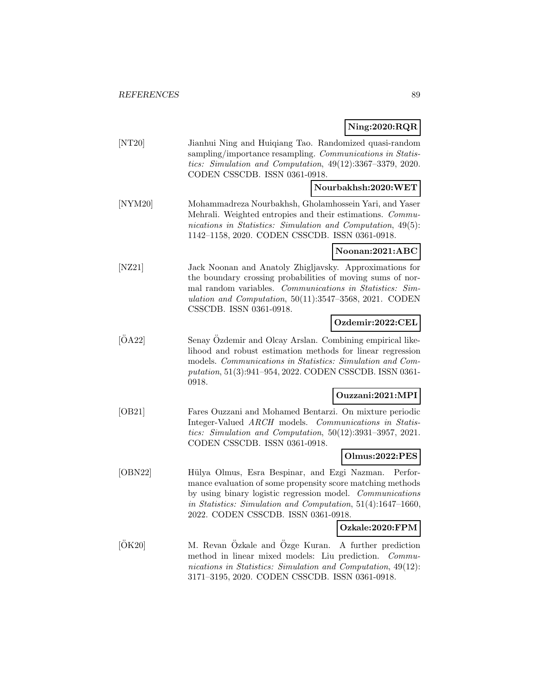# **Ning:2020:RQR**

|              | $mg = 0.104$                                                                                                                                                                                                                                                                                                |
|--------------|-------------------------------------------------------------------------------------------------------------------------------------------------------------------------------------------------------------------------------------------------------------------------------------------------------------|
| [NT20]       | Jianhui Ning and Huiqiang Tao. Randomized quasi-random<br>sampling/importance resampling. Communications in Statis-<br>tics: Simulation and Computation, $49(12):3367-3379$ , $2020$ .<br>CODEN CSSCDB. ISSN 0361-0918.                                                                                     |
|              | Nourbakhsh:2020:WET                                                                                                                                                                                                                                                                                         |
| [NYM20]      | Mohammadreza Nourbakhsh, Gholamhossein Yari, and Yaser<br>Mehrali. Weighted entropies and their estimations. Commu-<br>nications in Statistics: Simulation and Computation, 49(5):<br>1142-1158, 2020. CODEN CSSCDB. ISSN 0361-0918.                                                                        |
|              | Noonan:2021:ABC                                                                                                                                                                                                                                                                                             |
| [NZ21]       | Jack Noonan and Anatoly Zhigljavsky. Approximations for<br>the boundary crossing probabilities of moving sums of nor-<br>mal random variables. Communications in Statistics: Sim-<br>ulation and Computation, $50(11):3547-3568$ , 2021. CODEN<br>CSSCDB. ISSN 0361-0918.                                   |
|              | Ozdemir:2022:CEL                                                                                                                                                                                                                                                                                            |
| $\rm [OA22]$ | Senay Ozdemir and Olcay Arslan. Combining empirical like-<br>lihood and robust estimation methods for linear regression<br>models. Communications in Statistics: Simulation and Com-<br>putation, 51(3):941-954, 2022. CODEN CSSCDB. ISSN 0361-<br>0918.                                                    |
|              | Ouzzani:2021:MPI                                                                                                                                                                                                                                                                                            |
| [OB21]       | Fares Ouzzani and Mohamed Bentarzi. On mixture periodic<br>Integer-Valued ARCH models. Communications in Statis-<br>tics: Simulation and Computation, 50(12):3931-3957, 2021.<br>CODEN CSSCDB. ISSN 0361-0918.                                                                                              |
|              | Olmus:2022:PES                                                                                                                                                                                                                                                                                              |
| [OBN22]      | Hülya Olmus, Esra Bespinar, and Ezgi Nazman.<br>Perfor-<br>mance evaluation of some propensity score matching methods<br>by using binary logistic regression model. Communications<br>in Statistics: Simulation and Computation, 51(4):1647-1660,<br>2022. CODEN CSSCDB. ISSN 0361-0918.<br>Ozkale:2020:FPM |
|              |                                                                                                                                                                                                                                                                                                             |
| [ÖK20]       | M. Revan Özkale and Özge Kuran.<br>A further prediction<br>method in linear mixed models: Liu prediction. Commu-<br>nications in Statistics: Simulation and Computation, 49(12):<br>3171-3195, 2020. CODEN CSSCDB. ISSN 0361-0918.                                                                          |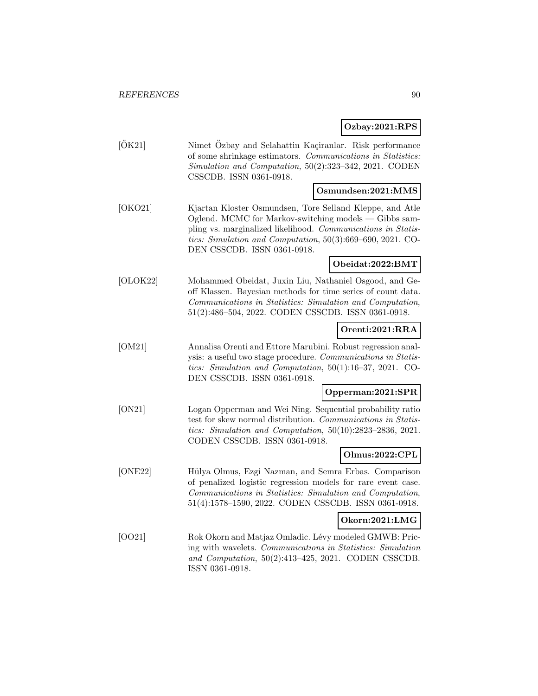# **Ozbay:2021:RPS**

| [OK21]   | Nimet Ozbay and Selahattin Kaçiranlar. Risk performance<br>of some shrinkage estimators. Communications in Statistics:<br>Simulation and Computation, 50(2):323-342, 2021. CODEN<br>CSSCDB. ISSN 0361-0918.                                                                    |
|----------|--------------------------------------------------------------------------------------------------------------------------------------------------------------------------------------------------------------------------------------------------------------------------------|
|          | Osmundsen:2021:MMS                                                                                                                                                                                                                                                             |
| [OKO21]  | Kjartan Kloster Osmundsen, Tore Selland Kleppe, and Atle<br>Oglend. MCMC for Markov-switching models — Gibbs sam-<br>pling vs. marginalized likelihood. Communications in Statis-<br>tics: Simulation and Computation, 50(3):669-690, 2021. CO-<br>DEN CSSCDB. ISSN 0361-0918. |
|          | Obeidat:2022:BMT                                                                                                                                                                                                                                                               |
| [OLOK22] | Mohammed Obeidat, Juxin Liu, Nathaniel Osgood, and Ge-<br>off Klassen. Bayesian methods for time series of count data.<br>Communications in Statistics: Simulation and Computation,<br>51(2):486-504, 2022. CODEN CSSCDB. ISSN 0361-0918.                                      |
|          | Orenti:2021:RRA                                                                                                                                                                                                                                                                |
| [OM21]   | Annalisa Orenti and Ettore Marubini. Robust regression anal-<br>ysis: a useful two stage procedure. Communications in Statis-<br>tics: Simulation and Computation, $50(1):16-37$ , 2021. CO-<br>DEN CSSCDB. ISSN 0361-0918.                                                    |
|          | Opperman:2021:SPR                                                                                                                                                                                                                                                              |
| [ON21]   | Logan Opperman and Wei Ning. Sequential probability ratio<br>test for skew normal distribution. Communications in Statis-<br>tics: Simulation and Computation, $50(10):2823-2836$ , 2021.<br>CODEN CSSCDB. ISSN 0361-0918.                                                     |
|          | Olmus:2022:CPL                                                                                                                                                                                                                                                                 |
| [ONE22]  | Hülya Olmus, Ezgi Nazman, and Semra Erbas. Comparison<br>of penalized logistic regression models for rare event case.<br>Communications in Statistics: Simulation and Computation,<br>51(4):1578-1590, 2022. CODEN CSSCDB. ISSN 0361-0918.                                     |
|          | Okorn:2021:LMG                                                                                                                                                                                                                                                                 |
| [OO21]   | Rok Okorn and Matjaz Omladic. Lévy modeled GMWB: Pric-<br>ing with wavelets. Communications in Statistics: Simulation<br>and Computation, $50(2):413-425$ , $2021$ . CODEN CSSCDB.<br>ISSN 0361-0918.                                                                          |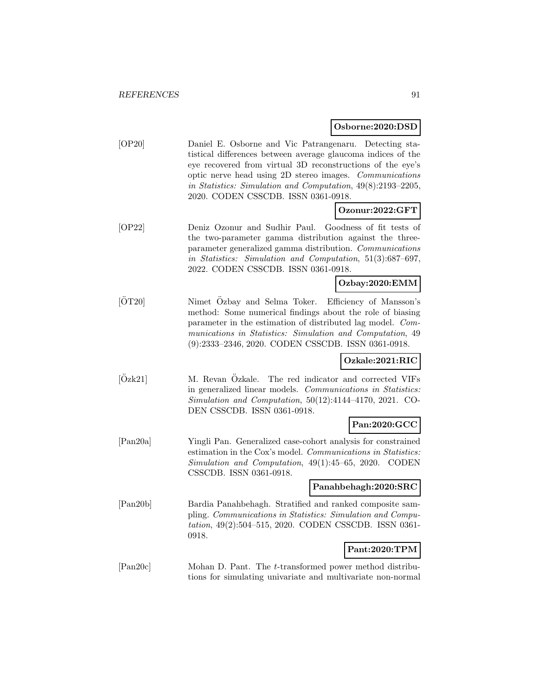#### **Osborne:2020:DSD**

[OP20] Daniel E. Osborne and Vic Patrangenaru. Detecting statistical differences between average glaucoma indices of the eye recovered from virtual 3D reconstructions of the eye's optic nerve head using 2D stereo images. Communications in Statistics: Simulation and Computation, 49(8):2193–2205, 2020. CODEN CSSCDB. ISSN 0361-0918.

#### **Ozonur:2022:GFT**

[OP22] Deniz Ozonur and Sudhir Paul. Goodness of fit tests of the two-parameter gamma distribution against the threeparameter generalized gamma distribution. Communications in Statistics: Simulation and Computation, 51(3):687–697, 2022. CODEN CSSCDB. ISSN 0361-0918.

#### **Ozbay:2020:EMM**

[OT20] Nimet Ozbay and Selma Toker. Efficiency of Mansson's method: Some numerical findings about the role of biasing parameter in the estimation of distributed lag model. Communications in Statistics: Simulation and Computation, 49 (9):2333–2346, 2020. CODEN CSSCDB. ISSN 0361-0918.

#### **Ozkale:2021:RIC**

[Ozk21] M. Revan Ozkale. The red indicator and corrected VIFs in generalized linear models. Communications in Statistics: Simulation and Computation, 50(12):4144–4170, 2021. CO-DEN CSSCDB. ISSN 0361-0918.

# **Pan:2020:GCC**

[Pan20a] Yingli Pan. Generalized case-cohort analysis for constrained estimation in the Cox's model. Communications in Statistics: Simulation and Computation, 49(1):45–65, 2020. CODEN CSSCDB. ISSN 0361-0918.

#### **Panahbehagh:2020:SRC**

[Pan20b] Bardia Panahbehagh. Stratified and ranked composite sampling. Communications in Statistics: Simulation and Computation, 49(2):504–515, 2020. CODEN CSSCDB. ISSN 0361- 0918.

## **Pant:2020:TPM**

[Pan20c] Mohan D. Pant. The t-transformed power method distributions for simulating univariate and multivariate non-normal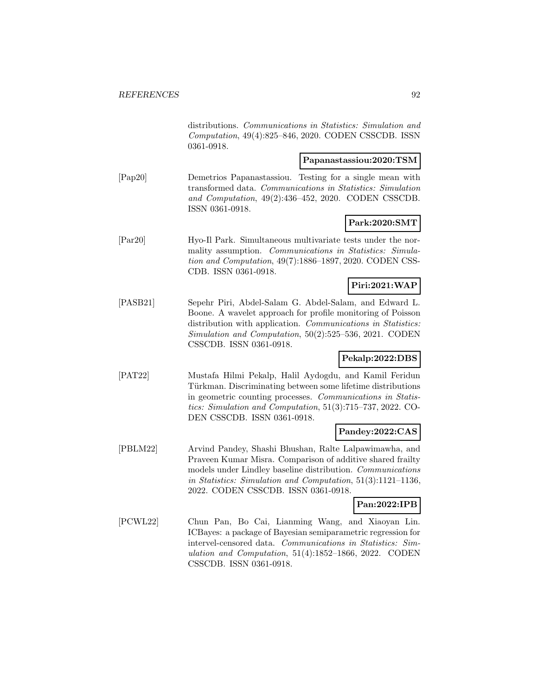distributions. Communications in Statistics: Simulation and Computation, 49(4):825–846, 2020. CODEN CSSCDB. ISSN 0361-0918.

#### **Papanastassiou:2020:TSM**

[Pap20] Demetrios Papanastassiou. Testing for a single mean with transformed data. Communications in Statistics: Simulation and Computation, 49(2):436–452, 2020. CODEN CSSCDB. ISSN 0361-0918.

#### **Park:2020:SMT**

[Par20] Hyo-Il Park. Simultaneous multivariate tests under the normality assumption. Communications in Statistics: Simulation and Computation, 49(7):1886–1897, 2020. CODEN CSS-CDB. ISSN 0361-0918.

# **Piri:2021:WAP**

[PASB21] Sepehr Piri, Abdel-Salam G. Abdel-Salam, and Edward L. Boone. A wavelet approach for profile monitoring of Poisson distribution with application. Communications in Statistics: Simulation and Computation, 50(2):525–536, 2021. CODEN CSSCDB. ISSN 0361-0918.

# **Pekalp:2022:DBS**

[PAT22] Mustafa Hilmi Pekalp, Halil Aydogdu, and Kamil Feridun Türkman. Discriminating between some lifetime distributions in geometric counting processes. Communications in Statistics: Simulation and Computation, 51(3):715–737, 2022. CO-DEN CSSCDB. ISSN 0361-0918.

#### **Pandey:2022:CAS**

[PBLM22] Arvind Pandey, Shashi Bhushan, Ralte Lalpawimawha, and Praveen Kumar Misra. Comparison of additive shared frailty models under Lindley baseline distribution. Communications in Statistics: Simulation and Computation, 51(3):1121–1136, 2022. CODEN CSSCDB. ISSN 0361-0918.

## **Pan:2022:IPB**

[PCWL22] Chun Pan, Bo Cai, Lianming Wang, and Xiaoyan Lin. ICBayes: a package of Bayesian semiparametric regression for intervel-censored data. Communications in Statistics: Simulation and Computation, 51(4):1852–1866, 2022. CODEN CSSCDB. ISSN 0361-0918.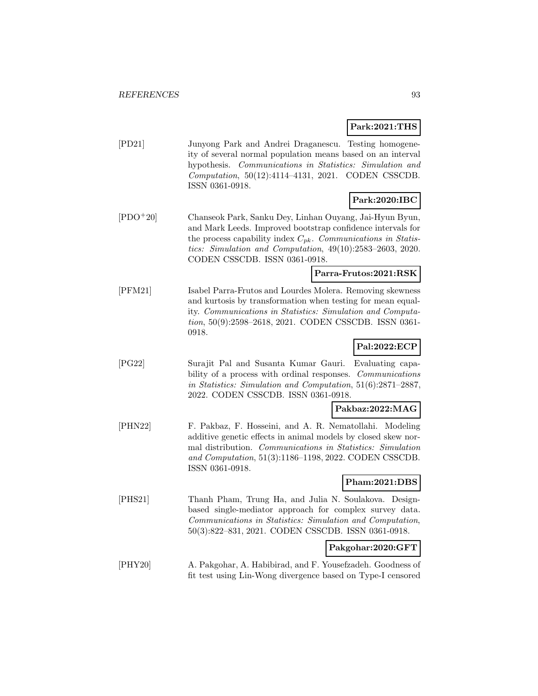**Park:2021:THS**

| PD21       | Junyong Park and Andrei Draganescu. Testing homogene-<br>ity of several normal population means based on an interval<br>hypothesis. Communications in Statistics: Simulation and<br>Computation, 50(12):4114-4131, 2021. CODEN CSSCDB.<br>ISSN 0361-0918.<br>Park:2020:IBC                |
|------------|-------------------------------------------------------------------------------------------------------------------------------------------------------------------------------------------------------------------------------------------------------------------------------------------|
|            |                                                                                                                                                                                                                                                                                           |
| $ PDO+20 $ | Chanseok Park, Sanku Dey, Linhan Ouyang, Jai-Hyun Byun,<br>and Mark Leeds. Improved bootstrap confidence intervals for<br>the process capability index $C_{pk}$ . Communications in Statis-<br>tics: Simulation and Computation, 49(10):2583-2603, 2020.<br>CODEN CSSCDB. ISSN 0361-0918. |
|            | Parra-Frutos:2021:RSK                                                                                                                                                                                                                                                                     |
| PFM21      | Isabel Parra-Frutos and Lourdes Molera. Removing skewness<br>and kurtosis by transformation when testing for mean equal-<br>ity. Communications in Statistics: Simulation and Computa-<br>tion, 50(9):2598-2618, 2021. CODEN CSSCDB. ISSN 0361-<br>0918.<br>Pal:2022:ECP                  |
|            |                                                                                                                                                                                                                                                                                           |
| PG221      | Surajit Pal and Susanta Kumar Gauri.<br>Evaluating capa-                                                                                                                                                                                                                                  |

bility of a process with ordinal responses. Communications in Statistics: Simulation and Computation, 51(6):2871–2887, 2022. CODEN CSSCDB. ISSN 0361-0918.

## **Pakbaz:2022:MAG**

[PHN22] F. Pakbaz, F. Hosseini, and A. R. Nematollahi. Modeling additive genetic effects in animal models by closed skew normal distribution. Communications in Statistics: Simulation and Computation, 51(3):1186–1198, 2022. CODEN CSSCDB. ISSN 0361-0918.

## **Pham:2021:DBS**

[PHS21] Thanh Pham, Trung Ha, and Julia N. Soulakova. Designbased single-mediator approach for complex survey data. Communications in Statistics: Simulation and Computation, 50(3):822–831, 2021. CODEN CSSCDB. ISSN 0361-0918.

#### **Pakgohar:2020:GFT**

[PHY20] A. Pakgohar, A. Habibirad, and F. Yousefzadeh. Goodness of fit test using Lin-Wong divergence based on Type-I censored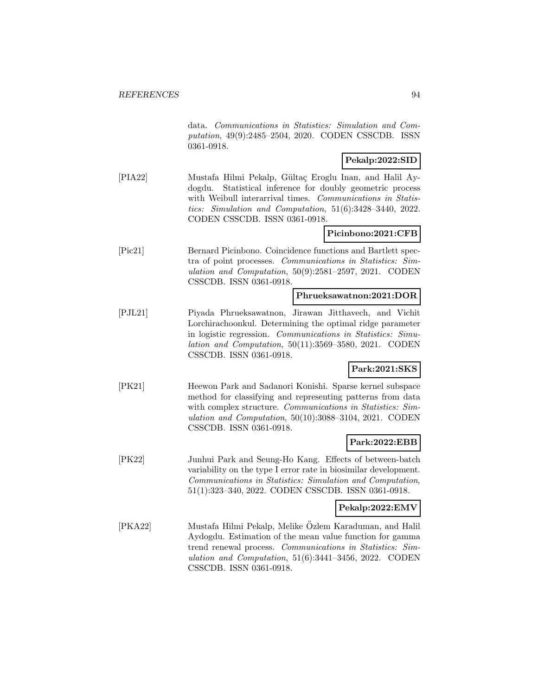data. Communications in Statistics: Simulation and Computation, 49(9):2485–2504, 2020. CODEN CSSCDB. ISSN 0361-0918.

# **Pekalp:2022:SID**

[PIA22] Mustafa Hilmi Pekalp, Gültaç Eroglu Inan, and Halil Aydogdu. Statistical inference for doubly geometric process with Weibull interarrival times. Communications in Statistics: Simulation and Computation, 51(6):3428–3440, 2022. CODEN CSSCDB. ISSN 0361-0918.

#### **Picinbono:2021:CFB**

[Pic21] Bernard Picinbono. Coincidence functions and Bartlett spectra of point processes. Communications in Statistics: Simulation and Computation, 50(9):2581–2597, 2021. CODEN CSSCDB. ISSN 0361-0918.

#### **Phrueksawatnon:2021:DOR**

[PJL21] Piyada Phrueksawatnon, Jirawan Jitthavech, and Vichit Lorchirachoonkul. Determining the optimal ridge parameter in logistic regression. Communications in Statistics: Simulation and Computation, 50(11):3569–3580, 2021. CODEN CSSCDB. ISSN 0361-0918.

#### **Park:2021:SKS**

[PK21] Heewon Park and Sadanori Konishi. Sparse kernel subspace method for classifying and representing patterns from data with complex structure. Communications in Statistics: Simulation and Computation, 50(10):3088–3104, 2021. CODEN CSSCDB. ISSN 0361-0918.

#### **Park:2022:EBB**

[PK22] Junhui Park and Seung-Ho Kang. Effects of between-batch variability on the type I error rate in biosimilar development. Communications in Statistics: Simulation and Computation, 51(1):323–340, 2022. CODEN CSSCDB. ISSN 0361-0918.

# **Pekalp:2022:EMV**

[PKA22] Mustafa Hilmi Pekalp, Melike Özlem Karaduman, and Halil Aydogdu. Estimation of the mean value function for gamma trend renewal process. Communications in Statistics: Simulation and Computation, 51(6):3441–3456, 2022. CODEN CSSCDB. ISSN 0361-0918.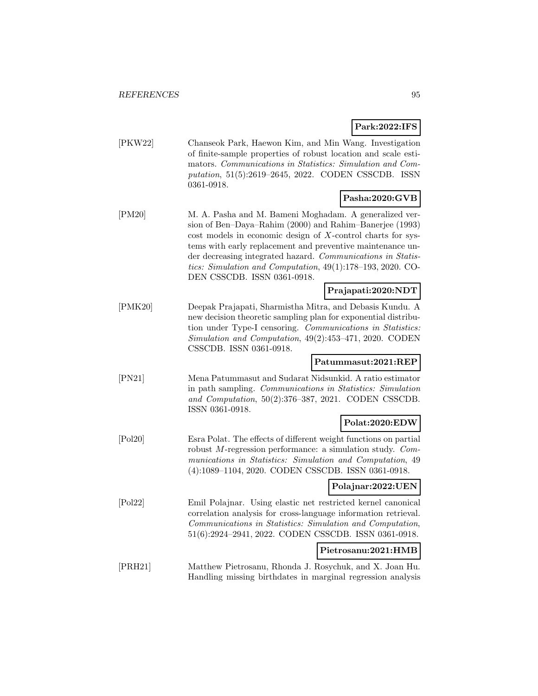**Park:2022:IFS**

[PKW22] Chanseok Park, Haewon Kim, and Min Wang. Investigation of finite-sample properties of robust location and scale estimators. Communications in Statistics: Simulation and Computation, 51(5):2619–2645, 2022. CODEN CSSCDB. ISSN 0361-0918.

## **Pasha:2020:GVB**

[PM20] M. A. Pasha and M. Bameni Moghadam. A generalized version of Ben–Daya–Rahim (2000) and Rahim–Banerjee (1993) cost models in economic design of X-control charts for systems with early replacement and preventive maintenance under decreasing integrated hazard. Communications in Statistics: Simulation and Computation, 49(1):178–193, 2020. CO-DEN CSSCDB. ISSN 0361-0918.

#### **Prajapati:2020:NDT**

[PMK20] Deepak Prajapati, Sharmistha Mitra, and Debasis Kundu. A new decision theoretic sampling plan for exponential distribution under Type-I censoring. Communications in Statistics: Simulation and Computation, 49(2):453–471, 2020. CODEN CSSCDB. ISSN 0361-0918.

## **Patummasut:2021:REP**

- [PN21] Mena Patummasut and Sudarat Nidsunkid. A ratio estimator in path sampling. Communications in Statistics: Simulation and Computation, 50(2):376–387, 2021. CODEN CSSCDB. ISSN 0361-0918.
- [Pol20] Esra Polat. The effects of different weight functions on partial robust M-regression performance: a simulation study. Communications in Statistics: Simulation and Computation, 49 (4):1089–1104, 2020. CODEN CSSCDB. ISSN 0361-0918.

#### **Polajnar:2022:UEN**

**Polat:2020:EDW**

[Pol22] Emil Polajnar. Using elastic net restricted kernel canonical correlation analysis for cross-language information retrieval. Communications in Statistics: Simulation and Computation, 51(6):2924–2941, 2022. CODEN CSSCDB. ISSN 0361-0918.

#### **Pietrosanu:2021:HMB**

[PRH21] Matthew Pietrosanu, Rhonda J. Rosychuk, and X. Joan Hu. Handling missing birthdates in marginal regression analysis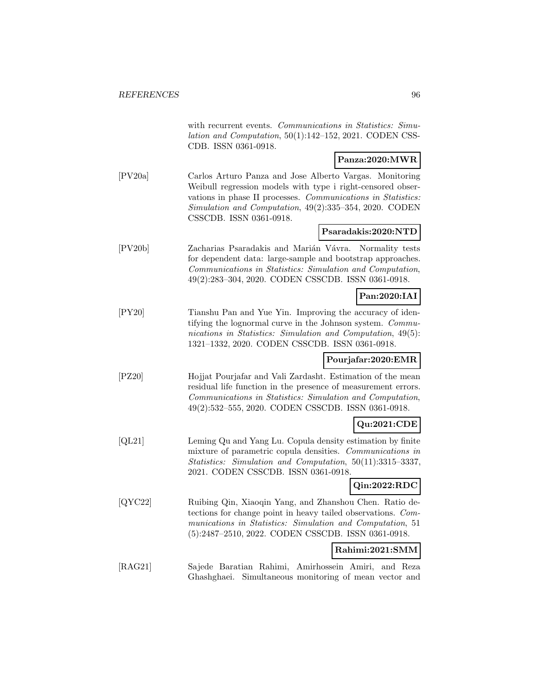|              | with recurrent events. Communications in Statistics: Simu-<br>lation and Computation, 50(1):142-152, 2021. CODEN CSS-<br>CDB. ISSN 0361-0918.                                                                                                                               |
|--------------|-----------------------------------------------------------------------------------------------------------------------------------------------------------------------------------------------------------------------------------------------------------------------------|
|              | Panza:2020:MWR                                                                                                                                                                                                                                                              |
| [PV20a]      | Carlos Arturo Panza and Jose Alberto Vargas. Monitoring<br>Weibull regression models with type i right-censored obser-<br>vations in phase II processes. Communications in Statistics:<br>Simulation and Computation, 49(2):335-354, 2020. CODEN<br>CSSCDB. ISSN 0361-0918. |
|              | Psaradakis:2020:NTD                                                                                                                                                                                                                                                         |
| [PV20b]      | Zacharias Psaradakis and Marián Vávra.<br>Normality tests<br>for dependent data: large-sample and bootstrap approaches.<br>Communications in Statistics: Simulation and Computation,<br>49(2):283-304, 2020. CODEN CSSCDB. ISSN 0361-0918.                                  |
|              | Pan:2020:IAI                                                                                                                                                                                                                                                                |
| [PY20]       | Tianshu Pan and Yue Yin. Improving the accuracy of iden-<br>tifying the lognormal curve in the Johnson system. Commu-<br>nications in Statistics: Simulation and Computation, 49(5):<br>1321-1332, 2020. CODEN CSSCDB. ISSN 0361-0918.                                      |
|              | Pourjafar:2020:EMR                                                                                                                                                                                                                                                          |
| $[$ PZ20 $]$ | Hojjat Pourjafar and Vali Zardasht. Estimation of the mean<br>residual life function in the presence of measurement errors.<br>Communications in Statistics: Simulation and Computation,<br>49(2):532–555, 2020. CODEN CSSCDB. ISSN 0361-0918.                              |
|              | Qu:2021:CDE                                                                                                                                                                                                                                                                 |
| [QL21]       | Leming Qu and Yang Lu. Copula density estimation by finite<br>mixture of parametric copula densities. Communications in<br>Statistics: Simulation and Computation, 50(11):3315-3337,<br>2021. CODEN CSSCDB. ISSN 0361-0918.                                                 |
|              | Qin:2022:RDC                                                                                                                                                                                                                                                                |
| [QYC22]      | Ruibing Qin, Xiaoqin Yang, and Zhanshou Chen. Ratio de-<br>tections for change point in heavy tailed observations. Com-<br>munications in Statistics: Simulation and Computation, 51<br>(5):2487-2510, 2022. CODEN CSSCDB. ISSN 0361-0918.                                  |
|              | Rahimi:2021:SMM                                                                                                                                                                                                                                                             |
| [RAG21]      | Sajede Baratian Rahimi, Amirhossein Amiri,<br>and Reza<br>Ghashghaei. Simultaneous monitoring of mean vector and                                                                                                                                                            |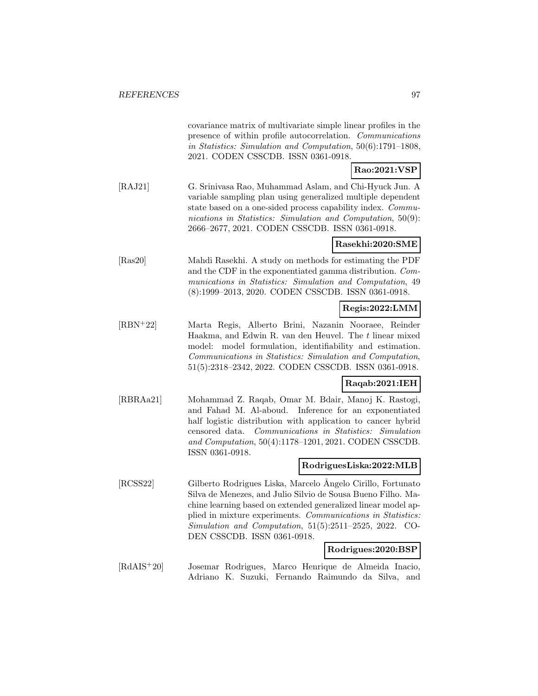|                                        | covariance matrix of multivariate simple linear profiles in the<br>presence of within profile autocorrelation. Communications<br>in Statistics: Simulation and Computation, 50(6):1791-1808,<br>2021. CODEN CSSCDB. ISSN 0361-0918.                                                                                                                                                        |
|----------------------------------------|--------------------------------------------------------------------------------------------------------------------------------------------------------------------------------------------------------------------------------------------------------------------------------------------------------------------------------------------------------------------------------------------|
|                                        | Rao:2021:VSP                                                                                                                                                                                                                                                                                                                                                                               |
| [RAJ21]                                | G. Srinivasa Rao, Muhammad Aslam, and Chi-Hyuck Jun. A<br>variable sampling plan using generalized multiple dependent<br>state based on a one-sided process capability index. Commu-<br>nications in Statistics: Simulation and Computation, $50(9)$ :<br>2666-2677, 2021. CODEN CSSCDB. ISSN 0361-0918.                                                                                   |
|                                        | Rasekhi:2020:SME                                                                                                                                                                                                                                                                                                                                                                           |
| [Ras20]                                | Mahdi Rasekhi. A study on methods for estimating the PDF<br>and the CDF in the exponentiated gamma distribution. Com-<br>munications in Statistics: Simulation and Computation, 49<br>(8):1999-2013, 2020. CODEN CSSCDB. ISSN 0361-0918.                                                                                                                                                   |
|                                        | Regis:2022:LMM                                                                                                                                                                                                                                                                                                                                                                             |
| $[RBN+22]$                             | Marta Regis, Alberto Brini, Nazanin Nooraee, Reinder<br>Haakma, and Edwin R. van den Heuvel. The $t$ linear mixed<br>model: model formulation, identifiability and estimation.<br>Communications in Statistics: Simulation and Computation,<br>51(5):2318-2342, 2022. CODEN CSSCDB. ISSN 0361-0918.                                                                                        |
|                                        | Raqab:2021:IEH                                                                                                                                                                                                                                                                                                                                                                             |
| [RBRAa21]                              | Mohammad Z. Raqab, Omar M. Bdair, Manoj K. Rastogi,<br>Inference for an exponentiated<br>and Fahad M. Al-aboud.<br>half logistic distribution with application to cancer hybrid<br>Communications in Statistics: Simulation<br>censored data.<br>and Computation, 50(4):1178-1201, 2021. CODEN CSSCDB.<br>ISSN 0361-0918.                                                                  |
|                                        | RodriguesLiska:2022:MLB                                                                                                                                                                                                                                                                                                                                                                    |
| [RCSS22]                               | Gilberto Rodrigues Liska, Marcelo Angelo Cirillo, Fortunato<br>Silva de Menezes, and Julio Silvio de Sousa Bueno Filho. Ma-<br>chine learning based on extended generalized linear model ap-<br>plied in mixture experiments. Communications in Statistics:<br>$Simulation$ and $Computation$ , $51(5):2511-2525$ , $2022$ .<br>$CO-$<br>DEN CSSCDB. ISSN 0361-0918.<br>Rodrigues:2020:BSP |
| $\left[\text{RdAIS}^+\text{20}\right]$ | Josemar Rodrigues,<br>Marco Henrique de Almeida Inacio,<br>Fernando Raimundo da Silva, and<br>Adriano<br>K. Suzuki,                                                                                                                                                                                                                                                                        |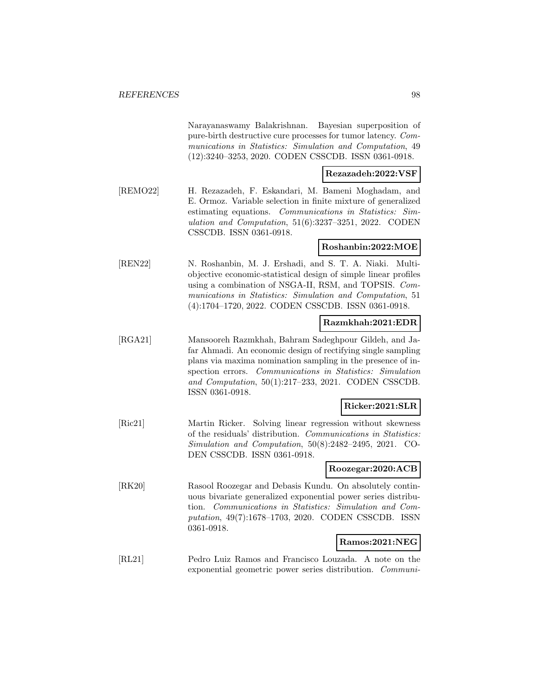Narayanaswamy Balakrishnan. Bayesian superposition of pure-birth destructive cure processes for tumor latency. Communications in Statistics: Simulation and Computation, 49 (12):3240–3253, 2020. CODEN CSSCDB. ISSN 0361-0918.

**Rezazadeh:2022:VSF**

[REMO22] H. Rezazadeh, F. Eskandari, M. Bameni Moghadam, and E. Ormoz. Variable selection in finite mixture of generalized estimating equations. Communications in Statistics: Simulation and Computation, 51(6):3237–3251, 2022. CODEN CSSCDB. ISSN 0361-0918.

## **Roshanbin:2022:MOE**

[REN22] N. Roshanbin, M. J. Ershadi, and S. T. A. Niaki. Multiobjective economic-statistical design of simple linear profiles using a combination of NSGA-II, RSM, and TOPSIS. Communications in Statistics: Simulation and Computation, 51 (4):1704–1720, 2022. CODEN CSSCDB. ISSN 0361-0918.

## **Razmkhah:2021:EDR**

[RGA21] Mansooreh Razmkhah, Bahram Sadeghpour Gildeh, and Jafar Ahmadi. An economic design of rectifying single sampling plans via maxima nomination sampling in the presence of inspection errors. Communications in Statistics: Simulation and Computation, 50(1):217–233, 2021. CODEN CSSCDB. ISSN 0361-0918.

### **Ricker:2021:SLR**

[Ric21] Martin Ricker. Solving linear regression without skewness of the residuals' distribution. Communications in Statistics: Simulation and Computation, 50(8):2482–2495, 2021. CO-DEN CSSCDB. ISSN 0361-0918.

#### **Roozegar:2020:ACB**

[RK20] Rasool Roozegar and Debasis Kundu. On absolutely continuous bivariate generalized exponential power series distribution. Communications in Statistics: Simulation and Computation, 49(7):1678–1703, 2020. CODEN CSSCDB. ISSN 0361-0918.

## **Ramos:2021:NEG**

[RL21] Pedro Luiz Ramos and Francisco Louzada. A note on the exponential geometric power series distribution. Communi-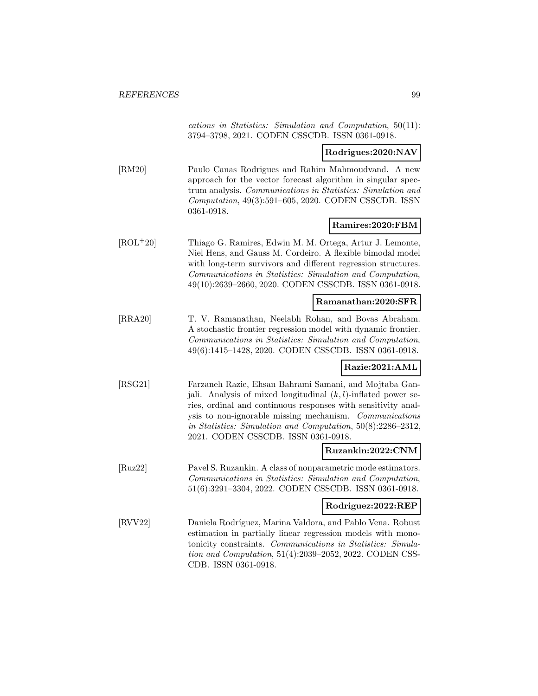cations in Statistics: Simulation and Computation, 50(11): 3794–3798, 2021. CODEN CSSCDB. ISSN 0361-0918.

#### **Rodrigues:2020:NAV**

[RM20] Paulo Canas Rodrigues and Rahim Mahmoudvand. A new approach for the vector forecast algorithm in singular spectrum analysis. Communications in Statistics: Simulation and Computation, 49(3):591–605, 2020. CODEN CSSCDB. ISSN 0361-0918.

#### **Ramires:2020:FBM**

[ROL<sup>+</sup>20] Thiago G. Ramires, Edwin M. M. Ortega, Artur J. Lemonte, Niel Hens, and Gauss M. Cordeiro. A flexible bimodal model with long-term survivors and different regression structures. Communications in Statistics: Simulation and Computation, 49(10):2639–2660, 2020. CODEN CSSCDB. ISSN 0361-0918.

#### **Ramanathan:2020:SFR**

[RRA20] T. V. Ramanathan, Neelabh Rohan, and Bovas Abraham. A stochastic frontier regression model with dynamic frontier. Communications in Statistics: Simulation and Computation, 49(6):1415–1428, 2020. CODEN CSSCDB. ISSN 0361-0918.

#### **Razie:2021:AML**

[RSG21] Farzaneh Razie, Ehsan Bahrami Samani, and Mojtaba Ganjali. Analysis of mixed longitudinal  $(k, l)$ -inflated power series, ordinal and continuous responses with sensitivity analysis to non-ignorable missing mechanism. Communications in Statistics: Simulation and Computation, 50(8):2286–2312, 2021. CODEN CSSCDB. ISSN 0361-0918.

#### **Ruzankin:2022:CNM**

[Ruz22] Pavel S. Ruzankin. A class of nonparametric mode estimators. Communications in Statistics: Simulation and Computation, 51(6):3291–3304, 2022. CODEN CSSCDB. ISSN 0361-0918.

#### **Rodriguez:2022:REP**

[RVV22] Daniela Rodríguez, Marina Valdora, and Pablo Vena. Robust estimation in partially linear regression models with monotonicity constraints. Communications in Statistics: Simulation and Computation, 51(4):2039–2052, 2022. CODEN CSS-CDB. ISSN 0361-0918.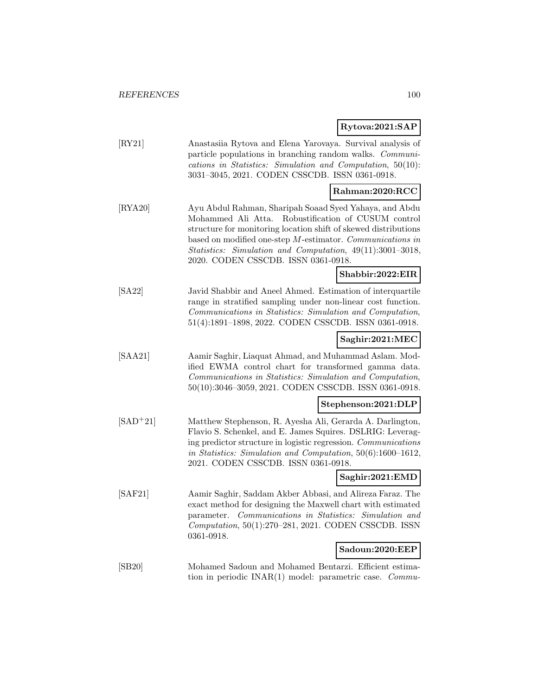# **Rytova:2021:SAP**

|                            | Rytova:2021:SAP                                                                                                                                                                                                                                                                                                                                         |
|----------------------------|---------------------------------------------------------------------------------------------------------------------------------------------------------------------------------------------------------------------------------------------------------------------------------------------------------------------------------------------------------|
| $\left[\text{RY21}\right]$ | Anastasiia Rytova and Elena Yarovaya. Survival analysis of<br>particle populations in branching random walks. <i>Communi</i> -<br>cations in Statistics: Simulation and Computation, $50(10)$ :<br>3031-3045, 2021. CODEN CSSCDB. ISSN 0361-0918.                                                                                                       |
|                            | Rahman:2020:RCC                                                                                                                                                                                                                                                                                                                                         |
| [RYA20]                    | Ayu Abdul Rahman, Sharipah Soaad Syed Yahaya, and Abdu<br>Mohammed Ali Atta.<br>Robustification of CUSUM control<br>structure for monitoring location shift of skewed distributions<br>based on modified one-step $M$ -estimator. Communications in<br>Statistics: Simulation and Computation, 49(11):3001-3018,<br>2020. CODEN CSSCDB. ISSN 0361-0918. |
|                            | Shabbir:2022:EIR                                                                                                                                                                                                                                                                                                                                        |
| [SA22]                     | Javid Shabbir and Aneel Ahmed. Estimation of interquartile<br>range in stratified sampling under non-linear cost function.<br>Communications in Statistics: Simulation and Computation,<br>51(4):1891-1898, 2022. CODEN CSSCDB. ISSN 0361-0918.                                                                                                         |
|                            | Saghir:2021:MEC                                                                                                                                                                                                                                                                                                                                         |
| [ <b>SAA21</b> ]           | Aamir Saghir, Liaquat Ahmad, and Muhammad Aslam. Mod-<br>ified EWMA control chart for transformed gamma data.<br>Communications in Statistics: Simulation and Computation,<br>50(10):3046-3059, 2021. CODEN CSSCDB. ISSN 0361-0918.                                                                                                                     |
|                            | Stephenson:2021:DLP                                                                                                                                                                                                                                                                                                                                     |
| $[SAD+21]$                 | Matthew Stephenson, R. Ayesha Ali, Gerarda A. Darlington,<br>Flavio S. Schenkel, and E. James Squires. DSLRIG: Leverag-<br>ing predictor structure in logistic regression. Communications<br>in Statistics: Simulation and Computation, 50(6):1600-1612,<br>2021. CODEN CSSCDB. ISSN 0361-0918.                                                         |
|                            | Saghir:2021:EMD                                                                                                                                                                                                                                                                                                                                         |
| [SAF21]                    | Aamir Saghir, Saddam Akber Abbasi, and Alireza Faraz. The<br>exact method for designing the Maxwell chart with estimated<br>Communications in Statistics: Simulation and<br>parameter.<br>Computation, 50(1):270-281, 2021. CODEN CSSCDB. ISSN<br>0361-0918.                                                                                            |
|                            | Sadoun:2020:EEP                                                                                                                                                                                                                                                                                                                                         |
| [SB20]                     | Mohamed Sadoun and Mohamed Bentarzi. Efficient estima-<br>tion in periodic INAR(1) model: parametric case.<br>Commu                                                                                                                                                                                                                                     |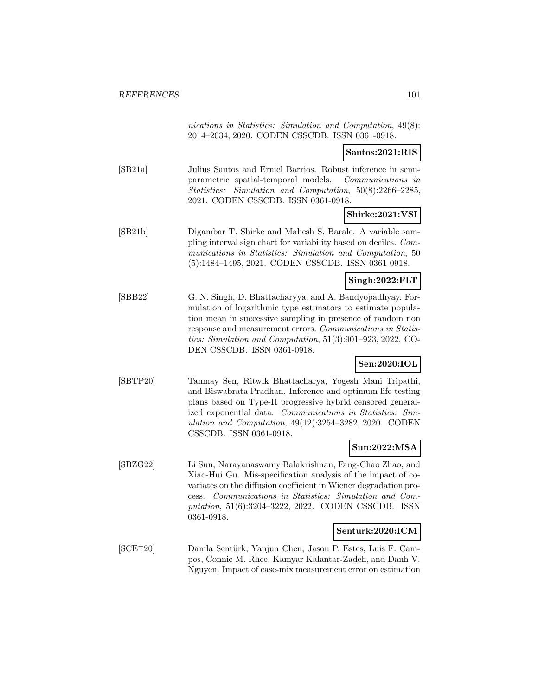nications in Statistics: Simulation and Computation, 49(8): 2014–2034, 2020. CODEN CSSCDB. ISSN 0361-0918.

#### **Santos:2021:RIS**

[SB21a] Julius Santos and Erniel Barrios. Robust inference in semiparametric spatial-temporal models. Communications in Statistics: Simulation and Computation, 50(8):2266–2285, 2021. CODEN CSSCDB. ISSN 0361-0918.

## **Shirke:2021:VSI**

[SB21b] Digambar T. Shirke and Mahesh S. Barale. A variable sampling interval sign chart for variability based on deciles. Communications in Statistics: Simulation and Computation, 50 (5):1484–1495, 2021. CODEN CSSCDB. ISSN 0361-0918.

#### **Singh:2022:FLT**

[SBB22] G. N. Singh, D. Bhattacharyya, and A. Bandyopadhyay. Formulation of logarithmic type estimators to estimate population mean in successive sampling in presence of random non response and measurement errors. Communications in Statistics: Simulation and Computation, 51(3):901–923, 2022. CO-DEN CSSCDB. ISSN 0361-0918.

### **Sen:2020:IOL**

[SBTP20] Tanmay Sen, Ritwik Bhattacharya, Yogesh Mani Tripathi, and Biswabrata Pradhan. Inference and optimum life testing plans based on Type-II progressive hybrid censored generalized exponential data. Communications in Statistics: Simulation and Computation, 49(12):3254–3282, 2020. CODEN CSSCDB. ISSN 0361-0918.

#### **Sun:2022:MSA**

[SBZG22] Li Sun, Narayanaswamy Balakrishnan, Fang-Chao Zhao, and Xiao-Hui Gu. Mis-specification analysis of the impact of covariates on the diffusion coefficient in Wiener degradation process. Communications in Statistics: Simulation and Computation, 51(6):3204–3222, 2022. CODEN CSSCDB. ISSN 0361-0918.

#### **Senturk:2020:ICM**

[SCE<sup>+</sup>20] Damla Sentürk, Yanjun Chen, Jason P. Estes, Luis F. Campos, Connie M. Rhee, Kamyar Kalantar-Zadeh, and Danh V. Nguyen. Impact of case-mix measurement error on estimation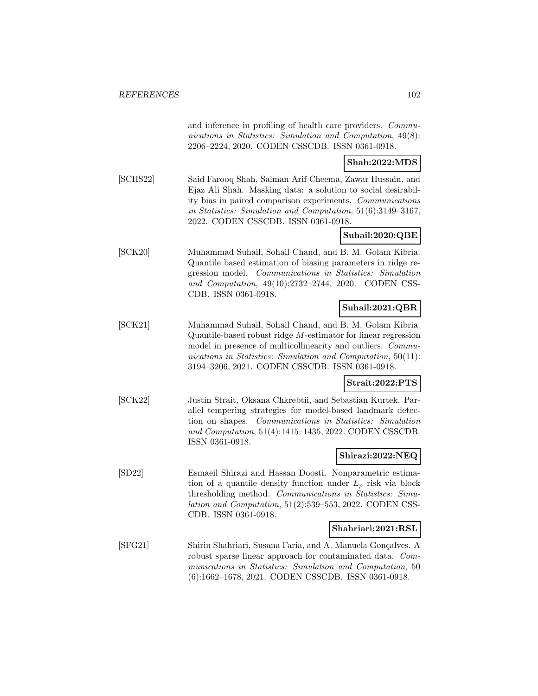and inference in profiling of health care providers. Communications in Statistics: Simulation and Computation, 49(8): 2206–2224, 2020. CODEN CSSCDB. ISSN 0361-0918.

#### **Shah:2022:MDS**

[SCHS22] Said Farooq Shah, Salman Arif Cheema, Zawar Hussain, and Ejaz Ali Shah. Masking data: a solution to social desirability bias in paired comparison experiments. Communications in Statistics: Simulation and Computation, 51(6):3149–3167, 2022. CODEN CSSCDB. ISSN 0361-0918.

# **Suhail:2020:QBE**

[SCK20] Muhammad Suhail, Sohail Chand, and B. M. Golam Kibria. Quantile based estimation of biasing parameters in ridge regression model. Communications in Statistics: Simulation and Computation, 49(10):2732–2744, 2020. CODEN CSS-CDB. ISSN 0361-0918.

### **Suhail:2021:QBR**

[SCK21] Muhammad Suhail, Sohail Chand, and B. M. Golam Kibria. Quantile-based robust ridge M-estimator for linear regression model in presence of multicollinearity and outliers. *Commu*nications in Statistics: Simulation and Computation, 50(11): 3194–3206, 2021. CODEN CSSCDB. ISSN 0361-0918.

#### **Strait:2022:PTS**

[SCK22] Justin Strait, Oksana Chkrebtii, and Sebastian Kurtek. Parallel tempering strategies for model-based landmark detection on shapes. Communications in Statistics: Simulation and Computation, 51(4):1415–1435, 2022. CODEN CSSCDB. ISSN 0361-0918.

#### **Shirazi:2022:NEQ**

[SD22] Esmaeil Shirazi and Hassan Doosti. Nonparametric estimation of a quantile density function under  $L_p$  risk via block thresholding method. Communications in Statistics: Simulation and Computation, 51(2):539–553, 2022. CODEN CSS-CDB. ISSN 0361-0918.

#### **Shahriari:2021:RSL**

[SFG21] Shirin Shahriari, Susana Faria, and A. Manuela Gonçalves. A robust sparse linear approach for contaminated data. Communications in Statistics: Simulation and Computation, 50 (6):1662–1678, 2021. CODEN CSSCDB. ISSN 0361-0918.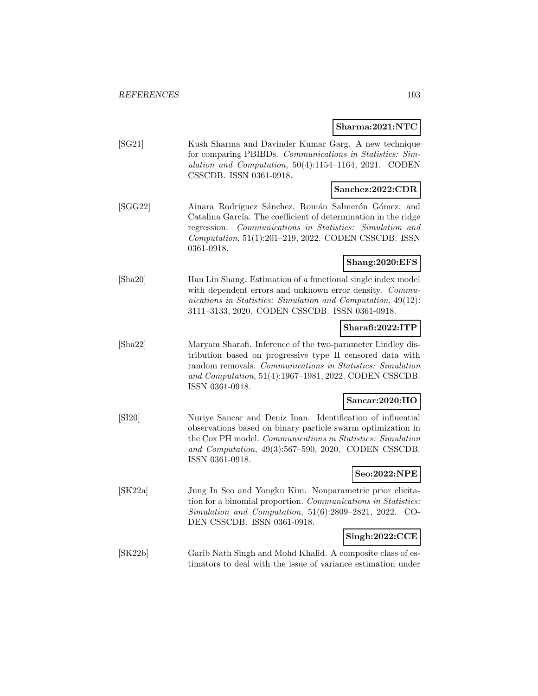**Sharma:2021:NTC**

|                  | Sharma:2021:NTC                                                                                                                                                                                                                                                    |
|------------------|--------------------------------------------------------------------------------------------------------------------------------------------------------------------------------------------------------------------------------------------------------------------|
| [SG21]           | Kush Sharma and Davinder Kumar Garg. A new technique<br>for comparing PBIBDs. Communications in Statistics: Sim-<br>ulation and Computation, $50(4):1154-1164$ , 2021. CODEN<br>CSSCDB. ISSN 0361-0918.                                                            |
|                  | Sanchez:2022:CDR                                                                                                                                                                                                                                                   |
| [SGG22]          | Ainara Rodríguez Sánchez, Román Salmerón Gómez, and<br>Catalina García. The coefficient of determination in the ridge<br>Communications in Statistics: Simulation and<br>regression.<br>Computation, 51(1):201-219, 2022. CODEN CSSCDB. ISSN<br>0361-0918.         |
|                  | Shang:2020:EFS                                                                                                                                                                                                                                                     |
| [Sha20]          | Han Lin Shang. Estimation of a functional single index model<br>with dependent errors and unknown error density. Commu-<br>nications in Statistics: Simulation and Computation, 49(12):<br>3111-3133, 2020. CODEN CSSCDB. ISSN 0361-0918.                          |
|                  | Sharafi:2022:ITP                                                                                                                                                                                                                                                   |
| $[\text{Sha}22]$ | Maryam Sharafi. Inference of the two-parameter Lindley dis-<br>tribution based on progressive type II censored data with<br>random removals. Communications in Statistics: Simulation<br>and Computation, 51(4):1967-1981, 2022. CODEN CSSCDB.<br>ISSN 0361-0918.  |
|                  | Sancar:2020:IIO                                                                                                                                                                                                                                                    |
| [SI20]           | Nuriye Sancar and Deniz Inan. Identification of influential<br>observations based on binary particle swarm optimization in<br>the Cox PH model. Communications in Statistics: Simulation<br>and Computation, 49(3):567-590, 2020. CODEN CSSCDB.<br>ISSN 0361-0918. |
|                  | Seo:2022:NPE                                                                                                                                                                                                                                                       |
| [SK22a]          | Jung In Seo and Yongku Kim. Nonparametric prior elicita-<br>tion for a binomial proportion. Communications in Statistics:<br>$Simulation$ and Computation, $51(6):2809-2821$ , $2022$ .<br>$CO-$<br>DEN CSSCDB. ISSN 0361-0918.                                    |
|                  | Singh:2022:CCE                                                                                                                                                                                                                                                     |
| [SK22b]          | Garib Nath Singh and Mohd Khalid. A composite class of es-<br>timators to deal with the issue of variance estimation under                                                                                                                                         |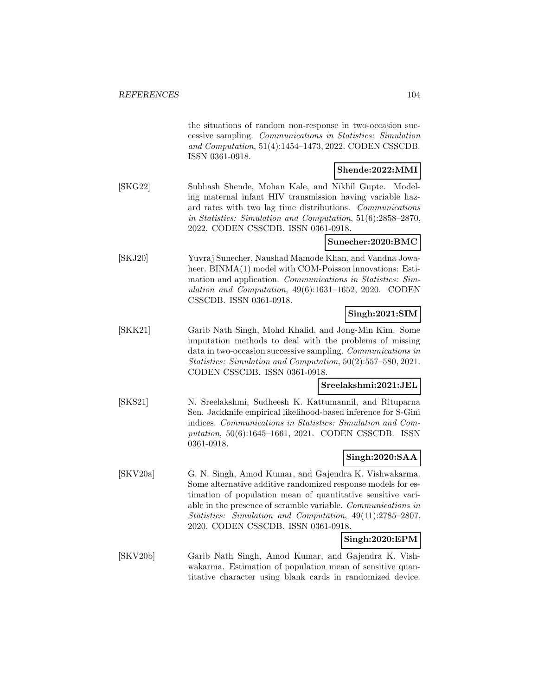|          | the situations of random non-response in two-occasion suc-<br>cessive sampling. Communications in Statistics: Simulation<br>and Computation, 51(4):1454-1473, 2022. CODEN CSSCDB.<br>ISSN 0361-0918.                                                                                                                                                                       |
|----------|----------------------------------------------------------------------------------------------------------------------------------------------------------------------------------------------------------------------------------------------------------------------------------------------------------------------------------------------------------------------------|
|          | Shende:2022:MMI                                                                                                                                                                                                                                                                                                                                                            |
| [SKG22]  | Subhash Shende, Mohan Kale, and Nikhil Gupte.<br>Model-<br>ing maternal infant HIV transmission having variable haz-<br>ard rates with two lag time distributions. Communications<br>in Statistics: Simulation and Computation, 51(6):2858-2870,<br>2022. CODEN CSSCDB. ISSN 0361-0918.                                                                                    |
|          | Sunecher:2020:BMC                                                                                                                                                                                                                                                                                                                                                          |
| [SKJ20]  | Yuvraj Sunecher, Naushad Mamode Khan, and Vandna Jowa-<br>heer. BINMA(1) model with COM-Poisson innovations: Esti-<br>mation and application. Communications in Statistics: Sim-<br>ulation and Computation, 49(6):1631-1652, 2020. CODEN<br>CSSCDB. ISSN 0361-0918.                                                                                                       |
|          | Singh:2021:SIM                                                                                                                                                                                                                                                                                                                                                             |
| [SKK21]  | Garib Nath Singh, Mohd Khalid, and Jong-Min Kim. Some<br>imputation methods to deal with the problems of missing<br>data in two-occasion successive sampling. Communications in<br>Statistics: Simulation and Computation, 50(2):557-580, 2021.<br>CODEN CSSCDB. ISSN 0361-0918.                                                                                           |
|          | Sreelakshmi:2021:JEL                                                                                                                                                                                                                                                                                                                                                       |
| [SKS21]  | N. Sreelakshmi, Sudheesh K. Kattumannil, and Rituparna<br>Sen. Jackknife empirical likelihood-based inference for S-Gini<br>indices. Communications in Statistics: Simulation and Com-<br>putation, 50(6):1645-1661, 2021. CODEN CSSCDB. ISSN<br>0361-0918.                                                                                                                |
|          | Singh:2020:SAA                                                                                                                                                                                                                                                                                                                                                             |
| [SKV20a] | G. N. Singh, Amod Kumar, and Gajendra K. Vishwakarma.<br>Some alternative additive randomized response models for es-<br>timation of population mean of quantitative sensitive vari-<br>able in the presence of scramble variable. Communications in<br>Statistics: Simulation and Computation, 49(11):2785-2807,<br>2020. CODEN CSSCDB. ISSN 0361-0918.<br>Singh:2020:EPM |
| [SKV20b] | Garib Nath Singh, Amod Kumar, and Gajendra K. Vish-                                                                                                                                                                                                                                                                                                                        |
|          | wakarma. Estimation of population mean of sensitive quan-                                                                                                                                                                                                                                                                                                                  |

titative character using blank cards in randomized device.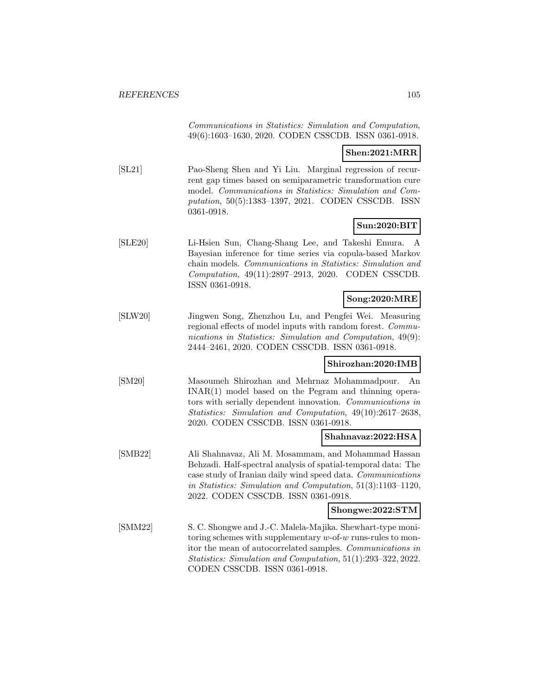Communications in Statistics: Simulation and Computation, 49(6):1603–1630, 2020. CODEN CSSCDB. ISSN 0361-0918.

#### **Shen:2021:MRR**

[SL21] Pao-Sheng Shen and Yi Liu. Marginal regression of recurrent gap times based on semiparametric transformation cure model. Communications in Statistics: Simulation and Computation, 50(5):1383–1397, 2021. CODEN CSSCDB. ISSN 0361-0918.

## **Sun:2020:BIT**

[SLE20] Li-Hsien Sun, Chang-Shang Lee, and Takeshi Emura. A Bayesian inference for time series via copula-based Markov chain models. Communications in Statistics: Simulation and Computation, 49(11):2897–2913, 2020. CODEN CSSCDB. ISSN 0361-0918.

## **Song:2020:MRE**

[SLW20] Jingwen Song, Zhenzhou Lu, and Pengfei Wei. Measuring regional effects of model inputs with random forest. *Commu*nications in Statistics: Simulation and Computation, 49(9): 2444–2461, 2020. CODEN CSSCDB. ISSN 0361-0918.

#### **Shirozhan:2020:IMB**

[SM20] Masoumeh Shirozhan and Mehrnaz Mohammadpour. An INAR(1) model based on the Pegram and thinning operators with serially dependent innovation. Communications in Statistics: Simulation and Computation, 49(10):2617–2638, 2020. CODEN CSSCDB. ISSN 0361-0918.

#### **Shahnavaz:2022:HSA**

[SMB22] Ali Shahnavaz, Ali M. Mosammam, and Mohammad Hassan Behzadi. Half-spectral analysis of spatial-temporal data: The case study of Iranian daily wind speed data. Communications in Statistics: Simulation and Computation, 51(3):1103–1120, 2022. CODEN CSSCDB. ISSN 0361-0918.

**Shongwe:2022:STM**

[SMM22] S. C. Shongwe and J.-C. Malela-Majika. Shewhart-type monitoring schemes with supplementary  $w$ -of- $w$  runs-rules to monitor the mean of autocorrelated samples. Communications in Statistics: Simulation and Computation, 51(1):293–322, 2022. CODEN CSSCDB. ISSN 0361-0918.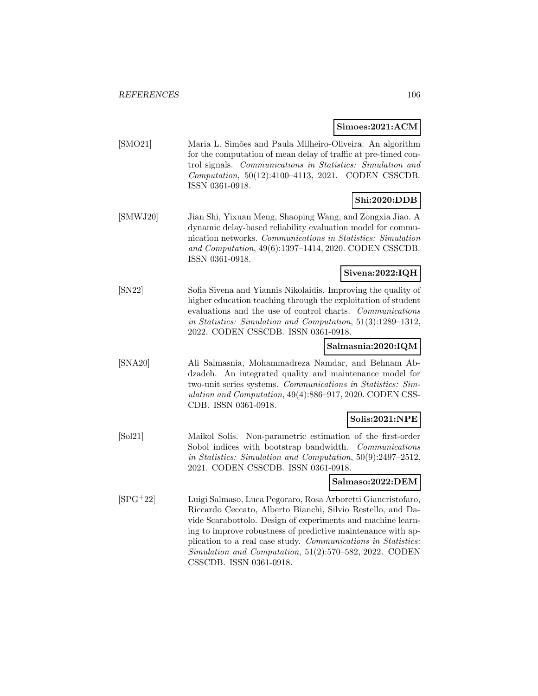#### **Simoes:2021:ACM**

[SMO21] Maria L. Simões and Paula Milheiro-Oliveira. An algorithm for the computation of mean delay of traffic at pre-timed control signals. Communications in Statistics: Simulation and Computation, 50(12):4100–4113, 2021. CODEN CSSCDB. ISSN 0361-0918.

# **Shi:2020:DDB**

[SMWJ20] Jian Shi, Yixuan Meng, Shaoping Wang, and Zongxia Jiao. A dynamic delay-based reliability evaluation model for communication networks. Communications in Statistics: Simulation and Computation, 49(6):1397–1414, 2020. CODEN CSSCDB. ISSN 0361-0918.

# **Sivena:2022:IQH**

[SN22] Sofia Sivena and Yiannis Nikolaidis. Improving the quality of higher education teaching through the exploitation of student evaluations and the use of control charts. Communications in Statistics: Simulation and Computation, 51(3):1289–1312, 2022. CODEN CSSCDB. ISSN 0361-0918.

# **Salmasnia:2020:IQM**

[SNA20] Ali Salmasnia, Mohammadreza Namdar, and Behnam Abdzadeh. An integrated quality and maintenance model for two-unit series systems. Communications in Statistics: Simulation and Computation, 49(4):886–917, 2020. CODEN CSS-CDB. ISSN 0361-0918.

## **Solis:2021:NPE**

[Sol21] Maikol Solís. Non-parametric estimation of the first-order Sobol indices with bootstrap bandwidth. *Communications* in Statistics: Simulation and Computation, 50(9):2497–2512, 2021. CODEN CSSCDB. ISSN 0361-0918.

#### **Salmaso:2022:DEM**

[SPG<sup>+</sup>22] Luigi Salmaso, Luca Pegoraro, Rosa Arboretti Giancristofaro, Riccardo Ceccato, Alberto Bianchi, Silvio Restello, and Davide Scarabottolo. Design of experiments and machine learning to improve robustness of predictive maintenance with application to a real case study. Communications in Statistics: Simulation and Computation, 51(2):570–582, 2022. CODEN CSSCDB. ISSN 0361-0918.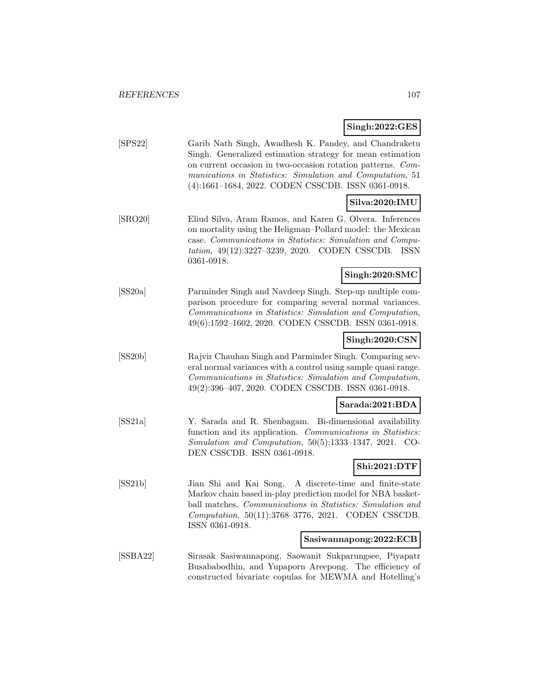# **Singh:2022:GES**

| [SPS22]  | Garib Nath Singh, Awadhesh K. Pandey, and Chandraketu<br>Singh. Generalized estimation strategy for mean estimation<br>on current occasion in two-occasion rotation patterns. Com-<br>munications in Statistics: Simulation and Computation, 51<br>(4):1661-1684, 2022. CODEN CSSCDB. ISSN 0361-0918. |
|----------|-------------------------------------------------------------------------------------------------------------------------------------------------------------------------------------------------------------------------------------------------------------------------------------------------------|
|          | Silva:2020:IMU                                                                                                                                                                                                                                                                                        |
| [SRO20]  | Eliud Silva, Aram Ramos, and Karen G. Olvera. Inferences<br>on mortality using the Heligman-Pollard model: the Mexican<br>case. Communications in Statistics: Simulation and Compu-<br>tation, 49(12):3227-3239, 2020. CODEN CSSCDB.<br>ISSN<br>0361-0918.                                            |
|          | Singh:2020:SMC                                                                                                                                                                                                                                                                                        |
| [SS20a]  | Parminder Singh and Navdeep Singh. Step-up multiple com-<br>parison procedure for comparing several normal variances.<br>Communications in Statistics: Simulation and Computation,<br>49(6):1592-1602, 2020. CODEN CSSCDB. ISSN 0361-0918.                                                            |
|          | Singh:2020:CSN                                                                                                                                                                                                                                                                                        |
| [SS20b]  | Rajvir Chauhan Singh and Parminder Singh. Comparing sev-<br>eral normal variances with a control using sample quasi range.<br>Communications in Statistics: Simulation and Computation,<br>49(2):396-407, 2020. CODEN CSSCDB. ISSN 0361-0918.                                                         |
|          | Sarada:2021:BDA                                                                                                                                                                                                                                                                                       |
| SS21a    | Y. Sarada and R. Shenbagam. Bi-dimensional availability<br>function and its application. Communications in Statistics:<br>Simulation and Computation, 50(5):1333-1347, 2021. CO-<br>DEN CSSCDB. ISSN 0361-0918.                                                                                       |
|          | Shi:2021:DTF                                                                                                                                                                                                                                                                                          |
| [SS21b]  | Jian Shi and Kai Song.<br>A discrete-time and finite-state<br>Markov chain based in-play prediction model for NBA basket-<br>ball matches. Communications in Statistics: Simulation and<br>Computation, 50(11):3768-3776, 2021. CODEN CSSCDB.<br>ISSN 0361-0918.                                      |
|          | Sasiwannapong:2022:ECB                                                                                                                                                                                                                                                                                |
| [SSBA22] | Sirasak Sasiwannapong, Saowanit Sukparungsee, Piyapatr<br>Busababodhin, and Yupaporn Areepong. The efficiency of<br>constructed bivariate copulas for MEWMA and Hotelling's                                                                                                                           |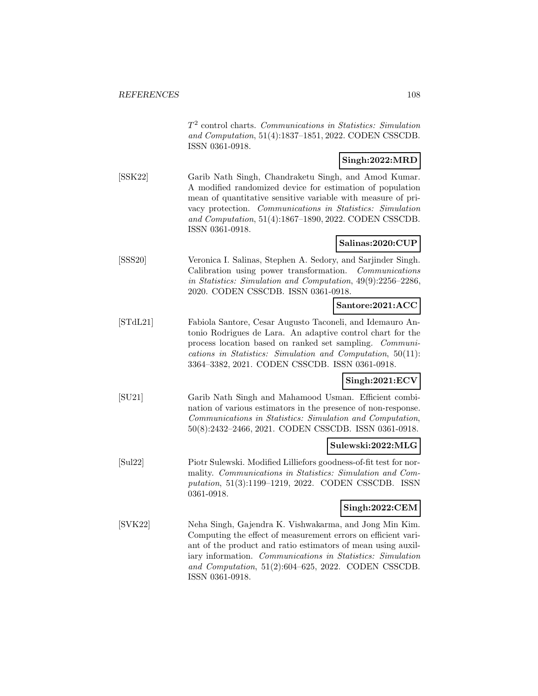$T<sup>2</sup>$  control charts. Communications in Statistics: Simulation and Computation, 51(4):1837–1851, 2022. CODEN CSSCDB. ISSN 0361-0918.

# **Singh:2022:MRD**

[SSK22] Garib Nath Singh, Chandraketu Singh, and Amod Kumar. A modified randomized device for estimation of population mean of quantitative sensitive variable with measure of privacy protection. Communications in Statistics: Simulation and Computation, 51(4):1867–1890, 2022. CODEN CSSCDB. ISSN 0361-0918.

#### **Salinas:2020:CUP**

[SSS20] Veronica I. Salinas, Stephen A. Sedory, and Sarjinder Singh. Calibration using power transformation. Communications in Statistics: Simulation and Computation, 49(9):2256–2286, 2020. CODEN CSSCDB. ISSN 0361-0918.

#### **Santore:2021:ACC**

[STdL21] Fabiola Santore, Cesar Augusto Taconeli, and Idemauro Antonio Rodrigues de Lara. An adaptive control chart for the process location based on ranked set sampling. Communications in Statistics: Simulation and Computation, 50(11): 3364–3382, 2021. CODEN CSSCDB. ISSN 0361-0918.

# **Singh:2021:ECV**

[SU21] Garib Nath Singh and Mahamood Usman. Efficient combination of various estimators in the presence of non-response. Communications in Statistics: Simulation and Computation, 50(8):2432–2466, 2021. CODEN CSSCDB. ISSN 0361-0918.

## **Sulewski:2022:MLG**

[Sul22] Piotr Sulewski. Modified Lilliefors goodness-of-fit test for normality. Communications in Statistics: Simulation and Computation, 51(3):1199–1219, 2022. CODEN CSSCDB. ISSN 0361-0918.

# **Singh:2022:CEM**

[SVK22] Neha Singh, Gajendra K. Vishwakarma, and Jong Min Kim. Computing the effect of measurement errors on efficient variant of the product and ratio estimators of mean using auxiliary information. Communications in Statistics: Simulation and Computation, 51(2):604–625, 2022. CODEN CSSCDB. ISSN 0361-0918.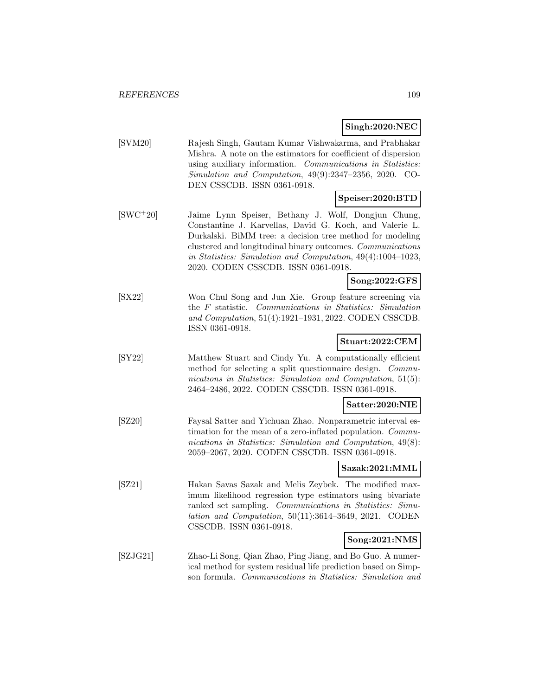## **Singh:2020:NEC**

[SVM20] Rajesh Singh, Gautam Kumar Vishwakarma, and Prabhakar Mishra. A note on the estimators for coefficient of dispersion using auxiliary information. Communications in Statistics: Simulation and Computation, 49(9):2347–2356, 2020. CO-DEN CSSCDB. ISSN 0361-0918.

### **Speiser:2020:BTD**

[SWC<sup>+</sup>20] Jaime Lynn Speiser, Bethany J. Wolf, Dongjun Chung, Constantine J. Karvellas, David G. Koch, and Valerie L. Durkalski. BiMM tree: a decision tree method for modeling clustered and longitudinal binary outcomes. Communications in Statistics: Simulation and Computation, 49(4):1004–1023, 2020. CODEN CSSCDB. ISSN 0361-0918.

## **Song:2022:GFS**

[SX22] Won Chul Song and Jun Xie. Group feature screening via the F statistic. Communications in Statistics: Simulation and Computation, 51(4):1921–1931, 2022. CODEN CSSCDB. ISSN 0361-0918.

### **Stuart:2022:CEM**

[SY22] Matthew Stuart and Cindy Yu. A computationally efficient method for selecting a split questionnaire design. Communications in Statistics: Simulation and Computation, 51(5): 2464–2486, 2022. CODEN CSSCDB. ISSN 0361-0918.

### **Satter:2020:NIE**

[SZ20] Faysal Satter and Yichuan Zhao. Nonparametric interval estimation for the mean of a zero-inflated population. *Commu*nications in Statistics: Simulation and Computation, 49(8): 2059–2067, 2020. CODEN CSSCDB. ISSN 0361-0918.

## **Sazak:2021:MML**

[SZ21] Hakan Savas Sazak and Melis Zeybek. The modified maximum likelihood regression type estimators using bivariate ranked set sampling. Communications in Statistics: Simulation and Computation, 50(11):3614–3649, 2021. CODEN CSSCDB. ISSN 0361-0918.

## **Song:2021:NMS**

[SZJG21] Zhao-Li Song, Qian Zhao, Ping Jiang, and Bo Guo. A numerical method for system residual life prediction based on Simpson formula. Communications in Statistics: Simulation and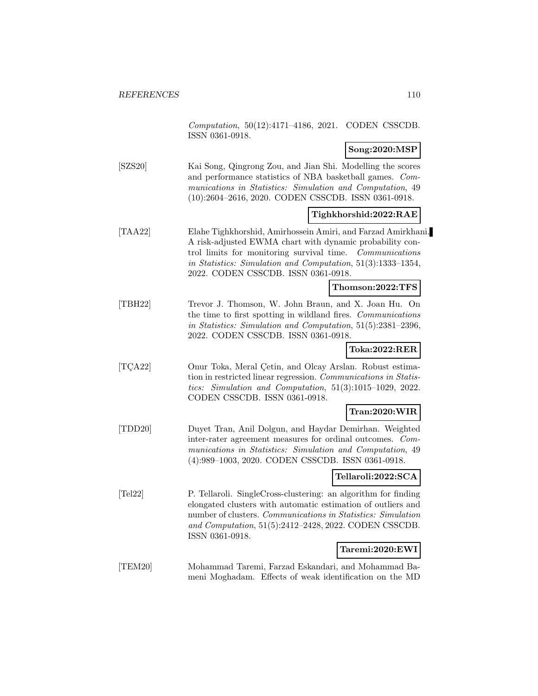Computation, 50(12):4171–4186, 2021. CODEN CSSCDB. ISSN 0361-0918.

### **Song:2020:MSP**

[SZS20] Kai Song, Qingrong Zou, and Jian Shi. Modelling the scores and performance statistics of NBA basketball games. Communications in Statistics: Simulation and Computation, 49 (10):2604–2616, 2020. CODEN CSSCDB. ISSN 0361-0918.

#### **Tighkhorshid:2022:RAE**

[TAA22] Elahe Tighkhorshid, Amirhossein Amiri, and Farzad Amirkhani. A risk-adjusted EWMA chart with dynamic probability control limits for monitoring survival time. Communications in Statistics: Simulation and Computation, 51(3):1333–1354, 2022. CODEN CSSCDB. ISSN 0361-0918.

### **Thomson:2022:TFS**

[TBH22] Trevor J. Thomson, W. John Braun, and X. Joan Hu. On the time to first spotting in wildland fires. Communications in Statistics: Simulation and Computation, 51(5):2381–2396, 2022. CODEN CSSCDB. ISSN 0361-0918.

#### **Toka:2022:RER**

[TCA22] Onur Toka, Meral Cetin, and Olcay Arslan. Robust estimation in restricted linear regression. Communications in Statistics: Simulation and Computation, 51(3):1015–1029, 2022. CODEN CSSCDB. ISSN 0361-0918.

#### **Tran:2020:WIR**

[TDD20] Duyet Tran, Anil Dolgun, and Haydar Demirhan. Weighted inter-rater agreement measures for ordinal outcomes. Communications in Statistics: Simulation and Computation, 49 (4):989–1003, 2020. CODEN CSSCDB. ISSN 0361-0918.

### **Tellaroli:2022:SCA**

[Tel22] P. Tellaroli. SingleCross-clustering: an algorithm for finding elongated clusters with automatic estimation of outliers and number of clusters. Communications in Statistics: Simulation and Computation, 51(5):2412–2428, 2022. CODEN CSSCDB. ISSN 0361-0918.

#### **Taremi:2020:EWI**

[TEM20] Mohammad Taremi, Farzad Eskandari, and Mohammad Bameni Moghadam. Effects of weak identification on the MD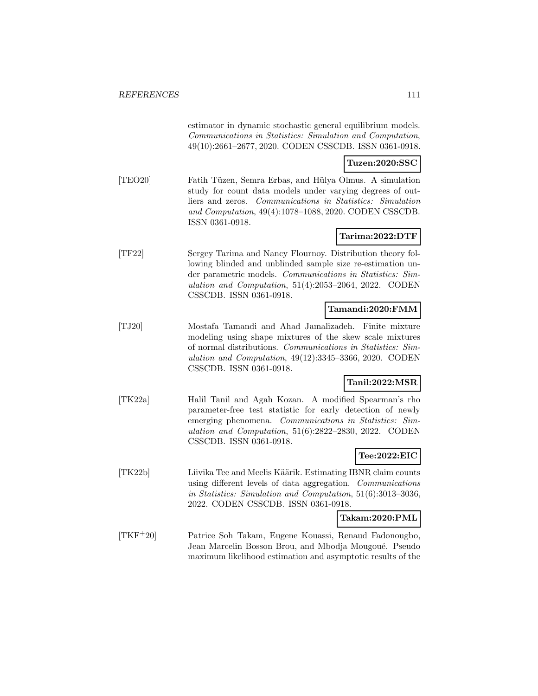estimator in dynamic stochastic general equilibrium models. Communications in Statistics: Simulation and Computation, 49(10):2661–2677, 2020. CODEN CSSCDB. ISSN 0361-0918.

## **Tuzen:2020:SSC**

[TEO20] Fatih T¨uzen, Semra Erbas, and H¨ulya Olmus. A simulation study for count data models under varying degrees of outliers and zeros. Communications in Statistics: Simulation and Computation, 49(4):1078–1088, 2020. CODEN CSSCDB. ISSN 0361-0918.

## **Tarima:2022:DTF**

[TF22] Sergey Tarima and Nancy Flournoy. Distribution theory following blinded and unblinded sample size re-estimation under parametric models. Communications in Statistics: Simulation and Computation, 51(4):2053–2064, 2022. CODEN CSSCDB. ISSN 0361-0918.

## **Tamandi:2020:FMM**

[TJ20] Mostafa Tamandi and Ahad Jamalizadeh. Finite mixture modeling using shape mixtures of the skew scale mixtures of normal distributions. Communications in Statistics: Simulation and Computation, 49(12):3345–3366, 2020. CODEN CSSCDB. ISSN 0361-0918.

# **Tanil:2022:MSR**

[TK22a] Halil Tanil and Agah Kozan. A modified Spearman's rho parameter-free test statistic for early detection of newly emerging phenomena. Communications in Statistics: Simulation and Computation, 51(6):2822–2830, 2022. CODEN CSSCDB. ISSN 0361-0918.

### **Tee:2022:EIC**

[TK22b] Liivika Tee and Meelis Käärik. Estimating IBNR claim counts using different levels of data aggregation. Communications in Statistics: Simulation and Computation, 51(6):3013–3036, 2022. CODEN CSSCDB. ISSN 0361-0918.

#### **Takam:2020:PML**

[TKF<sup>+</sup>20] Patrice Soh Takam, Eugene Kouassi, Renaud Fadonougbo, Jean Marcelin Bosson Brou, and Mbodja Mougoué. Pseudo maximum likelihood estimation and asymptotic results of the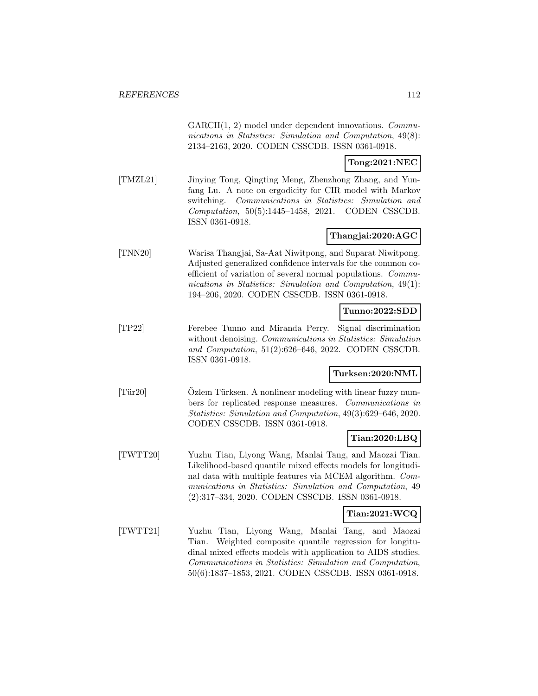GARCH(1, 2) model under dependent innovations. *Commu*nications in Statistics: Simulation and Computation, 49(8): 2134–2163, 2020. CODEN CSSCDB. ISSN 0361-0918.

## **Tong:2021:NEC**

[TMZL21] Jinying Tong, Qingting Meng, Zhenzhong Zhang, and Yunfang Lu. A note on ergodicity for CIR model with Markov switching. Communications in Statistics: Simulation and Computation, 50(5):1445–1458, 2021. CODEN CSSCDB. ISSN 0361-0918.

## **Thangjai:2020:AGC**

[TNN20] Warisa Thangjai, Sa-Aat Niwitpong, and Suparat Niwitpong. Adjusted generalized confidence intervals for the common coefficient of variation of several normal populations. Communications in Statistics: Simulation and Computation, 49(1): 194–206, 2020. CODEN CSSCDB. ISSN 0361-0918.

## **Tunno:2022:SDD**

[TP22] Ferebee Tunno and Miranda Perry. Signal discrimination without denoising. Communications in Statistics: Simulation and Computation, 51(2):626–646, 2022. CODEN CSSCDB. ISSN 0361-0918.

## **Turksen:2020:NML**

[Tür20] Ozlem Türksen. A nonlinear modeling with linear fuzzy numbers for replicated response measures. Communications in Statistics: Simulation and Computation, 49(3):629–646, 2020. CODEN CSSCDB. ISSN 0361-0918.

#### **Tian:2020:LBQ**

[TWTT20] Yuzhu Tian, Liyong Wang, Manlai Tang, and Maozai Tian. Likelihood-based quantile mixed effects models for longitudinal data with multiple features via MCEM algorithm. Communications in Statistics: Simulation and Computation, 49 (2):317–334, 2020. CODEN CSSCDB. ISSN 0361-0918.

#### **Tian:2021:WCQ**

[TWTT21] Yuzhu Tian, Liyong Wang, Manlai Tang, and Maozai Tian. Weighted composite quantile regression for longitudinal mixed effects models with application to AIDS studies. Communications in Statistics: Simulation and Computation, 50(6):1837–1853, 2021. CODEN CSSCDB. ISSN 0361-0918.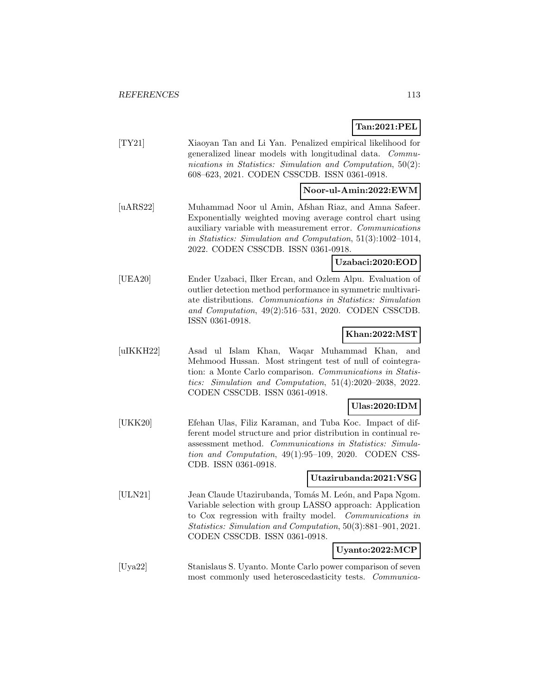## **Tan:2021:PEL**

|           | Tan:2021:PEL                                                                                                                                                                                                                                                                         |
|-----------|--------------------------------------------------------------------------------------------------------------------------------------------------------------------------------------------------------------------------------------------------------------------------------------|
| [TY21]    | Xiaoyan Tan and Li Yan. Penalized empirical likelihood for<br>generalized linear models with longitudinal data. Commu-<br>nications in Statistics: Simulation and Computation, $50(2)$ :<br>608-623, 2021. CODEN CSSCDB. ISSN 0361-0918.                                             |
|           | Noor-ul-Amin:2022:EWM                                                                                                                                                                                                                                                                |
| [uARS22]  | Muhammad Noor ul Amin, Afshan Riaz, and Amna Safeer.<br>Exponentially weighted moving average control chart using<br>auxiliary variable with measurement error. Communications<br>in Statistics: Simulation and Computation, 51(3):1002-1014,<br>2022. CODEN CSSCDB. ISSN 0361-0918. |
|           | Uzabaci:2020:EOD                                                                                                                                                                                                                                                                     |
| [UEA20]   | Ender Uzabaci, Ilker Ercan, and Ozlem Alpu. Evaluation of<br>outlier detection method performance in symmetric multivari-<br>ate distributions. Communications in Statistics: Simulation<br>and Computation, 49(2):516-531, 2020. CODEN CSSCDB.<br>ISSN 0361-0918.                   |
|           | Khan:2022:MST                                                                                                                                                                                                                                                                        |
| [uIKKH22] | Asad ul Islam Khan, Waqar Muhammad Khan,<br>and<br>Mehmood Hussan. Most stringent test of null of cointegra-<br>tion: a Monte Carlo comparison. Communications in Statis-<br>tics: Simulation and Computation, $51(4):2020-2038$ , $2022$ .<br>CODEN CSSCDB. ISSN 0361-0918.         |
|           | $U$ las:2020:IDM                                                                                                                                                                                                                                                                     |
| [UKK20]   | Efehan Ulas, Filiz Karaman, and Tuba Koc. Impact of dif-<br>ferent model structure and prior distribution in continual re-<br>assessment method. Communications in Statistics: Simula-<br>tion and Computation, $49(1):95-109$ , $2020$ . CODEN CSS-<br>CDB. ISSN 0361-0918.         |
|           | Utazirubanda:2021:VSG                                                                                                                                                                                                                                                                |
| [ULN21]   | Jean Claude Utazirubanda, Tomás M. León, and Papa Ngom.<br>Variable selection with group LASSO approach: Application<br>to Cox regression with frailty model. Communications in<br>Statistics: Simulation and Computation, 50(3):881-901, 2021.<br>CODEN CSSCDB. ISSN 0361-0918.     |
|           | Uyanto:2022:MCP                                                                                                                                                                                                                                                                      |
|           |                                                                                                                                                                                                                                                                                      |

[Uya22] Stanislaus S. Uyanto. Monte Carlo power comparison of seven most commonly used heteroscedasticity tests. Communica-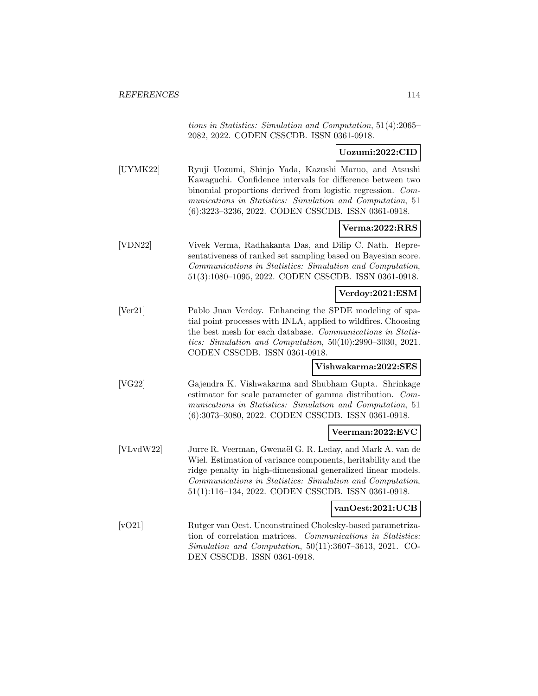tions in Statistics: Simulation and Computation, 51(4):2065– 2082, 2022. CODEN CSSCDB. ISSN 0361-0918.

### **Uozumi:2022:CID**

[UYMK22] Ryuji Uozumi, Shinjo Yada, Kazushi Maruo, and Atsushi Kawaguchi. Confidence intervals for difference between two binomial proportions derived from logistic regression. Communications in Statistics: Simulation and Computation, 51 (6):3223–3236, 2022. CODEN CSSCDB. ISSN 0361-0918.

### **Verma:2022:RRS**

[VDN22] Vivek Verma, Radhakanta Das, and Dilip C. Nath. Representativeness of ranked set sampling based on Bayesian score. Communications in Statistics: Simulation and Computation, 51(3):1080–1095, 2022. CODEN CSSCDB. ISSN 0361-0918.

#### **Verdoy:2021:ESM**

[Ver21] Pablo Juan Verdoy. Enhancing the SPDE modeling of spatial point processes with INLA, applied to wildfires. Choosing the best mesh for each database. Communications in Statistics: Simulation and Computation, 50(10):2990–3030, 2021. CODEN CSSCDB. ISSN 0361-0918.

#### **Vishwakarma:2022:SES**

[VG22] Gajendra K. Vishwakarma and Shubham Gupta. Shrinkage estimator for scale parameter of gamma distribution. Communications in Statistics: Simulation and Computation, 51 (6):3073–3080, 2022. CODEN CSSCDB. ISSN 0361-0918.

#### **Veerman:2022:EVC**

[VLvdW22] Jurre R. Veerman, Gwenaël G. R. Leday, and Mark A. van de Wiel. Estimation of variance components, heritability and the ridge penalty in high-dimensional generalized linear models. Communications in Statistics: Simulation and Computation, 51(1):116–134, 2022. CODEN CSSCDB. ISSN 0361-0918.

#### **vanOest:2021:UCB**

[vO21] Rutger van Oest. Unconstrained Cholesky-based parametrization of correlation matrices. Communications in Statistics: Simulation and Computation, 50(11):3607–3613, 2021. CO-DEN CSSCDB. ISSN 0361-0918.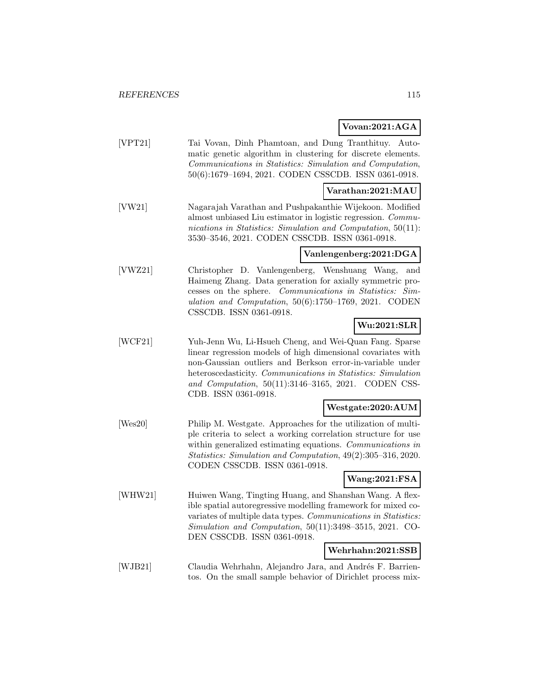## **Vovan:2021:AGA**

[VPT21] Tai Vovan, Dinh Phamtoan, and Dung Tranthituy. Automatic genetic algorithm in clustering for discrete elements. Communications in Statistics: Simulation and Computation, 50(6):1679–1694, 2021. CODEN CSSCDB. ISSN 0361-0918.

## **Varathan:2021:MAU**

[VW21] Nagarajah Varathan and Pushpakanthie Wijekoon. Modified almost unbiased Liu estimator in logistic regression. Communications in Statistics: Simulation and Computation, 50(11): 3530–3546, 2021. CODEN CSSCDB. ISSN 0361-0918.

## **Vanlengenberg:2021:DGA**

[VWZ21] Christopher D. Vanlengenberg, Wenshuang Wang, and Haimeng Zhang. Data generation for axially symmetric processes on the sphere. Communications in Statistics: Simulation and Computation, 50(6):1750–1769, 2021. CODEN CSSCDB. ISSN 0361-0918.

## **Wu:2021:SLR**

[WCF21] Yuh-Jenn Wu, Li-Hsueh Cheng, and Wei-Quan Fang. Sparse linear regression models of high dimensional covariates with non-Gaussian outliers and Berkson error-in-variable under heteroscedasticity. Communications in Statistics: Simulation and Computation, 50(11):3146–3165, 2021. CODEN CSS-CDB. ISSN 0361-0918.

## **Westgate:2020:AUM**

[Wes20] Philip M. Westgate. Approaches for the utilization of multiple criteria to select a working correlation structure for use within generalized estimating equations. Communications in Statistics: Simulation and Computation, 49(2):305–316, 2020. CODEN CSSCDB. ISSN 0361-0918.

## **Wang:2021:FSA**

[WHW21] Huiwen Wang, Tingting Huang, and Shanshan Wang. A flexible spatial autoregressive modelling framework for mixed covariates of multiple data types. Communications in Statistics: Simulation and Computation, 50(11):3498–3515, 2021. CO-DEN CSSCDB. ISSN 0361-0918.

## **Wehrhahn:2021:SSB**

[WJB21] Claudia Wehrhahn, Alejandro Jara, and Andrés F. Barrientos. On the small sample behavior of Dirichlet process mix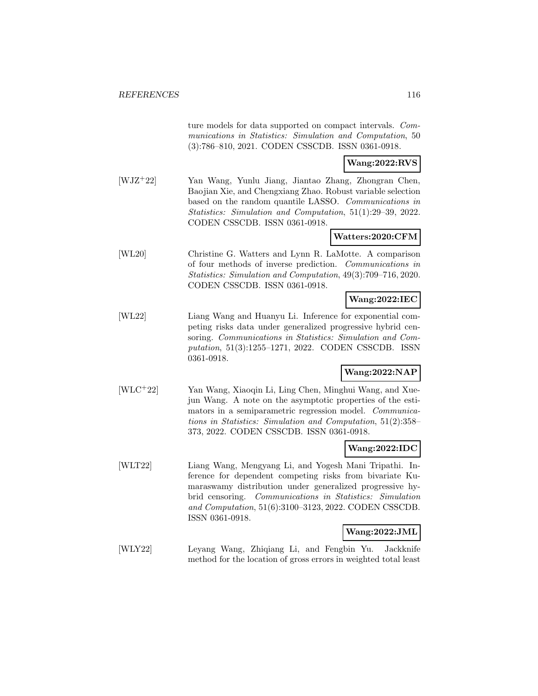ture models for data supported on compact intervals. Communications in Statistics: Simulation and Computation, 50 (3):786–810, 2021. CODEN CSSCDB. ISSN 0361-0918.

### **Wang:2022:RVS**

[WJZ<sup>+</sup>22] Yan Wang, Yunlu Jiang, Jiantao Zhang, Zhongran Chen, Baojian Xie, and Chengxiang Zhao. Robust variable selection based on the random quantile LASSO. Communications in Statistics: Simulation and Computation, 51(1):29–39, 2022. CODEN CSSCDB. ISSN 0361-0918.

## **Watters:2020:CFM**

[WL20] Christine G. Watters and Lynn R. LaMotte. A comparison of four methods of inverse prediction. Communications in Statistics: Simulation and Computation, 49(3):709–716, 2020. CODEN CSSCDB. ISSN 0361-0918.

### **Wang:2022:IEC**

[WL22] Liang Wang and Huanyu Li. Inference for exponential competing risks data under generalized progressive hybrid censoring. Communications in Statistics: Simulation and Computation, 51(3):1255–1271, 2022. CODEN CSSCDB. ISSN 0361-0918.

## **Wang:2022:NAP**

[WLC<sup>+</sup>22] Yan Wang, Xiaoqin Li, Ling Chen, Minghui Wang, and Xuejun Wang. A note on the asymptotic properties of the estimators in a semiparametric regression model. Communications in Statistics: Simulation and Computation, 51(2):358– 373, 2022. CODEN CSSCDB. ISSN 0361-0918.

## **Wang:2022:IDC**

[WLT22] Liang Wang, Mengyang Li, and Yogesh Mani Tripathi. Inference for dependent competing risks from bivariate Kumaraswamy distribution under generalized progressive hybrid censoring. Communications in Statistics: Simulation and Computation, 51(6):3100–3123, 2022. CODEN CSSCDB. ISSN 0361-0918.

## **Wang:2022:JML**

[WLY22] Leyang Wang, Zhiqiang Li, and Fengbin Yu. Jackknife method for the location of gross errors in weighted total least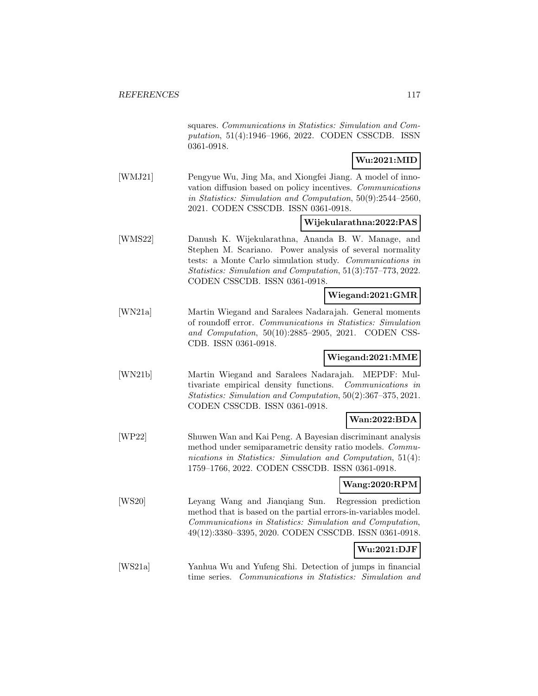squares. Communications in Statistics: Simulation and Computation, 51(4):1946–1966, 2022. CODEN CSSCDB. ISSN 0361-0918.

# **Wu:2021:MID**

[WMJ21] Pengyue Wu, Jing Ma, and Xiongfei Jiang. A model of innovation diffusion based on policy incentives. Communications in Statistics: Simulation and Computation, 50(9):2544–2560, 2021. CODEN CSSCDB. ISSN 0361-0918.

#### **Wijekularathna:2022:PAS**

[WMS22] Danush K. Wijekularathna, Ananda B. W. Manage, and Stephen M. Scariano. Power analysis of several normality tests: a Monte Carlo simulation study. Communications in Statistics: Simulation and Computation, 51(3):757–773, 2022. CODEN CSSCDB. ISSN 0361-0918.

### **Wiegand:2021:GMR**

[WN21a] Martin Wiegand and Saralees Nadarajah. General moments of roundoff error. Communications in Statistics: Simulation and Computation, 50(10):2885–2905, 2021. CODEN CSS-CDB. ISSN 0361-0918.

### **Wiegand:2021:MME**

[WN21b] Martin Wiegand and Saralees Nadarajah. MEPDF: Multivariate empirical density functions. Communications in Statistics: Simulation and Computation, 50(2):367–375, 2021. CODEN CSSCDB. ISSN 0361-0918.

## **Wan:2022:BDA**

[WP22] Shuwen Wan and Kai Peng. A Bayesian discriminant analysis method under semiparametric density ratio models. Communications in Statistics: Simulation and Computation, 51(4): 1759–1766, 2022. CODEN CSSCDB. ISSN 0361-0918.

#### **Wang:2020:RPM**

[WS20] Leyang Wang and Jianqiang Sun. Regression prediction method that is based on the partial errors-in-variables model. Communications in Statistics: Simulation and Computation, 49(12):3380–3395, 2020. CODEN CSSCDB. ISSN 0361-0918.

# **Wu:2021:DJF**

[WS21a] Yanhua Wu and Yufeng Shi. Detection of jumps in financial time series. Communications in Statistics: Simulation and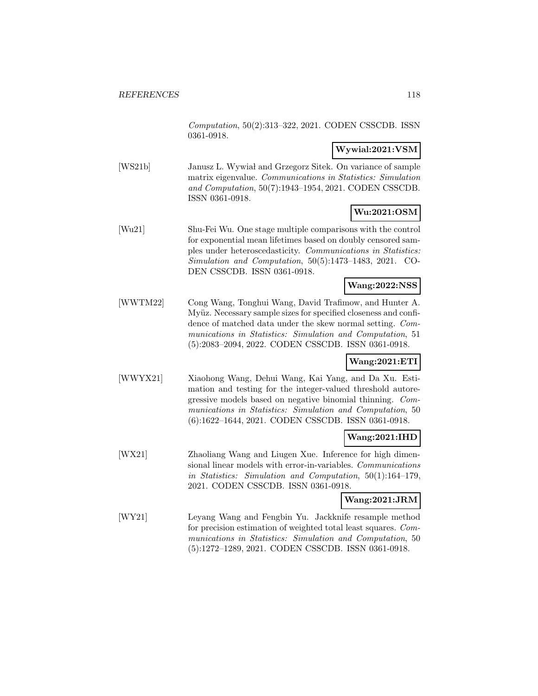Computation, 50(2):313–322, 2021. CODEN CSSCDB. ISSN 0361-0918.

## **Wywial:2021:VSM**

[WS21b] Janusz L. Wywiał and Grzegorz Sitek. On variance of sample matrix eigenvalue. Communications in Statistics: Simulation and Computation, 50(7):1943–1954, 2021. CODEN CSSCDB. ISSN 0361-0918.

# **Wu:2021:OSM**

[Wu21] Shu-Fei Wu. One stage multiple comparisons with the control for exponential mean lifetimes based on doubly censored samples under heteroscedasticity. Communications in Statistics: Simulation and Computation, 50(5):1473–1483, 2021. CO-DEN CSSCDB. ISSN 0361-0918.

## **Wang:2022:NSS**

[WWTM22] Cong Wang, Tonghui Wang, David Trafimow, and Hunter A. Myüz. Necessary sample sizes for specified closeness and confidence of matched data under the skew normal setting. Communications in Statistics: Simulation and Computation, 51 (5):2083–2094, 2022. CODEN CSSCDB. ISSN 0361-0918.

# **Wang:2021:ETI**

[WWYX21] Xiaohong Wang, Dehui Wang, Kai Yang, and Da Xu. Estimation and testing for the integer-valued threshold autoregressive models based on negative binomial thinning. Communications in Statistics: Simulation and Computation, 50 (6):1622–1644, 2021. CODEN CSSCDB. ISSN 0361-0918.

# **Wang:2021:IHD**

[WX21] Zhaoliang Wang and Liugen Xue. Inference for high dimensional linear models with error-in-variables. Communications in Statistics: Simulation and Computation, 50(1):164–179, 2021. CODEN CSSCDB. ISSN 0361-0918.

# **Wang:2021:JRM**

[WY21] Leyang Wang and Fengbin Yu. Jackknife resample method for precision estimation of weighted total least squares. Communications in Statistics: Simulation and Computation, 50 (5):1272–1289, 2021. CODEN CSSCDB. ISSN 0361-0918.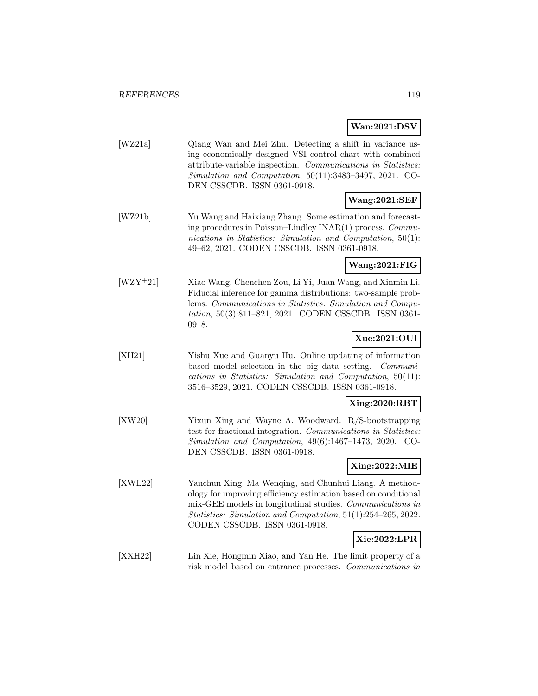# **Wan:2021:DSV**

| [WZ21a] | Qiang Wan and Mei Zhu. Detecting a shift in variance us-      |
|---------|---------------------------------------------------------------|
|         | ing economically designed VSI control chart with combined     |
|         | attribute-variable inspection. Communications in Statistics:  |
|         | Simulation and Computation, $50(11):3483-3497$ , $2021$ . CO- |
|         | DEN CSSCDB. ISSN 0361-0918.                                   |

## **Wang:2021:SEF**

[WZ21b] Yu Wang and Haixiang Zhang. Some estimation and forecasting procedures in Poisson–Lindley INAR(1) process. Communications in Statistics: Simulation and Computation, 50(1): 49–62, 2021. CODEN CSSCDB. ISSN 0361-0918.

## **Wang:2021:FIG**

[WZY<sup>+</sup>21] Xiao Wang, Chenchen Zou, Li Yi, Juan Wang, and Xinmin Li. Fiducial inference for gamma distributions: two-sample problems. Communications in Statistics: Simulation and Computation, 50(3):811–821, 2021. CODEN CSSCDB. ISSN 0361- 0918.

# **Xue:2021:OUI**

[XH21] Yishu Xue and Guanyu Hu. Online updating of information based model selection in the big data setting. Communications in Statistics: Simulation and Computation, 50(11): 3516–3529, 2021. CODEN CSSCDB. ISSN 0361-0918.

#### **Xing:2020:RBT**

[XW20] Yixun Xing and Wayne A. Woodward. R/S-bootstrapping test for fractional integration. Communications in Statistics: Simulation and Computation, 49(6):1467–1473, 2020. CO-DEN CSSCDB. ISSN 0361-0918.

## **Xing:2022:MIE**

[XWL22] Yanchun Xing, Ma Wenqing, and Chunhui Liang. A methodology for improving efficiency estimation based on conditional mix-GEE models in longitudinal studies. Communications in Statistics: Simulation and Computation, 51(1):254–265, 2022. CODEN CSSCDB. ISSN 0361-0918.

#### **Xie:2022:LPR**

[XXH22] Lin Xie, Hongmin Xiao, and Yan He. The limit property of a risk model based on entrance processes. Communications in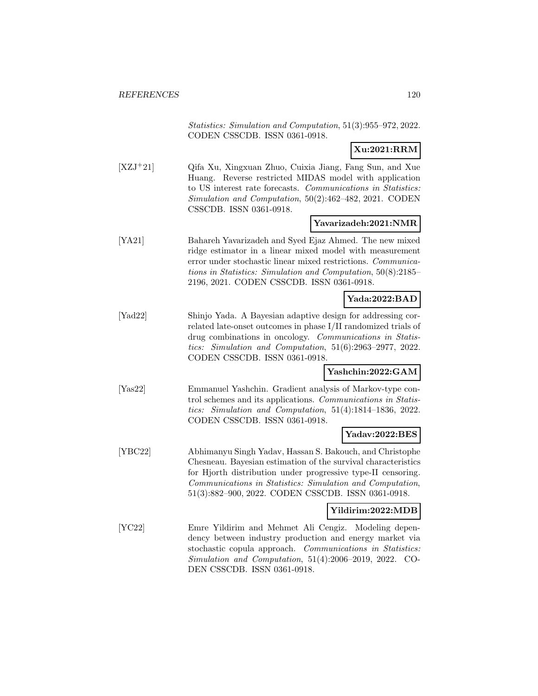Statistics: Simulation and Computation, 51(3):955–972, 2022. CODEN CSSCDB. ISSN 0361-0918.

# **Xu:2021:RRM**

[XZJ<sup>+</sup>21] Qifa Xu, Xingxuan Zhuo, Cuixia Jiang, Fang Sun, and Xue Huang. Reverse restricted MIDAS model with application to US interest rate forecasts. Communications in Statistics: Simulation and Computation, 50(2):462–482, 2021. CODEN CSSCDB. ISSN 0361-0918.

## **Yavarizadeh:2021:NMR**

[YA21] Bahareh Yavarizadeh and Syed Ejaz Ahmed. The new mixed ridge estimator in a linear mixed model with measurement error under stochastic linear mixed restrictions. Communications in Statistics: Simulation and Computation, 50(8):2185– 2196, 2021. CODEN CSSCDB. ISSN 0361-0918.

## **Yada:2022:BAD**

[Yad22] Shinjo Yada. A Bayesian adaptive design for addressing correlated late-onset outcomes in phase I/II randomized trials of drug combinations in oncology. Communications in Statistics: Simulation and Computation, 51(6):2963–2977, 2022. CODEN CSSCDB. ISSN 0361-0918.

#### **Yashchin:2022:GAM**

[Yas22] Emmanuel Yashchin. Gradient analysis of Markov-type control schemes and its applications. Communications in Statistics: Simulation and Computation, 51(4):1814–1836, 2022. CODEN CSSCDB. ISSN 0361-0918.

# **Yadav:2022:BES**

[YBC22] Abhimanyu Singh Yadav, Hassan S. Bakouch, and Christophe Chesneau. Bayesian estimation of the survival characteristics for Hjorth distribution under progressive type-II censoring. Communications in Statistics: Simulation and Computation, 51(3):882–900, 2022. CODEN CSSCDB. ISSN 0361-0918.

#### **Yildirim:2022:MDB**

[YC22] Emre Yildirim and Mehmet Ali Cengiz. Modeling dependency between industry production and energy market via stochastic copula approach. Communications in Statistics: Simulation and Computation, 51(4):2006–2019, 2022. CO-DEN CSSCDB. ISSN 0361-0918.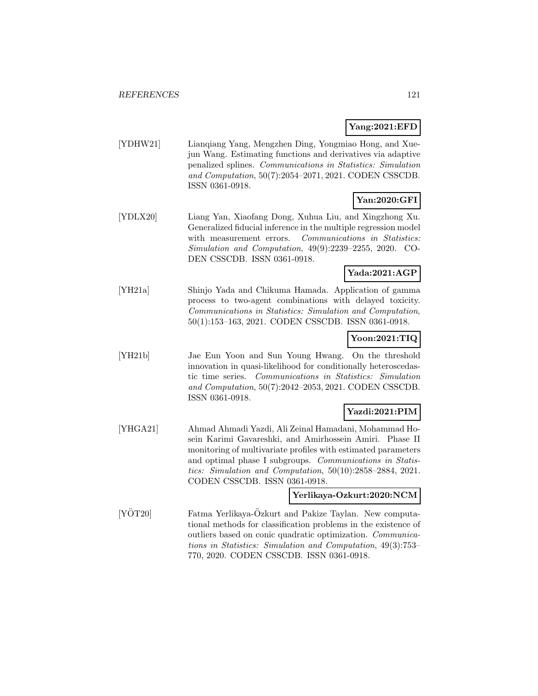## **Yang:2021:EFD**

[YDHW21] Lianqiang Yang, Mengzhen Ding, Yongmiao Hong, and Xuejun Wang. Estimating functions and derivatives via adaptive penalized splines. Communications in Statistics: Simulation and Computation, 50(7):2054–2071, 2021. CODEN CSSCDB. ISSN 0361-0918.

# **Yan:2020:GFI**

[YDLX20] Liang Yan, Xiaofang Dong, Xuhua Liu, and Xingzhong Xu. Generalized fiducial inference in the multiple regression model with measurement errors. Communications in Statistics: Simulation and Computation, 49(9):2239–2255, 2020. CO-DEN CSSCDB. ISSN 0361-0918.

## **Yada:2021:AGP**

[YH21a] Shinjo Yada and Chikuma Hamada. Application of gamma process to two-agent combinations with delayed toxicity. Communications in Statistics: Simulation and Computation, 50(1):153–163, 2021. CODEN CSSCDB. ISSN 0361-0918.

# **Yoon:2021:TIQ**

[YH21b] Jae Eun Yoon and Sun Young Hwang. On the threshold innovation in quasi-likelihood for conditionally heteroscedastic time series. Communications in Statistics: Simulation and Computation, 50(7):2042–2053, 2021. CODEN CSSCDB. ISSN 0361-0918.

# **Yazdi:2021:PIM**

[YHGA21] Ahmad Ahmadi Yazdi, Ali Zeinal Hamadani, Mohammad Hosein Karimi Gavareshki, and Amirhossein Amiri. Phase II monitoring of multivariate profiles with estimated parameters and optimal phase I subgroups. Communications in Statistics: Simulation and Computation, 50(10):2858–2884, 2021. CODEN CSSCDB. ISSN 0361-0918.

## **Yerlikaya-Ozkurt:2020:NCM**

 $[YOT20]$  Fatma Yerlikaya- $Oz$ kurt and Pakize Taylan. New computational methods for classification problems in the existence of outliers based on conic quadratic optimization. Communications in Statistics: Simulation and Computation, 49(3):753– 770, 2020. CODEN CSSCDB. ISSN 0361-0918.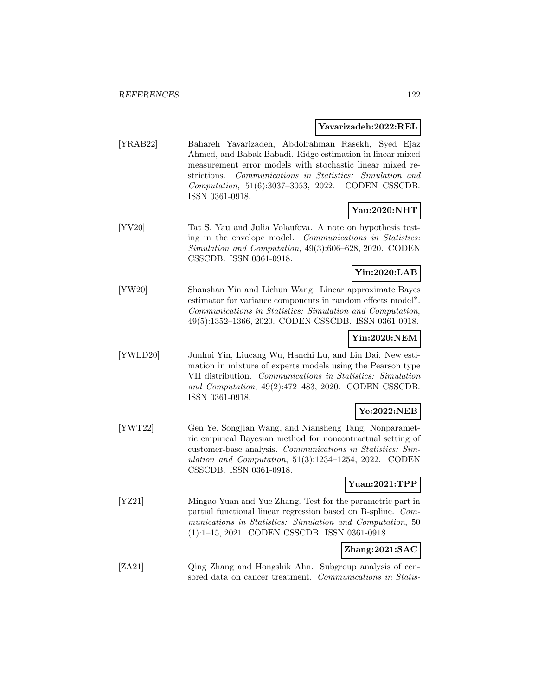#### **Yavarizadeh:2022:REL**

[YRAB22] Bahareh Yavarizadeh, Abdolrahman Rasekh, Syed Ejaz Ahmed, and Babak Babadi. Ridge estimation in linear mixed measurement error models with stochastic linear mixed restrictions. Communications in Statistics: Simulation and Computation, 51(6):3037–3053, 2022. CODEN CSSCDB. ISSN 0361-0918.

### **Yau:2020:NHT**

[YV20] Tat S. Yau and Julia Volaufova. A note on hypothesis testing in the envelope model. Communications in Statistics: Simulation and Computation, 49(3):606–628, 2020. CODEN CSSCDB. ISSN 0361-0918.

## **Yin:2020:LAB**

[YW20] Shanshan Yin and Lichun Wang. Linear approximate Bayes estimator for variance components in random effects model\*. Communications in Statistics: Simulation and Computation, 49(5):1352–1366, 2020. CODEN CSSCDB. ISSN 0361-0918.

### **Yin:2020:NEM**

[YWLD20] Junhui Yin, Liucang Wu, Hanchi Lu, and Lin Dai. New estimation in mixture of experts models using the Pearson type VII distribution. Communications in Statistics: Simulation and Computation, 49(2):472–483, 2020. CODEN CSSCDB. ISSN 0361-0918.

## **Ye:2022:NEB**

[YWT22] Gen Ye, Songjian Wang, and Niansheng Tang. Nonparametric empirical Bayesian method for noncontractual setting of customer-base analysis. Communications in Statistics: Simulation and Computation, 51(3):1234–1254, 2022. CODEN CSSCDB. ISSN 0361-0918.

### **Yuan:2021:TPP**

[YZ21] Mingao Yuan and Yue Zhang. Test for the parametric part in partial functional linear regression based on B-spline. Communications in Statistics: Simulation and Computation, 50 (1):1–15, 2021. CODEN CSSCDB. ISSN 0361-0918.

## **Zhang:2021:SAC**

[ZA21] Qing Zhang and Hongshik Ahn. Subgroup analysis of censored data on cancer treatment. Communications in Statis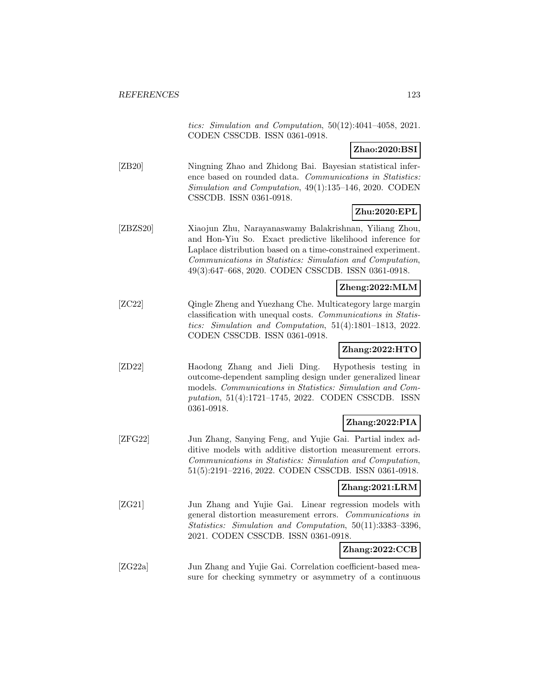tics: Simulation and Computation, 50(12):4041–4058, 2021. CODEN CSSCDB. ISSN 0361-0918.

### **Zhao:2020:BSI**

[ZB20] Ningning Zhao and Zhidong Bai. Bayesian statistical inference based on rounded data. Communications in Statistics: Simulation and Computation, 49(1):135–146, 2020. CODEN CSSCDB. ISSN 0361-0918.

## **Zhu:2020:EPL**

[ZBZS20] Xiaojun Zhu, Narayanaswamy Balakrishnan, Yiliang Zhou, and Hon-Yiu So. Exact predictive likelihood inference for Laplace distribution based on a time-constrained experiment. Communications in Statistics: Simulation and Computation, 49(3):647–668, 2020. CODEN CSSCDB. ISSN 0361-0918.

### **Zheng:2022:MLM**

[ZC22] Qingle Zheng and Yuezhang Che. Multicategory large margin classification with unequal costs. Communications in Statistics: Simulation and Computation, 51(4):1801–1813, 2022. CODEN CSSCDB. ISSN 0361-0918.

# **Zhang:2022:HTO**

[ZD22] Haodong Zhang and Jieli Ding. Hypothesis testing in outcome-dependent sampling design under generalized linear models. Communications in Statistics: Simulation and Computation, 51(4):1721–1745, 2022. CODEN CSSCDB. ISSN 0361-0918.

# **Zhang:2022:PIA**

[ZFG22] Jun Zhang, Sanying Feng, and Yujie Gai. Partial index additive models with additive distortion measurement errors. Communications in Statistics: Simulation and Computation, 51(5):2191–2216, 2022. CODEN CSSCDB. ISSN 0361-0918.

## **Zhang:2021:LRM**

[ZG21] Jun Zhang and Yujie Gai. Linear regression models with general distortion measurement errors. Communications in Statistics: Simulation and Computation, 50(11):3383–3396, 2021. CODEN CSSCDB. ISSN 0361-0918.

## **Zhang:2022:CCB**

[ZG22a] Jun Zhang and Yujie Gai. Correlation coefficient-based measure for checking symmetry or asymmetry of a continuous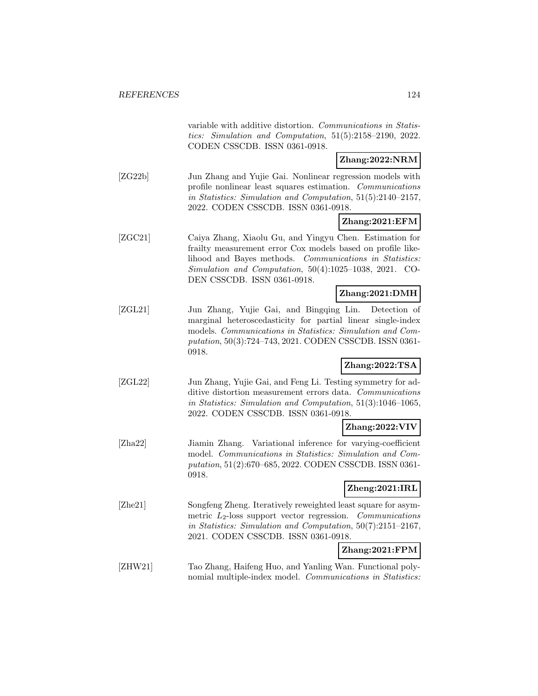|         | variable with additive distortion. Communications in Statis-<br>tics: Simulation and Computation, $51(5):2158-2190$ , $2022$ .<br>CODEN CSSCDB. ISSN 0361-0918.                                                                                                            |
|---------|----------------------------------------------------------------------------------------------------------------------------------------------------------------------------------------------------------------------------------------------------------------------------|
|         | Zhang:2022:NRM                                                                                                                                                                                                                                                             |
| [ZG22b] | Jun Zhang and Yujie Gai. Nonlinear regression models with<br>profile nonlinear least squares estimation. Communications<br>in Statistics: Simulation and Computation, 51(5):2140-2157,<br>2022. CODEN CSSCDB. ISSN 0361-0918.                                              |
|         | $\text{Zhang:} 2021:EFM$                                                                                                                                                                                                                                                   |
| [ZGC21] | Caiya Zhang, Xiaolu Gu, and Yingyu Chen. Estimation for<br>frailty measurement error Cox models based on profile like-<br>lihood and Bayes methods. Communications in Statistics:<br>Simulation and Computation, 50(4):1025-1038, 2021. CO-<br>DEN CSSCDB. ISSN 0361-0918. |
|         | Zhang:2021:DMH                                                                                                                                                                                                                                                             |
| [ZGL21] | Jun Zhang, Yujie Gai, and Bingqing Lin. Detection of<br>marginal heteroscedasticity for partial linear single-index<br>models. Communications in Statistics: Simulation and Com-<br>putation, 50(3):724-743, 2021. CODEN CSSCDB. ISSN 0361-<br>0918.                       |
|         | Zhang:2022:TSA                                                                                                                                                                                                                                                             |
| [ZGL22] | Jun Zhang, Yujie Gai, and Feng Li. Testing symmetry for ad-<br>ditive distortion measurement errors data. Communications<br>in Statistics: Simulation and Computation, 51(3):1046-1065,<br>2022. CODEN CSSCDB. ISSN 0361-0918.                                             |
|         | Zhang:2022:VIV                                                                                                                                                                                                                                                             |
| [Zha22] | Jiamin Zhang. Variational inference for varying-coefficient<br>model. Communications in Statistics: Simulation and Com-<br>putation, 51(2):670-685, 2022. CODEN CSSCDB. ISSN 0361-<br>0918.                                                                                |
|         | Zheng:2021:IRL                                                                                                                                                                                                                                                             |
| [Zhe21] | Songfeng Zheng. Iteratively reweighted least square for asym-<br>metric $L_2$ -loss support vector regression.<br>Communications<br>in Statistics: Simulation and Computation, $50(7):2151-2167$ ,<br>2021. CODEN CSSCDB. ISSN 0361-0918.                                  |
|         | Zhang:2021:FPM                                                                                                                                                                                                                                                             |
| [ZHW21] | Tao Zhang, Haifeng Huo, and Yanling Wan. Functional poly-<br>nomial multiple-index model. Communications in Statistics:                                                                                                                                                    |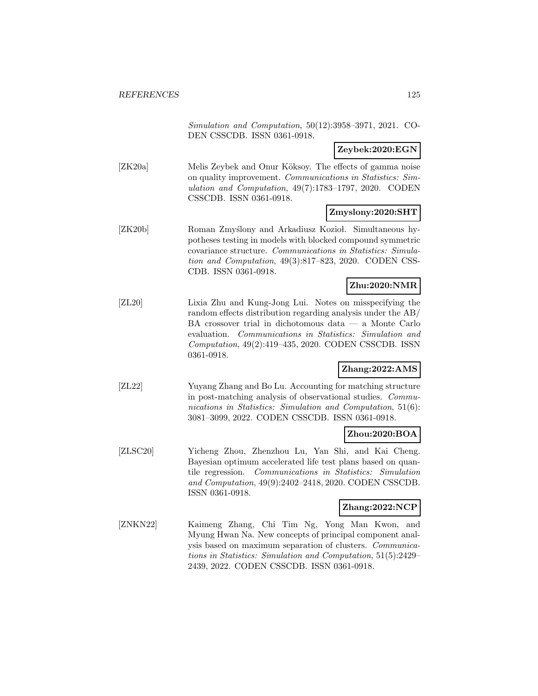Simulation and Computation, 50(12):3958–3971, 2021. CO-DEN CSSCDB. ISSN 0361-0918.

**Zeybek:2020:EGN**

[ZK20a] Melis Zeybek and Onur Köksoy. The effects of gamma noise on quality improvement. Communications in Statistics: Simulation and Computation, 49(7):1783–1797, 2020. CODEN CSSCDB. ISSN 0361-0918.

### **Zmyslony:2020:SHT**

[ZK20b] Roman Zmyslony and Arkadiusz Kozioł. Simultaneous hypotheses testing in models with blocked compound symmetric covariance structure. Communications in Statistics: Simulation and Computation, 49(3):817–823, 2020. CODEN CSS-CDB. ISSN 0361-0918.

### **Zhu:2020:NMR**

[ZL20] Lixia Zhu and Kung-Jong Lui. Notes on misspecifying the random effects distribution regarding analysis under the AB/ BA crossover trial in dichotomous data — a Monte Carlo evaluation. Communications in Statistics: Simulation and Computation, 49(2):419–435, 2020. CODEN CSSCDB. ISSN 0361-0918.

## **Zhang:2022:AMS**

[ZL22] Yuyang Zhang and Bo Lu. Accounting for matching structure in post-matching analysis of observational studies. Communications in Statistics: Simulation and Computation, 51(6): 3081–3099, 2022. CODEN CSSCDB. ISSN 0361-0918.

# **Zhou:2020:BOA**

[ZLSC20] Yicheng Zhou, Zhenzhou Lu, Yan Shi, and Kai Cheng. Bayesian optimum accelerated life test plans based on quantile regression. Communications in Statistics: Simulation and Computation, 49(9):2402–2418, 2020. CODEN CSSCDB. ISSN 0361-0918.

### **Zhang:2022:NCP**

[ZNKN22] Kaimeng Zhang, Chi Tim Ng, Yong Man Kwon, and Myung Hwan Na. New concepts of principal component analysis based on maximum separation of clusters. Communications in Statistics: Simulation and Computation, 51(5):2429– 2439, 2022. CODEN CSSCDB. ISSN 0361-0918.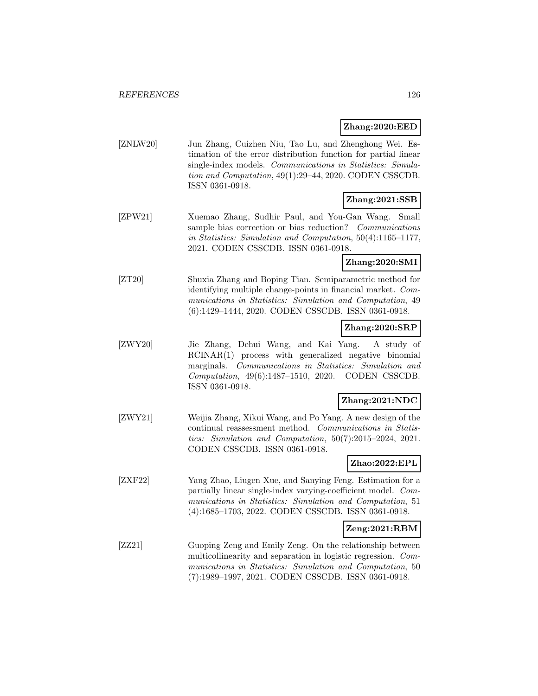#### **Zhang:2020:EED**

[ZNLW20] Jun Zhang, Cuizhen Niu, Tao Lu, and Zhenghong Wei. Estimation of the error distribution function for partial linear single-index models. Communications in Statistics: Simulation and Computation, 49(1):29–44, 2020. CODEN CSSCDB. ISSN 0361-0918.

## **Zhang:2021:SSB**

[ZPW21] Xuemao Zhang, Sudhir Paul, and You-Gan Wang. Small sample bias correction or bias reduction? Communications in Statistics: Simulation and Computation, 50(4):1165–1177, 2021. CODEN CSSCDB. ISSN 0361-0918.

# **Zhang:2020:SMI**

[ZT20] Shuxia Zhang and Boping Tian. Semiparametric method for identifying multiple change-points in financial market. Communications in Statistics: Simulation and Computation, 49 (6):1429–1444, 2020. CODEN CSSCDB. ISSN 0361-0918.

### **Zhang:2020:SRP**

[ZWY20] Jie Zhang, Dehui Wang, and Kai Yang. A study of RCINAR(1) process with generalized negative binomial marginals. Communications in Statistics: Simulation and Computation, 49(6):1487–1510, 2020. CODEN CSSCDB. ISSN 0361-0918.

### **Zhang:2021:NDC**

[ZWY21] Weijia Zhang, Xikui Wang, and Po Yang. A new design of the continual reassessment method. Communications in Statistics: Simulation and Computation, 50(7):2015–2024, 2021. CODEN CSSCDB. ISSN 0361-0918.

# **Zhao:2022:EPL**

[ZXF22] Yang Zhao, Liugen Xue, and Sanying Feng. Estimation for a partially linear single-index varying-coefficient model. Communications in Statistics: Simulation and Computation, 51 (4):1685–1703, 2022. CODEN CSSCDB. ISSN 0361-0918.

## **Zeng:2021:RBM**

[ZZ21] Guoping Zeng and Emily Zeng. On the relationship between multicollinearity and separation in logistic regression. Communications in Statistics: Simulation and Computation, 50 (7):1989–1997, 2021. CODEN CSSCDB. ISSN 0361-0918.